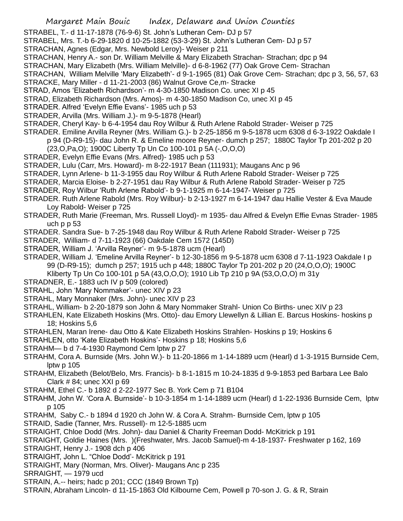Margaret Main Bouic Index, Delaware and Union Counties STRABEL, T.- d 11-17-1878 (76-9-6) St. John's Lutheran Cem- DJ p 57 STRABEL, Mrs. T.-b 6-29-1820 d 10-25-1882 (53-3-29) St. John's Lutheran Cem- DJ p 57 STRACHAN, Agnes (Edgar, Mrs. Newbold Leroy)- Weiser p 211 STRACHAN, Henry A.- son Dr. William Melville & Mary Elizabeth Strachan- Strachan; dpc p 94 STRACHAN, Mary Elizabeth (Mrs. William Melville)- d 6-8-1962 (77) Oak Grove Cem- Strachan STRACHAN, William Melville 'Mary Elizabeth'- d 9-1-1965 (81) Oak Grove Cem- Strachan; dpc p 3, 56, 57, 63 STRACKE, Mary Miller - d 11-21-2003 (86) Walnut Grove Ce,m- Stracke STRAD, Amos 'Elizabeth Richardson'- m 4-30-1850 Madison Co. unec XI p 45 STRAD, Elizabeth Richardson (Mrs. Amos)- m 4-30-1850 Madison Co, unec XI p 45 STRADER. Alfred 'Evelyn Effie Evans'- 1985 uch p 53 STRADER, Arvilla (Mrs. William J.)- m 9-5-1878 (Hearl) STRADER, Cheryl Kay- b 6-4-1954 dau Roy Wilbur & Ruth Arlene Rabold Strader- Weiser p 725 STRADER. Emiline Arvilla Reyner (Mrs. William G.)- b 2-25-1856 m 9-5-1878 ucm 6308 d 6-3-1922 Oakdale I p 94 (D-R9-15)- dau John R. & Emeline moore Reyner- dumch p 257; 1880C Taylor Tp 201-202 p 20 (23,O,Pa,O); 1900C Liberty Tp Un Co 100-101 p 5A (-,O,O,O) STRADER, Evelyn Effie Evans (Mrs. Alfred)- 1985 uch p 53 STRADER, Lulu (Carr, Mrs. Howard)- m 8-22-1917 Bean (111931); Maugans Anc p 96 STRADER, Lynn Arlene- b 11-3-1955 dau Roy Wilbur & Ruth Arlene Rabold Strader- Weiser p 725 STRADER, Marcia Eloise- b 2-27-1951 dau Ray Wilbur & Ruth Arlene Rabold Strader- Weiser p 725 STRADER, Roy Wilbur 'Ruth Arlene Rabold'- b 9-1-1925 m 6-14-1947- Weiser p 725 STRADER. Ruth Arlene Rabold (Mrs. Roy Wilbur)- b 2-13-1927 m 6-14-1947 dau Hallie Vester & Eva Maude Loy Rabold- Weiser p 725 STRADER, Ruth Marie (Freeman, Mrs. Russell Lloyd)- m 1935- dau Alfred & Evelyn Effie Evnas Strader- 1985 uch p p 53 STRADER. Sandra Sue- b 7-25-1948 dau Roy Wilbur & Ruth Arlene Rabold Strader- Weiser p 725 STRADER, William- d 7-11-1923 (66) Oakdale Cem 1572 (145D) STRADER, William J. 'Arvilla Reyner'- m 9-5-1878 ucm (Hearl) STRADER, William J. 'Emeline Arvilla Reyner'- b 12-30-1856 m 9-5-1878 ucm 6308 d 7-11-1923 Oakdale I p 99 (D-R9-15); dumch p 257; 1915 uch p 448; 1880C Taylor Tp 201-202 p 20 (24,O,O,O); 1900C Kliberty Tp Un Co 100-101 p 5A (43,O,O,O); 1910 Lib Tp 210 p 9A (53,O,O,O) m 31y STRADNER, E.- 1883 uch IV p 509 (colored)

- STRAHL, John 'Mary Nommaker'- unec XIV p 23
- STRAHL, Mary Monnaker (Mrs. John)- unec XIV p 23
- STRAHL, William- b 2-20-1879 son John & Mary Nommaker Strahl- Union Co Births- unec XIV p 23

STRAHLEN, Kate Elizabeth Hoskins (Mrs. Otto)- dau Emory Llewellyn & Lillian E. Barcus Hoskins- hoskins p 18; Hoskins 5,6

- STRAHLEN, Maran Irene- dau Otto & Kate Elizabeth Hoskins Strahlen- Hoskins p 19; Hoskins 6
- STRAHLEN, otto 'Kate Elizabeth Hoskins'- Hoskins p 18; Hoskins 5,6
- STRAHM— b d 7-4-1930 Raymond Cem lptw p 27
- STRAHM, Cora A. Burnside (Mrs. John W.)- b 11-20-1866 m 1-14-1889 ucm (Hearl) d 1-3-1915 Burnside Cem, lptw p 105
- STRAHM, Elizabeth (Belot/Belo, Mrs. Francis)- b 8-1-1815 m 10-24-1835 d 9-9-1853 ped Barbara Lee Balo Clark  $\#$  84; unec XXI p 69
- STRAHM, Ethel C.- b 1892 d 2-22-1977 Sec B. York Cem p 71 B104
- STRAHM, John W. 'Cora A. Burnside'- b 10-3-1854 m 1-14-1889 ucm (Hearl) d 1-22-1936 Burnside Cem, lptw p 105
- STRAHM, Saby C.- b 1894 d 1920 ch John W. & Cora A. Strahm- Burnside Cem, lptw p 105
- STRAID, Sadie (Tanner, Mrs. Russell)- m 12-5-1885 ucm
- STRAIGHT, Chloe Dodd (Mrs. John)- dau Daniel & Charity Freeman Dodd- McKitrick p 191
- STRAIGHT, Goldie Haines (Mrs. )(Freshwater, Mrs. Jacob Samuel)-m 4-18-1937- Freshwater p 162, 169
- STRAIGHT, Henry J.- 1908 dch p 406
- STRAIGHT, John L. "Chloe Dodd'- McKitrick p 191
- STRAIGHT, Mary (Norman, Mrs. Oliver)- Maugans Anc p 235
- SRRAIGHT, 1979 ucd
- STRAIN, A.-- heirs; hadc p 201; CCC (1849 Brown Tp)
- STRAIN, Abraham Lincoln- d 11-15-1863 Old Kilbourne Cem, Powell p 70-son J. G. & R, Strain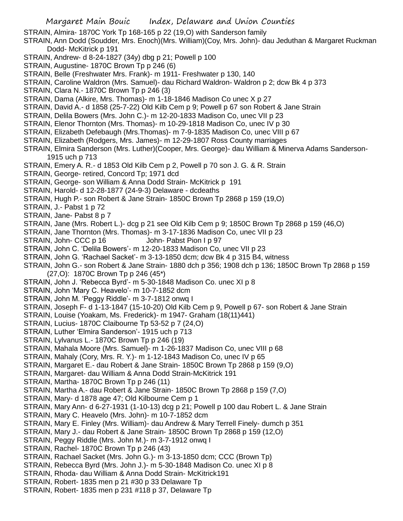STRAIN, Almira- 1870C York Tp 168-165 p 22 (19,O) with Sanderson family

STRAIN, Ann Dodd (Soudder, Mrs. Enoch)(Mrs. William)(Coy, Mrs. John)- dau Jeduthan & Margaret Ruckman Dodd- McKitrick p 191

- STRAIN, Andrew- d 8-24-1827 (34y) dbg p 21; Powell p 100
- STRAIN, Augustine- 1870C Brown Tp p 246 (6)
- STRAIN, Belle (Freshwater Mrs. Frank)- m 1911- Freshwater p 130, 140
- STRAIN, Caroline Waldron (Mrs. Samuel)- dau Richard Waldron- Waldron p 2; dcw Bk 4 p 373
- STRAIN, Clara N.- 1870C Brown Tp p 246 (3)
- STRAIN, Dama (Alkire, Mrs. Thomas)- m 1-18-1846 Madison Co unec X p 27
- STRAIN, David A.- d 1858 (25-7-22) Old Kilb Cem p 9; Powell p 67 son Robert & Jane Strain
- STRAIN, Delila Bowers (Mrs. John C.)- m 12-20-1833 Madison Co, unec VII p 23
- STRAIN, Elenor Thornton (Mrs. Thomas)- m 10-29-1818 Madison Co, unec IV p 30
- STRAIN, Elizabeth Defebaugh (Mrs.Thomas)- m 7-9-1835 Madison Co, unec VIII p 67
- STRAIN, Elizabeth (Rodgers, Mrs. James)- m 12-29-1807 Ross County marriages
- STRAIN, Elmira Sanderson (Mrs. Luther)(Cooper, Mrs. George)- dau William & Minerva Adams Sanderson-1915 uch p 713
- STRAIN, Emery A. R.- d 1853 Old Kilb Cem p 2, Powell p 70 son J. G. & R. Strain
- STRAIN, George- retired, Concord Tp; 1971 dcd
- STRAIN, George- son William & Anna Dodd Strain- McKitrick p 191
- STRAIN, Harold- d 12-28-1877 (24-9-3) Delaware dcdeaths
- STRAIN, Hugh P.- son Robert & Jane Strain- 1850C Brown Tp 2868 p 159 (19,O)
- STRAIN, J.- Pabst 1 p 72
- STRAIN, Jane- Pabst 8 p 7
- STRAIN, Jane (Mrs. Robert L.)- dcg p 21 see Old Kilb Cem p 9; 1850C Brown Tp 2868 p 159 (46,O)
- STRAIN, Jane Thornton (Mrs. Thomas)- m 3-17-1836 Madison Co, unec VII p 23
- STRAIN, John- CCC p 16 John- Pabst Pion I p 97
- STRAIN, John C. 'Delila Bowers'- m 12-20-1833 Madison Co, unec VII p 23
- STRAIN, John G. 'Rachael Sacket'- m 3-13-1850 dcm; dcw Bk 4 p 315 B4, witness
- STRAIN, John G.- son Robert & Jane Strain- 1880 dch p 356; 1908 dch p 136; 1850C Brown Tp 2868 p 159 (27,O): 1870C Brown Tp p 246 (45\*)
- STRAIN, John J. 'Rebecca Byrd'- m 5-30-1848 Madison Co. unec XI p 8
- STRAIN, John 'Mary C. Heavelo'- m 10-7-1852 dcm
- STRAIN, John M. 'Peggy Riddle'- m 3-7-1812 onwq I
- STRAIN, Joseph F- d 1-13-1847 (15-10-20) Old Kilb Cem p 9, Powell p 67- son Robert & Jane Strain
- STRAIN, Louise (Yoakam, Ms. Frederick)- m 1947- Graham (18(11)441)
- STRAIN, Lucius- 1870C Claibourne Tp 53-52 p 7 (24,O)
- STRAIN, Luther 'Elmira Sanderson'- 1915 uch p 713
- STRAIN, Lylvanus L.- 1870C Brown Tp p 246 (19)
- STRAIN, Mahala Moore (Mrs. Samuel)- m 1-26-1837 Madison Co, unec VIII p 68
- STRAIN, Mahaly (Cory, Mrs. R. Y.)- m 1-12-1843 Madison Co, unec IV p 65
- STRAIN, Margaret E.- dau Robert & Jane Strain- 1850C Brown Tp 2868 p 159 (9,O)
- STRAIN, Margaret- dau William & Anna Dodd Strain-McKitrick 191
- STRAIN, Martha- 1870C Brown Tp p 246 (11)
- STRAIN, Martha A.- dau Robert & Jane Strain- 1850C Brown Tp 2868 p 159 (7,O)
- STRAIN, Mary- d 1878 age 47; Old Kilbourne Cem p 1
- STRAIN, Mary Ann- d 6-27-1931 (1-10-13) dcg p 21; Powell p 100 dau Robert L. & Jane Strain
- STRAIN, Mary C. Heavelo (Mrs. John)- m 10-7-1852 dcm
- STRAIN, Mary E. Finley (Mrs. William)- dau Andrew & Mary Terrell Finely- dumch p 351
- STRAIN, Mary J.- dau Robert & Jane Strain- 1850C Brown Tp 2868 p 159 (12,O)
- STRAIN, Peggy Riddle (Mrs. John M.)- m 3-7-1912 onwq I
- STRAIN, Rachel- 1870C Brown Tp p 246 (43)
- STRAIN, Rachael Sacket (Mrs. John G.)- m 3-13-1850 dcm; CCC (Brown Tp)
- STRAIN, Rebecca Byrd (Mrs. John J.)- m 5-30-1848 Madison Co. unec XI p 8
- STRAIN, Rhoda- dau William & Anna Dodd Strain- McKitrick191
- STRAIN, Robert- 1835 men p 21 #30 p 33 Delaware Tp
- STRAIN, Robert- 1835 men p 231 #118 p 37, Delaware Tp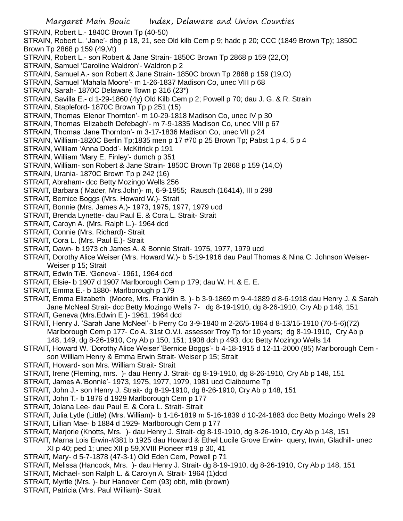STRAIN, Robert L.- 1840C Brown Tp (40-50)

STRAIN, Robert L. 'Jane'- dbg p 18, 21, see Old kilb Cem p 9; hadc p 20; CCC (1849 Brown Tp); 1850C Brown Tp 2868 p 159 (49,Vt)

- STRAIN, Robert L.- son Robert & Jane Strain- 1850C Brown Tp 2868 p 159 (22,O)
- STRAIN, Samuel 'Caroline Waldron'- Waldron p 2
- STRAIN, Samuel A.- son Robert & Jane Strain- 1850C brown Tp 2868 p 159 (19,O)
- STRAIN, Samuel 'Mahala Moore'- m 1-26-1837 Madison Co, unec VIII p 68
- STRAIN, Sarah- 1870C Delaware Town p 316 (23\*)
- STRAIN, Savilla E.- d 1-29-1860 (4y) Old Kilb Cem p 2; Powell p 70; dau J. G. & R. Strain
- STRAIN, Stapleford- 1870C Brown Tp p 251 (15)
- STRAIN, Thomas 'Elenor Thornton'- m 10-29-1818 Madison Co, unec IV p 30
- STRAIN, Thomas 'Elizabeth Defebagh'- m 7-9-1835 Madison Co, unec VIII p 67
- STRAIN, Thomas 'Jane Thornton'- m 3-17-1836 Madison Co, unec VII p 24
- STRAIN, William-1820C Berlin Tp;1835 men p 17 #70 p 25 Brown Tp; Pabst 1 p 4, 5 p 4
- STRAIN, William 'Anna Dodd'- McKitrick p 191
- STRAIN, William 'Mary E. Finley'- dumch p 351
- STRAIN, William- son Robert & Jane Strain- 1850C Brown Tp 2868 p 159 (14,O)
- STRAIN, Urania- 1870C Brown Tp p 242 (16)
- STRAIT, Abraham- dcc Betty Mozingo Wells 256
- STRAIT, Barbara ( Mader, Mrs.John)- m, 6-9-1955; Rausch (16414), III p 298
- STRAIT, Bernice Boggs (Mrs. Howard W.)- Strait
- STRAIT, Bonnie (Mrs. James A.)- 1973, 1975, 1977, 1979 ucd
- STRAIT, Brenda Lynette- dau Paul E. & Cora L. Strait- Strait
- STRAIT, Caroyn A. (Mrs. Ralph L.)- 1964 dcd
- STRAIT, Connie (Mrs. Richard)- Strait
- STRAIT, Cora L. (Mrs. Paul E.)- Strait
- STRAIT, Dawn- b 1973 ch James A. & Bonnie Strait- 1975, 1977, 1979 ucd
- STRAIT, Dorothy Alice Weiser (Mrs. Howard W.)- b 5-19-1916 dau Paul Thomas & Nina C. Johnson Weiser-Weiser p 15; Strait
- STRAIT, Edwin T/E. 'Geneva'- 1961, 1964 dcd
- STRAIT, Elsie- b 1907 d 1907 Marlborough Cem p 179; dau W. H. & E. E.
- STRAIT, Emma E.- b 1880- Marlborough p 179
- STRAIT, Emma Elizabeth (Moore, Mrs. Franklin B. )- b 3-9-1869 m 9-4-1889 d 8-6-1918 dau Henry J. & Sarah Jane McNeal Strait- dcc Betty Mozingo Wells 7- dg 8-19-1910, dg 8-26-1910, Cry Ab p 148, 151
- STRAIT, Geneva (Mrs.Edwin E.)- 1961, 1964 dcd
- STRAIT, Henry J. 'Sarah Jane McNeel'- b Perry Co 3-9-1840 m 2-26/5-1864 d 8-13/15-1910 (70-5-6)(72) Marlborough Cem p 177- Co A. 31st O.V.I. assessor Troy Tp for 10 years; dg 8-19-1910, Cry Ab p 148, 149, dg 8-26-1910, Cry Ab p 150, 151; 1908 dch p 493; dcc Betty Mozingo Wells 14
- STRAIT, Howard W. 'Dorothy Alice Weiser''Bernice Boggs'- b 4-18-1915 d 12-11-2000 (85) Marlborough Cem son William Henry & Emma Erwin Strait- Weiser p 15; Strait
- STRAIT, Howard- son Mrs. William Strait- Strait
- STRAIT, Irene (Fleming, mrs. )- dau Henry J. Strait- dg 8-19-1910, dg 8-26-1910, Cry Ab p 148, 151
- STRAIT, James A.'Bonnie'- 1973, 1975, 1977, 1979, 1981 ucd Claibourne Tp
- STRAIT, John J.- son Henry J. Strait- dg 8-19-1910, dg 8-26-1910, Cry Ab p 148, 151
- STRAIT, John T.- b 1876 d 1929 Marlborough Cem p 177
- STRAIT, Jolana Lee- dau Paul E. & Cora L. Strait- Strait
- STRAIT, Julia Lytle (Little) (Mrs. William)- b 1-16-1819 m 5-16-1839 d 10-24-1883 dcc Betty Mozingo Wells 29
- STRAIT, Lillian Mae- b 1884 d 1929- Marlborough Cem p 177
- STRAIT, Marjorie (Knotts, Mrs. )- dau Henry J. Strait- dg 8-19-1910, dg 8-26-1910, Cry Ab p 148, 151
- STRAIT, Marna Lois Erwin-#381 b 1925 dau Howard & Ethel Lucile Grove Erwin- query, Irwin, Gladhill- unec XI p 40; ped 1; unec XII p 59,XVIII Pioneer #19 p 30, 41
- STRAIT, Mary- d 5-7-1878 (47-3-1) Old Eden Cem, Powell p 71
- STRAIT, Melissa (Hancock, Mrs. )- dau Henry J. Strait- dg 8-19-1910, dg 8-26-1910, Cry Ab p 148, 151
- STRAIT, Michael- son Ralph L. & Carolyn A. Strait- 1964 (1)dcd
- STRAIT, Myrtle (Mrs. )- bur Hanover Cem (93) obit, mlib (brown)
- STRAIT, Patricia (Mrs. Paul William)- Strait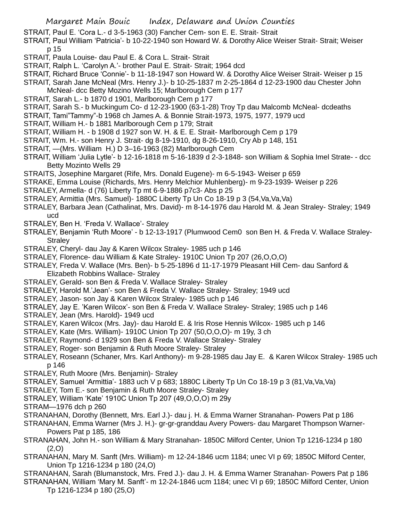- STRAIT, Paul E. 'Cora L.- d 3-5-1963 (30) Fancher Cem- son E. E. Strait- Strait
- STRAIT, Paul William 'Patricia'- b 10-22-1940 son Howard W. & Dorothy Alice Weiser Strait- Strait; Weiser p 15
- STRAIT, Paula Louise- dau Paul E. & Cora L. Strait- Strait
- STRAIT, Ralph L. 'Carolyn A.'- brother Paul E. Strait- Strait; 1964 dcd
- STRAIT, Richard Bruce 'Connie'- b 11-18-1947 son Howard W. & Dorothy Alice Weiser Strait- Weiser p 15
- STRAIT, Sarah Jane McNeal (Mrs. Henry J.)- b 10-25-1837 m 2-25-1864 d 12-23-1900 dau Chester John McNeal- dcc Betty Mozino Wells 15; Marlborough Cem p 177
- STRAIT, Sarah L.- b 1870 d 1901, Marlborough Cem p 177
- STRAIT, Sarah S.- b Muckingum Co- d 12-23-1900 (63-1-28) Troy Tp dau Malcomb McNeal- dcdeaths
- STRAIT, Tami"Tammy"-b 1968 ch James A. & Bonnie Strait-1973, 1975, 1977, 1979 ucd
- STRAIT, William H.- b 1881 Marlborough Cem p 179; Strait
- STRAIT, William H. b 1908 d 1927 son W. H. & E. E. Strait- Marlborough Cem p 179
- STRAIT, Wm. H.- son Henry J. Strait- dg 8-19-1910, dg 8-26-1910, Cry Ab p 148, 151
- STRAIT, —(Mrs. William H.) D 3–16-1963 (82) Marlborough Cem
- STRAIT, William 'Julia Lytle'- b 12-16-1818 m 5-16-1839 d 2-3-1848- son William & Sophia Imel Strate- dcc Betty Mozinto Wells 29
- STRAITS, Josephine Margaret (Rife, Mrs. Donald Eugene)- m 6-5-1943- Weiser p 659
- STRAKE, Emma Louise (Richards, Mrs. Henry Melchior Muhlenberg)- m 9-23-1939- Weiser p 226
- STRALEY, Armella- d (76) Liberty Tp mt 6-9-1886 p7c3- Abs p 25
- STRALEY, Armittia (Mrs. Samuel)- 1880C Liberty Tp Un Co 18-19 p 3 (54,Va,Va,Va)
- STRALEY, Barbara Jean (Cathalinat, Mrs. David)- m 8-14-1976 dau Harold M. & Jean Straley- Straley; 1949 ucd
- STRALEY, Ben H. 'Freda V. Wallace'- Straley
- STRALEY, Benjamin 'Ruth Moore' b 12-13-1917 (Plumwood Cem0 son Ben H. & Freda V. Wallace Straley-**Stralev**
- STRALEY, Cheryl- dau Jay & Karen Wilcox Straley- 1985 uch p 146
- STRALEY, Florence- dau William & Kate Straley- 1910C Union Tp 207 (26,O,O,O)
- STRALEY, Freda V. Wallace (Mrs. Ben)- b 5-25-1896 d 11-17-1979 Pleasant Hill Cem- dau Sanford & Elizabeth Robbins Wallace- Straley
- STRALEY, Gerald- son Ben & Freda V. Wallace Straley- Straley
- STRALEY, Harold M.'Jean'- son Ben & Freda V. Wallace Straley- Straley; 1949 ucd
- STRALEY, Jason- son Jay & Karen Wilcox Straley- 1985 uch p 146
- STRALEY, Jay E. 'Karen Wilcox'- son Ben & Freda V. Wallace Straley- Straley; 1985 uch p 146
- STRALEY, Jean (Mrs. Harold)- 1949 ucd
- STRALEY, Karen Wilcox (Mrs. Jay)- dau Harold E. & Iris Rose Hennis Wilcox- 1985 uch p 146
- STRALEY, Kate (Mrs. William)- 1910C Union Tp 207 (50,O,O,O)- m 19y, 3 ch
- STRALEY, Raymond- d 1929 son Ben & Freda V. Wallace Straley- Straley
- STRALEY, Roger- son Benjamin & Ruth Moore Straley- Straley
- STRALEY, Roseann (Schaner, Mrs. Karl Anthony)- m 9-28-1985 dau Jay E. & Karen Wilcox Straley- 1985 uch p 146
- STRALEY, Ruth Moore (Mrs. Benjamin)- Straley
- STRALEY, Samuel 'Armittia'- 1883 uch V p 683; 1880C Liberty Tp Un Co 18-19 p 3 (81,Va,Va,Va)
- STRALEY, Tom E.- son Benjamin & Ruth Moore Straley- Straley
- STRALEY, William 'Kate' 1910C Union Tp 207 (49,O,O,O) m 29y
- STRAM—1976 dch p 260
- STRANAHAN, Dorothy (Bennett, Mrs. Earl J.)- dau j. H. & Emma Warner Stranahan- Powers Pat p 186
- STRANAHAN, Emma Warner (Mrs J. H.)- gr-gr-granddau Avery Powers- dau Margaret Thompson Warner-Powers Pat p 185, 186
- STRANAHAN, John H.- son William & Mary Stranahan- 1850C Milford Center, Union Tp 1216-1234 p 180 (2,O)
- STRANAHAN, Mary M. Sanft (Mrs. William)- m 12-24-1846 ucm 1184; unec VI p 69; 1850C Milford Center, Union Tp 1216-1234 p 180 (24,O)
- STRANAHAN, Sarah (Blumanstock, Mrs. Fred J.)- dau J. H. & Emma Warner Stranahan- Powers Pat p 186
- STRANAHAN, William 'Mary M. Sanft'- m 12-24-1846 ucm 1184; unec VI p 69; 1850C Milford Center, Union Tp 1216-1234 p 180 (25,O)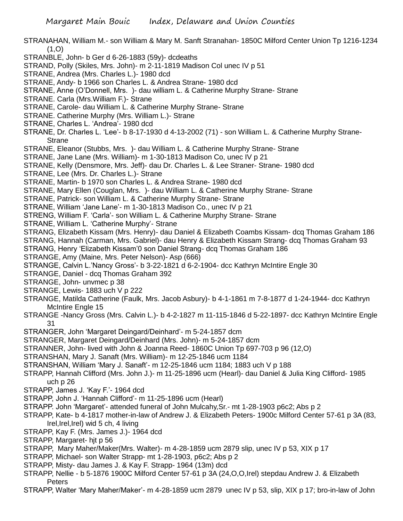- STRANAHAN, William M.- son William & Mary M. Sanft Stranahan- 1850C Milford Center Union Tp 1216-1234  $(1,0)$
- STRANBLE, John- b Ger d 6-26-1883 (59y)- dcdeaths
- STRAND, Polly (Skiles, Mrs. John)- m 2-11-1819 Madison Col unec IV p 51
- STRANE, Andrea (Mrs. Charles L.)- 1980 dcd
- STRANE, Andy- b 1966 son Charles L. & Andrea Strane- 1980 dcd
- STRANE, Anne (O'Donnell, Mrs. )- dau william L. & Catherine Murphy Strane- Strane
- STRANE. Carla (Mrs.William F.)- Strane
- STRANE, Carole- dau William L. & Catherine Murphy Strane- Strane
- STRANE. Catherine Murphy (Mrs. William L.)- Strane
- STRANE, Charles L. 'Andrea'- 1980 dcd
- STRANE, Dr. Charles L. 'Lee'- b 8-17-1930 d 4-13-2002 (71) son William L. & Catherine Murphy Strane-**Strane**
- STRANE, Eleanor (Stubbs, Mrs. )- dau William L. & Catherine Murphy Strane- Strane
- STRANE, Jane Lane (Mrs. William)- m 1-30-1813 Madison Co, unec IV p 21
- STRANE, Kelly (Densmore, Mrs. Jeff)- dau Dr. Charles L. & Lee Straner- Strane- 1980 dcd
- STRANE, Lee (Mrs. Dr. Charles L.)- Strane
- STRANE, Martin- b 1970 son Charles L. & Andrea Strane- 1980 dcd
- STRANE, Mary Ellen (Couglan, Mrs. )- dau William L. & Catherine Murphy Strane- Strane
- STRANE, Patrick- son William L. & Catherine Murphy Strane- Strane
- STRANE, William 'Jane Lane'- m 1-30-1813 Madison Co., unec IV p 21
- STRENG, William F. 'Carla'- son William L. & Catherine Murphy Strane- Strane
- STRANE, William L. 'Catherine Murphy'- Strane
- STRANG, Elizabeth Kissam (Mrs. Henry)- dau Daniel & Elizabeth Coambs Kissam- dcq Thomas Graham 186
- STRANG, Hannah (Carman, Mrs. Gabriel)- dau Henry & Elizabeth Kissam Strang- dcq Thomas Graham 93
- STRANG, Henry 'Elizabeth Kissam'0 son Daniel Strang- dcq Thomas Graham 186
- STRANGE, Amy (Maine, Mrs. Peter Nelson)- Asp (666)
- STRANGE, Calvin L.'Nancy Gross'- b 3-22-1821 d 6-2-1904- dcc Kathryn McIntire Engle 30
- STRANGE, Daniel dcq Thomas Graham 392
- STRANGE, John- unvmec p 38
- STRANGE, Lewis- 1883 uch V p 222
- STRANGE, Matilda Catherine (Faulk, Mrs. Jacob Asbury)- b 4-1-1861 m 7-8-1877 d 1-24-1944- dcc Kathryn McIntire Engle 15
- STRANGE -Nancy Gross (Mrs. Calvin L.)- b 4-2-1827 m 11-115-1846 d 5-22-1897- dcc Kathryn McIntire Engle 31
- STRANGER, John 'Margaret Deingard/Deinhard'- m 5-24-1857 dcm
- STRANGER, Margaret Deingard/Deinhard (Mrs. John)- m 5-24-1857 dcm
- STRANNER, John- lived with John & Joanna Reed- 1860C Union Tp 697-703 p 96 (12,O)
- STRANSHAN, Mary J. Sanaft (Mrs. William)- m 12-25-1846 ucm 1184
- STRANSHAN, William 'Mary J. Sanaft'- m 12-25-1846 ucm 1184; 1883 uch V p 188
- STRAPP, Hannah Clifford (Mrs. John J.)- m 11-25-1896 ucm (Hearl)- dau Daniel & Julia King Clifford- 1985 uch p 26
- STRAPP, James J. 'Kay F.'- 1964 dcd
- STRAPP, John J. 'Hannah Clifford'- m 11-25-1896 ucm (Hearl)
- STRAPP. John 'Margaret'- attended funeral of John Mulcahy,Sr.- mt 1-28-1903 p6c2; Abs p 2
- STRAPP, Kate- b 4-1817 mother-in-law of Andrew J. & Elizabeth Peters- 1900c Milford Center 57-61 p 3A (83, Irel, Irel, Irel) wid 5 ch, 4 living
- STRAPP, Kay F. (Mrs. James J.)- 1964 dcd
- STRAPP, Margaret- hjt p 56
- STRAPP, Mary Maher/Maker(Mrs. Walter)- m 4-28-1859 ucm 2879 slip, unec IV p 53, XIX p 17
- STRAPP, Michael- son Walter Strapp- mt 1-28-1903, p6c2; Abs p 2
- STRAPP, Misty- dau James J. & Kay F. Strapp- 1964 (13m) dcd
- STRAPP, Nellie b 5-1876 1900C Milford Center 57-61 p 3A (24,O,O,Irel) stepdau Andrew J. & Elizabeth **Peters**
- STRAPP, Walter 'Mary Maher/Maker'- m 4-28-1859 ucm 2879 unec IV p 53, slip, XIX p 17; bro-in-law of John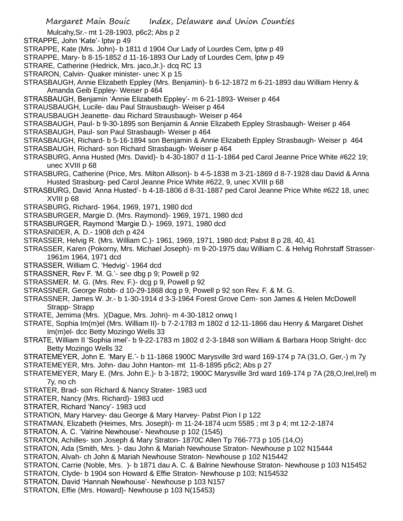- Mulcahy,Sr.- mt 1-28-1903, p6c2; Abs p 2
- STRAPPE, John 'Kate'- lptw p 49
- STRAPPE, Kate (Mrs. John)- b 1811 d 1904 Our Lady of Lourdes Cem, lptw p 49
- STRAPPE, Mary- b 8-15-1852 d 11-16-1893 Our Lady of Lourdes Cem, lptw p 49
- STRARE, Catherine (Hedrick, Mrs. jaco,Jr.)- dcq RC 13
- STRARON, Calvin- Quaker minister- unec X p 15
- STRASBAUGH, Annie Elizabeth Eppley (Mrs. Benjamin)- b 6-12-1872 m 6-21-1893 dau William Henry & Amanda Geib Eppley- Weiser p 464
- STRASBAUGH, Benjamin 'Annie Elizabeth Eppley'- m 6-21-1893- Weiser p 464
- STRAUSBAUGH, Lucile- dau Paul Strausbaugh- Weiser p 464
- STRAUSBAUGH Jeanette- dau Richard Strausbaugh- Weiser p 464
- STRASBAUGH, Paul- b 9-30-1895 son Benjamin & Annie Elizabeth Eppley Strasbaugh- Weiser p 464
- STRASBAUGH, Paul- son Paul Strasbaugh- Weiser p 464
- STRASBAUGH, Richard- b 5-16-1894 son Benjamin & Annie Elizabeth Eppley Strasbaugh- Weiser p 464
- STRASBAUGH, Richard- son Richard Strasbaugh- Weiser p 464
- STRASBURG, Anna Husted (Mrs. David)- b 4-30-1807 d 11-1-1864 ped Carol Jeanne Price White #622 19; unec XVIII p 68
- STRASBURG, Catherine (Price, Mrs. Milton Allison)- b 4-5-1838 m 3-21-1869 d 8-7-1928 dau David & Anna Husted Strasburg- ped Carol Jeanne Price White #622, 9, unec XVIII p 68
- STRASBURG, David 'Anna Husted'- b 4-18-1806 d 8-31-1887 ped Carol Jeanne Price White #622 18, unec XVIII p 68
- STRASBURG, Richard- 1964, 1969, 1971, 1980 dcd
- STRASBURGER, Margie D. (Mrs. Raymond)- 1969, 1971, 1980 dcd
- STRASBURGER, Raymond 'Margie D.)- 1969, 1971, 1980 dcd
- STRASNIDER, A. D.- 1908 dch p 424
- STRASSER, Helvig R. (Mrs. William C.)- 1961, 1969, 1971, 1980 dcd; Pabst 8 p 28, 40, 41
- STRASSER, Karen (Pokorny, Mrs. Michael Joseph)- m 9-20-1975 dau William C. & Helvig Rohrstaff Strasser-1961m 1964, 1971 dcd
- STRASSER, William C. 'Hedvig'- 1964 dcd
- STRASSNER, Rev F. 'M. G.'- see dbg p 9; Powell p 92
- STRASSMER. M. G. (Mrs. Rev. F.)- dcg p 9, Powell p 92
- STRASSNER, George Robb- d 10-29-1868 dcg p 9, Powell p 92 son Rev. F. & M. G.
- STRASSNER, James W. Jr.- b 1-30-1914 d 3-3-1964 Forest Grove Cem- son James & Helen McDowell Strapp- Strapp
- STRATE, Jemima (Mrs. )(Dague, Mrs. John)- m 4-30-1812 onwq I
- STRATE, Sophia Im(m)el (Mrs. William II)- b 7-2-1783 m 1802 d 12-11-1866 dau Henry & Margaret Dishet Im(m)el- dcc Betty Mozingo Wells 33
- STRATE, William II 'Sophia imel'- b 9-22-1783 m 1802 d 2-3-1848 son William & Barbara Hoop Stright- dcc Betty Mozingo Wells 32
- STRATEMEYER, John E. 'Mary E.'- b 11-1868 1900C Marysville 3rd ward 169-174 p 7A (31,O, Ger,-) m 7y
- STRATEMEYER, Mrs. John- dau John Hanton- mt 11-8-1895 p5c2; Abs p 27
- STRATEMEYER, Mary E. (Mrs. John E.)- b 3-1872; 1900C Marysville 3rd ward 169-174 p 7A (28,O,Irel,Irel) m 7y, no ch
- STRATER, Brad- son Richard & Nancy Strater- 1983 ucd
- STRATER, Nancy (Mrs. Richard)- 1983 ucd
- STRATER, Richard 'Nancy'- 1983 ucd
- STRATION, Mary Harvey- dau George & Mary Harvey- Pabst Pion I p 122
- STRATMAN, Elizabeth (Heimes, Mrs. Joseph)- m 11-24-1874 ucm 5585 ; mt 3 p 4; mt 12-2-1874
- STRATON, A. C. 'Valrine Newhouse'- Newhouse p 102 (1545)
- STRATON, Achilles- son Joseph & Mary Straton- 1870C Allen Tp 766-773 p 105 (14,O)
- STRATON, Ada (Smith, Mrs. )- dau John & Mariah Newhouse Straton- Newhouse p 102 N15444
- STRATON, Alvah- ch John & Mariah Newhouse Straton- Newhouse p 102 N15442
- STRATON, Carrie (Noble, Mrs. )- b 1871 dau A. C. & Balrine Newhouse Straton- Newhouse p 103 N15452
- STRATON, Clyde- b 1904 son Howard & Effie Straton- Newhouse p 103; N154532
- STRATON, David 'Hannah Newhouse'- Newhouse p 103 N157
- STRATON, Effie (Mrs. Howard)- Newhouse p 103 N(15453)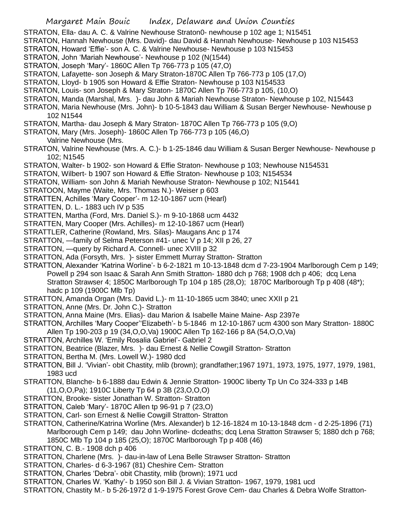Margaret Main Bouic Index, Delaware and Union Counties STRATON, Ella- dau A. C. & Valrine Newhouse Straton0- newhouse p 102 age 1; N15451 STRATON, Hannah Newhouse (Mrs. David)- dau David & Hannah Newhouse- Newhouse p 103 N15453 STRATON, Howard 'Effie'- son A. C. & Valrine Newhouse- Newhouse p 103 N15453 STRATON, John 'Mariah Newhouse'- Newhouse p 102 (N(1544) STRATON, Joseph 'Mary'- 1860C Allen Tp 766-773 p 105 (47,O) STRATON, Lafayette- son Joseph & Mary Straton-1870C Allen Tp 766-773 p 105 (17,O) STRATON, Lloyd- b 1905 son Howard & Effie Straton- Newhouse p 103 N154533 STRATON, Louis- son Joseph & Mary Straton- 1870C Allen Tp 766-773 p 105, (10,O) STRATON, Manda (Marshal, Mrs. )- dau John & Mariah Newhouse Straton- Newhouse p 102, N15443 STRATON, Maria Newhouse (Mrs. John)- b 10-5-1843 dau William & Susan Berger Newhouse- Newhouse p 102 N1544 STRATON, Martha- dau Joseph & Mary Straton- 1870C Allen Tp 766-773 p 105 (9,O) STRATON, Mary (Mrs. Joseph)- 1860C Allen Tp 766-773 p 105 (46,O) Valrine Newhouse (Mrs. STRATON, Valrine Newhouse (Mrs. A. C.)- b 1-25-1846 dau William & Susan Berger Newhouse- Newhouse p 102; N1545 STRATON, Walter- b 1902- son Howard & Effie Straton- Newhouse p 103; Newhouse N154531 STRATON, Wilbert- b 1907 son Howard & Effie Straton- Newhouse p 103; N154534 STRATON, William- son John & Mariah Newhouse Straton- Newhouse p 102; N15441 STRATOON, Mayme (Waite, Mrs. Thomas N.)- Weiser p 603 STRATTEN, Achilles 'Mary Cooper'- m 12-10-1867 ucm (Hearl) STRATTEN, D. L.- 1883 uch IV p 535 STRATTEN, Martha (Ford, Mrs. Daniel S.)- m 9-10-1868 ucm 4432 STRATTEN, Mary Cooper (Mrs. Achilles)- m 12-10-1867 ucm (Hearl) STRATTLER, Catherine (Rowland, Mrs. Silas)- Maugans Anc p 174 STRATTON, —family of Selma Peterson #41- unec V p 14; XII p 26, 27 STRATTON, —query by Richard A. Connell- unec XVIII p 32 STRATTON, Ada (Forsyth, Mrs. )- sister Emmett Murray Stratton- Stratton STRATTON, Alexander 'Katrina Worline'- b 6-2-1821 m 10-13-1848 dcm d 7-23-1904 Marlborough Cem p 149; Powell p 294 son Isaac & Sarah Ann Smith Stratton- 1880 dch p 768; 1908 dch p 406; dcq Lena Stratton Strawser 4; 1850C Marlborough Tp 104 p 185 (28,O); 1870C Marlborough Tp p 408 (48\*); hadc p 109 (1900C Mlb Tp) STRATTON, Amanda Organ (Mrs. David L.)- m 11-10-1865 ucm 3840; unec XXII p 21 STRATTON, Anne (Mrs. Dr. John C.)- Stratton STRATTON, Anna Maine (Mrs. Elias)- dau Marion & Isabelle Maine Maine- Asp 2397e STRATTON, Archilles 'Mary Cooper''Elizabeth'- b 5-1846 m 12-10-1867 ucm 4300 son Mary Stratton- 1880C Allen Tp 190-203 p 19 (34,O,O,Va) 1900C Allen Tp 162-166 p 8A (54,O,O,Va) STRATTON, Archilles W. 'Emily Rosalia Gabriel'- Gabriel 2 STRATTON, Beatrice (Blazer, Mrs. )- dau Ernest & Nellie Cowgill Stratton- Stratton STRATTON, Bertha M. (Mrs. Lowell W.)- 1980 dcd STRATTON, Bill J. 'Vivian'- obit Chastity, mlib (brown); grandfather;1967 1971, 1973, 1975, 1977, 1979, 1981, 1983 ucd STRATTON, Blanche- b 6-1888 dau Edwin & Jennie Stratton- 1900C liberty Tp Un Co 324-333 p 14B (11,O,O,Pa); 1910C Liberty Tp 64 p 3B (23,O,O,O) STRATTON, Brooke- sister Jonathan W. Stratton- Stratton STRATTON, Caleb 'Mary'- 1870C Allen tp 96-91 p 7 (23,O) STRATTON, Carl- son Ernest & Nellie Cowgill Stratton- Stratton STRATTON, Catherine/Katrina Worline (Mrs. Alexander) b 12-16-1824 m 10-13-1848 dcm - d 2-25-1896 (71) Marlborough Cem p 149; dau John Worline- dcdeaths; dcq Lena Stratton Strawser 5; 1880 dch p 768; 1850C Mlb Tp 104 p 185 (25,O); 1870C Marlborough Tp p 408 (46) STRATTON, C. B.- 1908 dch p 406 STRATTON, Charlene (Mrs. )- dau-in-law of Lena Belle Strawser Stratton- Stratton STRATTON, Charles- d 6-3-1967 (81) Cheshire Cem- Stratton

STRATTON, Charles 'Debra'- obit Chastity, mlib (brown); 1971 ucd

STRATTON, Charles W. 'Kathy'- b 1950 son Bill J. & Vivian Stratton- 1967, 1979, 1981 ucd

STRATTON, Chastity M.- b 5-26-1972 d 1-9-1975 Forest Grove Cem- dau Charles & Debra Wolfe Stratton-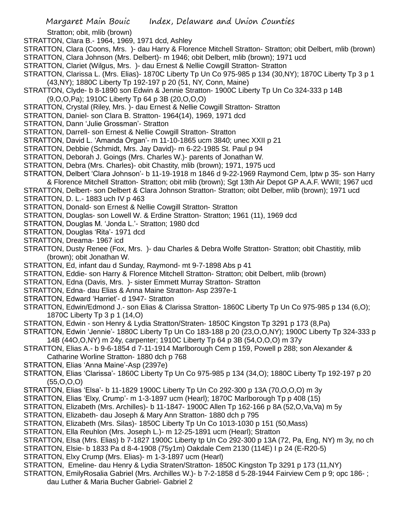Stratton; obit, mlib (brown)

STRATTON, Clara B.- 1964, 1969, 1971 dcd, Ashley

STRATTON, Clara (Coons, Mrs. )- dau Harry & Florence Mitchell Stratton- Stratton; obit Delbert, mlib (brown) STRATTON, Clara Johnson (Mrs. Delbert)- m 1946; obit Delbert, mlib (brown); 1971 ucd

STRATTON, Clariet (Wilgus, Mrs. )- dau Ernest & Nellie Cowgill Stratton- Stratton

- STRATTON, Clarissa L. (Mrs. Elias)- 1870C Liberty Tp Un Co 975-985 p 134 (30,NY); 1870C Liberty Tp 3 p 1 (43,NY); 1880C Liberty Tp 192-197 p 20 (51, NY, Conn, Maine)
- STRATTON, Clyde- b 8-1890 son Edwin & Jennie Stratton- 1900C Liberty Tp Un Co 324-333 p 14B (9,O,O,Pa); 1910C Liberty Tp 64 p 3B (20,O,O,O)
- STRATTON, Crystal (Riley, Mrs. )- dau Ernest & Nellie Cowgill Stratton- Stratton
- STRATTON, Daniel- son Clara B. Stratton- 1964(14), 1969, 1971 dcd
- STRATTON, Dann 'Julie Grossman'- Stratton
- STRATTON, Darrell- son Ernest & Nellie Cowgill Stratton- Stratton
- STRATTON, David L. 'Amanda Organ'- m 11-10-1865 ucm 3840; unec XXII p 21
- STRATTON, Debbie (Schmidt, Mrs. Jay David)- m 6-22-1985 St. Paul p 94
- STRATTON, Deborah J. Goings (Mrs. Charles W.)- parents of Jonathan W.
- STRATTON, Debra (Mrs. Charles)- obit Chastity, mlib (brown); 1971, 1975 ucd
- STRATTON, Delbert 'Clara Johnson'- b 11-19-1918 m 1846 d 9-22-1969 Raymond Cem, lptw p 35- son Harry
- & Florence Mitchell Stratton- Stratton; obit mlib (brown); Sgt 13th Air Depot GP A.A.F. WWII; 1967 ucd
- STRATTON, Delbert- son Delbert & Clara Johnson Stratton- Stratton; oibt Delber, mlib (brown); 1971 ucd
- STRATTON, D. L.- 1883 uch IV p 463
- STRATTON, Donald- son Ernest & Nellie Cowgill Stratton- Stratton
- STRATTON, Douglas- son Lowell W. & Erdine Stratton- Stratton; 1961 (11), 1969 dcd
- STRATTON, Douglas M. 'Jonda L.'- Stratton; 1980 dcd
- STRATTON, Douglas 'Rita'- 1971 dcd
- STRATTON, Dreama- 1967 icd
- STRATTON, Dusty Renee (Fox, Mrs. )- dau Charles & Debra Wolfe Stratton- Stratton; obit Chastitiy, mlib (brown); obit Jonathan W.
- STRATTON, Ed, infant dau d Sunday, Raymond- mt 9-7-1898 Abs p 41
- STRATTON, Eddie- son Harry & Florence Mitchell Stratton- Stratton; obit Delbert, mlib (brown)
- STRATTON, Edna (Davis, Mrs. )- sister Emmett Murray Stratton- Stratton
- STRATTON, Edna- dau Elias & Anna Maine Stratton- Asp 2397e-1
- STRATTON, Edward 'Harriet'- d 1947- Stratton
- STRATTON, Edwin/Edmond J.- son Elias & Clarissa Stratton- 1860C Liberty Tp Un Co 975-985 p 134 (6,O); 1870C Liberty Tp 3 p 1 (14,O)
- STRATTON, Edwin son Henry & Lydia Stratton/Straten- 1850C Kingston Tp 3291 p 173 (8,Pa)
- STRATTON, Edwin 'Jennie'- 1880C Liberty Tp Un Co 183-188 p 20 (23,O,O,NY); 1900C Liberty Tp 324-333 p 14B (44O,O,NY) m 24y, carpenter; 1910C Liberty Tp 64 p 3B (54,O,O,O) m 37y
- STRATTON, Elias A.- b 9-6-1854 d 7-11-1914 Marlborough Cem p 159, Powell p 288; son Alexander & Catharine Worline Stratton- 1880 dch p 768
- STRATTON, Elias 'Anna Maine'-Asp (2397e)
- STRATTON, Elias 'Clarissa'- 1860C Liberty Tp Un Co 975-985 p 134 (34,O); 1880C Liberty Tp 192-197 p 20  $(55,0,0,0)$
- STRATTON, Elias 'Elsa'- b 11-1829 1900C Liberty Tp Un Co 292-300 p 13A (70,O,O,O) m 3y
- STRATTON, Elias 'Elxy, Crump'- m 1-3-1897 ucm (Hearl); 1870C Marlborough Tp p 408 (15)
- STRATTON, Elizabeth (Mrs. Archilles)- b 11-1847- 1900C Allen Tp 162-166 p 8A (52,O,Va,Va) m 5y
- STRATTON, Elizabeth- dau Joseph & Mary Ann Stratton- 1880 dch p 795
- STRATTON, Elizabeth (Mrs. Silas)- 1850C Liberty Tp Un Co 1013-1030 p 151 (50,Mass)
- STRATTON, Ella Reuhlon (Mrs. Joseph L.)- m 12-25-1891 ucm (Hearl); Stratton
- STRATTON, Elsa (Mrs. Elias) b 7-1827 1900C Liberty tp Un Co 292-300 p 13A (72, Pa, Eng, NY) m 3y, no ch
- STRATTON, Elsie- b 1833 Pa d 8-4-1908 (75y1m) Oakdale Cem 2130 (114E) I p 24 (E-R20-5)
- STRATTON, Elxy Crump (Mrs. Elias)- m 1-3-1897 ucm (Hearl)
- STRATTON, Emeline- dau Henry & Lydia Straten/Stratton- 1850C Kingston Tp 3291 p 173 (11,NY)
- STRATTON, EmilyRosalia Gabriel (Mrs. Archilles W.)- b 7-2-1858 d 5-28-1944 Fairview Cem p 9; opc 186- ;
	- dau Luther & Maria Bucher Gabriel- Gabriel 2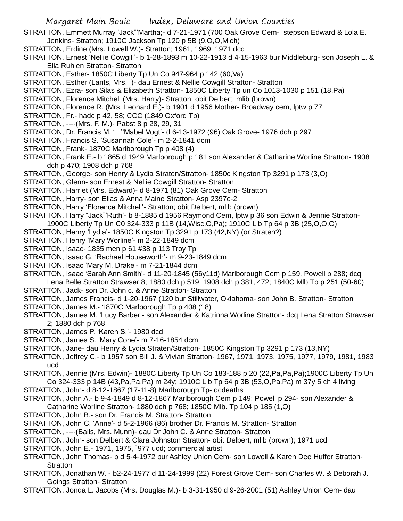STRATTON, Emmett Murray 'Jack"'Martha;- d 7-21-1971 (700 Oak Grove Cem- stepson Edward & Lola E. Jenkins- Stratton; 1910C Jackson Tp 120 p 5B (9,O,O,Mich)

- STRATTON, Erdine (Mrs. Lowell W.)- Stratton; 1961, 1969, 1971 dcd
- STRATTON, Ernest 'Nellie Cowgill'- b 1-28-1893 m 10-22-1913 d 4-15-1963 bur Middleburg- son Joseph L. & Ella Ruhlen Stratton- Stratton
- STRATTON, Esther- 1850C Liberty Tp Un Co 947-964 p 142 (60,Va)
- STRATTON, Esther (Lants, Mrs. )- dau Ernest & Nellie Cowgill Stratton- Stratton
- STRATTON, Ezra- son Silas & Elizabeth Stratton- 1850C Liberty Tp un Co 1013-1030 p 151 (18,Pa)
- STRATTON, Florence Mitchell (Mrs. Harry)- Stratton; obit Delbert, mlib (brown)
- STRATTON, Florence R. (Mrs. Leonard E.)- b 1901 d 1956 Mother- Broadway cem, lptw p 77
- STRATTON, Fr.- hadc p 42, 58; CCC (1849 Oxford Tp)
- STRATTON, ----(Mrs. F. M.)- Pabst 8 p 28, 29, 31
- STRATTON, Dr. Francis M. ' ''Mabel Vogt'- d 6-13-1972 (96) Oak Grove- 1976 dch p 297
- STRATTON, Francis S. 'Susannah Cole'- m 2-2-1841 dcm
- STRATTON, Frank- 1870C Marlborough Tp p 408 (4)
- STRATTON, Frank E.- b 1865 d 1949 Marlborough p 181 son Alexander & Catharine Worline Stratton- 1908 dch p 470; 1908 dch p 768
- STRATTON, George- son Henry & Lydia Straten/Stratton- 1850c Kingston Tp 3291 p 173 (3,O)
- STRATTON, Glenn- son Ernest & Nellie Cowgill Stratton- Stratton
- STRATTON, Harriet (Mrs. Edward)- d 8-1971 (81) Oak Grove Cem- Stratton
- STRATTON, Harry- son Elias & Anna Maine Stratton- Asp 2397e-2
- STRATTON, Harry 'Florence Mitchell'- Stratton; obit Delbert, mlib (brown)
- STRATTON, Harry "Jack"'Ruth'- b 8-1885 d 1956 Raymond Cem, lptw p 36 son Edwin & Jennie Stratton-
- 1900C Liberty Tp Un C0 324-333 p 11B (14,Wisc,O,Pa); 1910C Lib Tp 64 p 3B (25,O,O,O)
- STRATTON, Henry 'Lydia'- 1850C Kingston Tp 3291 p 173 (42,NY) (or Straten?)
- STRATTON, Henry 'Mary Worline'- m 2-22-1849 dcm
- STRATTON, Isaac- 1835 men p 61 #38 p 113 Troy Tp
- STRATTON, Isaac G. 'Rachael Houseworth'- m 9-23-1849 dcm
- STRATTON, Isaac 'Mary M. Drake'- m 7-21-1844 dcm
- STRATTON, Isaac 'Sarah Ann Smith'- d 11-20-1845 (56y11d) Marlborough Cem p 159, Powell p 288; dcq Lena Belle Stratton Strawser 8; 1880 dch p 519; 1908 dch p 381, 472; 1840C Mlb Tp p 251 (50-60)
- STRATTON, Jack- son Dr. John c. & Anne Stratton- Stratton
- STRATTON, James Francis- d 1-20-1967 (120 bur Stillwater, Oklahoma- son John B. Stratton- Stratton
- STRATTON, James M.-1870C Marlborough Tp p 408 (18)
- STRATTON, James M. 'Lucy Barber'- son Alexander & Katrinna Worline Stratton- dcq Lena Stratton Strawser 2; 1880 dch p 768
- STRATTON, James P. 'Karen S.'- 1980 dcd
- STRATTON, James S. 'Mary Cone'- m 7-16-1854 dcm
- STRATTON, Jane- dau Henry & Lydia Straten/Stratton- 1850C Kingston Tp 3291 p 173 (13,NY)
- STRATTON, Jeffrey C.- b 1957 son Bill J. & Vivian Stratton- 1967, 1971, 1973, 1975, 1977, 1979, 1981, 1983 ucd
- STRATTON, Jennie (Mrs. Edwin)- 1880C Liberty Tp Un Co 183-188 p 20 (22,Pa,Pa,Pa);1900C Liberty Tp Un Co 324-333 p 14B (43,Pa,Pa,Pa) m 24y; 1910C Lib Tp 64 p 3B (53,O,Pa,Pa) m 37y 5 ch 4 living
- STRATTON, John- d 8-12-1867 (17-11-8) Marlborough Tp- dcdeaths
- STRATTON, John A.- b 9-4-1849 d 8-12-1867 Marlborough Cem p 149; Powell p 294- son Alexander & Catharine Worline Stratton- 1880 dch p 768; 1850C Mlb. Tp 104 p 185 (1,O)
- STRATTON, John B.- son Dr. Francis M. Stratton- Stratton
- STRATTON, John C. 'Anne'- d 5-2-1966 (86) brother Dr. Francis M. Stratton- Stratton
- STRATTON, ----(Bails, Mrs. Munn)- dau Dr John C. & Anne Stratton- Stratton
- STRATTON, John- son Delbert & Clara Johnston Stratton- obit Delbert, mlib (brown); 1971 ucd
- STRATTON, John E.- 1971, 1975, `977 ucd; commercial artist
- STRATTON, John Thomas- b d 5-4-1972 bur Ashley Union Cem- son Lowell & Karen Dee Huffer Stratton-**Stratton**
- STRATTON, Jonathan W. b2-24-1977 d 11-24-1999 (22) Forest Grove Cem- son Charles W. & Deborah J. Goings Stratton- Stratton
- STRATTON, Jonda L. Jacobs (Mrs. Douglas M.)- b 3-31-1950 d 9-26-2001 (51) Ashley Union Cem- dau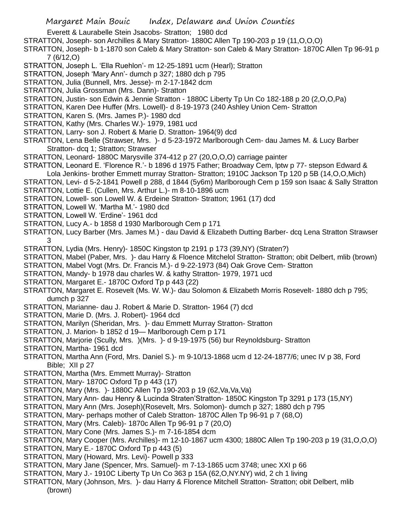Everett & Laurabelle Stein Jsacobs- Stratton; 1980 dcd

- STRATTON, Joseph- son Archilles & Mary Stratton- 1880C Allen Tp 190-203 p 19 (11,O,O,O)
- STRATTON, Joseph- b 1-1870 son Caleb & Mary Stratton- son Caleb & Mary Stratton- 1870C Allen Tp 96-91 p 7 (6/12,O)
- STRATTON, Joseph L. 'Ella Ruehlon'- m 12-25-1891 ucm (Hearl); Stratton
- STRATTON, Joseph 'Mary Ann'- dumch p 327; 1880 dch p 795
- STRATTON, Julia (Bunnell, Mrs. Jesse)- m 2-17-1842 dcm
- STRATTON, Julia Grossman (Mrs. Dann)- Stratton
- STRATTON, Justin- son Edwin & Jennie Stratton 1880C Liberty Tp Un Co 182-188 p 20 (2,O,O,Pa)
- STRATTON, Karen Dee Huffer (Mrs. Lowell)- d 8-19-1973 (240 Ashley Union Cem- Stratton
- STRATTON, Karen S. (Mrs. James P.)- 1980 dcd
- STRATTON, Kathy (Mrs. Charles W.)- 1979, 1981 ucd
- STRATTON, Larry- son J. Robert & Marie D. Stratton- 1964(9) dcd
- STRATTON, Lena Belle (Strawser, Mrs. )- d 5-23-1972 Marlborough Cem- dau James M. & Lucy Barber Stratton- dcq 1; Stratton; Strawser
- STRATTON, Leonard- 1880C Marysville 374-412 p 27 (20,O,O,O) carriage painter
- STRATTON, Leonard E. 'Florence R.'- b 1896 d 1975 Father; Broadway Cem, lptw p 77- stepson Edward & Lola Jenkins- brother Emmett murray Stratton- Stratton; 1910C Jackson Tp 120 p 5B (14,O,O,Mich)
- STRATTON, Levi- d 5-2-1841 Powell p 288, d 1844 (5y6m) Marlborough Cem p 159 son Isaac & Sally Stratton
- STRATTON, Lottie E. (Cullen, Mrs. Arthur L.)- m 8-10-1896 ucm
- STRATTON, Lowell- son Lowell W. & Erdeine Stratton- Stratton; 1961 (17) dcd
- STRATTON, Lowell W. 'Martha M.'- 1980 dcd
- STRATTON, Lowell W. 'Erdine'- 1961 dcd
- STRATTON, Lucy A.- b 1858 d 1930 Marlborough Cem p 171
- STRATTON, Lucy Barber (Mrs. James M.) dau David & Elizabeth Dutting Barber- dcq Lena Stratton Strawser 3
- STRATTON, Lydia (Mrs. Henry)- 1850C Kingston tp 2191 p 173 (39,NY) (Straten?)
- STRATTON, Mabel (Paber, Mrs. )- dau Harry & Floence Mitchelol Stratton- Stratton; obit Delbert, mlib (brown)
- STRATTON, Mabel Vogt (Mrs. Dr. Francis M.)- d 9-22-1973 (84) Oak Grove Cem- Stratton
- STRATTON, Mandy- b 1978 dau charles W. & kathy Stratton- 1979, 1971 ucd
- STRATTON, Margaret E.- 1870C Oxford Tp p 443 (22)
- STRATTON, Margaret E. Rosevelt (Ms. W. W.)- dau Solomon & Elizabeth Morris Rosevelt- 1880 dch p 795; dumch p 327
- STRATTON, Marianne- dau J. Robert & Marie D. Stratton- 1964 (7) dcd
- STRATTON, Marie D. (Mrs. J. Robert)- 1964 dcd
- STRATTON, Marilyn (Sheridan, Mrs. )- dau Emmett Murray Stratton- Stratton
- STRATTON, J. Marion- b 1852 d 19— Marlborough Cem p 171
- STRATTON, Marjorie (Scully, Mrs. )(Mrs. )- d 9-19-1975 (56) bur Reynoldsburg- Stratton
- STRATTON, Martha- 1961 dcd
- STRATTON, Martha Ann (Ford, Mrs. Daniel S.)- m 9-10/13-1868 ucm d 12-24-1877/6; unec IV p 38, Ford Bible; XII p 27
- STRATTON, Martha (Mrs. Emmett Murray)- Stratton
- STRATTON, Mary-1870C Oxford Tp p 443 (17)
- STRATTON, Mary (Mrs. )- 1880C Allen Tp 190-203 p 19 (62,Va,Va,Va)
- STRATTON, Mary Ann- dau Henry & Lucinda Straten'Stratton- 1850C Kingston Tp 3291 p 173 (15,NY)
- STRATTON, Mary Ann (Mrs. Joseph)(Rosevelt, Mrs. Solomon)- dumch p 327; 1880 dch p 795
- STRATTON, Mary- perhaps mother of Caleb Stratton- 1870C Allen Tp 96-91 p 7 (68,O)
- STRATTON, Mary (Mrs. Caleb)- 1870c Allen Tp 96-91 p 7 (20,O)
- STRATTON, Mary Cone (Mrs. James S.)- m 7-16-1854 dcm
- STRATTON, Mary Cooper (Mrs. Archilles)- m 12-10-1867 ucm 4300; 1880C Allen Tp 190-203 p 19 (31,O,O,O)
- STRATTON, Mary E.- 1870C Oxford Tp p 443 (5)
- STRATTON, Mary (Howard, Mrs. Levi)- Powell p 333
- STRATTON, Mary Jane (Spencer, Mrs. Samuel)- m 7-13-1865 ucm 3748; unec XXI p 66
- STRATTON, Mary J.- 1910C Liberty Tp Un Co 363 p 15A (62,O,NY.NY) wid, 2 ch 1 living
- STRATTON, Mary (Johnson, Mrs. )- dau Harry & Florence Mitchell Stratton- Stratton; obit Delbert, mlib (brown)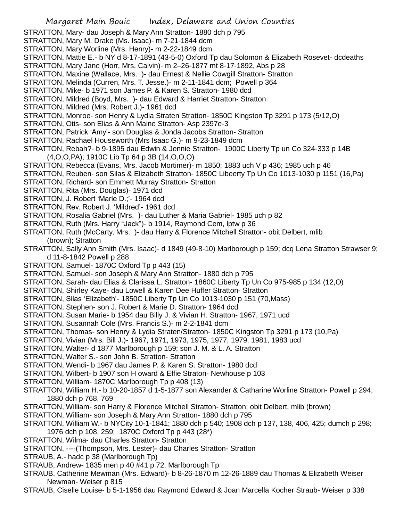- STRATTON, Mary- dau Joseph & Mary Ann Stratton- 1880 dch p 795
- STRATTON, Mary M. Drake (Ms. Isaac)- m 7-21-1844 dcm
- STRATTON, Mary Worline (Mrs. Henry)- m 2-22-1849 dcm
- STRATTON, Mattie E.- b NY d 8-17-1891 (43-5-0) Oxford Tp dau Solomon & Elizabeth Rosevet- dcdeaths
- STRATTON, Mary Jane (Horr, Mrs. Calvin)- m 2–26-1877 mt 8-17-1892, Abs p 28
- STRATTON, Maxine (Wallace, Mrs. )- dau Ernest & Nellie Cowgill Stratton- Stratton
- STRATTON, Melinda (Curren, Mrs. T. Jesse.)- m 2-11-1841 dcm; Powell p 364
- STRATTON, Mike- b 1971 son James P. & Karen S. Stratton- 1980 dcd
- STRATTON, Mildred (Boyd, Mrs. )- dau Edward & Harriet Stratton- Stratton
- STRATTON, Mildred (Mrs. Robert J.)- 1961 dcd
- STRATTON, Monroe- son Henry & Lydia Straten Stratton- 1850C Kingston Tp 3291 p 173 (5/12,O)
- STRATTON, Otis- son Elias & Ann Maine Stratton- Asp 2397e-3
- STRATTON, Patrick 'Amy'- son Douglas & Jonda Jacobs Stratton- Stratton
- STRATTON, Rachael Houseworth (Mrs Isaac G.)- m 9-23-1849 dcm
- STRATTON, Rebah?- b 9-1895 dau Edwin & Jennie Stratton- 1900C Liberty Tp un Co 324-333 p 14B (4,O,O,PA); 1910C Lib Tp 64 p 3B (14,O,O,O)
- STRATTON, Rebecca (Evans, Mrs. Jacob Mortimer)- m 1850; 1883 uch V p 436; 1985 uch p 46
- STRATTON, Reuben- son Silas & Elizabeth Stratton- 1850C Libeerty Tp Un Co 1013-1030 p 1151 (16,Pa)
- STRATTON, Richard- son Emmett Murray Stratton- Stratton
- STRATTON, Rita (Mrs. Douglas)- 1971 dcd
- STRATTON, J. Robert 'Marie D.;'- 1964 dcd
- STRATTON, Rev. Robert J. 'Mildred'- 1961 dcd
- STRATTON, Rosalia Gabriel (Mrs. )- dau Luther & Maria Gabriel- 1985 uch p 82
- STRATTON, Ruth (Mrs. Harry "Jack")- b 1914, Raymond Cem, lptw p 36
- STRATTON, Ruth (McCarty, Mrs. )- dau Harry & Florence Mitchell Stratton- obit Delbert, mlib (brown); Stratton
- STRATTON, Sally Ann Smith (Mrs. Isaac)- d 1849 (49-8-10) Marlborough p 159; dcq Lena Stratton Strawser 9; d 11-8-1842 Powell p 288
- STRATTON, Samuel- 1870C Oxford Tp p 443 (15)
- STRATTON, Samuel- son Joseph & Mary Ann Stratton- 1880 dch p 795
- STRATTON, Sarah- dau Elias & Clarissa L. Stratton- 1860C Liberty Tp Un Co 975-985 p 134 (12,O)
- STRATTON, Shirley Kaye- dau Lowell & Karen Dee Huffer Stratton- Stratton
- STRATTON, Silas 'Elizabeth'- 1850C Liberty Tp Un Co 1013-1030 p 151 (70,Mass)
- STRATTON, Stephen- son J. Robert & Marie D. Stratton- 1964 dcd
- STRATTON, Susan Marie- b 1954 dau Billy J. & Vivian H. Stratton- 1967, 1971 ucd
- STRATTON, Susannah Cole (Mrs. Francis S.)- m 2-2-1841 dcm
- STRATTON, Thomas- son Henry & Lydia Straten/Stratton- 1850C Kingston Tp 3291 p 173 (10,Pa)
- STRATTON, Vivian (Mrs. Bill J.)- 1967, 1971, 1973, 1975, 1977, 1979, 1981, 1983 ucd
- STRATTON, Walter- d 1877 Marlborough p 159; son J. M. & L. A. Stratton
- STRATTON, Walter S.- son John B. Stratton- Stratton
- STRATTON, Wendi- b 1967 dau James P. & Karen S. Stratton- 1980 dcd
- STRATTON, Wilbert- b 1907 son H oward & Effie Straton- Newhouse p 103
- STRATTON, William- 1870C Marlborough Tp p 408 (13)
- STRATTON, William H.- b 10-20-1857 d 1-5-1877 son Alexander & Catharine Worline Stratton- Powell p 294; 1880 dch p 768, 769
- STRATTON, William- son Harry & Florence Mitchell Stratton- Stratton; obit Delbert, mlib (brown)
- STRATTON, William- son Joseph & Mary Ann Stratton- 1880 dch p 795
- STRATTON, William W.- b NYCity 10-1-1841; 1880 dch p 540; 1908 dch p 137, 138, 406, 425; dumch p 298; 1976 dch p 108, 259; 1870C Oxford Tp p 443 (28\*)
- STRATTON, Wilma- dau Charles Stratton- Stratton
- STRATTON, ----(Thompson, Mrs. Lester)- dau Charles Stratton- Stratton
- STRAUB, A.- hadc p 38 (Marlborough Tp)
- STRAUB, Andrew- 1835 men p 40 #41 p 72, Marlborough Tp
- STRAUB, Catherine Mewman (Mrs. Edward)- b 8-26-1870 m 12-26-1889 dau Thomas & Elizabeth Weiser Newman- Weiser p 815
- STRAUB, Ciselle Louise- b 5-1-1956 dau Raymond Edward & Joan Marcella Kocher Straub- Weiser p 338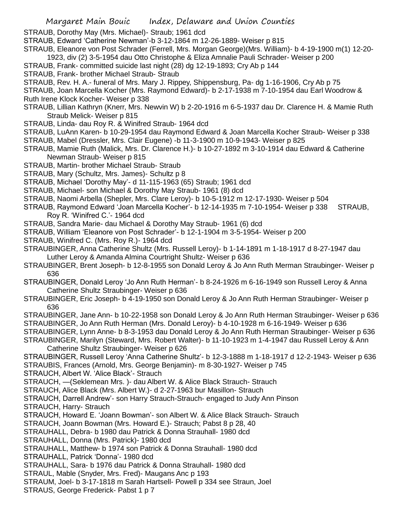STRAUB, Dorothy May (Mrs. Michael)- Straub; 1961 dcd

- STRAUB, Edward 'Catherine Newman'-b 3-12-1864 m 12-26-1889- Weiser p 815
- STRAUB, Eleanore von Post Schrader (Ferrell, Mrs. Morgan George)(Mrs. William)- b 4-19-1900 m(1) 12-20-
- 1923, div (2) 3-5-1954 dau Otto Christophe & Eliza Amnalie Pauli Schrader- Weiser p 200
- STRAUB, Frank- committed suicide last night (28) dg 12-19-1893; Cry Ab p 144
- STRAUB, Frank- brother Michael Straub- Straub
- STRAUB, Rev. H. A.- funeral of Mrs. Mary J. Rippey, Shippensburg, Pa- dg 1-16-1906, Cry Ab p 75
- STRAUB, Joan Marcella Kocher (Mrs. Raymond Edward)- b 2-17-1938 m 7-10-1954 dau Earl Woodrow & Ruth Irene Klock Kocher- Weiser p 338
- STRAUB, Lillian Kathryn (Knerr, Mrs. Newvin W) b 2-20-1916 m 6-5-1937 dau Dr. Clarence H. & Mamie Ruth Straub Melick- Weiser p 815
- STRAUB, Linda- dau Roy R. & Winifred Straub- 1964 dcd
- STRAUB, LuAnn Karen- b 10-29-1954 dau Raymond Edward & Joan Marcella Kocher Straub- Weiser p 338
- STRAUB, Mabel (Dressler, Mrs. Clair Eugene) -b 11-3-1900 m 10-9-1943- Weiser p 825
- STRAUB, Mamie Ruth (Malick, Mrs. Dr. Clarence H.)- b 10-27-1892 m 3-10-1914 dau Edward & Catherine Newman Straub- Weiser p 815
- STRAUB, Martin- brother Michael Straub- Straub
- STRAUB, Mary (Schultz, Mrs. James)- Schultz p 8
- STRAUB, Michael 'Dorothy May'- d 11-115-1963 (65) Straub; 1961 dcd
- STRAUB, Michael- son Michael & Dorothy May Straub- 1961 (8) dcd
- STRAUB, Naomi Arbella (Shepler, Mrs. Clare Leroy)- b 10-5-1912 m 12-17-1930- Weiser p 504
- STRAUB, Raymond Edward 'Joan Marcella Kocher'- b 12-14-1935 m 7-10-1954- Weiser p 338 STRAUB, Roy R. 'Winifred C.'- 1964 dcd
- STRAUB, Sandra Marie- dau Michael & Dorothy May Straub- 1961 (6) dcd
- STRAUB, William 'Eleanore von Post Schrader'- b 12-1-1904 m 3-5-1954- Weiser p 200
- STRAUB, Winifred C. (Mrs. Roy R.)- 1964 dcd
- STRAUBINGER, Anna Catherine Shultz (Mrs. Russell Leroy)- b 1-14-1891 m 1-18-1917 d 8-27-1947 dau Luther Leroy & Amanda Almina Courtright Shultz- Weiser p 636
- STRAUBINGER, Brent Joseph- b 12-8-1955 son Donald Leroy & Jo Ann Ruth Merman Straubinger- Weiser p 636
- STRAUBINGER, Donald Leroy 'Jo Ann Ruth Herman'- b 8-24-1926 m 6-16-1949 son Russell Leroy & Anna Catherine Shultz Straubinger- Weiser p 636
- STRAUBINGER, Eric Joseph- b 4-19-1950 son Donald Leroy & Jo Ann Ruth Herman Straubinger- Weiser p 636
- STRAUBINGER, Jane Ann- b 10-22-1958 son Donald Leroy & Jo Ann Ruth Herman Straubinger- Weiser p 636
- STRAUBINGER, Jo Ann Ruth Herman (Mrs. Donald Leroy)- b 4-10-1928 m 6-16-1949- Weiser p 636
- STRAUBINGER, Lynn Anne- b 8-3-1953 dau Donald Leroy & Jo Ann Ruth Herman Straubinger- Weiser p 636 STRAUBINGER, Marilyn (Steward, Mrs. Robert Walter)- b 11-10-1923 m 1-4-1947 dau Russell Leroy & Ann
- Catherine Shultz Straubinger- Weiser p 626
- STRAUBINGER, Russell Leroy 'Anna Catherine Shultz'- b 12-3-1888 m 1-18-1917 d 12-2-1943- Weiser p 636 STRAUBIS, Frances (Arnold, Mrs. George Benjamin)- m 8-30-1927- Weiser p 745
- STRAUCH, Albert W. 'Alice Black'- Strauch
- STRAUCH, —(Seklemean Mrs. )- dau Albert W. & Alice Black Strauch- Strauch
- STRAUCH, Alice Black (Mrs. Albert W.)- d 2-27-1963 bur Masillon- Strauch
- STRAUCH, Darrell Andrew'- son Harry Strauch-Strauch- engaged to Judy Ann Pinson
- STRAUCH, Harry- Strauch
- STRAUCH, Howard E. 'Joann Bowman'- son Albert W. & Alice Black Strauch- Strauch
- STRAUCH, Joann Bowman (Mrs. Howard E.)- Strauch; Pabst 8 p 28, 40
- STRAUHALL, Debra- b 1980 dau Patrick & Donna Strauhall- 1980 dcd
- STRAUHALL, Donna (Mrs. Patrick)- 1980 dcd
- STRAUHALL, Matthew- b 1974 son Patrick & Donna Strauhall- 1980 dcd
- STRAUHALL, Patrick 'Donna'- 1980 dcd
- STRAUHALL, Sara- b 1976 dau Patrick & Donna Strauhall- 1980 dcd
- STRAUL, Mable (Snyder, Mrs. Fred)- Maugans Anc p 193
- STRAUM, Joel- b 3-17-1818 m Sarah Hartsell- Powell p 334 see Straun, Joel
- STRAUS, George Frederick- Pabst 1 p 7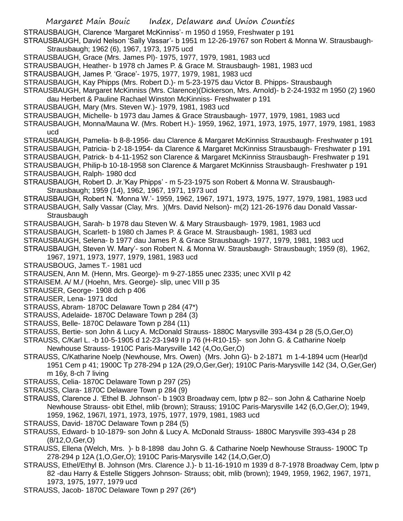- Margaret Main Bouic Index, Delaware and Union Counties STRAUSBAUGH, Clarence 'Margaret McKinniss'- m 1950 d 1959, Freshwater p 191 STRAUSBAUGH, David Nelson 'Sally Vassar'- b 1951 m 12-26-19767 son Robert & Monna W. Strausbaugh-Strausbaugh; 1962 (6), 1967, 1973, 1975 ucd STRAUSBAUGH, Grace (Mrs. James Pl)- 1975, 1977, 1979, 1981, 1983 ucd STRAUSBAUGH, Heather- b 1978 ch James P. & Grace M. Strausbaugh- 1981, 1983 ucd STRAUSBAUGH, James P. 'Grace'- 1975, 1977, 1979, 1981, 1983 ucd STRAUSBAUGH, Kay Phipps (Mrs. Robert D.)- m 5-23-1975 dau Victor B. Phipps- Strausbaugh STRAUSBAUGH, Margaret McKinniss (Mrs. Clarence)(Dickerson, Mrs. Arnold)- b 2-24-1932 m 1950 (2) 1960 dau Herbert & Pauline Rachael Winston McKinniss- Freshwater p 191 STRAUSBAUGH, Mary (Mrs. Steven W.)- 1979, 1981, 1983 ucd STRAUSBAUGH, Michelle- b 1973 dau James & Grace Strausbaugh- 1977, 1979, 1981, 1983 ucd STRAUSBAUGH, Monna/Mauna W. (Mrs. Robert H.)- 1959, 1962, 1971, 1973, 1975, 1977, 1979, 1981, 1983 ucd STRAUSBAUGH, Pamelia- b 8-8-1956- dau Clarence & Margaret McKinniss Strausbaugh- Freshwater p 191 STRAUSBAUGH, Patricia- b 2-18-1954- da Clarence & Margaret McKinniss Strausbaugh- Freshwater p 191 STRAUSBAUGH, Patrick- b 4-11-1952 son Clarence & Margaret McKinniss Strausbaugh- Freshwater p 191 STRAUSBAUGH, Philip-b 10-18-1958 son Clarence & Margaret McKinniss Strausbaugh- Freshwater p 191 STRAUSBAUGH, Ralph- 1980 dcd STRAUSBAUGH, Robert D. Jr.'Kay Phipps' - m 5-23-1975 son Robert & Monna W. Strausbaugh-Strausbaugh; 1959 (14), 1962, 1967, 1971, 1973 ucd STRAUSBAUGH, Robert N. 'Monna W.'- 1959, 1962, 1967, 1971, 1973, 1975, 1977, 1979, 1981, 1983 ucd STRAUSBAUGH, Sally Vassar (Clay, Mrs. )(Mrs. David Nelson)- m(2) 121-26-1976 dau Donald Vassar-Strausbaugh STRAUSBAUGH, Sarah- b 1978 dau Steven W. & Mary Strausbaugh- 1979, 1981, 1983 ucd STRAUSBAUGH, Scarlett- b 1980 ch James P. & Grace M. Strausbaugh- 1981, 1983 ucd STRAUSBAUGH, Selena- b 1977 dau James P. & Grace Strausbaugh- 1977, 1979, 1981, 1983 ucd STRAUSBAUGH, Steven W. Mary'- son Robert N. & Monna W. Strausbaugh- Strausbaugh; 1959 (8), 1962, 1967, 1971, 1973, 1977, 1979, 1981, 1983 ucd STRAUSBOUG, James T.- 1981 ucd STRAUSEN, Ann M. (Henn, Mrs. George)- m 9-27-1855 unec 2335; unec XVII p 42 STRAISEM. A/ M./ (Hoehn, Mrs. George)- slip, unec VIII p 35 STRAUSER, George- 1908 dch p 406 STRAUSER, Lena- 1971 dcd STRAUSS, Abram- 1870C Delaware Town p 284 (47\*) STRAUSS, Adelaide- 1870C Delaware Town p 284 (3) STRAUSS, Belle- 1870C Delaware Town p 284 (11) STRAUSS, Bertie- son John & Lucy A. McDonald Strauss- 1880C Marysville 393-434 p 28 (5,O,Ger,O) STRAUSS, C/Karl L. -b 10-5-1905 d 12-23-1949 II p 76 (H-R10-15)- son John G. & Catharine Noelp Newhouse Strauss- 1910C Paris-Marysville 142 (4,Oo,Ger,O) STRAUSS, C/Katharine Noelp (Newhouse, Mrs. Owen) (Mrs. John G)- b 2-1871 m 1-4-1894 ucm (Hearl)d 1951 Cem p 41; 1900C Tp 278-294 p 12A (29,O,Ger,Ger); 1910C Paris-Marysville 142 (34, O,Ger,Ger) m 16y, 8-ch 7 living STRAUSS, Celia- 1870C Delaware Town p 297 (25) STRAUSS, Clara- 1870C Delaware Town p 284 (9) STRAUSS, Clarence J. 'Ethel B. Johnson'- b 1903 Broadway cem, lptw p 82-- son John & Catharine Noelp Newhouse Strauss- obit Ethel, mlib (brown); Strauss; 1910C Paris-Marysville 142 (6,O,Ger,O); 1949, 1959, 1962, 1967l, 1971, 1973, 1975, 1977, 1979, 1981, 1983 ucd STRAUSS, David- 1870C Delaware Town p 284 (5) STRAUSS, Edward- b 10-1879- son John & Lucy A. McDonald Strauss- 1880C Marysville 393-434 p 28 (8/12,O,Ger,O) STRAUSS, Ellena (Welch, Mrs. )- b 8-1898 dau John G. & Catharine Noelp Newhouse Strauss- 1900C Tp
- 278-294 p 12A (1,O,Ger,O); 1910C Paris-Marysville 142 (14,O,Ger,O)
- STRAUSS, Ethel/Ethyl B. Johnson (Mrs. Clarence J.)- b 11-16-1910 m 1939 d 8-7-1978 Broadway Cem, lptw p 82 -dau Harry & Estelle Stiggers Johnson- Strauss; obit, mlib (brown); 1949, 1959, 1962, 1967, 1971, 1973, 1975, 1977, 1979 ucd
- STRAUSS, Jacob- 1870C Delaware Town p 297 (26\*)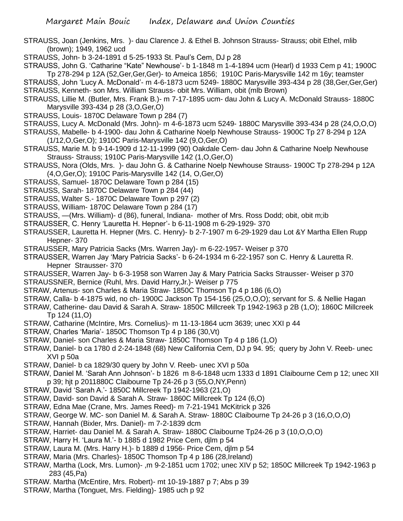- STRAUSS, Joan (Jenkins, Mrs. )- dau Clarence J. & Ethel B. Johnson Strauss- Strauss; obit Ethel, mlib (brown); 1949, 1962 ucd
- STRAUSS, John- b 3-24-1891 d 5-25-1933 St. Paul's Cem, DJ p 28
- STRAUSS, John G. 'Catharine "Kate" Newhouse'- b 1-1848 m 1-4-1894 ucm (Hearl) d 1933 Cem p 41; 1900C Tp 278-294 p 12A (52,Ger,Ger,Ger)- to Ameica 1856; 1910C Paris-Marysville 142 m 16y; teamster
- STRAUSS, John 'Lucy A. McDonald'- m 4-6-1873 ucm 5249- 1880C Marysville 393-434 p 28 (38,Ger,Ger,Ger) STRAUSS, Kenneth- son Mrs. William Strauss- obit Mrs. William, obit (mlb Brown)
- STRAUSS, Lillie M. (Butler, Mrs. Frank B.)- m 7-17-1895 ucm- dau John & Lucy A. McDonald Strauss- 1880C Marysville 393-434 p 28 (3,O,Ger,O)
- STRAUSS, Louis- 1870C Delaware Town p 284 (7)
- STRAUSS, Lucy A. McDonald (Mrs. John)- m 4-6-1873 ucm 5249- 1880C Marysville 393-434 p 28 (24,O,O,O)
- STRAUSS, Mabelle- b 4-1900- dau John & Catharine Noelp Newhouse Strauss- 1900C Tp 27 8-294 p 12A (1/12,O,Ger,O); 1910C Paris-Marysville 142 (9,O,Ger,O)
- STRAUSS, Marie M. b 9-14-1909 d 12-11-1999 (90) Oakdale Cem- dau John & Catharine Noelp Newhouse Strauss- Strauss; 1910C Paris-Marysville 142 (1,O,Ger,O)
- STRAUSS, Nora (Olds, Mrs. )- dau John G. & Catharine Noelp Newhouse Strauss- 1900C Tp 278-294 p 12A (4,O,Ger,O); 1910C Paris-Marysville 142 (14, O,Ger,O)
- STRAUSS, Samuel- 1870C Delaware Town p 284 (15)
- STRAUSS, Sarah- 1870C Delaware Town p 284 (44)
- STRAUSS, Walter S.- 1870C Delaware Town p 297 (2)
- STRAUSS, William- 1870C Delaware Town p 284 (17)
- STRAUSS, —(Mrs. William)- d (86), funeral, Indiana- mother of Mrs. Ross Dodd; obit, obit m;ib
- STRAUSSER, C. Henry 'Lauretta H. Hepner'- b 6-11-1908 m 6-29-1929- 370
- STRAUSSER, Lauretta H. Hepner (Mrs. C. Henry)- b 2-7-1907 m 6-29-1929 dau Lot &Y Martha Ellen Rupp Hepner- 370
- STRAUSSER, Mary Patricia Sacks (Mrs. Warren Jay)- m 6-22-1957- Weiser p 370
- STRAUSSER, Warren Jay 'Mary Patricia Sacks'- b 6-24-1934 m 6-22-1957 son C. Henry & Lauretta R. Hepner Strausser- 370
- STRAUSSER, Warren Jay- b 6-3-1958 son Warren Jay & Mary Patricia Sacks Strausser- Weiser p 370
- STRAUSSNER, Bernice (Ruhl, Mrs. David Harry,Jr.)- Weiser p 775
- STRAW, Artenus- son Charles & Maria Straw- 1850C Thomson Tp 4 p 186 (6,O)
- STRAW, Calla- b 4-1875 wid, no ch- 1900C Jackson Tp 154-156 (25,O,O,O); servant for S. & Nellie Hagan
- STRAW, Catherine- dau David & Sarah A. Straw- 1850C Millcreek Tp 1942-1963 p 2B (1,O); 1860C Millcreek Tp 124 (11,O)
- STRAW, Catharine (McIntire, Mrs. Cornelius)- m 11-13-1864 ucm 3639; unec XXI p 44
- STRAW, Charles 'Maria'- 1850C Thomson Tp 4 p 186 (30,Vt)
- STRAW, Daniel- son Charles & Maria Straw- 1850C Thomson Tp 4 p 186 (1,O)
- STRAW, Daniel- b ca 1780 d 2-24-1848 (68) New California Cem, DJ p 94. 95; query by John V. Reeb- unec XVI p 50a
- STRAW, Daniel- b ca 1829/30 query by John V. Reeb- unec XVI p 50a
- STRAW, Daniel M. 'Sarah Ann Johnson'- b 1826 m 8-6-1848 ucm 1333 d 1891 Claibourne Cem p 12; unec XII p 39; hjt p 2011880C Claibourne Tp 24-26 p 3 (55,O,NY,Penn)
- STRAW, David 'Sarah A.'- 1850C Millcreek Tp 1942-1963 (21,O)
- STRAW, David- son David & Sarah A. Straw- 1860C Millcreek Tp 124 (6,O)
- STRAW, Edna Mae (Crane, Mrs. James Reed)- m 7-21-1941 McKitrick p 326
- STRAW, George W. MC- son Daniel M. & Sarah A. Straw- 1880C Claibourne Tp 24-26 p 3 (16,O,O,O)
- STRAW, Hannah (Bixler, Mrs. Daniel)- m 7-2-1839 dcm
- STRAW, Harriet- dau Daniel M. & Sarah A. Straw- 1880C Claibourne Tp24-26 p 3 (10,O,O,O)
- STRAW, Harry H. 'Laura M.'- b 1885 d 1982 Price Cem, djlm p 54
- STRAW, Laura M. (Mrs. Harry H.)- b 1889 d 1956- Price Cem, djlm p 54
- STRAW, Maria (Mrs. Charles)- 1850C Thomson Tp 4 p 186 (28,Ireland)
- STRAW, Martha (Lock, Mrs. Lumon)- ,m 9-2-1851 ucm 1702; unec XIV p 52; 1850C Millcreek Tp 1942-1963 p 283 (45,Pa)
- STRAW. Martha (McEntire, Mrs. Robert)- mt 10-19-1887 p 7; Abs p 39
- STRAW, Martha (Tonguet, Mrs. Fielding)- 1985 uch p 92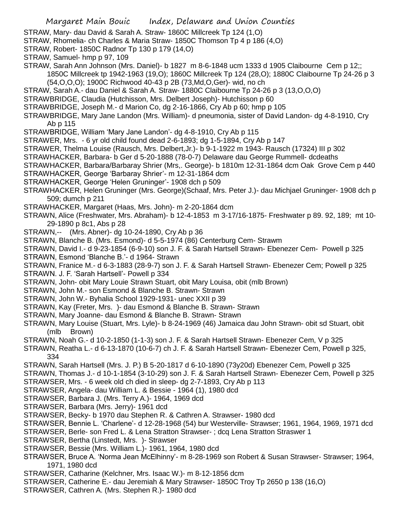- STRAW, Mary- dau David & Sarah A. Straw- 1860C Millcreek Tp 124 (1,O)
- STRAW, Rhomelia- ch Charles & Maria Straw- 1850C Thomson Tp 4 p 186 (4,O)
- STRAW, Robert- 1850C Radnor Tp 130 p 179 (14,O)
- STRAW, Samuel- hmp p 97, 109
- STRAW, Sarah Ann Johnson (Mrs. Daniel)- b 1827 m 8-6-1848 ucm 1333 d 1905 Claibourne Cem p 12;; 1850C Millcreek tp 1942-1963 (19,O); 1860C Millcreek Tp 124 (28,O); 1880C Claibourne Tp 24-26 p 3
	- (54,O,O,O); 1900C Richwood 40-43 p 2B (73,Md,O,Ger)- wid, no ch
- STRAW, Sarah A.- dau Daniel & Sarah A. Straw- 1880C Claibourne Tp 24-26 p 3 (13,O,O,O)
- STRAWBRIDGE, Claudia (Hutchisson, Mrs. Delbert Joseph)- Hutchisson p 60
- STRAWBRIDGE, Joseph M.- d Marion Co, dg 2-16-1866, Cry Ab p 60; hmp p 105
- STRAWBRIDGE, Mary Jane Landon (Mrs. William)- d pneumonia, sister of David Landon- dg 4-8-1910, Cry Ab p 115
- STRAWBRIDGE, William 'Mary Jane Landon'- dg 4-8-1910, Cry Ab p 115
- STRAWER, Mrs. 6 yr old child found dead 2-6-1893; dg 1-5-1894, Cry Ab p 147
- STRAWER, Thelma Louise (Rausch, Mrs. Delbert,Jr.)- b 9-1-1922 m 1943- Rausch (17324) III p 302
- STRAWHACKER, Barbara- b Ger d 5-20-1888 (78-0-7) Delaware dau George Rummell- dcdeaths
- STRAWHACKER, Barbara/Barbaray Shrier (Mrs,. George)- b 1810m 12-31-1864 dcm Oak Grove Cem p 440
- STRAWHACKER, George 'Barbaray Shrier'- m 12-31-1864 dcm
- STRAWHACKER, George 'Helen Gruninger'- 1908 dch p 509
- STRAWHACKER, Helen Gruninger (Mrs. George)(Schaaf, Mrs. Peter J.)- dau Michjael Gruninger- 1908 dch p 509; dumch p 211
- STRAWHACKER, Margaret (Haas, Mrs. John)- m 2-20-1864 dcm
- STRAWN, Alice (Freshwater, Mrs. Abraham)- b 12-4-1853 m 3-17/16-1875- Freshwater p 89. 92, 189; mt 10- 29-1890 p 8c1, Abs p 28
- STRAWN,-- (Mrs. Abner)- dg 10-24-1890, Cry Ab p 36
- STRAWN, Blanche B. (Mrs. Esmond)- d 5-5-1974 (86) Centerburg Cem- Strawm
- STRAWN, David I.- d 9-23-1854 (6-9-10) son J. F. & Sarah Hartsell Strawn- Ebenezer Cem- Powell p 325
- STRAWN, Esmond 'Blanche B.'- d 1964- Strawn
- STRAWN, Franice M.- d 6-3-1883 (28-9-7) son J. F. & Sarah Hartsell Strawn- Ebenezer Cem; Powell p 325
- STRAWN. J. F. 'Sarah Hartsell'- Powell p 334
- STRAWN, John- obit Mary Louie Strawn Stuart, obit Mary Louisa, obit (mlb Brown)
- STRAWN, John M.- son Esmond & Blanche B. Strawn- Strawn
- STRAWN, John W.- Byhalia School 1929-1931- unec XXII p 39
- STRAWN, Kay (Freter, Mrs. )- dau Esmond & Blanche B. Strawn- Strawn
- STRAWN, Mary Joanne- dau Esmond & Blanche B. Strawn- Strawn
- STRAWN, Mary Louise (Stuart, Mrs. Lyle)- b 8-24-1969 (46) Jamaica dau John Strawn- obit sd Stuart, obit (mlb Brown)
- STRAWN, Noah G.- d 10-2-1850 (1-1-3) son J. F. & Sarah Hartsell Strawn- Ebenezer Cem, V p 325
- STRAWN, Reatha L.- d 6-13-1870 (10-6-7) ch J. F. & Sarah Hartsell Strawn- Ebenezer Cem, Powell p 325, 334
- STRAWN, Sarah Hartsell (Mrs. J. P.) B 5-20-1817 d 6-10-1890 (73y20d) Ebenezer Cem, Powell p 325
- STRAWN, Thomas J.- d 10-1-1854 (3-10-29) son J. F. & Sarah Hartsell Strawn- Ebenezer Cem, Powell p 325 STRAWSER, Mrs. - 6 week old ch died in sleep- dg 2-7-1893, Cry Ab p 113
- STRAWSER, Angela- dau William L. & Bessie 1964 (1), 1980 dcd
- STRAWSER, Barbara J. (Mrs. Terry A.)- 1964, 1969 dcd
- STRAWSER, Barbara (Mrs. Jerry)- 1961 dcd
- STRAWSER, Becky- b 1970 dau Stephen R. & Cathren A. Strawser- 1980 dcd
- STRAWSER, Bennie L. 'Charlene'- d 12-28-1968 (54) bur Westerville- Strawser; 1961, 1964, 1969, 1971 dcd
- STRAWSER, Berle- son Fred L. & Lena Stratton Strawser- ; dcq Lena Stratton Straswer 1
- STRAWSER, Bertha (Linstedt, Mrs. )- Strawser
- STRAWSER, Bessie (Mrs. William L.)- 1961, 1964, 1980 dcd
- STRAWSER, Bruce A. 'Norma Jean McElhinny'- m 8-28-1969 son Robert & Susan Strawser- Strawser; 1964, 1971, 1980 dcd
- STRAWSER, Catharine (Kelchner, Mrs. Isaac W.)- m 8-12-1856 dcm
- STRAWSER, Catherine E.- dau Jeremiah & Mary Strawser- 1850C Troy Tp 2650 p 138 (16,O)
- STRAWSER, Cathren A. (Mrs. Stephen R.)- 1980 dcd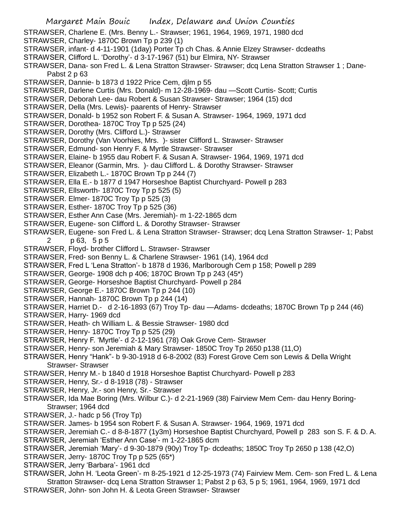- Margaret Main Bouic Index, Delaware and Union Counties STRAWSER, Charlene E. (Mrs. Benny L.- Strawser; 1961, 1964, 1969, 1971, 1980 dcd STRAWSER, Charley- 1870C Brown Tp p 239 (1) STRAWSER, infant- d 4-11-1901 (1day) Porter Tp ch Chas. & Annie Elzey Strawser- dcdeaths STRAWSER, Clifford L. 'Dorothy'- d 3-17-1967 (51) bur Elmira, NY- Strawser STRAWSER, Dana- son Fred L. & Lena Stratton Strawser- Strawser; dcq Lena Stratton Strawser 1 ; Dane-Pabst 2 p 63 STRAWSER, Dannie- b 1873 d 1922 Price Cem, djlm p 55 STRAWSER, Darlene Curtis (Mrs. Donald)- m 12-28-1969- dau —Scott Curtis- Scott; Curtis STRAWSER, Deborah Lee- dau Robert & Susan Strawser- Strawser; 1964 (15) dcd STRAWSER, Della (Mrs. Lewis)- paarents of Henry- Strawser STRAWSER, Donald- b 1952 son Robert F. & Susan A. Strawser- 1964, 1969, 1971 dcd STRAWSER, Dorothea- 1870C Troy Tp p 525 (24) STRAWSER, Dorothy (Mrs. Clifford L.)- Strawser STRAWSER, Dorothy (Van Voorhies, Mrs. )- sister Clifford L. Strawser- Strawser STRAWSER, Edmund- son Henry F. & Myrtle Strawser- Strawser STRAWSER, Elaine- b 1955 dau Robert F. & Susan A. Strawser- 1964, 1969, 1971 dcd STRAWSER, Eleanor (Garmin, Mrs. )- dau Clifford L. & Dorothy Strawser- Strawser STRAWSER, Elizabeth L.- 1870C Brown Tp p 244 (7) STRAWSER, Ella E.- b 1877 d 1947 Horseshoe Baptist Churchyard- Powell p 283 STRAWSER, Ellsworth- 1870C Troy Tp p 525 (5) STRAWSER. Elmer- 1870C Troy Tp p 525 (3) STRAWSER, Esther- 1870C Troy Tp p 525 (36) STRAWSER, Esther Ann Case (Mrs. Jeremiah)- m 1-22-1865 dcm STRAWSER, Eugene- son Clifford L. & Dorothy Strawser- Strawser STRAWSER, Eugene- son Fred L. & Lena Stratton Strawser- Strawser; dcq Lena Stratton Strawser- 1; Pabst 2 p 63, 5 p 5 STRAWSER, Floyd- brother Clifford L. Strawser- Strawser STRAWSER, Fred- son Benny L. & Charlene Strawser- 1961 (14), 1964 dcd STRAWSER, Fred L 'Lena Stratton'- b 1878 d 1936, Marlborough Cem p 158; Powell p 289 STRAWSER, George- 1908 dch p 406; 1870C Brown Tp p 243 (45\*) STRAWSER, George- Horseshoe Baptist Churchyard- Powell p 284 STRAWSER, George E.- 1870C Brown Tp p 244 (10) STRAWSER, Hannah- 1870C Brown Tp p 244 (14) STRAWSER, Harriet D.- d 2-16-1893 (67) Troy Tp- dau —Adams- dcdeaths; 1870C Brown Tp p 244 (46) STRAWSER, Harry- 1969 dcd STRAWSER, Heath- ch William L. & Bessie Strawser- 1980 dcd STRAWSER, Henry- 1870C Troy Tp p 525 (29) STRAWSER, Henry F. 'Myrtle'- d 2-12-1961 (78) Oak Grove Cem- Strawser STRAWSER, Henry- son Jeremiah & Mary Strawser- 1850C Troy Tp 2650 p138 (11,O) STRAWSER, Henry "Hank"- b 9-30-1918 d 6-8-2002 (83) Forest Grove Cem son Lewis & Della Wright Strawser- Strawser STRAWSER, Henry M.- b 1840 d 1918 Horseshoe Baptist Churchyard- Powell p 283 STRAWSER, Henry, Sr.- d 8-1918 (78) - Strawser STRAWSER, Henry, Jr.- son Henry, Sr.- Strawser STRAWSER, Ida Mae Boring (Mrs. Wilbur C.)- d 2-21-1969 (38) Fairview Mem Cem- dau Henry Boring-Strawser; 1964 dcd STRAWSER, J.- hadc p 56 (Troy Tp) STRAWSER. James- b 1954 son Robert F. & Susan A. Strawser- 1964, 1969, 1971 dcd STRAWSER, Jeremiah C.- d 8-8-1877 (1y3m) Horseshoe Baptist Churchyard, Powell p 283 son S. F. & D. A. STRAWSER, Jeremiah 'Esther Ann Case'- m 1-22-1865 dcm STRAWSER, Jeremiah 'Mary'- d 9-30-1879 (90y) Troy Tp- dcdeaths; 1850C Troy Tp 2650 p 138 (42,O) STRAWSER, Jerry- 1870C Troy Tp p 525 (65\*) STRAWSER, Jerry 'Barbara'- 1961 dcd
	- STRAWSER, John H. 'Leota Green'- m 8-25-1921 d 12-25-1973 (74) Fairview Mem. Cem- son Fred L. & Lena Stratton Strawser- dcq Lena Stratton Strawser 1; Pabst 2 p 63, 5 p 5; 1961, 1964, 1969, 1971 dcd STRAWSER, John- son John H. & Leota Green Strawser- Strawser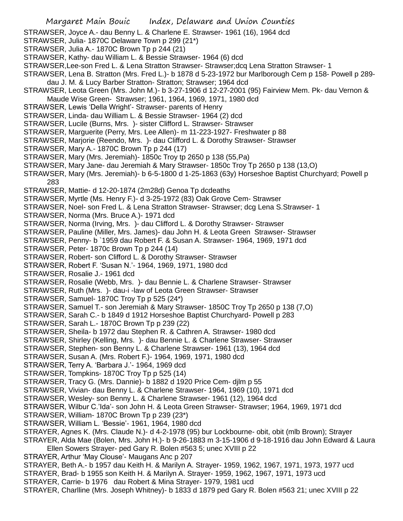STRAWSER, Joyce A.- dau Benny L. & Charlene E. Strawser- 1961 (16), 1964 dcd

- STRAWSER, Julia- 1870C Delaware Town p 299 (21\*)
- STRAWSER, Julia A.- 1870C Brown Tp p 244 (21)
- STRAWSER, Kathy- dau William L. & Bessie Strawser- 1964 (6) dcd
- STRAWSER,Lee-son Fred L. & Lena Stratton Strawser- Strawser;dcq Lena Stratton Strawser- 1
- STRAWSER, Lena B. Stratton (Mrs. Fred L.)- b 1878 d 5-23-1972 bur Marlborough Cem p 158- Powell p 289 dau J. M. & Lucy Barber Stratton- Stratton; Strawser; 1964 dcd
- STRAWSER, Leota Green (Mrs. John M.)- b 3-27-1906 d 12-27-2001 (95) Fairview Mem. Pk- dau Vernon & Maude Wise Green- Strawser; 1961, 1964, 1969, 1971, 1980 dcd
- STRAWSER, Lewis 'Della Wright'- Strawser- parents of Henry
- STRAWSER, Linda- dau William L. & Bessie Strawser- 1964 (2) dcd
- STRAWSER, Lucile (Burns, Mrs. )- sister Clifford L. Strawser- Strawser
- STRAWSER, Marguerite (Perry, Mrs. Lee Allen)- m 11-223-1927- Freshwater p 88
- STRAWSER, Marjorie (Reendo, Mrs. )- dau Clifford L. & Dorothy Strawser- Strawser
- STRAWSER, Mary A.- 1870C Brown Tp p 244 (17)
- STRAWSER, Mary (Mrs. Jeremiah)- 1850c Troy tp 2650 p 138 (55,Pa)
- STRAWSER, Mary Jane- dau Jeremiah & Mary Strawser- 1850c Troy Tp 2650 p 138 (13,O)
- STRAWSER, Mary (Mrs. Jeremiah)- b 6-5-1800 d 1-25-1863 (63y) Horseshoe Baptist Churchyard; Powell p 283
- STRAWSER, Mattie- d 12-20-1874 (2m28d) Genoa Tp dcdeaths
- STRAWSER, Myrtle (Ms. Henry F.)- d 3-25-1972 (83) Oak Grove Cem- Strawser
- STRAWSER, Noel- son Fred L. & Lena Stratton Strawser- Strawser; dcg Lena S.Strawser- 1
- STRAWSER, Norma (Mrs. Bruce A.)- 1971 dcd
- STRAWSER, Norma (Irving, Mrs. )- dau Clifford L. & Dorothy Strawser- Strawser
- STRAWSER, Pauline (Miller, Mrs. James)- dau John H. & Leota Green Strawser- Strawser
- STRAWSER, Penny- b `1959 dau Robert F. & Susan A. Strawser- 1964, 1969, 1971 dcd
- STRAWSER, Peter- 1870c Brown Tp p 244 (14)
- STRAWSER, Robert- son Clifford L. & Dorothy Strawser- Strawser
- STRAWSER, Robert F. 'Susan N.'- 1964, 1969, 1971, 1980 dcd
- STRAWSER, Rosalie J.- 1961 dcd
- STRAWSER, Rosalie (Webb, Mrs. )- dau Bennie L. & Charlene Strawser- Strawser
- STRAWSER, Ruth (Mrs. )- dau-i -law of Leota Green Strawser- Strawser
- STRAWSER, Samuel- 1870C Troy Tp p 525 (24\*)
- STRAWSER, Samuel T.- son Jeremiah & Mary Strawser- 1850C Troy Tp 2650 p 138 (7,O)
- STRAWSER, Sarah C.- b 1849 d 1912 Horseshoe Baptist Churchyard- Powell p 283
- STRAWSER, Sarah L.- 1870C Brown Tp p 239 (22)
- STRAWSER, Sheila- b 1972 dau Stephen R. & Cathren A. Strawser- 1980 dcd
- STRAWSER, Shirley (Kelling, Mrs. )- dau Bennie L. & Charlene Strawser- Strawser
- STRAWSER, Stephen- son Benny L. & Charlene Strawser- 1961 (13), 1964 dcd
- STRAWSER, Susan A. (Mrs. Robert F.)- 1964, 1969, 1971, 1980 dcd
- STRAWSER, Terry A. 'Barbara J.'- 1964, 1969 dcd
- STRAWSER, Tompkins- 1870C Troy Tp p 525 (14)
- STRAWSER, Tracy G. (Mrs. Dannie)- b 1882 d 1920 Price Cem- djlm p 55
- STRAWSER, Vivian- dau Benny L. & Charlene Strawser- 1964, 1969 (10), 1971 dcd
- STRAWSER, Wesley- son Benny L. & Charlene Strawser- 1961 (12), 1964 dcd
- STRAWSER, Wilbur C.'Ida'- son John H. & Leota Green Strawser- Strawser; 1964, 1969, 1971 dcd
- STRAWSER, William- 1870C Brown Tp p 239 (23\*)
- STRAWSER, William L. 'Bessie'- 1961, 1964, 1980 dcd
- STRAYER, Agnes K. (Mrs. Claude N.)- d 4-2-1978 (95) bur Lockbourne- obit, obit (mlb Brown); Strayer
- STRAYER, Alda Mae (Bolen, Mrs. John H.)- b 9-26-1883 m 3-15-1906 d 9-18-1916 dau John Edward & Laura Ellen Sowers Strayer- ped Gary R. Bolen #563 5; unec XVIII p 22
- STRAYER, Arthur 'May Clouse'- Maugans Anc p 207
- STRAYER, Beth A.- b 1957 dau Keith H. & Marilyn A. Strayer- 1959, 1962, 1967, 1971, 1973, 1977 ucd
- STRAYER, Brad- b 1955 son Keith H. & Marilyn A. Strayer- 1959, 1962, 1967, 1971, 1973 ucd
- STRAYER, Carrie- b 1976 dau Robert & Mina Strayer- 1979, 1981 ucd
- STRAYER, Charlline (Mrs. Joseph Whitney)- b 1833 d 1879 ped Gary R. Bolen #563 21; unec XVIII p 22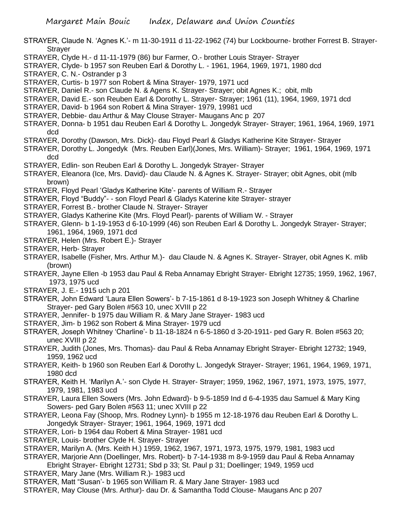- STRAYER, Claude N. 'Agnes K.'- m 11-30-1911 d 11-22-1962 (74) bur Lockbourne- brother Forrest B. Strayer-**Straver** STRAYER, Clyde H.- d 11-11-1979 (86) bur Farmer, O.- brother Louis Strayer- Strayer STRAYER, Clyde- b 1957 son Reuben Earl & Dorothy L. - 1961, 1964, 1969, 1971, 1980 dcd STRAYER, C. N.- Ostrander p 3 STRAYER, Curtis- b 1977 son Robert & Mina Strayer- 1979, 1971 ucd STRAYER, Daniel R.- son Claude N. & Agens K. Strayer- Strayer; obit Agnes K.; obit, mlb STRAYER, David E.- son Reuben Earl & Dorothy L. Strayer- Strayer; 1961 (11), 1964, 1969, 1971 dcd STRAYER, David- b 1964 son Robert & Mina Strayer- 1979, 19981 ucd STRAYER, Debbie- dau Arthur & May Clouse Strayer- Maugans Anc p 207 STRAYER, Donna- b 1951 dau Reuben Earl & Dorothy L. Jongedyk Strayer- Strayer; 1961, 1964, 1969, 1971 dcd STRAYER, Dorothy (Dawson, Mrs. Dick)- dau Floyd Pearl & Gladys Katherine Kite Strayer- Strayer STRAYER, Dorothy L. Jongedyk (Mrs. Reuben Earl)(Jones, Mrs. William)- Strayer; 1961, 1964, 1969, 1971 dcd STRAYER, Edlin- son Reuben Earl & Dorothy L. Jongedyk Strayer- Strayer STRAYER, Eleanora (Ice, Mrs. David)- dau Claude N. & Agnes K. Strayer- Strayer; obit Agnes, obit (mlb brown) STRAYER, Floyd Pearl 'Gladys Katherine Kite'- parents of William R.- Strayer STRAYER, Floyd "Buddy"- - son Floyd Pearl & Gladys Katerine kite Strayer- strayer STRAYER, Forrest B.- brother Claude N. Strayer- Strayer STRAYER, Gladys Katherine Kite (Mrs. Floyd Pearl)- parents of William W. - Strayer STRAYER, Glenn- b 1-19-1953 d 6-10-1999 (46) son Reuben Earl & Dorothy L. Jongedyk Strayer- Strayer; 1961, 1964, 1969, 1971 dcd STRAYER, Helen (Mrs. Robert E.)- Strayer STRAYER, Herb- Strayer STRAYER, Isabelle (Fisher, Mrs. Arthur M.)- dau Claude N. & Agnes K. Strayer- Strayer, obit Agnes K. mlib (brown) STRAYER, Jayne Ellen -b 1953 dau Paul & Reba Annamay Ebright Strayer- Ebright 12735; 1959, 1962, 1967, 1973, 1975 ucd STRAYER, J. E.- 1915 uch p 201 STRAYER, John Edward 'Laura Ellen Sowers'- b 7-15-1861 d 8-19-1923 son Joseph Whitney & Charline Strayer- ped Gary Bolen #563 10, unec XVIII p 22 STRAYER, Jennifer- b 1975 dau William R. & Mary Jane Strayer- 1983 ucd STRAYER, Jim- b 1962 son Robert & Mina Strayer- 1979 ucd STRAYER, Joseph Whitney 'Charline'- b 11-18-1824 n 6-5-1860 d 3-20-1911- ped Gary R. Bolen #563 20; unec XVIII p 22 STRAYER, Judith (Jones, Mrs. Thomas)- dau Paul & Reba Annamay Ebright Strayer- Ebright 12732; 1949, 1959, 1962 ucd STRAYER, Keith- b 1960 son Reuben Earl & Dorothy L. Jongedyk Strayer- Strayer; 1961, 1964, 1969, 1971, 1980 dcd STRAYER, Keith H. 'Marilyn A.'- son Clyde H. Strayer- Strayer; 1959, 1962, 1967, 1971, 1973, 1975, 1977, 1979, 1981, 1983 ucd
- STRAYER, Laura Ellen Sowers (Mrs. John Edward)- b 9-5-1859 Ind d 6-4-1935 dau Samuel & Mary King Sowers- ped Gary Bolen #563 11; unec XVIII p 22
- STRAYER, Leona Fay (Shoop, Mrs. Rodney Lynn)- b 1955 m 12-18-1976 dau Reuben Earl & Dorothy L. Jongedyk Strayer- Strayer; 1961, 1964, 1969, 1971 dcd
- STRAYER, Lori- b 1964 dau Robert & Mina Strayer- 1981 ucd
- STRAYER, Louis- brother Clyde H. Strayer- Strayer
- STRAYER, Marilyn A. (Mrs. Keith H.) 1959, 1962, 1967, 1971, 1973, 1975, 1979, 1981, 1983 ucd
- STRAYER, Marjorie Ann (Doellinger, Mrs. Robert)- b 7-14-1938 m 8-9-1959 dau Paul & Reba Annamay Ebright Strayer- Ebright 12731; Sbd p 33; St. Paul p 31; Doellinger; 1949, 1959 ucd
- STRAYER, Mary Jane (Mrs. William R.)- 1983 ucd
- STRAYER, Matt "Susan'- b 1965 son William R. & Mary Jane Strayer- 1983 ucd
- STRAYER, May Clouse (Mrs. Arthur)- dau Dr. & Samantha Todd Clouse- Maugans Anc p 207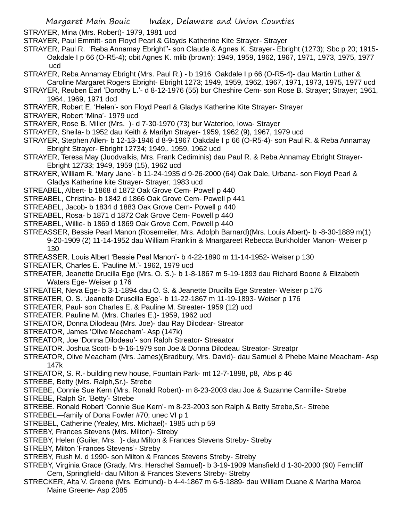Margaret Main Bouic Index, Delaware and Union Counties

STRAYER, Mina (Mrs. Robert)- 1979, 1981 ucd

- STRAYER, Paul Emmitt- son Floyd Pearl & Glayds Katherine Kite Strayer- Strayer
- STRAYER, Paul R. 'Reba Annamay Ebright''- son Claude & Agnes K. Strayer- Ebright (1273); Sbc p 20; 1915- Oakdale I p 66 (O-R5-4); obit Agnes K. mlib (brown); 1949, 1959, 1962, 1967, 1971, 1973, 1975, 1977 ucd
- STRAYER, Reba Annamay Ebright (Mrs. Paul R.) b 1916 Oakdale I p 66 (O-R5-4)- dau Martin Luther & Caroline Margaret Rogers Ebright- Ebright 1273; 1949, 1959, 1962, 1967, 1971, 1973, 1975, 1977 ucd
- STRAYER, Reuben Earl 'Dorothy L.'- d 8-12-1976 (55) bur Cheshire Cem- son Rose B. Strayer; Strayer; 1961, 1964, 1969, 1971 dcd
- STRAYER, Robert E. 'Helen'- son Floyd Pearl & Gladys Katherine Kite Strayer- Strayer
- STRAYER, Robert 'Mina'- 1979 ucd
- STRAYER, Rose B. Miller (Mrs. )- d 7-30-1970 (73) bur Waterloo, Iowa- Strayer
- STRAYER, Sheila- b 1952 dau Keith & Marilyn Strayer- 1959, 1962 (9), 1967, 1979 ucd
- STRAYER, Stephen Allen- b 12-13-1946 d 8-9-1967 Oakdale I p 66 (O-R5-4)- son Paul R. & Reba Annamay Ebright Strayer- Ebright 12734; 1949,. 1959, 1962 ucd
- STRAYER, Teresa May (Juodvalkis, Mrs. Frank Cediminis) dau Paul R. & Reba Annamay Ebright Strayer-Ebright 12733; 1949, 1959 (15), 1962 ucd
- STRAYER, William R. 'Mary Jane'- b 11-24-1935 d 9-26-2000 (64) Oak Dale, Urbana- son Floyd Pearl & Gladys Katherine kite Strayer- Strayer; 1983 ucd
- STREABEL, Albert- b 1868 d 1872 Oak Grove Cem- Powell p 440
- STREABEL, Christina- b 1842 d 1866 Oak Grove Cem- Powell p 441
- STREABEL, Jacob- b 1834 d 1883 Oak Grove Cem- Powell p 440
- STREABEL, Rosa- b 1871 d 1872 Oak Grove Cem- Powell p 440
- STREABEL, Willie- b 1869 d 1869 Oak Grove Cem, Powell p 440
- STREASSER, Bessie Pearl Manon (Rosemeiler, Mrs. Adolph Barnard)(Mrs. Louis Albert)- b -8-30-1889 m(1) 9-20-1909 (2) 11-14-1952 dau William Franklin & Mnargareet Rebecca Burkholder Manon- Weiser p 130
- STREASSER. Louis Albert 'Bessie Peal Manon'- b 4-22-1890 m 11-14-1952- Weiser p 130
- STREATER, Charles E. 'Pauline M.'- 1962, 1979 ucd
- STREATER, Jeanette Drucilla Ege (Mrs. O. S.)- b 1-8-1867 m 5-19-1893 dau Richard Boone & Elizabeth Waters Ege- Weiser p 176
- STREATER, Neva Ege- b 3-1-1894 dau O. S. & Jeanette Drucilla Ege Streater- Weiser p 176
- STREATER, O. S. 'Jeanette Druscilla Ege'- b 11-22-1867 m 11-19-1893- Weiser p 176
- STREATER, Paul- son Charles E. & Pauline M. Streater- 1959 (12) ucd
- STREATER. Pauline M. (Mrs. Charles E.)- 1959, 1962 ucd
- STREATOR, Donna Dilodeau (Mrs. Joe)- dau Ray Dilodear- Streator
- STREATOR, James 'Olive Meacham'- Asp (147k)
- STREATOR, Joe 'Donna Dilodeau'- son Ralph Streator- Streaator
- STREATOR. Joshua Scott- b 9-16-1979 son Joe & Donna Dilodeau Streator- Streatpr
- STREATOR, Olive Meacham (Mrs. James)(Bradbury, Mrs. David)- dau Samuel & Phebe Maine Meacham- Asp 147k
- STREATOR, S. R.- building new house, Fountain Park- mt 12-7-1898, p8, Abs p 46
- STREBE, Betty (Mrs. Ralph,Sr.)- Strebe
- STREBE, Connie Sue Kern (Mrs. Ronald Robert)- m 8-23-2003 dau Joe & Suzanne Carmille- Strebe
- STREBE, Ralph Sr. 'Betty'- Strebe
- STREBE. Ronald Robert 'Connie Sue Kern'- m 8-23-2003 son Ralph & Betty Strebe,Sr.- Strebe
- STREBEL—family of Dona Fowler #70; unec VI p 1
- STREBEL, Catherine (Yealey, Mrs. Michael)- 1985 uch p 59
- STREBY, Frances Stevens (Mrs. Milton)- Streby
- STREBY, Helen (Guiler, Mrs. )- dau Milton & Frances Stevens Streby- Streby
- STREBY, Milton 'Frances Stevens'- Streby
- STREBY, Rush M. d 1990- son Milton & Frances Stevens Streby- Streby
- STREBY, Virginia Grace (Grady, Mrs. Herschel Samuel)- b 3-19-1909 Mansfield d 1-30-2000 (90) Ferncliff Cem, Springfield- dau Milton & Frances Stevens Streby- Streby
- STRECKER, Alta V. Greene (Mrs. Edmund)- b 4-4-1867 m 6-5-1889- dau William Duane & Martha Maroa Maine Greene- Asp 2085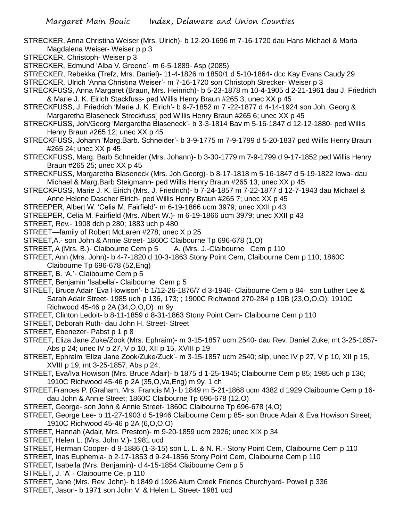- STRECKER, Anna Christina Weiser (Mrs. Ulrich)- b 12-20-1696 m 7-16-1720 dau Hans Michael & Maria Magdalena Weiser- Weiser p p 3
- STRECKER, Christoph- Weiser p 3
- STRECKER, Edmund 'Alba V. Greene'- m 6-5-1889- Asp (2085)
- STRECKER, Rebekka (Trefz, Mrs. Daniel)- 11-4-1826 m 1850/1 d 5-10-1864- dcc Kay Evans Caudy 29
- STRECKER, Ulrich 'Anna Christina Weiser'- m 7-16-1720 son Christoph Strecker- Weiser p 3
- STRECKFUSS, Anna Margaret (Braun, Mrs. Heinrich)- b 5-23-1878 m 10-4-1905 d 2-21-1961 dau J. Friedrich & Marie J. K. Eirich Stackfuss- ped Willis Henry Braun #265 3; unec XX p 45
- STRECKFUSS, J. Friedrich 'Marie J. K. Eirich'- b 9-7-1852 m 7 -22-1877 d 4-14-1924 son Joh. Georg & Margaretha Blaseneck Streckfuss[ ped Willis Henry Braun #265 6; unec XX p 45
- STRECKFUSS, Joh/Georg 'Margaretha Blaseneck'- b 3-3-1814 Bav m 5-16-1847 d 12-12-1880- ped Willis Henry Braun #265 12; unec XX p 45
- STRECKFUSS, Johann 'Marg.Barb. Schneider'- b 3-9-1775 m 7-9-1799 d 5-20-1837 ped Willis Henry Braun #265 24; unec XX p 45
- STRECKFUSS, Marg. Barb Schneider (Mrs. Johann)- b 3-30-1779 m 7-9-1799 d 9-17-1852 ped Willis Henry Braun #265 25; unec XX p 45
- STRECKFUSS, Margaretha Blaseneck (Mrs. Joh.Georg)- b 8-17-1818 m 5-16-1847 d 5-19-1822 Iowa- dau Michael & Marg.Barb Steigmann- ped Willis Henry Braun #265 13; unec XX p 45
- STRECKFUSS, Marie J. K. Eirich (Mrs. J. Friedrich)- b 7-24-1857 m 7-22-1877 d 12-7-1943 dau Michael & Anne Helene Dascher Eirich- ped Willis Henry Braun #265 7; unec XX p 45
- STREEPER, Albert W. 'Celia M. Fairfield'- m 6-19-1866 ucm 3979; unec XXII p 43
- STREEPER, Celia M. Fairfield (Mrs. Albert W.)- m 6-19-1866 ucm 3979; unec XXII p 43
- STREET, Rev.- 1908 dch p 280; 1883 uch p 480
- STREET—family of Robert McLaren #278; unec X p 25
- STREET,A.- son John & Annie Street- 1860C Claibourne Tp 696-678 (1,O)
- STREET, A (Mrs. B.)- Claibourne Cem p 5 A. (Mrs. J.-Claibourne Cem p 110
- STREET, Ann (Mrs. John)- b 4-7-1820 d 10-3-1863 Stony Point Cem, Claibourne Cem p 110; 1860C Claibourne Tp 696-678 (52,Eng)
- STREET, B. 'A.'- Claibourne Cem p 5
- STREET, Benjamin 'Isabella'- Claibourne Cem p 5
- STREET, Bruce Adair 'Eva Howison'- b 1/12-26-1876/7 d 3-1946- Claibourne Cem p 84- son Luther Lee & Sarah Adair Street- 1985 uch p 136, 173; ; 1900C Richwood 270-284 p 10B (23,O,O,O); 1910C Richwood 45-46 p 2A (34,O,O,O) m 9y
- STREET, Clinton Ledoit- b 8-11-1859 d 8-31-1863 Stony Point Cem- Claibourne Cem p 110
- STREET, Deborah Ruth- dau John H. Street- Street
- STREET, Ebenezer- Pabst p 1 p 8
- STREET, Eliza Jane Zuke/Zook (Mrs. Ephraim)- m 3-15-1857 ucm 2540- dau Rev. Daniel Zuke; mt 3-25-1857- Abs p 24; unec IV p 27, V p 10, XII p 15, XVIII p 19
- STREET, Ephraim 'Eliza Jane Zook/Zuke/Zuck'- m 3-15-1857 ucm 2540; slip, unec IV p 27, V p 10, XII p 15, XVIII p 19; mt 3-25-1857, Abs p 24;
- STREET, Eva/Iva Howison (Mrs. Bruce Adair)- b 1875 d 1-25-1945; Claibourne Cem p 85; 1985 uch p 136; 1910C Richwood 45-46 p 2A (35,O,Va,Eng) m 9y, 1 ch
- STREET.Frances P. (Graham, Mrs. Francis M.)- b 1849 m 5-21-1868 ucm 4382 d 1929 Claibourne Cem p 16 dau John & Annie Street; 1860C Claibourne Tp 696-678 (12,O)
- STREET, George- son John & Annie Street- 1860C Claibourne Tp 696-678 (4,O)
- STREET, George Lee- b 11-27-1903 d 5-1946 Claibourne Cem p 85- son Bruce Adair & Eva Howison Street; 1910C Richwood 45-46 p 2A (6,O,O,O)
- STREET, Hannah (Adair, Mrs. Preston)- m 9-20-1859 ucm 2926; unec XIX p 34
- STREET, Helen L. (Mrs. John V.)- 1981 ucd
- STREET, Herman Cooper- d 9-1886 (1-3-15) son L. L. & N. R.- Stony Point Cem, Claibourne Cem p 110
- STREET, Inas Euphemia- b 2-17-1853 d 9-24-1856 Stony Point Cem, Claibourne Cem p 110
- STREET, Isabella (Mrs. Benjamin)- d 4-15-1854 Claibourne Cem p 5
- STREET, J. 'A' Claibourne Ce, p 110
- STREET, Jane (Mrs. Rev. John)- b 1849 d 1926 Alum Creek Friends Churchyard- Powell p 336
- STREET, Jason- b 1971 son John V. & Helen L. Street- 1981 ucd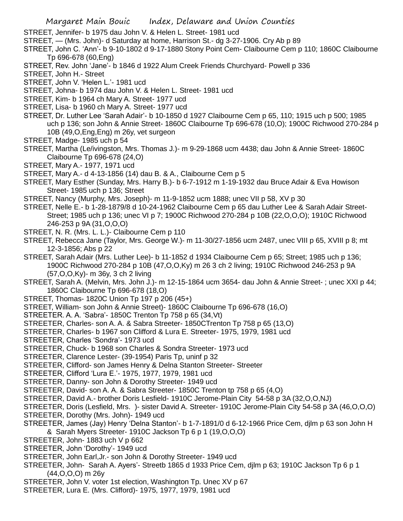STREET, Jennifer- b 1975 dau John V. & Helen L. Street- 1981 ucd

- STREET, (Mrs. John)- d Saturday at home, Harrison St.- dg 3-27-1906. Cry Ab p 89
- STREET, John C. 'Ann'- b 9-10-1802 d 9-17-1880 Stony Point Cem- Claibourne Cem p 110; 1860C Claibourne Tp 696-678 (60,Eng)
- STREET, Rev. John 'Jane'- b 1846 d 1922 Alum Creek Friends Churchyard- Powell p 336
- STREET, John H.- Street
- STREET, John V. 'Helen L.'- 1981 ucd
- STREET, Johna- b 1974 dau John V. & Helen L. Street- 1981 ucd
- STREET, Kim- b 1964 ch Mary A. Street- 1977 ucd
- STREET, Lisa- b 1960 ch Mary A. Street- 1977 ucd
- STREET, Dr. Luther Lee 'Sarah Adair'- b 10-1850 d 1927 Claibourne Cem p 65, 110; 1915 uch p 500; 1985 uch p 136; son John & Annie Street- 1860C Claibourne Tp 696-678 (10,O); 1900C Richwood 270-284 p 10B (49,O,Eng,Eng) m 26y, vet surgeon
- STREET, Madge- 1985 uch p 54
- STREET, Martha (Le/ivingston, Mrs. Thomas J.)- m 9-29-1868 ucm 4438; dau John & Annie Street- 1860C Claibourne Tp 696-678 (24,O)
- STREET, Mary A.- 1977, 1971 ucd
- STREET, Mary A.- d 4-13-1856 (14) dau B. & A., Claibourne Cem p 5
- STREET, Mary Esther (Sunday, Mrs. Harry B.)- b 6-7-1912 m 1-19-1932 dau Bruce Adair & Eva Howison Street- 1985 uch p 136; Street
- STREET, Nancy (Murphy, Mrs. Joseph)- m 11-9-1852 ucm 1888; unec VII p 58, XV p 30
- STREET, Nelle E.- b 1-28-1879/8 d 10-24-1962 Claibourne Cem p 65 dau Luther Lee & Sarah Adair Street-Street; 1985 uch p 136; unec VI p 7; 1900C Richwood 270-284 p 10B (22,O,O,O); 1910C Richwood 246-253 p 9A (31,O,O,O)
- STREET, N. R. (Mrs. L. L.)- Claibourne Cem p 110
- STREET, Rebecca Jane (Taylor, Mrs. George W.)- m 11-30/27-1856 ucm 2487, unec VIII p 65, XVIII p 8; mt 12-3-1856; Abs p 22
- STREET, Sarah Adair (Mrs. Luther Lee)- b 11-1852 d 1934 Claibourne Cem p 65; Street; 1985 uch p 136; 1900C Richwood 270-284 p 10B (47,O,O,Ky) m 26 3 ch 2 living; 1910C Richwood 246-253 p 9A (57,O,O,Ky)- m 36y, 3 ch 2 living
- STREET, Sarah A. (Melvin, Mrs. John J.)- m 12-15-1864 ucm 3654- dau John & Annie Street- ; unec XXI p 44; 1860C Claibourne Tp 696-678 (18,O)
- STREET, Thomas- 1820C Union Tp 197 p 206 (45+)
- STREET, William- son John & Annie Street)- 1860C Claibourne Tp 696-678 (16,O)
- STREETER. A. A. 'Sabra'- 1850C Trenton Tp 758 p 65 (34,Vt)
- STREETER, Charles- son A. A. & Sabra Streeter- 1850CTrenton Tp 758 p 65 (13,O)
- STREETER, Charles- b 1967 son Clifford & Lura E. Streeter- 1975, 1979, 1981 ucd
- STREETER, Charles 'Sondra'- 1973 ucd
- STREETER, Chuck- b 1968 son Charles & Sondra Streeter- 1973 ucd
- STREETER, Clarence Lester- (39-1954) Paris Tp, uninf p 32
- STREETER, Clifford- son James Henry & Delna Stanton Streeter- Streeter
- STREETER, Clifford 'Lura E.'- 1975, 1977, 1979, 1981 ucd
- STREETER, Danny- son John & Dorothy Streeter- 1949 ucd
- STREETER, David- son A. A. & Sabra Streeter- 1850C Trenton tp 758 p 65 (4,O)
- STREETER, David A.- brother Doris Lesfield- 1910C Jerome-Plain City 54-58 p 3A (32,O,O,NJ)
- STREETER, Doris (Lesfield, Mrs. )- sister David A. Streeter- 1910C Jerome-Plain City 54-58 p 3A (46,O,O,O)
- STREETER, Dorothy (Mrs. John)- 1949 ucd
- STREETER, James (Jay) Henry 'Delna Stanton'- b 1-7-1891/0 d 6-12-1966 Price Cem, djlm p 63 son John H & Sarah Myers Streeter- 1910C Jackson Tp 6 p 1 (19,O,O,O)
- STREETER, John- 1883 uch V p 662
- STREETER, John 'Dorothy'- 1949 ucd
- STREETER, John Earl,Jr.- son John & Dorothy Streeter- 1949 ucd
- STREETER, John- Sarah A. Ayers'- Streetb 1865 d 1933 Price Cem, djlm p 63; 1910C Jackson Tp 6 p 1 (44,O,O,O) m 26y
- STREETER, John V. voter 1st election, Washington Tp. Unec XV p 67
- STREETER, Lura E. (Mrs. Clifford)- 1975, 1977, 1979, 1981 ucd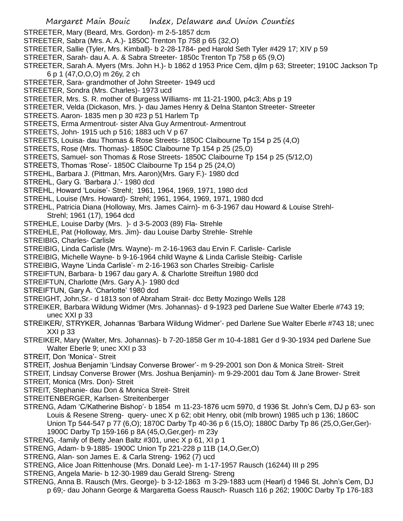- STREETER, Mary (Beard, Mrs. Gordon)- m 2-5-1857 dcm
- STREETER, Sabra (Mrs. A. A.)- 1850C Trenton Tp 758 p 65 (32,O)
- STREETER, Sallie (Tyler, Mrs. Kimball)- b 2-28-1784- ped Harold Seth Tyler #429 17; XIV p 59
- STREETER, Sarah- dau A. A. & Sabra Streeter- 1850c Trenton Tp 758 p 65 (9,O)
- STREETER, Sarah A. Myers (Mrs. John H.)- b 1862 d 1953 Price Cem, djlm p 63; Streeter; 1910C Jackson Tp 6 p 1 (47,O,O,O) m 26y, 2 ch
- STREETER, Sara- grandmother of John Streeter- 1949 ucd
- STREETER, Sondra (Mrs. Charles)- 1973 ucd
- STREETER, Mrs. S. R. mother of Burgess Williams- mt 11-21-1900, p4c3; Abs p 19
- STREETER, Velda (Dickason, Mrs. )- dau James Henry & Delna Stanton Streeter- Streeter
- STREETS. Aaron- 1835 men p 30 #23 p 51 Harlem Tp
- STREETS, Erma Armentrout- sister Alva Guy Armentrout- Armentrout
- STREETS, John- 1915 uch p 516; 1883 uch V p 67
- STREETS, Louisa- dau Thomas & Rose Streets- 1850C Claibourne Tp 154 p 25 (4,O)
- STREETS, Rose (Mrs. Thomas)- 1850C Claibourne Tp 154 p 25 (25,O)
- STREETS, Samuel- son Thomas & Rose Streets- 1850C Claibourne Tp 154 p 25 (5/12,O)
- STREETS, Thomas 'Rose'- 1850C Claibourne Tp 154 p 25 (24,O)
- STREHL, Barbara J. (Pittman, Mrs. Aaron)(Mrs. Gary F.)- 1980 dcd
- STREHL, Gary G. 'Barbara J.'- 1980 dcd
- STREHL, Howard 'Louise'- Strehl; 1961, 1964, 1969, 1971, 1980 dcd
- STREHL, Louise (Mrs. Howard)- Strehl; 1961, 1964, 1969, 1971, 1980 dcd
- STREHL, Patricia Diana (Holloway, Mrs. James Cairn)- m 6-3-1967 dau Howard & Louise Strehl-Strehl; 1961 (17), 1964 dcd
- STREHLE, Louise Darby (Mrs. )- d 3-5-2003 (89) Fla- Strehle
- STREHLE, Pat (Holloway, Mrs. Jim)- dau Louise Darby Strehle- Strehle
- STREIBIG, Charles- Carlisle
- STREIBIG, Linda Carlisle (Mrs. Wayne)- m 2-16-1963 dau Ervin F. Carlisle- Carlisle
- STREIBIG, Michelle Wayne- b 9-16-1964 child Wayne & Linda Carlisle Steibig- Carlisle
- STREIBIG, Wayne 'Linda Carlisle'- m 2-16-1963 son Charles Streibig- Carlisle
- STREIFTUN, Barbara- b 1967 dau gary A. & Charlotte Streiftun 1980 dcd
- STREIFTUN, Charlotte (Mrs. Gary A.)- 1980 dcd
- STREIFTUN, Gary A. 'Charlotte' 1980 dcd
- STREIGHT, John,Sr.- d 1813 son of Abraham Strait- dcc Betty Mozingo Wells 128
- STREIKER, Barbara Wildung Widmer (Mrs. Johannas)- d 9-1923 ped Darlene Sue Walter Eberle #743 19; unec XXI p 33
- STREIKER/, STRYKER, Johannas 'Barbara Wildung Widmer'- ped Darlene Sue Walter Eberle #743 18; unec XXI p 33
- STREIKER, Mary (Walter, Mrs. Johannas)- b 7-20-1858 Ger m 10-4-1881 Ger d 9-30-1934 ped Darlene Sue Walter Eberle 9; unec XXI p 33
- STREIT, Don 'Monica'- Streit
- STREIT, Joshua Benjamin 'Lindsay Converse Brower'- m 9-29-2001 son Don & Monica Streit- Streit
- STREIT, Lindsay Converse Brower (Mrs. Joshua Benjamin)- m 9-29-2001 dau Tom & Jane Brower- Streit
- STREIT, Monica (Mrs. Don)- Streit
- STREIT, Stephanie- dau Don & Monica Streit- Streit
- STREITENBERGER, Karlsen- Streitenberger
- STRENG, Adam 'C/Katherine Bishop'- b 1854 m 11-23-1876 ucm 5970, d 1936 St. John's Cem, DJ p 63- son Louis & Resene Streng- query- unec X p 62; obit Henry, obit (mlb brown) 1985 uch p 136; 1860C Union Tp 544-547 p 77 (6,O); 1870C Darby Tp 40-36 p 6 (15,O); 1880C Darby Tp 86 (25,O,Ger,Ger)- 1900C Darby Tp 159-166 p 8A (45,O,Ger,ger)- m 23y
- STRENG, -family of Betty Jean Baltz #301, unec X p 61, XI p 1
- STRENG, Adam- b 9-1885- 1900C Union Tp 221-228 p 11B (14,O,Ger,O)
- STRENG, Alan- son James E. & Carla Streng- 1962 (7) ucd
- STRENG, Alice Joan Rittenhouse (Mrs. Donald Lee)- m 1-17-1957 Rausch (16244) III p 295
- STRENG, Angela Marie- b 12-30-1989 dau Gerald Streng- Streng
- STRENG, Anna B. Rausch (Mrs. George)- b 3-12-1863 m 3-29-1883 ucm (Hearl) d 1946 St. John's Cem, DJ p 69;- dau Johann George & Margaretta Goess Rausch- Ruasch 116 p 262; 1900C Darby Tp 176-183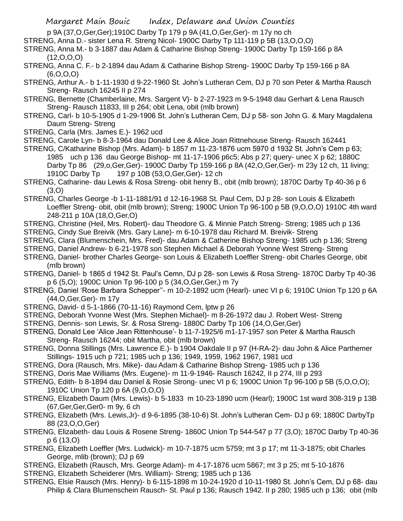## Margaret Main Bouic Index, Delaware and Union Counties

p 9A (37,O,Ger,Ger);1910C Darby Tp 179 p 9A (41,O,Ger,Ger)- m 17y no ch

- STRENG, Anna D.- sister Lena R. Streng Nicol- 1900C Darby Tp 111-119 p 5B (13,O,O,O)
- STRENG, Anna M.- b 3-1887 dau Adam & Catharine Bishop Streng- 1900C Darby Tp 159-166 p 8A  $(12,0,0,0)$
- STRENG, Anna C. F.- b 2-1894 dau Adam & Catharine Bishop Streng- 1900C Darby Tp 159-166 p 8A (6,O,O,O)
- STRENG, Arthur A.- b 1-11-1930 d 9-22-1960 St. John's Lutheran Cem, DJ p 70 son Peter & Martha Rausch Streng- Rausch 16245 II p 274
- STRENG, Bernette (Chamberlaine, Mrs. Sargent V)- b 2-27-1923 m 9-5-1948 dau Gerhart & Lena Rausch Streng- Rausch 11833, III p 264; obit Lena, obit (mlb brown)
- STRENG, Carl- b 10-5-1905 d 1-29-1906 St. John's Lutheran Cem, DJ p 58- son John G. & Mary Magdalena Daum Streng- Streng
- STRENG, Carla (Mrs. James E.)- 1962 ucd

STRENG, Carole Lyn- b 8-3-1964 dau Donald Lee & Alice Joan Rittnehouse Streng- Rausch 162441

- STRENG, C/Katharine Bishop (Mrs. Adam)- b 1857 m 11-23-1876 ucm 5970 d 1932 St. John's Cem p 63; 1985 uch p 136 dau George Bishop- mt 11-17-1906 p6c5; Abs p 27; query- unec X p 62; 1880C Darby Tp 86 (29,o,Ger,Ger)- 1900C Darby Tp 159-166 p 8A (42,O,Ger,Ger)- m 23y 12 ch, 11 living; 1910C Darby Tp 197 p 10B (53,O,Ger,Ger)- 12 ch
- STRENG, Catharine- dau Lewis & Rosa Streng- obit henry B., obit (mlb brown); 1870C Darby Tp 40-36 p 6 (3,O)
- STRENG, Charles George -b 1-11-1881/91 d 12-16-1968 St. Paul Cem, DJ p 28- son Louis & Elizabeth Loeffler Streng- obit, obit (mlb brown); Streng; 1900C Union Tp 96-100 p 5B (9,O,O,O) 1910C 4th ward 248-211 p 10A (18,O,Ger,O)
- STRENG, Christine (Heil, Mrs. Robert)- dau Theodore G. & Minnie Patch Streng- Streng; 1985 uch p 136
- STRENG, Cindy Sue Breivik (Mrs. Gary Lane)- m 6-10-1978 dau Richard M. Breivik- Streng
- STRENG, Clara (Blumenschein, Mrs. Fred)- dau Adam & Catherine Bishop Streng- 1985 uch p 136; Streng
- STRENG, Daniel Andrew- b 6-21-1978 son Stephen Michael & Deborah Yvonne West Streng- Streng
- STRENG, Daniel- brother Charles George- son Louis & Elizabeth Loeffler Streng- obit Charles George, obit (mlb brown)
- STRENG, Daniel- b 1865 d 1942 St. Paul's Cemn, DJ p 28- son Lewis & Rosa Streng- 1870C Darby Tp 40-36 p 6 (5,O); 1900C Union Tp 96-100 p 5 (34,O,Ger,Ger,) m 7y
- STRENG, Daniel 'Rose Barbara Schepper''- m 10-2-1892 ucm (Hearl)- unec VI p 6; 1910C Union Tp 120 p 6A (44,O,Ger,Ger)- m 17y
- STRENG, David- d 5-1-1866 (70-11-16) Raymond Cem, lptw p 26
- STRENG, Deborah Yvonne West (Mrs. Stephen Michael)- m 8-26-1972 dau J. Robert West- Streng
- STRENG, Dennis- son Lewis, Sr. & Rosa Streng- 1880C Darby Tp 106 (14,O,Ger,Ger)
- STRENG, Donald Lee 'Alice Jean Rittenhouse'- b 11-7-1925/6 m1-17-1957 son Peter & Martha Rausch Streng- Rausch 16244; obit Martha, obit (mlb brown)
- STRENG, Donna Stillings (Mrs. Lawrence E.)- b 1904 Oakdale II p 97 (H-RA-2)- dau John & Alice Parthemer Stillings- 1915 uch p 721; 1985 uch p 136; 1949, 1959, 1962 1967, 1981 ucd
- STRENG, Dora (Rausch, Mrs. Mike)- dau Adam & Catharine Bishop Streng- 1985 uch p 136
- STRENG, Doris Mae Williams (Mrs. Eugene)- m 11-9-1946- Rausch 16242, II p 274, III p 293
- STRENG, Edith- b 8-1894 dau Daniel & Rosie Strong- unec VI p 6; 1900C Union Tp 96-100 p 5B (5, O, O, O); 1910C Union Tp 120 p 6A (9,O,O,O)
- STRENG, Elizabeth Daum (Mrs. Lewis)- b 5-1833 m 10-23-1890 ucm (Hearl); 1900C 1st ward 308-319 p 13B (67,Ger,Ger,Ger0- m 9y, 6 ch
- STRENG, Elizabeth (Mrs. Lewis,Jr)- d 9-6-1895 (38-10-6) St. John's Lutheran Cem- DJ p 69; 1880C DarbyTp 88 (23,O,O,Ger)
- STRENG, Elizabeth- dau Louis & Rosene Streng- 1860C Union Tp 544-547 p 77 (3,O); 1870C Darby Tp 40-36 p 6 (13,O)
- STRENG, Elizabeth Loeffler (Mrs. Ludwick)- m 10-7-1875 ucm 5759; mt 3 p 17; mt 11-3-1875; obit Charles George, mlib (brown); DJ p 69
- STRENG, Elizabeth (Rausch, Mrs. George Adam)- m 4-17-1876 ucm 5867; mt 3 p 25; mt 5-10-1876
- STRENG, Elizabeth Scheiderer (Mrs. William)- Streng; 1985 uch p 136
- STRENG, Elsie Rausch (Mrs. Henry)- b 6-115-1898 m 10-24-1920 d 10-11-1980 St. John's Cem, DJ p 68- dau Philip & Clara Blumenschein Rausch- St. Paul p 136; Rausch 1942. II p 280; 1985 uch p 136; obit (mlb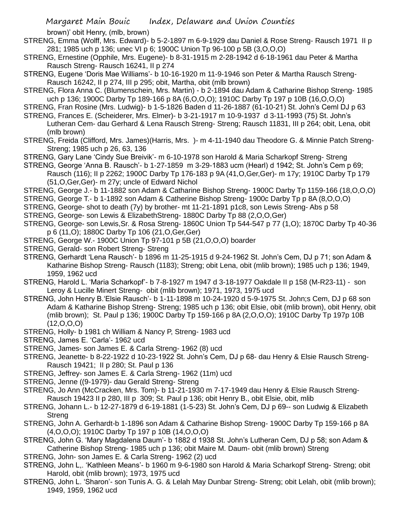brown)' obit Henry, (mlb, brown)

- STRENG, Emma (Wolff, Mrs. Edward)- b 5-2-1897 m 6-9-1929 dau Daniel & Rose Streng- Rausch 1971 II p 281; 1985 uch p 136; unec VI p 6; 1900C Union Tp 96-100 p 5B (3,O,O,O)
- STRENG, Ernestine (Opphile, Mrs. Eugene)- b 8-31-1915 m 2-28-1942 d 6-18-1961 dau Peter & Martha Rausch Streng- Rausch 16241, II p 274
- STRENG, Eugene 'Doris Mae Williams'- b 10-16-1920 m 11-9-1946 son Peter & Martha Rausch Streng-Rausch 16242, II p 274, III p 295; obit, Martha, obit (mlb brown)
- STRENG, Flora Anna C. (Blumenschein, Mrs. Martin) b 2-1894 dau Adam & Catharine Bishop Streng- 1985 uch p 136; 1900C Darby Tp 189-166 p 8A (6,O,O,O); 1910C Darby Tp 197 p 10B (16,O,O,O)
- STRENG, Fran Rosine (Mrs. Ludwig)- b 1-5-1826 Baden d 11-26-1887 (61-10-21) St. John's Ceml DJ p 63
- STRENG, Frances E. (Scheiderer, Mrs. Elmer)- b 3-21-1917 m 10-9-1937 d 3-11-1993 (75) St. John's Lutheran Cem- dau Gerhard & Lena Rausch Streng- Streng; Rausch 11831, III p 264; obit, Lena, obit (mlb brown)
- STRENG, Freida (Clifford, Mrs. James)(Harris, Mrs. )- m 4-11-1940 dau Theodore G. & Minnie Patch Streng-Streng; 1985 uch p 26, 63, 136
- STRENG, Gary Lane 'Cindy Sue Breivik'- m 6-10-1978 son Harold & Maria Scharkopf Streng- Streng
- STRENG, George 'Anna B. Rausch'- b 1-27-1859 m 3-29-1883 ucm (Hearl) d 1942; St. John's Cem p 69; Rausch (116); II p 2262; 1900C Darby Tp 176-183 p 9A (41,O,Ger,Ger)- m 17y; 1910C Darby Tp 179 (51,O,Ger,Ger)- m 27y; uncle of Edward Nichol
- STRENG, George J.- b 11-1882 son Adam & Catharine Bishop Streng- 1900C Darby Tp 1159-166 (18,O,O,O)
- STRENG, George T.- b 1-1892 son Adam & Catherine Bishop Streng- 1900c Darby Tp p 8A (8,O,O,O)
- STRENG, George- shot to death (7y) by brother- mt 11-21-1891 p1c8, son Lewis Streng- Abs p 58
- STRENG, George- son Lewis & ElizabethStreng- 1880C Darby Tp 88 (2,O,O,Ger)
- STRENG, George- son Lewis,Sr. & Rosa Streng- 1860C Union Tp 544-547 p 77 (1,O); 1870C Darby Tp 40-36 p 6 (11,O); 1880C Darby Tp 106 (21,O,Ger,Ger)
- STRENG, George W.- 1900C Union Tp 97-101 p 5B (21,O,O,O) boarder
- STRENG, Gerald- son Robert Streng- Streng
- STRENG, Gerhardt 'Lena Rausch'- b 1896 m 11-25-1915 d 9-24-1962 St. John's Cem, DJ p 71; son Adam & Katharine Bishop Streng- Rausch (1183); Streng; obit Lena, obit (mlib brown); 1985 uch p 136; 1949, 1959, 1962 ucd
- STRENG, Harold L. 'Maria Scharkopf'- b 7-8-1927 m 1947 d 3-18-1977 Oakdale II p 158 (M-R23-11) son Leroy & Lucille Minert Streng- obit (mlib brown); 1971, 1973, 1975 ucd
- STRENG, John Henry B.'Elsie Rausch'- b 1-11-1898 m 10-24-1920 d 5-9-1975 St. John;s Cem, DJ p 68 son Adam & Katharine Bishop Streng- Streng; 1985 uch p 136; obit Elsie, obit (mlib brown), obit Henry, obit (mlib brown); St. Paul p 136; 1900C Darby Tp 159-166 p 8A (2,O,O,O); 1910C Darby Tp 197p 10B  $(12,0,0,0)$
- STRENG, Holly- b 1981 ch William & Nancy P, Streng- 1983 ucd
- STRENG, James E. 'Carla'- 1962 ucd
- STRENG, James- son James E. & Carla Streng- 1962 (8) ucd
- STRENG, Jeanette- b 8-22-1922 d 10-23-1922 St. John's Cem, DJ p 68- dau Henry & Elsie Rausch Streng-Rausch 19421; II p 280; St. Paul p 136
- STRENG, Jeffrey- son James E. & Carla Streng- 1962 (11m) ucd
- STRENG, Jenne ((9-1979)- dau Gerald Streng- Streng
- STRENG, Jo Ann (McCracken, Mrs. Tom)- b 11-21-1930 m 7-17-1949 dau Henry & Elsie Rausch Streng-Rausch 19423 II p 280, III p 309; St. Paul p 136; obit Henry B., obit Elsie, obit, mlib
- STRENG, Johann L.- b 12-27-1879 d 6-19-1881 (1-5-23) St. John's Cem, DJ p 69-- son Ludwig & Elizabeth Streng
- STRENG, John A. Gerhardt-b 1-1896 son Adam & Catharine Bishop Streng- 1900C Darby Tp 159-166 p 8A (4,O,O,O); 1910C Darby Tp 197 p 10B (14,O,O,O)
- STRENG, John G. 'Mary Magdalena Daum'- b 1882 d 1938 St. John's Lutheran Cem, DJ p 58; son Adam & Catherine Bishop Streng- 1985 uch p 136; obit Maire M. Daum- obit (mlib brown) Streng
- STRENG, John- son James E. & Carla Streng- 1962 (2) ucd
- STRENG, John L,. 'Kathleen Means'- b 1960 m 9-6-1980 son Harold & Maria Scharkopf Streng- Streng; obit Harold, obit (mlib brown); 1973, 1975 ucd
- STRENG, John L. 'Sharon'- son Tunis A. G. & Lelah May Dunbar Streng- Streng; obit Lelah, obit (mlib brown); 1949, 1959, 1962 ucd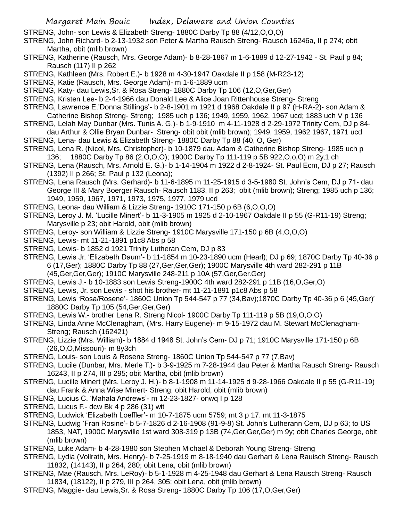- STRENG, John- son Lewis & Elizabeth Streng- 1880C Darby Tp 88 (4/12,O,O,O)
- STRENG, John Richard- b 2-13-1932 son Peter & Martha Rausch Streng- Rausch 16246a, II p 274; obit Martha, obit (mlib brown)
- STRENG, Katherine (Rausch, Mrs. George Adam)- b 8-28-1867 m 1-6-1889 d 12-27-1942 St. Paul p 84; Rausch (117) II p 262
- STRENG, Kathleen (Mrs. Robert E.)- b 1928 m 4-30-1947 Oakdale II p 158 (M-R23-12)
- STRENG, Katie (Rausch, Mrs. George Adam)- m 1-6-1889 ucm
- STRENG, Katy- dau Lewis,Sr. & Rosa Streng- 1880C Darby Tp 106 (12,O,Ger,Ger)
- STRENG, Kristen Lee- b 2-4-1966 dau Donald Lee & Alice Joan Rittenhouse Streng- Streng
- STRENG, Lawrence E.'Donna Stillings'- b 2-8-1901 m 1921 d 1968 Oakdale II p 97 (H-RA-2)- son Adam & Catherine Bishop Streng- Streng; 1985 uch p 136; 1949, 1959, 1962, 1967 ucd; 1883 uch V p 136
- STRENG, Lelah May Dunbar (Mrs. Tunis A. G.)- b 1-9-1910 m 4-11-1928 d 2-29-1972 Trinity Cem, DJ p 84 dau Arthur & Ollie Bryan Dunbar- Streng- obit obit (mlib brown); 1949, 1959, 1962 1967, 1971 ucd
- STRENG, Lena- dau Lewis & Elizabeth Streng- 1880C Darby Tp 88 (40, O, Ger)
- STRENG, Lena R. (Nicol, Mrs. Christopher)- b 10-1879 dau Adam & Catherine Bishop Streng- 1985 uch p 136; 1880C Darby Tp 86 (2,O,O,O); 1900C Darby Tp 111-119 p 5B 922,O,o,O) m 2y,1 ch
- STRENG, Lena (Rausch, Mrs. Arnold E. G.)- b 1-14-1904 m 1922 d 2-8-1924- St. Paul Ecm, DJ p 27; Rausch (1392) II p 266; St. Paul p 132 (Leona);
- STRENG, Lena Rausch (Mrs. Gerhard)- b 11-6-1895 m 11-25-1915 d 3-5-1980 St. John's Cem, DJ p 71- dau George III & Mary Boerger Rausch- Rausch 1183, II p 263; obit (mlib brown); Streng; 1985 uch p 136; 1949, 1959, 1967, 1971, 1973, 1975, 1977, 1979 ucd
- STRENG, Leona- dau William & Lizzie Streng- 1910C 171-150 p 6B (6,O,O,O)
- STRENG, Leroy J. M. 'Lucille Minert'- b 11-3-1905 m 1925 d 2-10-1967 Oakdale II p 55 (G-R11-19) Streng; Marysville p 23; obit Harold, obit (mlib brown)
- STRENG, Leroy- son William & Lizzie Streng- 1910C Marysville 171-150 p 6B (4,O,O,O)
- STRENG, Lewis- mt 11-21-1891 p1c8 Abs p 58
- STRENG, Lewis- b 1852 d 1921 Trinity Lutheran Cem, DJ p 83
- STRENG, Lewis Jr. 'Elizabeth Daum'- b 11-1854 m 10-23-1890 ucm (Hearl); DJ p 69; 1870C Darby Tp 40-36 p 6 (17,Ger); 1880C Darby Tp 88 (27,Ger,Ger,Ger); 1900C Marysville 4th ward 282-291 p 11B
	- (45,Ger,Ger,Ger); 1910C Marysville 248-211 p 10A (57,Ger,Ger.Ger)
- STRENG, Lewis J.- b 10-1883 son Lewis Streng-1900C 4th ward 282-291 p 11B (16,O,Ger,O)
- STRENG, Lewis, Jr. son Lewis shot his brother- mt 11-21-1891 p1c8 Abs p 58
- STRENG, Lewis 'Rosa/Rosene'- 1860C Union Tp 544-547 p 77 (34,Bav);1870C Darby Tp 40-36 p 6 (45,Ger)' 1880C Darby Tp 105 (54,Ger,Ger,Ger)
- STRENG, Lewis W.- brother Lena R. Streng Nicol- 1900C Darby Tp 111-119 p 5B (19,O,O,O)
- STRENG, Linda Anne McClenagham, (Mrs. Harry Eugene)- m 9-15-1972 dau M. Stewart McClenagham-Streng; Rausch (162421)
- STRENG, Lizzie (Mrs. William)- b 1884 d 1948 St. John's Cem- DJ p 71; 1910C Marysville 171-150 p 6B (26,O,O,Missouri)- m 8y3ch
- STRENG, Louis- son Louis & Rosene Streng- 1860C Union Tp 544-547 p 77 (7,Bav)
- STRENG, Lucile (Dunbar, Mrs. Merle T.)- b 3-9-1925 m 7-28-1944 dau Peter & Martha Rausch Streng- Rausch 16243, II p 274, III p 295; obit Martha, obit (mlib brown)
- STRENG, Lucille Minert (Mrs. Leroy J. H.)- b 8-1-1908 m 11-14-1925 d 9-28-1966 Oakdale II p 55 (G-R11-19) dau Frank & Anna Wise Minert- Streng; obit Harold, obit (mlib brown)
- STRENG, Lucius C. 'Mahala Andrews'- m 12-23-1827- onwq I p 128
- STRENG, Lucus F.- dcw Bk 4 p 286 (31) wit
- STRENG, Ludwick 'Elizabeth Loeffler'- m 10-7-1875 ucm 5759; mt 3 p 17. mt 11-3-1875
- STRENG, Ludwig 'Fran Rosine'- b 5-7-1826 d 2-16-1908 (91-9-8) St. John's Lutherann Cem, DJ p 63; to US 1853, NAT, 1900C Marysville 1st ward 308-319 p 13B (74,Ger,Ger,Ger) m 9y; obit Charles George, obit (mlib brown)
- STRENG, Luke Adam- b 4-28-1980 son Stephen Michael & Deborah Young Streng- Streng
- STRENG, Lydia (Vollrath, Mrs. Henry)- b 7-25-1919 m 8-18-1940 dau Gerhart & Lena Rauisch Streng- Rausch 11832, (14143), II p 264, 280; obit Lena, obit (mlib brown)
- STRENG, Mae (Rausch, Mrs. LeRoy)- b 5-1-1928 m 4-25-1948 dau Gerhart & Lena Rausch Streng- Rausch 11834, (18122), II p 279, III p 264, 305; obit Lena, obit (mlib brown)
- STRENG, Maggie- dau Lewis,Sr. & Rosa Streng- 1880C Darby Tp 106 (17,O,Ger,Ger)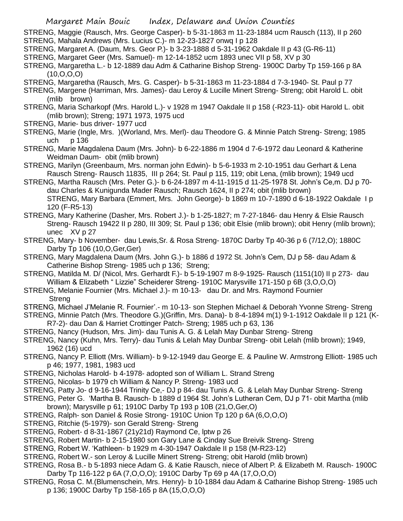- STRENG, Maggie (Rausch, Mrs. George Casper)- b 5-31-1863 m 11-23-1884 ucm Rausch (113), II p 260
- STRENG, Mahala Andrews (Mrs. Lucius C.)- m 12-23-1827 onwq I p 128
- STRENG, Margaret A. (Daum, Mrs. Geor P.)- b 3-23-1888 d 5-31-1962 Oakdale II p 43 (G-R6-11)
- STRENG, Margaret Geer (Mrs. Samuel)- m 12-14-1852 ucm 1893 unec VII p 58, XV p 30
- STRENG, Margaretha L.- b 12-1889 dau Adm & Catharine Bishop Streng- 1900C Darby Tp 159-166 p 8A (10,O,O,O)
- STRENG, Margaretha (Rausch, Mrs. G. Casper)- b 5-31-1863 m 11-23-1884 d 7-3-1940- St. Paul p 77
- STRENG, Margene (Harriman, Mrs. James)- dau Leroy & Lucille Minert Streng- Streng; obit Harold L. obit (mlib brown)
- STRENG, Maria Scharkopf (Mrs. Harold L.)- v 1928 m 1947 Oakdale II p 158 (-R23-11)- obit Harold L. obit (mlib brown); Streng; 1971 1973, 1975 ucd
- STRENG, Marie- bus driver- 1977 ucd
- STRENG, Marie (Ingle, Mrs. )(Worland, Mrs. Merl)- dau Theodore G. & Minnie Patch Streng- Streng; 1985 uch p 136
- STRENG, Marie Magdalena Daum (Mrs. John)- b 6-22-1886 m 1904 d 7-6-1972 dau Leonard & Katherine Weidman Daum- obit (mlib brown)
- STRENG, Marilyn (Greenbaum, Mrs. norman john Edwin)- b 5-6-1933 m 2-10-1951 dau Gerhart & Lena Rausch Streng- Rausch 11835, III p 264; St. Paul p 115, 119; obit Lena, (mlib brown); 1949 ucd
- STRENG, Martha Rausch (Mrs. Peter G.)- b 6-24-1897 m 4-11-1915 d 11-25-1978 St. John's Ce,m. DJ p 70 dau Charles & Kunigunda Mader Rausch; Rausch 1624, II p 274; obit (mlib brown) STRENG, Mary Barbara (Emmert, Mrs. John George)- b 1869 m 10-7-1890 d 6-18-1922 Oakdale I p 120 (F-R5-13)
- STRENG, Mary Katherine (Dasher, Mrs. Robert J.)- b 1-25-1827; m 7-27-1846- dau Henry & Elsie Rausch Streng- Rausch 19422 II p 280, III 309; St. Paul p 136; obit Elsie (mlib brown); obit Henry (mlib brown); unec XV p 27
- STRENG, Mary- b November- dau Lewis,Sr. & Rosa Streng- 1870C Darby Tp 40-36 p 6 (7/12,O); 1880C Darby Tp 106 (10,O,Ger,Ger)
- STRENG, Mary Magdalena Daum (Mrs. John G.)- b 1886 d 1972 St. John's Cem, DJ p 58- dau Adam & Catherine Bishop Streng- 1985 uch p 136; Streng;
- STRENG, Matilda M. D/ (Nicol, Mrs. Gerhardt F.)- b 5-19-1907 m 8-9-1925- Rausch (1151(10) II p 273- dau William & Elizabeth " Lizzie" Scheiderer Streng- 1910C Marysville 171-150 p 6B (3,O,O,O)
- STRENG, Melanie Fournier (Mrs. Michael J.)- m 10-13- dau Dr. and Mrs. Raymond Fournier Streng
- STRENG, Michael J'Melanie R. Fournier'.- m 10-13- son Stephen Michael & Deborah Yvonne Streng- Streng
- STRENG, Minnie Patch (Mrs. Theodore G.)(Griffin, Mrs. Dana)- b 8-4-1894 m(1) 9-1-1912 Oakdale II p 121 (K-R7-2)- dau Dan & Harriet Crottinger Patch- Streng; 1985 uch p 63, 136
- STRENG, Nancy (Hudson, Mrs. Jim)- dau Tunis A. G. & Lelah May Dunbar Streng- Streng
- STRENG, Nancy (Kuhn, Mrs. Terry)- dau Tunis & Lelah May Dunbar Streng- obit Lelah (mlib brown); 1949, 1962 (16) ucd
- STRENG, Nancy P. Elliott (Mrs. William)- b 9-12-1949 dau George E. & Pauline W. Armstrong Elliott- 1985 uch p 46; 1977, 1981, 1983 ucd
- STRENG, Nicholas Harold- b 4-1978- adopted son of William L. Strand Streng
- STRENG, Nicolas- b 1979 ch William & Nancy P. Streng- 1983 ucd
- STRENG, Patty Jo- d 9-16-1944 Trinity Ce,- DJ p 84- dau Tunis A. G. & Lelah May Dunbar Streng- Streng
- STRENG, Peter G. 'Martha B. Rausch- b 1889 d 1964 St. John's Lutheran Cem, DJ p 71- obit Martha (mlib brown); Marysville p 61; 1910C Darby Tp 193 p 10B (21,O,Ger,O)
- STRENG, Ralph- son Daniel & Rosie Strong- 1910C Union Tp 120 p 6A (6,O,O,O)
- STRENG, Ritchie (5-1979)- son Gerald Streng- Streng
- STRENG, Robert- d 8-31-1867 (21y21d) Raymond Ce, lptw p 26
- STRENG, Robert Martin- b 2-15-1980 son Gary Lane & Cinday Sue Breivik Streng- Streng
- STRENG, Robert W. 'Kathleen- b 1929 m 4-30-1947 Oakdale II p 158 (M-R23-12)
- STRENG, Robert W.- son Leroy & Lucille Minert Streng- Streng; obit Harold (mlib brown)
- STRENG, Rosa B.- b 5-1893 niece Adam G. & Katie Rausch, niece of Albert P. & Elizabeth M. Rausch- 1900C Darby Tp 116-122 p 6A (7,O,O,O); 1910C Darby Tp 69 p 4A (17,O,O,O)
- STRENG, Rosa C. M.(Blumenschein, Mrs. Henry)- b 10-1884 dau Adam & Catharine Bishop Streng- 1985 uch p 136; 1900C Darby Tp 158-165 p 8A (15,O,O,O)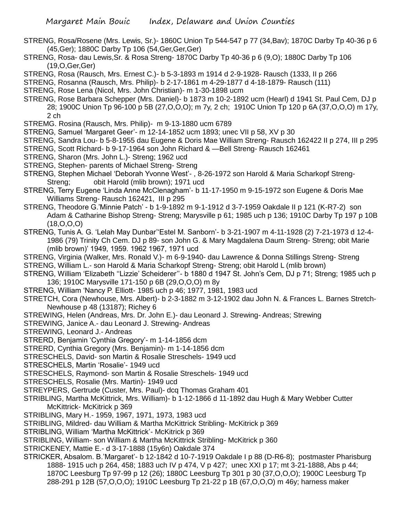- STRENG, Rosa/Rosene (Mrs. Lewis, Sr.)- 1860C Union Tp 544-547 p 77 (34,Bav); 1870C Darby Tp 40-36 p 6 (45,Ger); 1880C Darby Tp 106 (54,Ger,Ger,Ger)
- STRENG, Rosa- dau Lewis,Sr. & Rosa Streng- 1870C Darby Tp 40-36 p 6 (9,O); 1880C Darby Tp 106 (19,O,Ger,Ger)
- STRENG, Rosa (Rausch, Mrs. Ernest C.)- b 5-3-1893 m 1914 d 2-9-1928- Rausch (1333, II p 266
- STRENG, Rosanna (Rausch, Mrs. Philip)- b 2-17-1861 m 4-29-1877 d 4-18-1879- Rausch (111)
- STRENG, Rose Lena (Nicol, Mrs. John Christian)- m 1-30-1898 ucm
- STRENG, Rose Barbara Schepper (Mrs. Daniel)- b 1873 m 10-2-1892 ucm (Hearl) d 1941 St. Paul Cem, DJ p 28; 1900C Union Tp 96-100 p 5B (27,O,O,O); m 7y, 2 ch; 1910C Union Tp 120 p 6A (37,O,O,O) m 17y, 2 ch
- STREMG. Rosina (Rausch, Mrs. Philip)- m 9-13-1880 ucm 6789
- STRENG, Samuel 'Margaret Geer'- m 12-14-1852 ucm 1893; unec VII p 58, XV p 30
- STRENG, Sandra Lou- b 5-8-1955 dau Eugene & Doris Mae William Streng- Rausch 162422 II p 274, III p 295
- STRENG, Scott Richard- b 9-17-1964 son John Richard & —Bell Streng- Rausch 162461
- STRENG, Sharon (Mrs. John L.)- Streng; 1962 ucd
- STRENG, Stephen- parents of Michael Streng- Streng
- STRENG, Stephen Michael 'Deborah Yvonne West'- , 8-26-1972 son Harold & Maria Scharkopf Streng-Streng; obit Harold (mlib brown); 1971 ucd
- STRENG, Terry Eugene 'Linda Anne McClenagham'- b 11-17-1950 m 9-15-1972 son Eugene & Doris Mae Williams Streng- Rausch 162421, III p 295
- STRENG, Theodore G.'Minnie Patch' b 1-9-1892 m 9-1-1912 d 3-7-1959 Oakdale II p 121 (K-R7-2) son Adam & Catharine Bishop Streng- Streng; Marysville p 61; 1985 uch p 136; 1910C Darby Tp 197 p 10B (18,O,O,O)
- STRENG, Tunis A. G. 'Lelah May Dunbar''Estel M. Sanborn'- b 3-21-1907 m 4-11-1928 (2) 7-21-1973 d 12-4- 1986 (79) Trinity Ch Cem. DJ p 89- son John G. & Mary Magdalena Daum Streng- Streng; obit Marie (mlib brown)' 1949, 1959. 1962 1967, 1971 ucd
- STRENG, Virginia (Walker, Mrs. Ronald V.)- m 6-9-1940- dau Lawrence & Donna Stillings Streng- Streng STRENG, William L.- son Harold & Maria Scharkopf Streng- Streng; obit Harold L (mlib brown)
- STRENG, William 'Elizabeth ''Lizzie' Scheiderer''- b 1880 d 1947 St. John's Cem, DJ p 71; Streng; 1985 uch p 136; 1910C Marysville 171-150 p 6B (29,O,O,O) m 8y
- STRENG, William 'Nancy P. Elliott- 1985 uch p 46; 1977, 1981, 1983 ucd
- STRETCH, Cora (Newhouse, Mrs. Albert)- b 2-3-1882 m 3-12-1902 dau John N. & Frances L. Barnes Stretch-Newhouse p 48 (13187); Richey 6
- STREWING, Helen (Andreas, Mrs. Dr. John E.)- dau Leonard J. Strewing- Andreas; Strewing
- STREWING, Janice A.- dau Leonard J. Strewing- Andreas
- STREWING, Leonard J.- Andreas
- STRERD, Benjamin 'Cynthia Gregory'- m 1-14-1856 dcm
- STRERD, Cynthia Gregory (Mrs. Benjamin)- m 1-14-1856 dcm
- STRESCHELS, David- son Martin & Rosalie Streschels- 1949 ucd
- STRESCHELS, Martin 'Rosalie'- 1949 ucd
- STRESCHELS, Raymond- son Martin & Rosalie Streschels- 1949 ucd
- STRESCHELS, Rosalie (Mrs. Martin)- 1949 ucd
- STREYPERS, Gertrude (Custer, Mrs. Paul)- dcq Thomas Graham 401
- STRIBLING, Martha McKittrick, Mrs. William)- b 1-12-1866 d 11-1892 dau Hugh & Mary Webber Cutter McKittrick- McKitrick p 369
- STRIBLING, Mary H.- 1959, 1967, 1971, 1973, 1983 ucd
- STRIBLING, Mildred- dau William & Martha McKittrick Stribling- McKitrick p 369
- STRIBLING, William 'Martha McKittrick'- McKitrick p 369
- STRIBLING, William- son William & Martha McKittrick Stribling- McKitrick p 360
- STRICKENEY, Mattie E.- d 3-17-1888 (15y6n) Oakdale 374
- STRICKER, Absalom. B.'Margaret'- b 12-1842 d 10-7-1919 Oakdale I p 88 (D-R6-8); postmaster Pharisburg 1888- 1915 uch p 264, 458; 1883 uch IV p 474, V p 427; unec XXI p 17; mt 3-21-1888, Abs p 44; 1870C Leesburg Tp 97-99 p 12 (26); 1880C Leesburg Tp 301 p 30 (37,O,O,O); 1900C Leesburg Tp 288-291 p 12B (57,O,O,O); 1910C Leesburg Tp 21-22 p 1B (67,O,O,O) m 46y; harness maker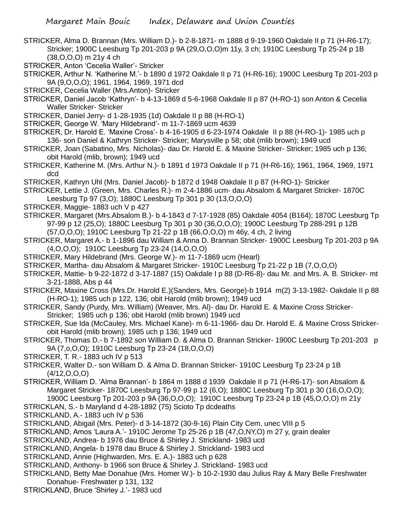- STRICKER, Alma D. Brannan (Mrs. William D.)- b 2-8-1871- m 1888 d 9-19-1960 Oakdale II p 71 (H-R6-17); Stricker; 1900C Leesburg Tp 201-203 p 9A (29,O,O,O)m 11y, 3 ch; 1910C Leesburg Tp 25-24 p 1B (38,O,O,O) m 21y 4 ch
- STRICKER, Anton 'Cecelia Waller'- Stricker
- STRICKER, Arthur N. 'Katherine M.'- b 1890 d 1972 Oakdale II p 71 (H-R6-16); 1900C Leesburg Tp 201-203 p 9A (9,O,O,O); 1961, 1964, 1969, 1971 dcd
- STRICKER, Cecelia Waller (Mrs.Anton)- Stricker
- STRICKER, Daniel Jacob 'Kathryn'- b 4-13-1869 d 5-6-1968 Oakdale II p 87 (H-RO-1) son Anton & Cecelia Waller Stricker- Stricker
- STRICKER, Daniel Jerry- d 1-28-1935 (1d) Oakdale II p 88 (H-RO-1)
- STRICKER, George W. 'Mary Hildebrand'- m 11-7-1869 ucm 4639
- STRICKER, Dr. Harold E. 'Maxine Cross'- b 4-16-1905 d 6-23-1974 Oakdale II p 88 (H-RO-1)- 1985 uch p 136- son Daniel & Kathryn Stricker- Stricker; Marysville p 58; obit (mlib brown); 1949 ucd
- STRICKER, Joan (Sabatino, Mrs. Nicholas)- dau Dr. Harold E. & Maxine Stricker- Stricker; 1985 uch p 136; obit Harold (mlib, brown); 1949 ucd
- STRICKER, Katherine M. (Mrs. Arthur N.)- b 1891 d 1973 Oakdale II p 71 (H-R6-16); 1961, 1964, 1969, 1971 dcd
- STRICKER, Kathryn Uhl (Mrs. Daniel Jacob)- b 1872 d 1948 Oakdale II p 87 (H-RO-1)- Stricker
- STRICKER, Lettie J. (Green, Mrs. Charles R.)- m 2-4-1886 ucm- dau Absalom & Margaret Stricker- 1870C Leesburg Tp 97 (3,O); 1880C Leesburg Tp 301 p 30 (13,O,O,O)
- STRICKER, Maggie- 1883 uch V p 427
- STRICKER, Margaret (Mrs.Absalom B.)- b 4-1843 d 7-17-1928 (85) Oakdale 4054 (B164); 1870C Leesburg Tp 97-99 p 12 (25,O); 1880C Leesburg Tp 301 p 30 (36,O,O,O); 1900C Leesburg Tp 288-291 p 12B (57,O,O,O); 1910C Leesburg Tp 21-22 p 1B (66,O,O,O) m 46y, 4 ch, 2 living
- STRICKER, Margaret A.- b 1-1896 dau William & Anna D. Brannan Stricker- 1900C Leesburg Tp 201-203 p 9A (4,O,O,O); 1910C Leesburg Tp 23-24 (14,O,O,O)
- STRICKER, Mary Hildebrand (Mrs. George W.)- m 11-7-1869 ucm (Hearl)
- STRICKER, Martha- dau Absalom & Margaret Stricker- 1910C Leesburg Tp 21-22 p 1B (7,O,O,O)
- STRICKER, Mattie- b 9-22-1872 d 3-17-1887 (15) Oakdale I p 88 (D-R6-8)- dau Mr. and Mrs. A. B. Stricker- mt 3-21-1888, Abs p 44
- STRICKER, Maxine Cross (Mrs.Dr. Harold E.)(Sanders, Mrs. George)-b 1914 m(2) 3-13-1982- Oakdale II p 88 (H-RO-1); 1985 uch p 122, 136; obit Harold (mlib brown); 1949 ucd
- STRICKER, Sandy (Purdy, Mrs. William) (Weaver, Mrs. Al)- dau Dr. Harold E. & Maxine Cross Stricker-Stricker; 1985 uch p 136; obit Harold (mlib brown) 1949 ucd
- STRICKER, Sue Ida (McCauley, Mrs. Michael Kane)- m 6-11-1966- dau Dr. Harold E. & Maxine Cross Strickerobit Harold (mlib brown); 1985 uch p 136; 1949 ucd
- STRICKER, Thomas D.- b 7-1892 son William D. & Alma D. Brannan Stricker- 1900C Leesburg Tp 201-203 p 9A (7,o,O,O); 1910C Leesburg Tp 23-24 (18,O,O,O)
- STRICKER, T. R.- 1883 uch IV p 513
- STRICKER, Walter D.- son William D. & Alma D. Brannan Stricker- 1910C Leesburg Tp 23-24 p 1B  $(4/12,0,0,0)$
- STRICKER, William D. 'Alma Brannan'- b 1864 m 1888 d 1939 Oakdale II p 71 (H-R6-17)- son Absalom & Margaret Stricker- 1870C Leesburg Tp 97-99 p 12 (6,O); 1880C Leesburg Tp 301 p 30 (16,O,O,O); 1900C Leesburg Tp 201-203 p 9A (36,O,O,O); 1910C Leesburg Tp 23-24 p 1B (45,O,O,O) m 21y
- STRICKLAN, S.- b Maryland d 4-28-1892 (75) Scioto Tp dcdeaths
- STRICKLAND, A.- 1883 uch IV p 536
- STRICKLAND, Abigail (Mrs. Peter)- d 3-14-1872 (30-9-16) Plain City Cem, unec VIII p 5
- STRICKLAND, Amos 'Laura A.'- 1910C Jerome Tp 25-26 p 1B (47,O,NY,O) m 27 y, grain dealer
- STRICKLAND, Andrea- b 1976 dau Bruce & Shirley J. Strickland- 1983 ucd
- STRICKLAND, Angela- b 1978 dau Bruce & Shirley J. Strickland- 1983 ucd
- STRICKLAND, Annie (Highwarden, Mrs. E. A.)- 1883 uch p 628
- STRICKLAND, Anthony- b 1966 son Bruce & Shirley J. Strickland- 1983 ucd
- STRICKLAND, Betty Mae Donahue (Mrs. Homer W.)- b 10-2-1930 dau Julius Ray & Mary Belle Freshwater Donahue- Freshwater p 131, 132
- STRICKLAND, Bruce 'Shirley J.'- 1983 ucd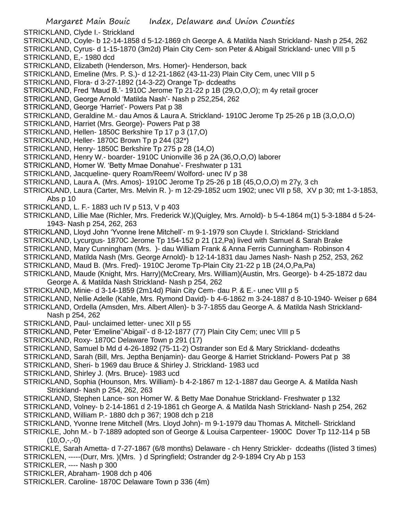STRICKLAND, Clyde I.- Strickland

- STRICKLAND, Coyle- b 12-14-1858 d 5-12-1869 ch George A. & Matilda Nash Strickland- Nash p 254, 262
- STRICKLAND, Cyrus- d 1-15-1870 (3m2d) Plain City Cem- son Peter & Abigail Strickland- unec VIII p 5 STRICKLAND, E,- 1980 dcd
- STRICKLAND, Elizabeth (Henderson, Mrs. Homer)- Henderson, back
- STRICKLAND, Emeline (Mrs. P. S.)- d 12-21-1862 (43-11-23) Plain City Cem, unec VIII p 5
- STRICKLAND, Flora- d 3-27-1892 (14-3-22) Orange Tp- dcdeaths
- STRICKLAND, Fred 'Maud B.'- 1910C Jerome Tp 21-22 p 1B (29,O,O,O); m 4y retail grocer
- STRICKLAND, George Arnold 'Matilda Nash'- Nash p 252,254, 262
- STRICKLAND, George 'Harriet'- Powers Pat p 38

STRICKLAND, Geraldine M.- dau Amos & Laura A. Strickland- 1910C Jerome Tp 25-26 p 1B (3,O,O,O)

- STRICKLAND, Harriet (Mrs. George)- Powers Pat p 38
- STRICKLAND, Hellen- 1850C Berkshire Tp 17 p 3 (17,O)
- STRICKLAND, Heller- 1870C Brown Tp p 244 (32\*)
- STRICKLAND, Henry- 1850C Berkshire Tp 275 p 28 (14,O)
- STRICKLAND, Henry W.- boarder- 1910C Unionville 36 p 2A (36,O,O,O) laborer
- STRICKLAND, Homer W. 'Betty Mmae Donahue'- Freshwater p 131
- STRICKLAND, Jacqueline- query Roam/Reem/ Wolford- unec IV p 38
- STRICKLAND, Laura A. (Mrs. Amos)- 1910C Jerome Tp 25-26 p 1B (45,O,O,O) m 27y, 3 ch
- STRICKLAND, Laura (Carter, Mrs. Melvin R. )- m 12-29-1852 ucm 1902; unec VII p 58, XV p 30; mt 1-3-1853, Abs p 10
- STRICKLAND, L. F.- 1883 uch IV p 513, V p 403
- STRICKLAND, Lillie Mae (Richler, Mrs. Frederick W.)(Quigley, Mrs. Arnold)- b 5-4-1864 m(1) 5-3-1884 d 5-24- 1943- Nash p 254, 262, 263
- STRICKLAND, Lloyd John 'Yvonne Irene Mitchell'- m 9-1-1979 son Cluyde I. Strickland- Strickland
- STRICKLAND, Lycurgus- 1870C Jerome Tp 154-152 p 21 (12,Pa) lived with Samuel & Sarah Brake
- STRICKLAND, Mary Cunningham (Mrs. )- dau William Frank & Anna Ferris Cunningham- Robinson 4
- STRICKLAND, Matilda Nash (Mrs. George Arnold)- b 12-14-1831 dau James Nash- Nash p 252, 253, 262
- STRICKLAND, Maud B. (Mrs. Fred)- 1910C Jerome Tp-Plain City 21-22 p 1B (24,O,Pa,Pa)
- STRICKLAND, Maude (Knight, Mrs. Harry)(McCreary, Mrs. William)(Austin, Mrs. George)- b 4-25-1872 dau George A. & Matilda Nash Strickland- Nash p 254, 262
- STRICKLAND, Minie- d 3-14-1859 (2m14d) Plain City Cem- dau P. & E.- unec VIII p 5
- STRICKLAND, Nellie Adelle (Kahle, Mrs. Rymond David)- b 4-6-1862 m 3-24-1887 d 8-10-1940- Weiser p 684
- STRICKLAND, Ordella (Amsden, Mrs. Albert Allen)- b 3-7-1855 dau George A. & Matilda Nash Strickland-Nash p 254, 262
- STRICKLAND, Paul- unclaimed letter- unec XII p 55
- STRICKLAND, Peter 'Emeline''Abigail'- d 8-12-1877 (77) Plain City Cem; unec VIII p 5
- STRICKLAND, Roxy- 1870C Delaware Town p 291 (17)
- STRICKLAND, Samuel b Md d 4-26-1892 (75-11-2) Ostrander son Ed & Mary Strickland- dcdeaths
- STRICKLAND, Sarah (Bill, Mrs. Jeptha Benjamin)- dau George & Harriet Strickland- Powers Pat p 38
- STRICKLAND, Sheri- b 1969 dau Bruce & Shirley J. Strickland- 1983 ucd
- STRICKLAND, Shirley J. (Mrs. Bruce)- 1983 ucd
- STRICKLAND, Sophia (Hounson, Mrs. William)- b 4-2-1867 m 12-1-1887 dau George A. & Matilda Nash Strickland- Nash p 254, 262, 263
- STRICKLAND, Stephen Lance- son Homer W. & Betty Mae Donahue Strickland- Freshwater p 132
- STRICKLAND, Volney- b 2-14-1861 d 2-19-1861 ch George A. & Matilda Nash Strickland- Nash p 254, 262 STRICKLAND, William P.- 1880 dch p 367; 1908 dch p 218
- STRICKLAND, Yvonne Irene Mitchell (Mrs. Lloyd John)- m 9-1-1979 dau Thomas A. Mitchell- Strickland
- STRICKLE, John M.- b 7-1889 adopted son of George & Louisa Carpenteer- 1900C Dover Tp 112-114 p 5B  $(10, 0, -,-0)$
- STRICKLE, Sarah Ametta- d 7-27-1867 (6/8 months) Delaware ch Henry Strickler- dcdeaths ((listed 3 times) STRICKLEN, -----(Durr, Mrs. )(Mrs. ) d Springfield; Ostrander dg 2-9-1894 Cry Ab p 153
- STRICKLER, ---- Nash p 300
- STRICKLER, Abraham- 1908 dch p 406
- STRICKLER. Caroline- 1870C Delaware Town p 336 (4m)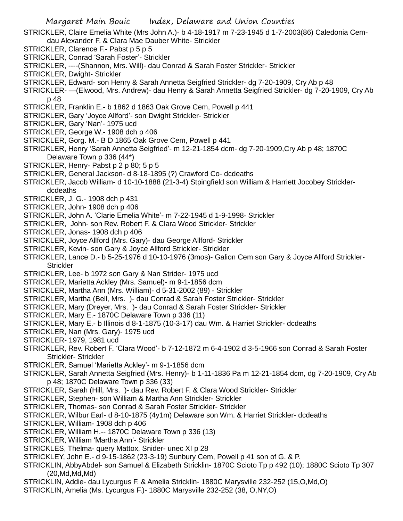STRICKLER, Claire Emelia White (Mrs John A.)- b 4-18-1917 m 7-23-1945 d 1-7-2003(86) Caledonia Cemdau Alexander F. & Clara Mae Dauber White- Strickler

- STRICKLER, Clarence F.- Pabst p 5 p 5
- STRICKLER, Conrad 'Sarah Foster'- Strickler
- STRICKLER, ----(Shannon, Mrs. Will)- dau Conrad & Sarah Foster Strickler- Strickler
- STRICKLER, Dwight- Strickler
- STRICKLER, Edward- son Henry & Sarah Annetta Seigfried Strickler- dg 7-20-1909, Cry Ab p 48
- STRICKLER- —(Elwood, Mrs. Andrew)- dau Henry & Sarah Annetta Seigfried Strickler- dg 7-20-1909, Cry Ab p 48
- STRICKLER, Franklin E.- b 1862 d 1863 Oak Grove Cem, Powell p 441
- STRICKLER, Gary 'Joyce Allford'- son Dwight Strickler- Strickler
- STRICKLER, Gary 'Nan'- 1975 ucd
- STRICKLER, George W.- 1908 dch p 406
- STRICKLER, Gorg. M.- B D 1865 Oak Grove Cem, Powell p 441
- STRICKLER, Henry 'Sarah Annetta Seigfried'- m 12-21-1854 dcm- dg 7-20-1909,Cry Ab p 48; 1870C Delaware Town p 336 (44\*)
- STRICKLER, Henry- Pabst p 2 p 80; 5 p 5
- STRICKLER, General Jackson- d 8-18-1895 (?) Crawford Co- dcdeaths
- STRICKLER, Jacob William- d 10-10-1888 (21-3-4) Stpingfield son William & Harriett Jocobey Stricklerdcdeaths
- STRICKLER, J. G.- 1908 dch p 431
- STRICKLER, John- 1908 dch p 406
- STRICKLER, John A. 'Clarie Emelia White'- m 7-22-1945 d 1-9-1998- Strickler
- STRICKLER, John- son Rev. Robert F. & Clara Wood Strickler- Strickler
- STRICKLER, Jonas- 1908 dch p 406
- STRICKLER, Joyce Allford (Mrs. Gary)- dau George Allford- Strickler
- STRICKLER, Kevin- son Gary & Joyce Allford Strickler- Strickler
- STRICKLER, Lance D.- b 5-25-1976 d 10-10-1976 (3mos)- Galion Cem son Gary & Joyce Allford Strickler-**Strickler**
- STRICKLER, Lee- b 1972 son Gary & Nan Strider- 1975 ucd
- STRICKLER, Marietta Ackley (Mrs. Samuel)- m 9-1-1856 dcm
- STRICKLER, Martha Ann (Mrs. William)- d 5-31-2002 (89) Strickler
- STRICKLER, Martha (Bell, Mrs. )- dau Conrad & Sarah Foster Strickler- Strickler
- STRICKLER, Mary (Dreyer, Mrs. )- dau Conrad & Sarah Foster Strickler- Strickler
- STRICKLER, Mary E.- 1870C Delaware Town p 336 (11)
- STRICKLER, Mary E.- b Illinois d 8-1-1875 (10-3-17) dau Wm. & Harriet Strickler- dcdeaths
- STRICKLER, Nan (Mrs. Gary)- 1975 ucd
- STRICKLER- 1979, 1981 ucd
- STRICKLER, Rev. Robert F. 'Clara Wood'- b 7-12-1872 m 6-4-1902 d 3-5-1966 son Conrad & Sarah Foster Strickler- Strickler
- STRICKLER, Samuel 'Marietta Ackley'- m 9-1-1856 dcm
- STRICKLER, Sarah Annetta Seigfried (Mrs. Henry)- b 1-11-1836 Pa m 12-21-1854 dcm, dg 7-20-1909, Cry Ab p 48; 1870C Delaware Town p 336 (33)
- STRICKLER, Sarah (Hill, Mrs. )- dau Rev. Robert F. & Clara Wood Strickler- Strickler
- STRICKLER, Stephen- son William & Martha Ann Strickler- Strickler
- STRICKLER, Thomas- son Conrad & Sarah Foster Strickler- Strickler
- STRICKLER, Wilbur Earl- d 8-10-1875 (4y1m) Delaware son Wm. & Harriet Strickler- dcdeaths
- STRICKLER, William- 1908 dch p 406
- STRICKLER, William H.-- 1870C Delaware Town p 336 (13)
- STRICKLER, William 'Martha Ann'- Strickler
- STRICKLES, Thelma- query Mattox, Snider- unec XI p 28
- STRICKLEY, John E.- d 9-15-1862 (23-3-19) Sunbury Cem, Powell p 41 son of G. & P.
- STRICKLIN, AbbyAbdel- son Samuel & Elizabeth Stricklin- 1870C Scioto Tp p 492 (10); 1880C Scioto Tp 307 (20,Md,Md,Md)
- STRICKLIN, Addie- dau Lycurgus F. & Amelia Stricklin- 1880C Marysville 232-252 (15,O,Md,O)
- STRICKLIN, Amelia (Ms. Lycurgus F.)- 1880C Marysville 232-252 (38, O,NY,O)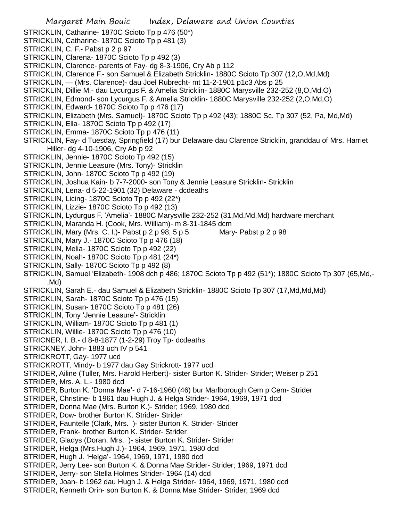Margaret Main Bouic Index, Delaware and Union Counties STRICKLIN, Catharine- 1870C Scioto Tp p 476 (50\*) STRICKLIN, Catharine- 1870C Scioto Tp p 481 (3) STRICKLIN, C. F.- Pabst p 2 p 97 STRICKLIN, Clarena- 1870C Scioto Tp p 492 (3) STRICKLIN, Clarence- parents of Fay- dg 8-3-1906, Cry Ab p 112 STRICKLIN, Clarence F.- son Samuel & Elizabeth Stricklin- 1880C Scioto Tp 307 (12,O,Md,Md) STRICKLIN, — (Mrs. Clarence)- dau Joel Rubrecht- mt 11-2-1901 p1c3 Abs p 25 STRICKLIN, Dillie M.- dau Lycurgus F. & Amelia Stricklin- 1880C Marysville 232-252 (8,O,Md.O) STRICKLIN, Edmond- son Lycurgus F. & Amelia Stricklin- 1880C Marysville 232-252 (2,O,Md,O) STRICKLIN, Edward- 1870C Scioto Tp p 476 (17) STRICKLIN, Elizabeth (Mrs. Samuel)- 1870C Scioto Tp p 492 (43); 1880C Sc. Tp 307 (52, Pa, Md,Md) STRICKLIN, Ella- 1870C Scioto Tp p 492 (17) STRICKLIN, Emma- 1870C Scioto Tp p 476 (11) STRICKLIN, Fay- d Tuesday, Springfield (17) bur Delaware dau Clarence Stricklin, granddau of Mrs. Harriet Hiller- dg 4-10-1906, Cry Ab p 92 STRICKLIN, Jennie- 1870C Scioto Tp 492 (15) STRICKLIN, Jennie Leasure (Mrs. Tony)- Stricklin STRICKLIN, John- 1870C Scioto Tp p 492 (19) STRICKLIN, Joshua Kain- b 7-7-2000- son Tony & Jennie Leasure Stricklin- Stricklin STRICKLIN, Lena- d 5-22-1901 (32) Delaware - dcdeaths STRICKLIN, Licing- 1870C Scioto Tp p 492 (22\*) STRICKLIN, Lizzie- 1870C Scioto Tp p 492 (13) STRICKLIN, Lydurgus F. 'Amelia'- 1880C Marysville 232-252 (31,Md,Md,Md) hardware merchant STRICKLIN, Maranda H. (Cook, Mrs. William)- m 8-31-1845 dcm STRICKLIN, Mary (Mrs. C. I.)- Pabst p 2 p 98, 5 p 5 Mary-Pabst p 2 p 98 STRICKLIN, Mary J.- 1870C Scioto Tp p 476 (18) STRICKLIN, Melia- 1870C Scioto Tp p 492 (22) STRICKLIN, Noah- 1870C Scioto Tp p 481 (24\*) STRICKLIN, Sally-1870C Scioto Tp p 492 (8) STRICKLIN, Samuel 'Elizabeth- 1908 dch p 486; 1870C Scioto Tp p 492 (51\*); 1880C Scioto Tp 307 (65,Md,- ,Md) STRICKLIN, Sarah E.- dau Samuel & Elizabeth Stricklin- 1880C Scioto Tp 307 (17,Md,Md,Md) STRICKLIN, Sarah- 1870C Scioto Tp p 476 (15) STRICKLIN, Susan- 1870C Scioto Tp p 481 (26) STRICKLIN, Tony 'Jennie Leasure'- Stricklin STRICKLIN, William- 1870C Scioto Tp p 481 (1) STRICKLIN, Willie- 1870C Scioto Tp p 476 (10) STRICNER, I. B.- d 8-8-1877 (1-2-29) Troy Tp- dcdeaths STRICKNEY, John- 1883 uch IV p 541 STRICKROTT, Gay- 1977 ucd STRICKROTT, Mindy- b 1977 dau Gay Strickrott- 1977 ucd STRIDER, Ailine (Tuller, Mrs. Harold Herbert)- sister Burton K. Strider- Strider; Weiser p 251 STRIDER, Mrs. A. L.- 1980 dcd STRIDER, Burton K. 'Donna Mae'- d 7-16-1960 (46) bur Marlborough Cem p Cem- Strider STRIDER, Christine- b 1961 dau Hugh J. & Helga Strider- 1964, 1969, 1971 dcd STRIDER, Donna Mae (Mrs. Burton K.)- Strider; 1969, 1980 dcd STRIDER, Dow- brother Burton K. Strider- Strider STRIDER, Fauntelle (Clark, Mrs. )- sister Burton K. Strider- Strider STRIDER, Frank- brother Burton K. Strider- Strider STRIDER, Gladys (Doran, Mrs. )- sister Burton K. Strider- Strider STRIDER, Helga (Mrs.Hugh J.)- 1964, 1969, 1971, 1980 dcd STRIDER, Hugh J. 'Helga'- 1964, 1969, 1971, 1980 dcd STRIDER, Jerry Lee- son Burton K. & Donna Mae Strider- Strider; 1969, 1971 dcd STRIDER, Jerry- son Stella Holmes Strider- 1964 (14) dcd STRIDER, Joan- b 1962 dau Hugh J. & Helga Strider- 1964, 1969, 1971, 1980 dcd STRIDER, Kenneth Orin- son Burton K. & Donna Mae Strider- Strider; 1969 dcd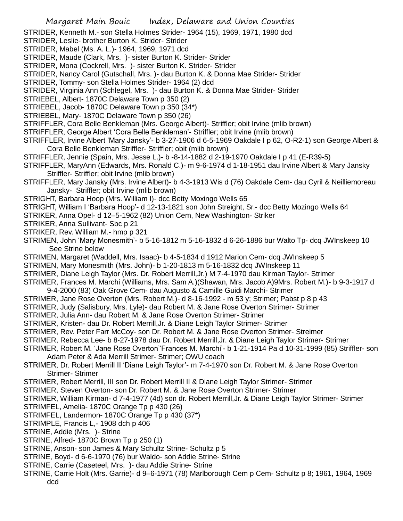STRIDER, Kenneth M.- son Stella Holmes Strider- 1964 (15), 1969, 1971, 1980 dcd

STRIDER, Leslie- brother Burton K. Strider- Strider

- STRIDER, Mabel (Ms. A. L.)- 1964, 1969, 1971 dcd
- STRIDER, Maude (Clark, Mrs. )- sister Burton K. Strider- Strider
- STRIDER, Mona (Cockrell, Mrs. )- sister Burton K. Strider- Strider
- STRIDER, Nancy Carol (Gutschall, Mrs. )- dau Burton K. & Donna Mae Strider- Strider
- STRIDER, Tommy- son Stella Holmes Strider- 1964 (2) dcd
- STRIDER, Virginia Ann (Schlegel, Mrs. )- dau Burton K. & Donna Mae Strider- Strider
- STRIEBEL, Albert- 1870C Delaware Town p 350 (2)
- STRIEBEL, Jacob- 1870C Delaware Town p 350 (34\*)
- STRIEBEL, Mary- 1870C Delaware Town p 350 (26)
- STRIFFLER, Cora Belle Benkleman (Mrs. George Albert)- Striffler; obit Irvine (mlib brown)
- STRIFFLER, George Albert 'Cora Belle Benkleman'- Striffler; obit Irvine (mlib brown)
- STRIFFLER, Irvine Albert 'Mary Jansky'- b 3-27-1906 d 6-5-1969 Oakdale I p 62, O-R2-1) son George Albert & Cora Belle Benkleman Striffler- Striffler; obit (mlib brown)
- STRIFFLER, Jennie (Spain, Mrs. Jesse L.)- b -8-14-1882 d 2-19-1970 Oakdale I p 41 (E-R39-5)
- STRIFFLER, MaryAnn (Edwards, Mrs. Ronald C.)- m 9-6-1974 d 1-18-1951 dau Irvine Albert & Mary Jansky Striffler- Striffler; obit Irvine (mlib brown)
- STRIFFLER, Mary Jansky (Mrs. Irvine Albert)- b 4-3-1913 Wis d (76) Oakdale Cem- dau Cyril & Neilliemoreau Jansky- Striffler; obit Irvine (mlib brown)
- STRIGHT, Barbara Hoop (Mrs. William I)- dcc Betty Moxingo Wells 65
- STRIGHT, William I 'Barbara Hoop'- d 12-13-1821 son John Streight, Sr.- dcc Betty Mozingo Wells 64
- STRIKER, Anna Opel- d 12–5-1962 (82) Union Cem, New Washington- Striker
- STRIKER, Anna Sullivant- Sbc p 21
- STRIKER, Rev. William M.- hmp p 321
- STRIMEN, John 'Mary Monesmith'- b 5-16-1812 m 5-16-1832 d 6-26-1886 bur Walto Tp- dcq JWInskeep 10 See Strine below
- STRIMEN, Margaret (Waddell, Mrs. Isaac)- b 4-5-1834 d 1912 Marion Cem- dcq JWInskeep 5
- STRIMEN, Mary Monesmith (Mrs. John)- b 1-20-1813 m 5-16-1832 dcq JWInskeep 11
- STRIMER, Diane Leigh Taylor (Mrs. Dr. Robert Merrill,Jr.) M 7-4-1970 dau Kirman Taylor- Strimer
- STRIMER, Frances M. Marchi (Williams, Mrs. Sam A.)(Shawan, Mrs. Jacob A)9Mrs. Robert M.)- b 9-3-1917 d
- 9-4-2000 (83) Oak Grove Cem- dau Augusto & Camille Guidi Marchi- Strimer
- STRIMER, Jane Rose Overton (Mrs. Robert M.)- d 8-16-1992 m 53 y; Strimer; Pabst p 8 p 43
- STRIMER, Judy (Salisbury, Mrs. Lyle)- dau Robert M. & Jane Rose Overton Strimer- Strimer
- STRIMER, Julia Ann- dau Robert M. & Jane Rose Overton Strimer- Strimer
- STRIMER, Kristen- dau Dr. Robert Merrill,Jr. & Diane Leigh Taylor Strimer- Strimer
- STRIMER, Rev. Peter Farr McCoy- son Dr. Robert M. & Jane Rose Overton Strimer- Streimer
- STRIMER, Rebecca Lee- b 8-27-1978 dau Dr. Robert Merrill,Jr. & Diane Leigh Taylor Strimer- Strimer
- STRIMER, Robert M. 'Jane Rose Overton''Frances M. Marchi'- b 1-21-1914 Pa d 10-31-1999 (85) Striffler- son Adam Peter & Ada Merrill Strimer- Strimer; OWU coach
- STRIMER, Dr. Robert Merrill II 'Diane Leigh Taylor'- m 7-4-1970 son Dr. Robert M. & Jane Rose Overton Strimer- Strimer
- STRIMER, Robert Merrill, III son Dr. Robert Merrill II & Diane Leigh Taylor Strimer- Strimer
- STRIMER, Steven Overton- son Dr. Robert M. & Jane Rose Overton Strimer- Strimer
- STRIMER, William Kirman- d 7-4-1977 (4d) son dr. Robert Merrill,Jr. & Diane Leigh Taylor Strimer- Strimer
- STRIMFEL, Amelia- 1870C Orange Tp p 430 (26)
- STRIMFEL, Landermon- 1870C Orange Tp p 430 (37\*)
- STRIMPLE, Francis L,- 1908 dch p 406
- STRINE, Addie (Mrs. )- Strine
- STRINE, Alfred- 1870C Brown Tp p 250 (1)
- STRINE, Anson- son James & Mary Schultz Strine- Schultz p 5
- STRINE, Boyd- d 6-6-1970 (76) bur Waldo- son Addie Strine- Strine
- STRINE, Carrie (Caseteel, Mrs. )- dau Addie Strine- Strine
- STRINE, Carrie Holt (Mrs. Garrie)- d 9–6-1971 (78) Marlborough Cem p Cem- Schultz p 8; 1961, 1964, 1969 dcd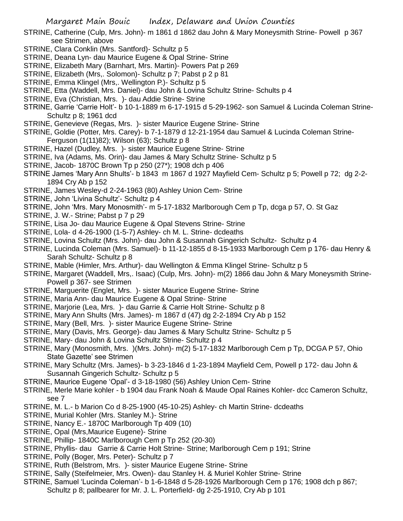- STRINE, Catherine (Culp, Mrs. John)- m 1861 d 1862 dau John & Mary Moneysmith Strine- Powell p 367 see Strimen, above
- STRINE, Clara Conklin (Mrs. Santford)- Schultz p 5
- STRINE, Deana Lyn- dau Maurice Eugene & Opal Strine- Strine
- STRINE, Elizabeth Mary (Barnhart, Mrs. Martin)- Powers Pat p 269
- STRINE, Elizabeth (Mrs,. Solomon)- Schultz p 7; Pabst p 2 p 81
- STRINE, Emma Klingel (Mrs,. Wellington P.)- Schultz p 5
- STRINE, Etta (Waddell, Mrs. Daniel)- dau John & Lovina Schultz Strine- Schults p 4
- STRINE, Eva (Christian, Mrs. )- dau Addie Strine- Strine
- STRINE, Garrie 'Carrie Holt'- b 10-1-1889 m 6-17-1915 d 5-29-1962- son Samuel & Lucinda Coleman Strine-Schultz p 8; 1961 dcd
- STRINE, Genevieve (Regas, Mrs. )- sister Maurice Eugene Strine- Strine
- STRINE, Goldie (Potter, Mrs. Carey)- b 7-1-1879 d 12-21-1954 dau Samuel & Lucinda Coleman Strine-Ferguson (1(11)82); Wilson (63); Schultz p 8
- STRINE, Hazel (Dudley, Mrs. )- sister Maurice Eugene Strine- Strine
- STRINE, Iva (Adams, Ms. Orin)- dau James & Mary Schultz Strine- Schultz p 5
- STRINE, Jacob- 1870C Brown Tp p 250 (27\*); 1908 dch p 406
- STRINE James 'Mary Ann Shults'- b 1843 m 1867 d 1927 Mayfield Cem- Schultz p 5; Powell p 72; dg 2-2- 1894 Cry Ab p 152
- STRINE, James Wesley-d 2-24-1963 (80) Ashley Union Cem- Strine
- STRINE, John 'Livina Schultz'- Schultz p 4
- STRINE, John 'Mrs. Mary Monosmith'- m 5-17-1832 Marlborough Cem p Tp, dcga p 57, O. St Gaz
- STRINE, J. W.- Strine; Pabst p 7 p 29
- STRINE, Lisa Jo- dau Maurice Eugene & Opal Stevens Strine- Strine
- STRINE, Lola- d 4-26-1900 (1-5-7) Ashley- ch M. L. Strine- dcdeaths
- STRINE, Lovina Schultz (Mrs. John)- dau John & Susannah Gingerich Schultz- Schultz p 4
- STRINE, Lucinda Coleman (Mrs. Samuel)- b 11-12-1855 d 8-15-1933 Marlborough Cem p 176- dau Henry & Sarah Schultz- Schultz p 8
- STRINE, Mable (Himler, Mrs. Arthur)- dau Wellington & Emma Klingel Strine- Schultz p 5
- STRINE, Margaret (Waddell, Mrs,. Isaac) (Culp, Mrs. John)- m(2) 1866 dau John & Mary Moneysmith Strine-Powell p 367- see Strimen
- STRINE, Marguerite (Englet, Mrs. )- sister Maurice Eugene Strine- Strine
- STRINE, Maria Ann- dau Maurice Eugene & Opal Strine- Strine
- STRINE, Marjorie (Lea, Mrs. )- dau Garrie & Carrie Holt Strine- Schultz p 8
- STRINE, Mary Ann Shults (Mrs. James)- m 1867 d (47) dg 2-2-1894 Cry Ab p 152
- STRINE, Mary (Bell, Mrs. )- sister Maurice Eugene Strine- Strine
- STRINE, Mary (Davis, Mrs. George)- dau James & Mary Schultz Strine- Schultz p 5
- STRINE, Mary- dau John & Lovina Schultz Strine- Schultz p 4
- STRINE, Mary (Monosmith, Mrs. )(Mrs. John)- m(2) 5-17-1832 Marlborough Cem p Tp, DCGA P 57, Ohio State Gazette' see Strimen
- STRINE, Mary Schultz (Mrs. James)- b 3-23-1846 d 1-23-1894 Mayfield Cem, Powell p 172- dau John & Susannah Gingerich Schultz- Schultz p 5
- STRINE, Maurice Eugene 'Opal'- d 3-18-1980 (56) Ashley Union Cem- Strine
- STRINE, Merle Marie kohler b 1904 dau Frank Noah & Maude Opal Raines Kohler- dcc Cameron Schultz, see 7
- STRINE, M. L.- b Marion Co d 8-25-1900 (45-10-25) Ashley- ch Martin Strine- dcdeaths
- STRINE, Murial Kohler (Mrs. Stanley M.)- Strine
- STRINE, Nancy E.- 1870C Marlborough Tp 409 (10)
- STRINE, Opal (Mrs,Maurice Eugene)- Strine
- STRINE, Phillip- 1840C Marlborough Cem p Tp 252 (20-30)
- STRINE, Phyllis- dau Garrie & Carrie Holt Strine- Strine; Marlborough Cem p 191; Strine
- STRINE, Polly (Boger, Mrs. Peter)- Schultz p 7
- STRINE, Ruth (Belstrom, Mrs. )- sister Maurice Eugene Strine- Strine
- STRINE, Sally (Steifelmeier, Mrs. Owen)- dau Stanley H. & Muriel Kohler Strine- Strine
- STRINE, Samuel 'Lucinda Coleman'- b 1-6-1848 d 5-28-1926 Marlborough Cem p 176; 1908 dch p 867; Schultz p 8; pallbearer for Mr. J. L. Porterfield- dg 2-25-1910, Cry Ab p 101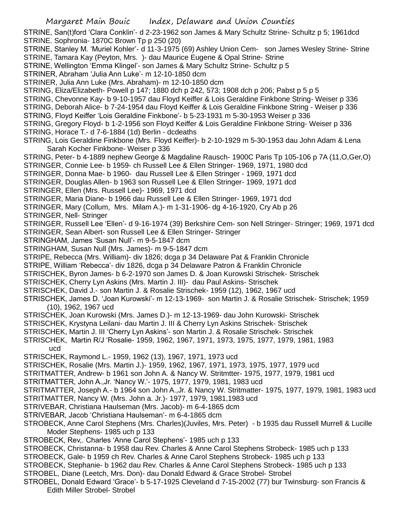STRINE, San(t)ford 'Clara Conklin'- d 2-23-1962 son James & Mary Schultz Strine- Schultz p 5; 1961dcd STRINE. Sophronia- 1870C Brown Tp p 250 (20)

STRINE, Stanley M. 'Muriel Kohler'- d 11-3-1975 (69) Ashley Union Cem- son James Wesley Strine- Strine STRINE, Tamara Kay (Peyton, Mrs. )- dau Maurice Eugene & Opal Strine- Strine

STRINE, Wellington 'Emma Klingel'- son James & Mary Schultz Strine- Schultz p 5

STRINER, Abraham 'Julia Ann Luke'- m 12-10-1850 dcm

STRINER, Julia Ann Luke (Mrs. Abraham)- m 12-10-1850 dcm

STRING, Eliza/Elizabeth- Powell p 147; 1880 dch p 242, 573; 1908 dch p 206; Pabst p 5 p 5

STRING, Chevonne Kay- b 9-10-1957 dau Floyd Keiffer & Lois Geraldine Finkbone String- Weiser p 336

STRING, Deborah Alice- b 7-24-1954 dau Floyd Keiffer & Lois Geraldine Finkbone String - Weiser p 336

STRING, Floyd Keiffer 'Lois Geraldine Finkbone'- b 5-23-1931 m 5-30-1953 Weiser p 336

STRING, Gregory Floyd- b 1-2-1956 son Floyd Keiffer & Lois Geraldine Finkbone String- Weiser p 336

STRING, Horace T.- d 7-6-1884 (1d) Berlin - dcdeaths

STRING, Lois Geraldine Finkbone (Mrs. Floyd Keiffer)- b 2-10-1929 m 5-30-1953 dau John Adam & Lena Sarah Kocher Finkbone- Weiser p 336

STRING, Peter- b 4-1889 nephew George & Magdaline Rausch- 1900C Paris Tp 105-106 p 7A (11,O,Ger,O)

STRINGER, Connie Lee- b 1959- ch Russell Lee & Ellen Stringer- 1969, 1971, 1980 dcd

STRINGER, Donna Mae- b 1960- dau Russell Lee & Ellen Stringer - 1969, 1971 dcd

STRINGER, Douglas Allen- b 1963 son Russell Lee & Ellen Stringer- 1969, 1971 dcd

STRINGER, Ellen (Mrs. Russell Lee)- 1969, 1971 dcd

STRINGER, Maria Diane- b 1966 dau Russell Lee & Ellen Stringer- 1969, 1971 dcd

STRINGER, Mary (Collum, Mrs. Milam A.)- m 1-31-1906- dg 4-16-1920, Cry Ab p 26

STRINGER, Nell- Stringer

STRINGER, Russell Lee 'Ellen'- d 9-16-1974 (39) Berkshire Cem- son Nell Stringer- Stringer; 1969, 1971 dcd

STRINGER, Sean Albert- son Russell Lee & Ellen Stringer- Stringer

STRINGHAM, James 'Susan Null'- m 9-5-1847 dcm

STRINGHAM, Susan Null (Mrs. James)- m 9-5-1847 dcm

STRIPE, Rebecca (Mrs. William)- div 1826; dcga p 34 Delaware Pat & Franklin Chronicle

STRIPE, William 'Rebecca'- div 1826, dcga p 34 Delaware Patron & Franklin Chronicle

STRISCHEK, Byron James- b 6-2-1970 son James D. & Joan Kurowski Strischek- Strischek

STRISCHEK, Cherry Lyn Askins (Mrs. Martin J. III)- dau Paul Askins- Strischek

STRISCHEK, David J.- son Martin J. & Rosalie Strischek- 1959 (12), 1962, 1967 ucd

STRISCHEK, James D. 'Joan Kurowski'- m 12-13-1969- son Martin J. & Rosalie Strischek- Strischek; 1959 (10), 1962, 1967 ucd

STRISCHEK, Joan Kurowski (Mrs. James D.)- m 12-13-1969- dau John Kurowski- Strischek

STRISCHEK, Krystyna Leilani- dau Martin J. III & Cherry Lyn Askins Strischek- Strischek

STRISCHEK, Martin J. III 'Cherry Lyn Askins'- son Martin J. & Rosalie Strischek- Strischek

STRISCHEK, Martin R/J 'Rosalie- 1959, 1962, 1967, 1971, 1973, 1975, 1977, 1979, 1981, 1983

ucd

STRISCHEK, Raymond L.- 1959, 1962 (13), 1967, 1971, 1973 ucd

STRISCHEK, Rosalie (Mrs. Martin J.)- 1959, 1962, 1967, 1971, 1973, 1975, 1977, 1979 ucd

STRITMATTER, Andrew- b 1961 son John A. & Nancy W. Stritmtter- 1975, 1977, 1979, 1981 ucd

STRITMATTER, John A.,Jr. 'Nancy W.'- 1975, 1977, 1979, 1981, 1983 ucd

STRITMATTER, Joseph A.- b 1964 son John A.,Jr. & Nancy W. Stritmatter- 1975, 1977, 1979, 1981, 1983 ucd

STRITMATTER, Nancy W. (Mrs. John a. Jr.)- 1977, 1979, 1981,1983 ucd

STRIVEBAR, Christiana Haulseman (Mrs. Jacob)- m 6-4-1865 dcm

STRIVEBAR, Jacob 'Christiana Haulseman'- m 6-4-1865 dcm

STROBECK, Anne Carol Stephens (Mrs. Charles)(Juviles, Mrs. Peter) - b 1935 dau Russell Murrell & Lucille Moder Stephens- 1985 uch p 133

STROBECK, Rev,. Charles 'Anne Carol Stephens'- 1985 uch p 133

STROBECK, Christanna- b 1958 dau Rev. Charles & Anne Carol Stephens Strobeck- 1985 uch p 133

STROBECK, Gale- b 1959 ch Rev. Charles & Anne Carol Stephens Strobeck- 1985 uch p 133

STROBECK, Stephanie- b 1962 dau Rev. Charles & Anne Carol Stephens Strobeck- 1985 uch p 133

STROBEL, Diane (Leetch, Mrs. Don)- dau Donald Edward & Grace Strobel- Strobel

STROBEL, Donald Edward 'Grace'- b 5-17-1925 Cleveland d 7-15-2002 (77) bur Twinsburg- son Francis & Edith Miller Strobel- Strobel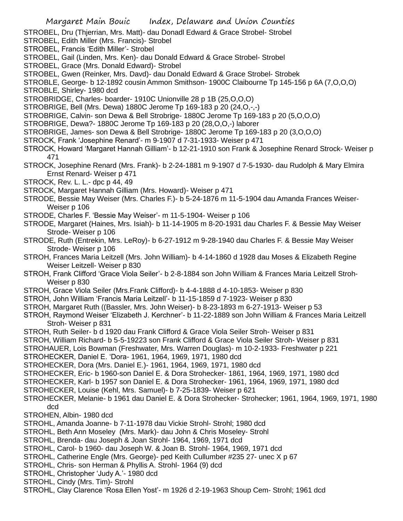STROBEL, Dru (Thjerrian, Mrs. Matt)- dau Donadl Edward & Grace Strobel- Strobel

- STROBEL, Edith Miller (Mrs. Francis)- Strobel
- STROBEL, Francis 'Edith Miller'- Strobel
- STROBEL, Gail (Linden, Mrs. Ken)- dau Donald Edward & Grace Strobel- Strobel
- STROBEL, Grace (Mrs. Donald Edward)- Strobel

STROBEL, Gwen (Reinker, Mrs. Davd)- dau Donald Edward & Grace Strobel- Strobek

STROBLE, George- b 12-1892 cousin Ammon Smithson- 1900C Claibourne Tp 145-156 p 6A (7,O,O,O) STROBLE, Shirley- 1980 dcd

STROBRIDGE, Charles- boarder- 1910C Unionville 28 p 1B (25,O,O,O)

STROBRIGE, Bell (Mrs. Dewa) 1880C Jerome Tp 169-183 p 20 (24,O,-,-)

STROBRIGE, Calvin- son Dewa & Bell Strobrige- 1880C Jerome Tp 169-183 p 20 (5,O,O,O)

- STROBRIGE, Dewa?- 1880C Jerome Tp 169-183 p 20 (28,O,O,-) laborer
- STROBRIGE, James- son Dewa & Bell Strobrige- 1880C Jerome Tp 169-183 p 20 (3,O,O,O)
- STROCK, Frank 'Josephine Renard'- m 9-1907 d 7-31-1933- Weiser p 471
- STROCK, Howard 'Margaret Hannah Gilliam'- b 12-21-1910 son Frank & Josephine Renard Strock- Weiser p 471
- STROCK, Josephine Renard (Mrs. Frank)- b 2-24-1881 m 9-1907 d 7-5-1930- dau Rudolph & Mary Elmira Ernst Renard- Weiser p 471
- STROCK, Rev. L. L.- dpc p 44, 49
- STROCK, Margaret Hannah Gilliam (Mrs. Howard)- Weiser p 471
- STRODE, Bessie May Weiser (Mrs. Charles F.)- b 5-24-1876 m 11-5-1904 dau Amanda Frances Weiser-Weiser p 106
- STRODE, Charles F. 'Bessie May Weiser'- m 11-5-1904- Weiser p 106
- STRODE, Margaret (Haines, Mrs. Isiah)- b 11-14-1905 m 8-20-1931 dau Charles F. & Bessie May Weiser Strode- Weiser p 106
- STRODE, Ruth (Entrekin, Mrs. LeRoy)- b 6-27-1912 m 9-28-1940 dau Charles F. & Bessie May Weiser Strode- Weiser p 106
- STROH, Frances Maria Leitzell (Mrs. John William)- b 4-14-1860 d 1928 dau Moses & Elizabeth Regine Weiser Leitzell- Weiser p 830
- STROH, Frank Clifford 'Grace Viola Seiler'- b 2-8-1884 son John William & Frances Maria Leitzell Stroh-Weiser p 830
- STROH, Grace Viola Seiler (Mrs.Frank Clifford)- b 4-4-1888 d 4-10-1853- Weiser p 830

STROH, John William 'Francis Maria Leitzell'- b 11-15-1859 d 7-1923- Weiser p 830

- STROH, Margaret Ruth ((Bassler, Mrs. John Weiser)- b 8-23-1893 m 6-27-1913- Weiser p 53
- STROH, Raymond Weiser 'Elizabeth J. Kerchner'- b 11-22-1889 son John William & Frances Maria Leitzell Stroh- Weiser p 831
- STROH, Ruth Seiler- b d 1920 dau Frank Clifford & Grace Viola Seiler Stroh- Weiser p 831
- STROH, William Richard- b 5-5-19223 son Frank Clifford & Grace Viola Seiler Stroh- Weiser p 831
- STROHAUER, Lois Bowman (Freshwater, Mrs. Warren Douglas)- m 10-2-1933- Freshwater p 221

STROHECKER, Daniel E. 'Dora- 1961, 1964, 1969, 1971, 1980 dcd

- STROHECKER, Dora (Mrs. Daniel E.)- 1961, 1964, 1969, 1971, 1980 dcd
- STROHECKER, Eric- b 1960-son Daniel E. & Dora Strohecker- 1861, 1964, 1969, 1971, 1980 dcd
- STROHECKER, Karl- b 1957 son Daniel E. & Dora Strohecker- 1961, 1964, 1969, 1971, 1980 dcd
- STROHECKER, Louise (Kehl, Mrs. Samuel)- b 7-25-1839- Weiser p 621
- STROHECKER, Melanie- b 1961 dau Daniel E. & Dora Strohecker- Strohecker; 1961, 1964, 1969, 1971, 1980 dcd

STROHEN, Albin- 1980 dcd

- STROHL, Amanda Joanne- b 7-11-1978 dau Vickie Strohl- Strohl; 1980 dcd
- STROHL, Beth Ann Moseley (Mrs. Mark)- dau John & Chris Moseley- Strohl
- STROHL, Brenda- dau Joseph & Joan Strohl- 1964, 1969, 1971 dcd
- STROHL, Carol- b 1960- dau Joseph W. & Joan B. Strohl- 1964, 1969, 1971 dcd
- STROHL, Catherine Engle (Mrs. George)- ped Keith Cullumber #235 27- unec X p 67
- STROHL, Chris- son Herman & Phyllis A. Strohl- 1964 (9) dcd
- STROHL, Christopher 'Judy A.'- 1980 dcd
- STROHL, Cindy (Mrs. Tim)- Strohl
- STROHL, Clay Clarence 'Rosa Ellen Yost'- m 1926 d 2-19-1963 Shoup Cem- Strohl; 1961 dcd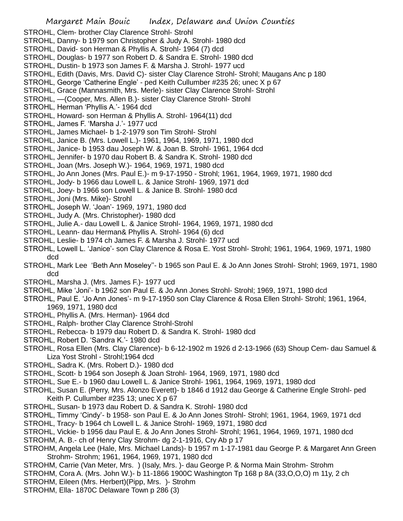STROHL, Clem- brother Clay Clarence Strohl- Strohl

- STROHL, Danny- b 1979 son Christopher & Judy A. Strohl- 1980 dcd
- STROHL, David- son Herman & Phyllis A. Strohl- 1964 (7) dcd
- STROHL, Douglas- b 1977 son Robert D. & Sandra E. Strohl- 1980 dcd
- STROHL, Dustin- b 1973 son James F. & Marsha J. Strohl- 1977 ucd
- STROHL, Edith (Davis, Mrs. David C)- sister Clay Clarence Strohl- Strohl; Maugans Anc p 180
- STROHL, George 'Catherine Engle' ped Keith Cullumber #235 26; unec X p 67
- STROHL, Grace (Mannasmith, Mrs. Merle)- sister Clay Clarence Strohl- Strohl
- STROHL, —(Cooper, Mrs. Allen B.)- sister Clay Clarence Strohl- Strohl
- STROHL, Herman 'Phyllis A.'- 1964 dcd
- STROHL, Howard- son Herman & Phyllis A. Strohl- 1964(11) dcd
- STROHL, James F. 'Marsha J.'- 1977 ucd
- STROHL, James Michael- b 1-2-1979 son Tim Strohl- Strohl
- STROHL, Janice B. (Mrs. Lowell L.)- 1961, 1964, 1969, 1971, 1980 dcd
- STROHL, Janice- b 1953 dau Joseph W. & Joan B. Strohl- 1961, 1964 dcd
- STROHL, Jennifer- b 1970 dau Robert B. & Sandra K. Strohl- 1980 dcd
- STROHL, Joan (Mrs. Joseph W.)- 1964, 1969, 1971, 1980 dcd
- STROHL, Jo Ann Jones (Mrs. Paul E.)- m 9-17-1950 Strohl; 1961, 1964, 1969, 1971, 1980 dcd
- STROHL, Jody- b 1966 dau Lowell L. & Janice Strohl- 1969, 1971 dcd
- STROHL, Joey- b 1966 son Lowell L. & Janice B. Strohl- 1980 dcd
- STROHL, Joni (Mrs. Mike)- Strohl
- STROHL, Joseph W. 'Joan'- 1969, 1971, 1980 dcd
- STROHL, Judy A. (Mrs. Christopher)- 1980 dcd
- STROHL, Julie A.- dau Lowell L. & Janice Strohl- 1964, 1969, 1971, 1980 dcd
- STROHL, Leann- dau Herman& Phyllis A. Strohl- 1964 (6) dcd
- STROHL, Leslie- b 1974 ch James F. & Marsha J. Strohl- 1977 ucd
- STROHL, Lowell L. 'Janice'- son Clay Clarence & Rosa E. Yost Strohl- Strohl; 1961, 1964, 1969, 1971, 1980 dcd
- STROHL, Mark Lee 'Beth Ann Moseley''- b 1965 son Paul E. & Jo Ann Jones Strohl- Strohl; 1969, 1971, 1980 dcd
- STROHL, Marsha J. (Mrs. James F.)- 1977 ucd
- STROHL, Mike 'Joni'- b 1962 son Paul E. & Jo Ann Jones Strohl- Strohl; 1969, 1971, 1980 dcd
- STROHL, Paul E. 'Jo Ann Jones'- m 9-17-1950 son Clay Clarence & Rosa Ellen Strohl- Strohl; 1961, 1964, 1969, 1971, 1980 dcd
- STROHL, Phyllis A. (Mrs. Herman)- 1964 dcd
- STROHL, Ralph- brother Clay Clarence Strohl-Strohl
- STROHL, Rebecca- b 1979 dau Robert D. & Sandra K. Strohl- 1980 dcd
- STROHL, Robert D. 'Sandra K.'- 1980 dcd
- STROHL, Rosa Ellen (Mrs. Clay Clarence)- b 6-12-1902 m 1926 d 2-13-1966 (63) Shoup Cem- dau Samuel & Liza Yost Strohl - Strohl;1964 dcd
- STROHL, Sadra K. (Mrs. Robert D.)- 1980 dcd
- STROHL, Scott- b 1964 son Joseph & Joan Strohl- 1964, 1969, 1971, 1980 dcd
- STROHL, Sue E.- b 1960 dau Lowell L. & Janice Strohl- 1961, 1964, 1969, 1971, 1980 dcd
- STROHL, Susan E. (Perry, Mrs. Alonzo Everett)- b 1846 d 1912 dau George & Catherine Engle Strohl- ped Keith P. Cullumber #235 13; unec X p 67
- STROHL, Susan- b 1973 dau Robert D. & Sandra K. Strohl- 1980 dcd
- STROHL, Timmy 'Cindy'- b 1958- son Paul E. & Jo Ann Jones Strohl- Strohl; 1961, 1964, 1969, 1971 dcd
- STROHL, Tracy- b 1964 ch Lowell L. & Janice Strohl- 1969, 1971, 1980 dcd
- STROHL, Vickie- b 1956 dau Paul E. & Jo Ann Jones Strohl- Strohl; 1961, 1964, 1969, 1971, 1980 dcd
- STROHM, A. B.- ch of Henry Clay Strohm- dg 2-1-1916, Cry Ab p 17
- STROHM, Angela Lee (Hale, Mrs. Michael Lands)- b 1957 m 1-17-1981 dau George P. & Margaret Ann Green Strohm- Strohm; 1961, 1964, 1969, 1971, 1980 dcd
- STROHM, Carrie (Van Meter, Mrs. ) (Isaly, Mrs. )- dau George P. & Norma Main Strohm- Strohm
- STROHM, Cora A. (Mrs. John W.)- b 11-1866 1900C Washington Tp 168 p 8A (33,O,O,O) m 11y, 2 ch
- STROHM, Eileen (Mrs. Herbert)(Pipp, Mrs. )- Strohm
- STROHM, Ella- 1870C Delaware Town p 286 (3)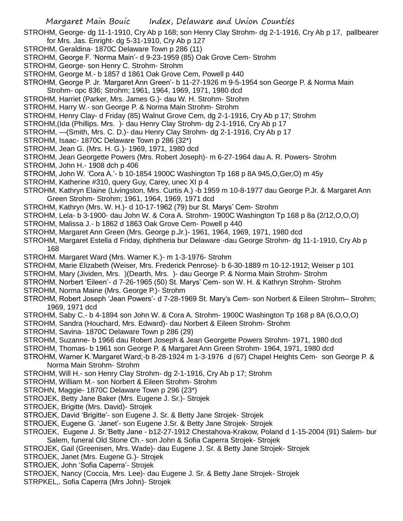STROHM, George- dg 11-1-1910, Cry Ab p 168; son Henry Clay Strohm- dg 2-1-1916, Cry Ab p 17, pallbearer for Mrs. Jas. Enright- dg 5-31-1910, Cry Ab p 127

- STROHM, Geraldina- 1870C Delaware Town p 286 (11)
- STROHM, George F. 'Norma Main'- d 9-23-1959 (85) Oak Grove Cem- Strohm
- STROHM, George- son Henry C. Strohm- Strohm
- STROHM, George M.- b 1857 d 1861 Oak Grove Cem, Powell p 440
- STROHM, George P. Jr. 'Margaret Ann Green'- b 11-27-1926 m 9-5-1954 son George P. & Norma Main Strohm- opc 836; Strohm; 1961, 1964, 1969, 1971, 1980 dcd
- STROHM, Harriet (Parker, Mrs. James G.)- dau W. H. Strohm- Strohm
- STROHM, Harry W.- son George P. & Norma Main Strohm- Strohm
- STROHM, Henry Clay- d Friday (85) Walnut Grove Cem, dg 2-1-1916, Cry Ab p 17; Strohm
- STROHM,(Ida (Phillips. Mrs. )- dau Henry Clay Strohm- dg 2-1-1916, Cry Ab p 17
- STROHM, —(Smith, Mrs. C. D.)- dau Henry Clay Strohm- dg 2-1-1916, Cry Ab p 17
- STROHM, Isaac- 1870C Delaware Town p 286 (32\*)
- STROHM, Jean G. (Mrs. H. G.)- 1969, 1971, 1980 dcd
- STROHM, Jean Georgette Powers (Mrs. Robert Joseph)- m 6-27-1964 dau A. R. Powers- Strohm
- STROHM, John H.- 1908 dch p 406
- STROHM, John W. 'Cora A.'- b 10-1854 1900C Washington Tp 168 p 8A 945,O,Ger,O) m 45y
- STROHM, Katherine #310, query Guy, Carey, unec XI p 4
- STROHM, Kathryn Elaine (Livingston, Mrs. Curtis A.) -b 1959 m 10-8-1977 dau George P.Jr. & Margaret Ann Green Strohm- Strohm; 1961, 1964, 1969, 1971 dcd
- STROHM, Kathryn (Mrs. W. H.)- d 10-17-1962 (79) bur St. Marys' Cem- Strohm
- STROHM, Lela- b 3-1900- dau John W. & Cora A. Strohm- 1900C Washington Tp 168 p 8a (2/12,O,O,O)
- STROHM, Malissa J.- b 1862 d 1863 Oak Grove Cem- Powell p 440
- STROHM, Margaret Ann Green (Mrs. George p.Jr.)- 1961, 1964, 1969, 1971, 1980 dcd
- STROHM, Margaret Estella d Friday, diphtheria bur Delaware -dau George Strohm- dg 11-1-1910, Cry Ab p 168
- STROHM. Margaret Ward (Mrs. Warner K.)- m 1-3-1976- Strohm
- STROHM, Marie Elizabeth (Weiser, Mrs. Frederick Penrose)- b 6-30-1889 m 10-12-1912; Weiser p 101
- STROHM, Mary (Jividen, Mrs. )(Dearth, Mrs. )- dau George P. & Norma Main Strohm- Strohm
- STROHM, Norbert 'Eileen'- d 7-26-1965 (50) St. Marys' Cem- son W. H. & Kathryn Strohm- Strohm
- STROHM, Norma Maine (Mrs. George P.)- Strohm
- STROHM, Robert Joseph 'Jean Powers'- d 7-28-1969 St. Mary's Cem- son Norbert & Eileen Strohm– Strohm; 1969, 1971 dcd
- STROHM, Saby C.- b 4-1894 son John W. & Cora A. Strohm- 1900C Washington Tp 168 p 8A (6,O,O,O)
- STROHM, Sandra (Houchard, Mrs. Edward)- dau Norbert & Eileen Strohm- Strohm
- STROHM, Savina- 1870C Delaware Town p 286 (29)
- STROHM, Suzanne- b 1966 dau Robert Joseph & Jean Georgette Powers Strohm- 1971, 1980 dcd
- STROHM, Thomas- b 1961 son George P. & Margaret Ann Green Strohm- 1964, 1971, 1980 dcd
- STROHM, Warner K.'Margaret Ward;-b 8-28-1924 m 1-3-1976 d (67) Chapel Heights Cem- son George P. & Norma Main Strohm- Strohm
- STROHM, Will H.- son Henry Clay Strohm- dg 2-1-1916, Cry Ab p 17; Strohm
- STROHM, William M.- son Norbert & Eileen Strohm- Strohm
- STROHN, Maggie- 1870C Delaware Town p 296 (23\*)
- STROJEK, Betty Jane Baker (Mrs. Eugene J. Sr.)- Strojek
- STROJEK, Brigitte (Mrs. David)- Strojek
- STROJEK, David 'Brigitte'- son Eugene J. Sr. & Betty Jane Strojek- Strojek
- STROJEK, Eugene G. 'Janet'- son Eugene J.Sr. & Betty Jane Strojek- Strojek
- STROJEK, Eugene J. Sr.'Betty Jane b12-27-1912 Chestahova-Krakow, Poland d 1-15-2004 (91) Salem- bur Salem, funeral Old Stone Ch.- son John & Sofia Caperra Strojek- Strojek
- STROJEK, Gail (Greenisen, Mrs. Wade)- dau Eugene J. Sr. & Betty Jane Strojek- Strojek
- STROJEK, Janet (Mrs. Eugene G.)- Strojek
- STROJEK, John 'Sofia Caperra'- Strojek
- STROJEK, Nancy (Coccia, Mrs. Lee)- dau Eugene J. Sr. & Betty Jane Strojek- Strojek
- STRPKEL,. Sofia Caperra (Mrs John)- Strojek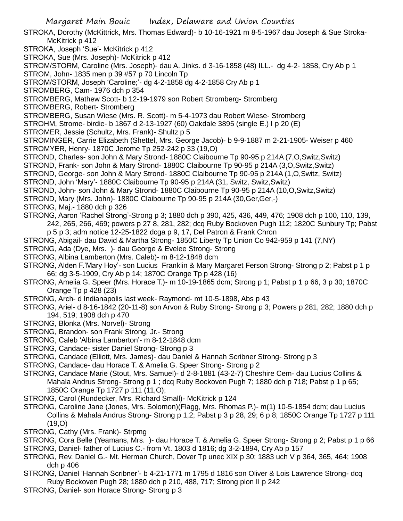STROKA, Dorothy (McKittrick, Mrs. Thomas Edward)- b 10-16-1921 m 8-5-1967 dau Joseph & Sue Stroka-McKitrick p 412

STROKA, Joseph 'Sue'- McKitrick p 412

STROKA, Sue (Mrs. Joseph)- McKitrick p 412

STROM/STORM, Caroline (Mrs. Joseph)- dau A. Jinks. d 3-16-1858 (48) ILL.- dg 4-2- 1858, Cry Ab p 1 STROM, John- 1835 men p 39 #57 p 70 Lincoln Tp

STROM/STORM, Joseph 'Caroline;'- dg 4-2-1858 dg 4-2-1858 Cry Ab p 1

STROMBERG, Cam- 1976 dch p 354

STROMBERG, Mathew Scott- b 12-19-1979 son Robert Stromberg- Stromberg

STROMBERG, Robert- Stromberg

STROMBERG, Susan Wiese (Mrs. R. Scott)- m 5-4-1973 dau Robert Wiese- Stromberg

STROHM, Strome- birdie- b 1867 d 2-13-1927 (60) Oakdale 3895 (single E.) I p 20 (E)

STROMER, Jessie (Schultz, Mrs. Frank)- Shultz p 5

STROMINGER, Carrie Elizabeth (Shettel, Mrs. George Jacob)- b 9-9-1887 m 2-21-1905- Weiser p 460 STROMYER, Henry- 1870C Jerome Tp 252-242 p 33 (19,O)

STROND, Charles- son John & Mary Strond- 1880C Claibourne Tp 90-95 p 214A (7,O,Switz,Switz)

STROND, Frank- son John & Mary Strond- 1880C Claibourne Tp 90-95 p 214A (3,O,Switz,Switz)

STROND, George- son John & Mary Strond- 1880C Claibourne Tp 90-95 p 214A (1,O,Switz, Switz)

STROND, John 'Mary'- 1880C Claibourne Tp 90-95 p 214A (31, Switz, Switz,Switz)

STROND, John- son John & Mary Strond- 1880C Claibourne Tp 90-95 p 214A (10,O,Switz,Switz)

STROND, Mary (Mrs. John)- 1880C Claibourne Tp 90-95 p 214A (30,Ger,Ger,-)

STRONG, Maj.- 1880 dch p 326

STRONG, Aaron 'Rachel Strong'-Strong p 3; 1880 dch p 390, 425, 436, 449, 476; 1908 dch p 100, 110, 139, 242, 265, 266, 469; powers p 27 8, 281, 282; dcq Ruby Bockoven Pugh 112; 1820C Sunbury Tp; Pabst p 5 p 3; adm notice 12-25-1822 dcga p 9, 17, Del Patron & Frank Chron

STRONG, Abigail- dau David & Martha Strong- 1850C Liberty Tp Union Co 942-959 p 141 (7,NY)

STRONG, Ada (Dye, Mrs. )- dau George & Evelee Strong- Strong

- STRONG, Albina Lamberton (Mrs. Caleb)- m 8-12-1848 dcm
- STRONG, Alden F.'Mary Hoy'- son Lucius Franklin & Mary Margaret Ferson Strong- Strong p 2; Pabst p 1 p 66; dg 3-5-1909, Cry Ab p 14; 1870C Orange Tp p 428 (16)
- STRONG, Amelia G. Speer (Mrs. Horace T.)- m 10-19-1865 dcm; Strong p 1; Pabst p 1 p 66, 3 p 30; 1870C Orange Tp p 428 (23)
- STRONG, Arch- d Indianapolis last week- Raymond- mt 10-5-1898, Abs p 43

STRONG, Ariel- d 8-16-1842 (20-11-8) son Arvon & Ruby Strong- Strong p 3; Powers p 281, 282; 1880 dch p 194, 519; 1908 dch p 470

- STRONG, Blonka (Mrs. Norvel)- Strong
- STRONG, Brandon- son Frank Strong, Jr.- Strong
- STRONG, Caleb 'Albina Lamberton'- m 8-12-1848 dcm
- STRONG, Candace- sister Daniel Strong- Strong p 3
- STRONG, Candace (Elliott, Mrs. James)- dau Daniel & Hannah Scribner Strong- Strong p 3

STRONG, Candace- dau Horace T. & Amelia G. Speer Strong- Strong p 2

STRONG, Candace Marie (Stout, Mrs. Samuel)- d 2-8-1881 (43-2-7) Cheshire Cem- dau Lucius Collins & Mahala Andrus Strong- Strong p 1 ; dcq Ruby Bockoven Pugh 7; 1880 dch p 718; Pabst p 1 p 65; 1850C Orange Tp 1727 p 111 (11,O);

STRONG, Carol (Rundecker, Mrs. Richard Small)- McKitrick p 124

STRONG, Caroline Jane (Jones, Mrs. Solomon)(Flagg, Mrs. Rhomas P.)- m(1) 10-5-1854 dcm; dau Lucius Collins & Mahala Andrus Strong- Strong p 1,2; Pabst p 3 p 28, 29; 6 p 8; 1850C Orange Tp 1727 p 111 (19,O)

STRONG, Cathy (Mrs. Frank)- Strpmg

STRONG, Cora Belle (Yeamans, Mrs. )- dau Horace T. & Amelia G. Speer Strong- Strong p 2; Pabst p 1 p 66

STRONG, Daniel- father of Lucius C.- from Vt. 1803 d 1816; dg 3-2-1894, Cry Ab p 157

STRONG, Rev. Daniel G.- Mt. Herman Church, Dover Tp unec XIX p 30; 1883 uch V p 364, 365, 464; 1908 dch p 406

STRONG, Daniel 'Hannah Scribner'- b 4-21-1771 m 1795 d 1816 son Oliver & Lois Lawrence Strong- dcq Ruby Bockoven Pugh 28; 1880 dch p 210, 488, 717; Strong pion II p 242

STRONG, Daniel- son Horace Strong- Strong p 3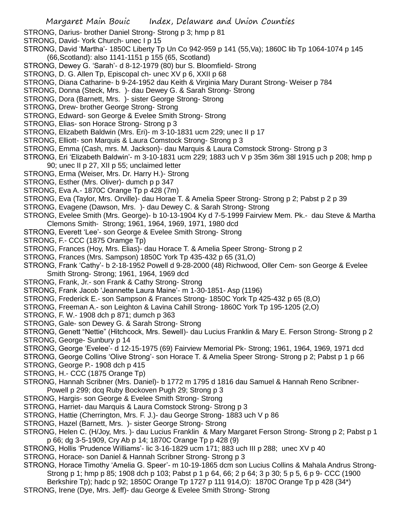- STRONG, Darius- brother Daniel Strong- Strong p 3; hmp p 81
- STRONG, David- York Church- unec I p 15
- STRONG, David 'Martha'- 1850C Liberty Tp Un Co 942-959 p 141 (55,Va); 1860C lib Tp 1064-1074 p 145 (66,Scotland): also 1141-1151 p 155 (65, Scotland)
- STRONG, Dewey G. 'Sarah'- d 8-12-1979 (80) bur S. Bloomfield- Strong
- STRONG, D. G. Allen Tp, Episcopal ch- unec XV p 6, XXII p 68
- STRONG, Diana Catharine- b 9-24-1952 dau Keith & Virginia Mary Durant Strong- Weiser p 784
- STRONG, Donna (Steck, Mrs. )- dau Dewey G. & Sarah Strong- Strong
- STRONG, Dora (Barnett, Mrs. )- sister George Strong- Strong
- STRONG, Drew- brother George Strong- Strong
- STRONG, Edward- son George & Evelee Smith Strong- Strong
- STRONG, Elias- son Horace Strong- Strong p 3
- STRONG, Elizabeth Baldwin (Mrs. Eri)- m 3-10-1831 ucm 229; unec II p 17
- STRONG, Elliott- son Marquis & Laura Comstock Strong- Strong p 3
- STRONG, Emma (Cash, mrs. M. Jackson)- dau Marquis & Laura Comstock Strong- Strong p 3
- STRONG, Eri 'Elizabeth Baldwin'- m 3-10-1831 ucm 229; 1883 uch V p 35m 36m 38l 1915 uch p 208; hmp p 90; unec II p 27, XII p 55; unclaimed letter
- STRONG, Erma (Weiser, Mrs. Dr. Harry H.)- Strong
- STRONG, Esther (Mrs. Oliver)- dumch p p 347
- STRONG, Eva A.- 1870C Orange Tp p 428 (7m)
- STRONG, Eva (Taylor, Mrs. Orville)- dau Horae T. & Amelia Speer Strong- Strong p 2; Pabst p 2 p 39
- STRONG, Evagene (Dawson, Mrs. )- dau Dewey C. & Sarah Strong- Strong
- STRONG, Evelee Smith (Mrs. George)- b 10-13-1904 Ky d 7-5-1999 Fairview Mem. Pk.- dau Steve & Martha Clemons Smith- Strong; 1961, 1964, 1969, 1971, 1980 dcd
- STRONG, Everett 'Lee'- son George & Evelee Smith Strong- Strong
- STRONG, F.- CCC (1875 Oramge Tp)
- STRONG, Frances (Hoy, Mrs. Elias)- dau Horace T. & Amelia Speer Strong- Strong p 2
- STRONG, Frances (Mrs. Sampson) 1850C York Tp 435-432 p 65 (31,O)
- STRONG, Frank 'Cathy'- b 2-18-1952 Powell d 9-28-2000 (48) Richwood, Oller Cem- son George & Evelee Smith Strong- Strong; 1961, 1964, 1969 dcd
- STRONG, Frank, Jr.- son Frank & Cathy Strong- Strong
- STRONG, Frank Jacob 'Jeannette Laura Maine'- m 1-30-1851- Asp (1196)
- STRONG, Frederick E.- son Sampson & Frances Strong- 1850C York Tp 425-432 p 65 (8,O)
- STRONG, Freeman A.- son Leighton & Lavina Cahill Strong- 1860C York Tp 195-1205 (2,O)
- STRONG, F. W.- 1908 dch p 871; dumch p 363
- STRONG, Gale- son Dewey G. & Sarah Strong- Strong
- STRONG, Genett "Nettie" (Hitchcock, Mrs. Sewell)- dau Lucius Franklin & Mary E. Ferson Strong- Strong p 2 STRONG, George- Sunbury p 14
- STRONG, George 'Evelee'- d 12-15-1975 (69) Fairview Memorial Pk- Strong; 1961, 1964, 1969, 1971 dcd
- STRONG, George Collins 'Olive Strong'- son Horace T. & Amelia Speer Strong- Strong p 2; Pabst p 1 p 66
- STRONG, George P.- 1908 dch p 415
- STRONG, H.- CCC (1875 Orange Tp)
- STRONG, Hannah Scribner (Mrs. Daniel)- b 1772 m 1795 d 1816 dau Samuel & Hannah Reno Scribner-Powell p 299; dcq Ruby Bockoven Pugh 29; Strong p 3
- STRONG, Hargis- son George & Evelee Smith Strong- Strong
- STRONG, Harriet- dau Marquis & Laura Comstock Strong- Strong p 3
- STRONG, Hattie (Cherrington, Mrs. F. J.)- dau George Strong- 1883 uch V p 86
- STRONG, Hazel (Barnett, Mrs. )- sister George Strong- Strong
- STRONG, Helen C. (H/Joy, Mrs. )- dau Lucius Franklin & Mary Margaret Ferson Strong- Strong p 2; Pabst p 1 p 66; dg 3-5-1909, Cry Ab p 14; 1870C Orange Tp p 428 (9)
- STRONG, Hollis 'Prudence Williams'- lic 3-16-1829 ucm 171; 883 uch III p 288; unec XV p 40
- STRONG, Horace- son Daniel & Hannah Scribner Strong- Strong p 3
- STRONG, Horace Timothy 'Amelia G. Speer'- m 10-19-1865 dcm son Lucius Collins & Mahala Andrus Strong-Strong p 1; hmp p 85; 1908 dch p 103; Pabst p 1 p 64, 66; 2 p 64; 3 p 30; 5 p 5, 6 p 9- CCC (1900
- Berkshire Tp); hadc p 92; 1850C Orange Tp 1727 p 111 914,O): 1870C Orange Tp p 428 (34\*)
- STRONG, Irene (Dye, Mrs. Jeff)- dau George & Evelee Smith Strong- Strong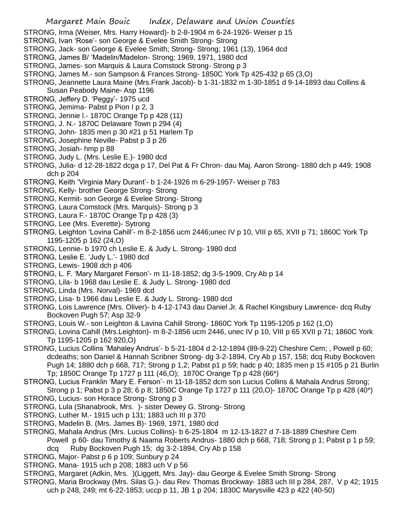STRONG, Irma (Weiser, Mrs. Harry Howard)- b 2-8-1904 m 6-24-1926- Weiser p 15

- STRONG, Ivan 'Rose'- son George & Evelee Smith Strong- Strong
- STRONG, Jack- son George & Evelee Smith; Strong- Strong; 1961 (13), 1964 dcd
- STRONG, James B/ 'Madelin/Madelon- Strong; 1969, 1971, 1980 dcd
- STRONG, James- son Marquis & Laura Comstock Strong- Strong p 3
- STRONG, James M.- son Sampson & Frances Strong- 1850C York Tp 425-432 p 65 (3,O)
- STRONG, Jeannette Laura Maine (Mrs.Frank Jacob)- b 1-31-1832 m 1-30-1851 d 9-14-1893 dau Collins & Susan Peabody Maine- Asp 1196
- STRONG, Jeffery D. 'Peggy'- 1975 ucd
- STRONG, Jemima- Pabst p Pion I p 2, 3
- STRONG, Jennie l.- 1870C Orange Tp p 428 (11)
- STRONG, J. N.- 1870C Delaware Town p 294 (4)
- STRONG, John- 1835 men p 30 #21 p 51 Harlem Tp
- STRONG, Josephine Neville- Pabst p 3 p 26
- STRONG, Josiah- hmp p 88
- STRONG, Judy L. (Mrs. Leslie E.)- 1980 dcd
- STRONG, Julia- d 12-28-1822 dcga p 17, Del Pat & Fr Chron- dau Maj. Aaron Strong- 1880 dch p 449; 1908 dch p 204
- STRONG, Keith 'Virginia Mary Durant'- b 1-24-1926 m 6-29-1957- Weiser p 783
- STRONG, Kelly- brother George Strong- Strong
- STRONG, Kermit- son George & Evelee Strong- Strong
- STRONG, Laura Comstock (Mrs. Marquis)- Strong p 3
- STRONG, Laura F.- 1870C Orange Tp p 428 (3)
- STRONG, Lee (Mrs. Everette)- Sytrong
- STRONG, Leighton 'Lovina Cahill'- m 8-2-1856 ucm 2446;unec IV p 10, VIII p 65, XVII p 71; 1860C York Tp 1195-1205 p 162 (24,O)
- STRONG, Lennie- b 1970 ch Leslie E. & Judy L. Strong- 1980 dcd
- STRONG, Leslie E. 'Judy L.'- 1980 dcd
- STRONG, Lewis- 1908 dch p 406
- STRONG, L. F. 'Mary Margaret Ferson'- m 11-18-1852; dg 3-5-1909, Cry Ab p 14
- STRONG, Lila- b 1968 dau Leslie E. & Judy L. Strong- 1980 dcd
- STRONG, Linda (Mrs. Norval)- 1969 dcd
- STRONG, Lisa- b 1966 dau Leslie E. & Judy L. Strong- 1980 dcd
- STRONG, Lois Lawrence (Mrs. Oliver)- b 4-12-1743 dau Daniel Jr. & Rachel Kingsbury Lawrence- dcq Ruby Bockoven Pugh 57; Asp 32-9
- STRONG, Louis W.- son Leighton & Lavina Cahill Strong- 1860C York Tp 1195-1205 p 162 (1,O)
- STRONG, Lovina Cahill (Mrs.Leighton)- m 8-2-1856 ucm 2446, unec IV p 10, VIII p 65 XVII p 71; 1860C York Tp 1195-1205 p 162 920,O)
- STRONG, Lucius Collins 'Mahaley Andrus'- b 5-21-1804 d 2-12-1894 (89-9-22) Cheshire Cem; , Powell p 60; dcdeaths; son Daniel & Hannah Scribner Strong- dg 3-2-1894, Cry Ab p 157, 158; dcq Ruby Bockoven Pugh 14; 1880 dch p 668, 717; Strong p 1,2; Pabst p1 p 59; hadc p 40; 1835 men p 15 #105 p 21 Burlin Tp; 1850C Orange Tp 1727 p 111 (46,O); 1870C Orange Tp p 428 (66\*)
- STRONG, Lucius Franklin 'Mary E. Ferson'- m 11-18-1852 dcm son Lucius Collins & Mahala Andrus Strong; Strong p 1; Pabst p 3 p 28; 6 p 8; 1850C Orange Tp 1727 p 111 (20,O)- 1870C Orange Tp p 428 (40\*)
- STRONG, Lucius- son Horace Strong- Strong p 3
- STRONG, Lula (Shanabrook, Mrs. )- sister Dewey G. Strong- Strong
- STRONG, Luther M.- 1915 uch p 131; 1883 uch III p 370
- STRONG, Madelin B. (Mrs. James B)- 1969, 1971, 1980 dcd
- STRONG, Mahala Andrus (Mrs. Lucius Collins)- b 6-25-1804 m 12-13-1827 d 7-18-1889 Cheshire Cem
- Powell p 60- dau Timothy & Naama Roberts Andrus- 1880 dch p 668, 718; Strong p 1; Pabst p 1 p 59; dcq Ruby Bockoven Pugh 15; dg 3-2-1894, Cry Ab p 158
- STRONG, Major- Pabst p 6 p 109; Sunbury p 24
- STRONG, Mana- 1915 uch p 208; 1883 uch V p 56
- STRONG, Margaret (Adkin, Mrs. )(Liggett, Mrs. Jay)- dau George & Evelee Smith Strong- Strong
- STRONG, Maria Brockway (Mrs. Silas G.)- dau Rev. Thomas Brockway- 1883 uch III p 284, 287, V p 42; 1915 uch p 248, 249; mt 6-22-1853; uccp p 11, JB 1 p 204; 1830C Marysville 423 p 422 (40-50)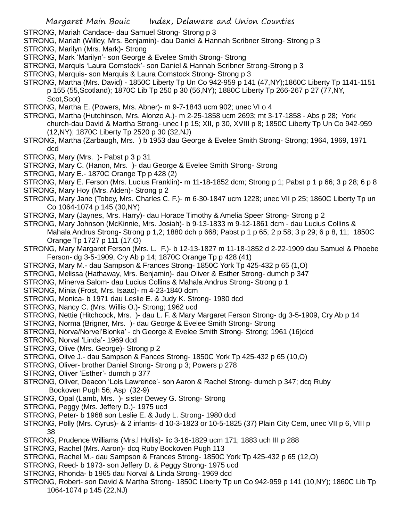STRONG, Mariah Candace- dau Samuel Strong- Strong p 3

- STRONG, Mariah (Willey, Mrs. Benjamin)- dau Daniel & Hannah Scribner Strong- Strong p 3
- STRONG, Marilyn (Mrs. Mark)- Strong
- STRONG, Mark 'Marilyn'- son George & Evelee Smith Strong- Strong
- STRONG, Marquis 'Laura Comstock'- son Daniel & Hannah Scribner Strong-Strong p 3
- STRONG, Marquis- son Marquis & Laura Comstock Strong- Strong p 3
- STRONG, Martha (Mrs. David) 1850C Liberty Tp Un Co 942-959 p 141 (47,NY);1860C Liberty Tp 1141-1151 p 155 (55,Scotland); 1870C Lib Tp 250 p 30 (56,NY); 1880C Liberty Tp 266-267 p 27 (77,NY, Scot,Scot)
- STRONG, Martha E. (Powers, Mrs. Abner)- m 9-7-1843 ucm 902; unec VI o 4
- STRONG, Martha (Hutchinson, Mrs. Alonzo A.)- m 2-25-1858 ucm 2693; mt 3-17-1858 Abs p 28; York church-dau David & Martha Strong- unec I p 15; XII, p 30, XVIII p 8; 1850C Liberty Tp Un Co 942-959 (12,NY); 1870C Liberty Tp 2520 p 30 (32,NJ)
- STRONG, Martha (Zarbaugh, Mrs. ) b 1953 dau George & Evelee Smith Strong- Strong; 1964, 1969, 1971 dcd
- STRONG, Mary (Mrs. )- Pabst p 3 p 31
- STRONG, Mary C. (Hanon, Mrs. )- dau George & Evelee Smith Strong- Strong
- STRONG, Mary E.- 1870C Orange Tp p 428 (2)
- STRONG, Mary E. Ferson (Mrs. Lucius Franklin)- m 11-18-1852 dcm; Strong p 1; Pabst p 1 p 66; 3 p 28; 6 p 8
- STRONG, Mary Hoy (Mrs. Alden)- Strong p 2
- STRONG, Mary Jane (Tobey, Mrs. Charles C. F.)- m 6-30-1847 ucm 1228; unec VII p 25; 1860C Liberty Tp un Co 1064-1074 p 145 (30,NY)
- STRONG, Mary (Jaynes, Mrs. Harry)- dau Horace Timothy & Amelia Speer Strong- Strong p 2
- STRONG, Mary Johnson (McKinnie, Mrs. Josiah)- b 9-13-1833 m 9-12-1861 dcm dau Lucius Collins & Mahala Andrus Strong- Strong p 1,2; 1880 dch p 668; Pabst p 1 p 65; 2 p 58; 3 p 29; 6 p 8, 11; 1850C Orange Tp 1727 p 111 (17,O)
- STRONG, Mary Margaret Ferson (Mrs. L. F.)- b 12-13-1827 m 11-18-1852 d 2-22-1909 dau Samuel & Phoebe Ferson- dg 3-5-1909, Cry Ab p 14; 1870C Orange Tp p 428 (41)
- STRONG, Mary M.- dau Sampson & Frances Strong- 1850C York Tp 425-432 p 65 (1,O)
- STRONG, Melissa (Hathaway, Mrs. Benjamin)- dau Oliver & Esther Strong- dumch p 347
- STRONG, Minerva Salom- dau Lucius Collins & Mahala Andrus Strong- Strong p 1
- STRONG, Minia (Frost, Mrs. Isaac)- m 4-23-1840 dcm
- STRONG, Monica- b 1971 dau Leslie E. & Judy K. Strong- 1980 dcd
- STRONG, Nancy C. (Mrs. Willis O.)- Strong; 1962 ucd
- STRONG, Nettie (Hitchcock, Mrs. )- dau L. F. & Mary Margaret Ferson Strong- dg 3-5-1909, Cry Ab p 14
- STRONG, Norma (Brigner, Mrs. )- dau George & Evelee Smith Strong- Strong
- STRONG, Norva/Norvel'Blonka' ch George & Evelee Smith Strong- Strong; 1961 (16)dcd
- STRONG, Norval 'Linda'- 1969 dcd
- STRONG, Olive (Mrs. George)- Strong p 2
- STRONG, Olive J.- dau Sampson & Fances Strong- 1850C York Tp 425-432 p 65 (10,O)
- STRONG, Oliver- brother Daniel Strong- Strong p 3; Powers p 278
- STRONG, Oliver 'Esther'- dumch p 377
- STRONG, Oliver, Deacon 'Lois Lawrence'- son Aaron & Rachel Strong- dumch p 347; dcq Ruby Bockoven Pugh 56; Asp (32-9)
- STRONG, Opal (Lamb, Mrs. )- sister Dewey G. Strong- Strong
- STRONG, Peggy (Mrs. Jeffery D.)- 1975 ucd
- STRONG, Peter- b 1968 son Leslie E. & Judy L. Strong- 1980 dcd
- STRONG, Polly (Mrs. Cyrus)- & 2 infants- d 10-3-1823 or 10-5-1825 (37) Plain City Cem, unec VII p 6, VIII p 38
- STRONG, Prudence Williams (Mrs.l Hollis)- lic 3-16-1829 ucm 171; 1883 uch III p 288
- STRONG, Rachel (Mrs. Aaron)- dcq Ruby Bockoven Pugh 113
- STRONG, Rachel M.- dau Sampson & Frances Strong- 1850C York Tp 425-432 p 65 (12,O)
- STRONG, Reed- b 1973- son Jeffery D. & Peggy Strong- 1975 ucd
- STRONG, Rhonda- b 1965 dau Norval & Linda Strong- 1969 dcd
- STRONG, Robert- son David & Martha Strong- 1850C Liberty Tp un Co 942-959 p 141 (10,NY); 1860C Lib Tp 1064-1074 p 145 (22,NJ)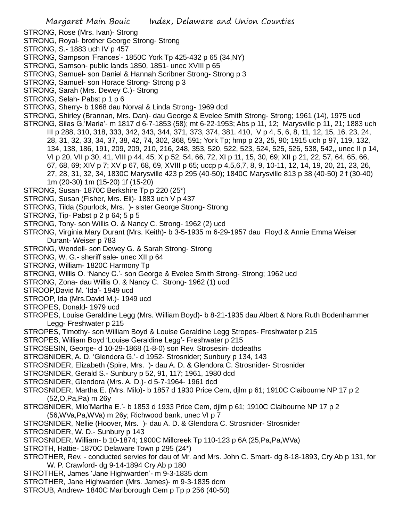- STRONG, Rose (Mrs. Ivan)- Strong
- STRONG, Royal- brother George Strong- Strong
- STRONG, S.- 1883 uch IV p 457
- STRONG, Sampson 'Frances'- 1850C York Tp 425-432 p 65 (34,NY)
- STRONG, Samson- public lands 1850, 1851- unec XVIII p 65
- STRONG, Samuel- son Daniel & Hannah Scribner Strong- Strong p 3
- STRONG, Samuel- son Horace Strong- Strong p 3
- STRONG, Sarah (Mrs. Dewey C.)- Strong
- STRONG, Selah- Pabst p 1 p 6
- STRONG, Sherry- b 1968 dau Norval & Linda Strong- 1969 dcd
- STRONG, Shirley (Brannan, Mrs. Dan)- dau George & Evelee Smith Strong- Strong; 1961 (14), 1975 ucd
- STRONG, Silas G.'Maria'- m 1817 d 6-7-1853 (58); mt 6-22-1953; Abs p 11, 12; Marysville p 11, 21; 1883 uch III p 288, 310, 318, 333, 342, 343, 344, 371, 373, 374, 381. 410, V p 4, 5, 6, 8, 11, 12, 15, 16, 23, 24, 28, 31, 32, 33, 34, 37, 38, 42, 74, 302, 368, 591; York Tp; hmp p 23, 25, 90; 1915 uch p 97, 119, 132, 134, 138, 186, 191, 209, 209, 210, 216, 248, 353, 520, 522, 523, 524, 525, 526, 538, 542,, unec II p 14, VI p 20, VII p 30, 41, VIII p 44, 45; X p 52, 54, 66, 72, XI p 11, 15, 30, 69; XII p 21, 22, 57, 64, 65, 66, 67, 68, 69; XIV p 7; XV p 67, 68, 69, XVIII p 65; uccp p 4,5,6,7, 8, 9, 10-11, 12, 14, 19, 20, 21, 23, 26, 27, 28, 31, 32, 34, 1830C Marysville 423 p 295 (40-50); 1840C Marysville 813 p 38 (40-50) 2 f (30-40) 1m (20-30) 1m (15-20) 1f (15-20)
- STRONG, Susan- 1870C Berkshire Tp p 220 (25\*)
- STRONG, Susan (Fisher, Mrs. Eli)- 1883 uch V p 437
- STRONG, Tilda (Spurlock, Mrs. )- sister George Strong- Strong
- STRONG, Tip- Pabst p 2 p 64; 5 p 5
- STRONG, Tony- son Willis O. & Nancy C. Strong- 1962 (2) ucd
- STRONG, Virginia Mary Durant (Mrs. Keith)- b 3-5-1935 m 6-29-1957 dau Floyd & Annie Emma Weiser Durant- Weiser p 783
- STRONG, Wendell- son Dewey G. & Sarah Strong- Strong
- STRONG, W. G.- sheriff sale- unec XII p 64
- STRONG, William- 1820C Harmony Tp
- STRONG, Willis O. 'Nancy C.'- son George & Evelee Smith Strong- Strong; 1962 ucd
- STRONG, Zona- dau Willis O. & Nancy C. Strong- 1962 (1) ucd
- STROOP,David M. 'Ida'- 1949 ucd
- STROOP, Ida (Mrs.David M.)- 1949 ucd
- STROPES, Donald- 1979 ucd
- STROPES, Louise Geraldine Legg (Mrs. William Boyd)- b 8-21-1935 dau Albert & Nora Ruth Bodenhammer Legg- Freshwater p 215
- STROPES, Timothy- son William Boyd & Louise Geraldine Legg Stropes- Freshwater p 215
- STROPES, William Boyd 'Louise Geraldine Legg'- Freshwater p 215
- STROSESIN, George- d 10-29-1868 (1-8-0) son Rev. Strosesin- dcdeaths
- STROSNIDER, A. D. 'Glendora G.'- d 1952- Strosnider; Sunbury p 134, 143
- STROSNIDER, Elizabeth (Spire, Mrs. )- dau A. D. & Glendora C. Strosnider- Strosnider
- STROSNIDER, Gerald S.- Sunbury p 52, 91, 117; 1961, 1980 dcd
- STROSNIDER, Glendora (Mrs. A. D.)- d 5-7-1964- 1961 dcd
- STROSNIDER, Martha E. (Mrs. Milo)- b 1857 d 1930 Price Cem, djlm p 61; 1910C Claibourne NP 17 p 2 (52,O,Pa,Pa) m 26y
- STROSNIDER, Milo'Martha E.'- b 1853 d 1933 Price Cem, djlm p 61; 1910C Claibourne NP 17 p 2 (56,WVa,Pa,WVa) m 26y; Richwood bank, unec VI p 7
- STROSNIDER, Nellie (Hoover, Mrs. )- dau A. D. & Glendora C. Strosnider- Strosnider
- STROSNIDER, W. D.- Sunbury p 143
- STROSNIDER, William- b 10-1874; 1900C Millcreek Tp 110-123 p 6A (25,Pa,Pa,WVa)
- STROTH, Hattie- 1870C Delaware Town p 295 (24\*)
- STROTHER, Rev. conducted servies for dau of Mr. and Mrs. John C. Smart- dg 8-18-1893, Cry Ab p 131, for W. P. Crawford- dg 9-14-1894 Cry Ab p 180
- STROTHER, James 'Jane Highwarden'- m 9-3-1835 dcm
- STROTHER, Jane Highwarden (Mrs. James)- m 9-3-1835 dcm
- STROUB, Andrew- 1840C Marlborough Cem p Tp p 256 (40-50)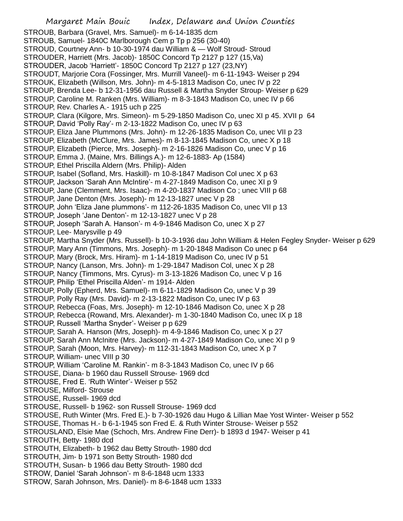STROUB, Barbara (Gravel, Mrs. Samuel)- m 6-14-1835 dcm STROUB, Samuel- 1840C Marlborough Cem p Tp p 256 (30-40) STROUD, Courtney Ann- b 10-30-1974 dau William & — Wolf Stroud- Stroud STROUDER, Harriett (Mrs. Jacob)- 1850C Concord Tp 2127 p 127 (15,Va) STROUDER, Jacob 'Harriett'- 1850C Concord Tp 2127 p 127 (23,NY) STROUDT, Marjorie Cora (Fossinger, Mrs. Murrill Vaneel)- m 6-11-1943- Weiser p 294 STROUK, Elizabeth (Willson, Mrs. John)- m 4-5-1813 Madison Co, unec IV p 22 STROUP, Brenda Lee- b 12-31-1956 dau Russell & Martha Snyder Stroup- Weiser p 629 STROUP, Caroline M. Ranken (Mrs. William)- m 8-3-1843 Madison Co, unec IV p 66 STROUP, Rev. Charles A.- 1915 uch p 225 STROUP, Clara (Kilgore, Mrs. Simeon)- m 5-29-1850 Madison Co, unec XI p 45. XVII p 64 STROUP, David 'Polly Ray'- m 2-13-1822 Madison Co, unec IV p 63 STROUP, Eliza Jane Plummons (Mrs. John)- m 12-26-1835 Madison Co, unec VII p 23 STROUP, Elizabeth (McClure, Mrs. James)- m 8-13-1845 Madison Co, unec X p 18 STROUP, Elizabeth (Pierce, Mrs. Joseph)- m 2-16-1826 Madison Co, unec V p 16 STROUP, Emma J. (Maine, Mrs. Billings A.)- m 12-6-1883- Ap (1584) STROUP, Ethel Priscilla Aldern (Mrs. Philip)- Alden STROUP, Isabel (Sofland, Mrs. Haskill)- m 10-8-1847 Madison Col unec X p 63 STROUP, Jackson 'Sarah Ann McIntire'- m 4-27-1849 Madison Co, unec XI p 9 STROUP, Jane (Clemment, Mrs. Isaac)- m 4-20-1837 Madison Co ; unec VIII p 68 STROUP, Jane Denton (Mrs. Joseph)- m 12-13-1827 unec V p 28 STROUP, John 'Eliza Jane plummons'- m 112-26-1835 Madison Co, unec VII p 13 STROUP, Joseph 'Jane Denton'- m 12-13-1827 unec V p 28 STROUP, Joseph 'Sarah A. Hanson'- m 4-9-1846 Madison Co, unec X p 27 STROUP, Lee- Marysville p 49 STROUP, Martha Snyder (Mrs. Russell)- b 10-3-1936 dau John William & Helen Fegley Snyder- Weiser p 629 STROUP, Mary Ann (Timmons, Mrs. Joseph)- m 1-20-1848 Madison Co unec p 64 STROUP, Mary (Brock, Mrs. Hiram)- m 1-14-1819 Madison Co, unec IV p 51 STROUP, Nancy (Lanson, Mrs. John)- m 1-29-1847 Madison Col, unec X p 28 STROUP, Nancy (Timmons, Mrs. Cyrus)- m 3-13-1826 Madison Co, unec V p 16 STROUP, Philip 'Ethel Priscilla Alden'- m 1914- Alden STROUP, Polly (Epherd, Mrs. Samuel)- m 6-11-1829 Madison Co, unec V p 39 STROUP, Polly Ray (Mrs. David)- m 2-13-1822 Madison Co, unec IV p 63 STROUP, Rebecca (Foas, Mrs. Joseph)- m 12-10-1846 Madison Co, unec X p 28 STROUP, Rebecca (Rowand, Mrs. Alexander)- m 1-30-1840 Madison Co, unec IX p 18 STROUP, Russell 'Martha Snyder'- Weiser p p 629 STROUP, Sarah A. Hanson (Mrs, Joseph)- m 4-9-1846 Madison Co, unec X p 27 STROUP, Sarah Ann McInitre (Mrs. Jackson)- m 4-27-1849 Madison Co, unec XI p 9 STROUP, Sarah (Moon, Mrs. Harvey)- m 112-31-1843 Madison Co, unec X p 7 STROUP, William- unec VIII p 30 STROUP, William 'Caroline M. Rankin'- m 8-3-1843 Madison Co, unec IV p 66 STROUSE, Diana- b 1960 dau Russell Strouse- 1969 dcd STROUSE, Fred E. 'Ruth Winter'- Weiser p 552 STROUSE, Milford- Strouse STROUSE, Russell- 1969 dcd STROUSE, Russell- b 1962- son Russell Strouse- 1969 dcd STROUSE, Ruth Winter (Mrs. Fred E.)- b 7-30-1926 dau Hugo & Lillian Mae Yost Winter- Weiser p 552 STROUSE, Thomas H.- b 6-1-1945 son Fred E. & Ruth Winter Strouse- Weiser p 552 STROUSLAND, Elsie Mae (Schoch, Mrs. Andrew Fine Derr)- b 1893 d 1947- Weiser p 41 STROUTH, Betty- 1980 dcd STROUTH, Elizabeth- b 1962 dau Betty Strouth- 1980 dcd STROUTH, Jim- b 1971 son Betty Strouth- 1980 dcd STROUTH, Susan- b 1966 dau Betty Strouth- 1980 dcd STROW, Daniel 'Sarah Johnson'- m 8-6-1848 ucm 1333 STROW, Sarah Johnson, Mrs. Daniel)- m 8-6-1848 ucm 1333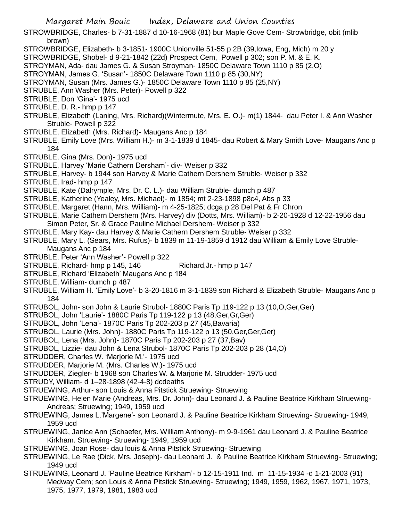STROWBRIDGE, Charles- b 7-31-1887 d 10-16-1968 (81) bur Maple Gove Cem- Strowbridge, obit (mlib brown)

- STROWBRIDGE, Elizabeth- b 3-1851- 1900C Unionville 51-55 p 2B (39,Iowa, Eng, Mich) m 20 y
- STROWBRIDGE, Shobel- d 9-21-1842 (22d) Prospect Cem, Powell p 302; son P. M. & E. K.
- STROYMAN, Ada- dau James G. & Susan Stroyman- 1850C Delaware Town 1110 p 85 (2,O)
- STROYMAN, James G. 'Susan'- 1850C Delaware Town 1110 p 85 (30,NY)
- STROYMAN, Susan (Mrs. James G.)- 1850C Delaware Town 1110 p 85 (25,NY)
- STRUBLE, Ann Washer (Mrs. Peter)- Powell p 322
- STRUBLE, Don 'Gina'- 1975 ucd
- STRUBLE, D. R.- hmp p 147
- STRUBLE, Elizabeth (Laning, Mrs. Richard)(Wintermute, Mrs. E. O.)- m(1) 1844- dau Peter I. & Ann Washer Struble- Powell p 322
- STRUBLE, Elizabeth (Mrs. Richard)- Maugans Anc p 184
- STRUBLE, Emily Love (Mrs. William H.)- m 3-1-1839 d 1845- dau Robert & Mary Smith Love- Maugans Anc p 184
- STRUBLE, Gina (Mrs. Don)- 1975 ucd
- STRUBLE, Harvey 'Marie Cathern Dersham'- div- Weiser p 332
- STRUBLE, Harvey- b 1944 son Harvey & Marie Cathern Dershem Struble- Weiser p 332
- STRUBLE, Irad- hmp p 147
- STRUBLE, Kate (Dalrymple, Mrs. Dr. C. L.)- dau William Struble- dumch p 487
- STRUBLE, Katherine (Yealey, Mrs. Michael)- m 1854; mt 2-23-1898 p8c4, Abs p 33
- STRUBLE, Margaret (Hann, Mrs. William)- m 4-25-1825; dcga p 28 Del Pat & Fr Chron
- STRUBLE, Marie Cathern Dershem (Mrs. Harvey) div (Dotts, Mrs. William)- b 2-20-1928 d 12-22-1956 dau Simon Peter, Sr. & Grace Pauline Michael Dershem- Weiser p 332
- STRUBLE, Mary Kay- dau Harvey & Marie Cathern Dershem Struble- Weiser p 332
- STRUBLE, Mary L. (Sears, Mrs. Rufus)- b 1839 m 11-19-1859 d 1912 dau William & Emily Love Struble-Maugans Anc p 184
- STRUBLE, Peter 'Ann Washer'- Powell p 322
- STRUBLE, Richard- hmp p 145, 146 Richard, Jr.- hmp p 147
- STRUBLE, Richard 'Elizabeth' Maugans Anc p 184
- STRUBLE, William- dumch p 487
- STRUBLE, William H. 'Emily Love'- b 3-20-1816 m 3-1-1839 son Richard & Elizabeth Struble- Maugans Anc p 184
- STRUBOL, John- son John & Laurie Strubol- 1880C Paris Tp 119-122 p 13 (10,O,Ger,Ger)
- STRUBOL, John 'Laurie'- 1880C Paris Tp 119-122 p 13 (48,Ger,Gr,Ger)
- STRUBOL, John 'Lena'- 1870C Paris Tp 202-203 p 27 (45,Bavaria)
- STRUBOL, Laurie (Mrs. John)- 1880C Paris Tp 119-122 p 13 (50,Ger,Ger,Ger)
- STRUBOL, Lena (Mrs. John)- 1870C Paris Tp 202-203 p 27 (37,Bav)
- STRUBOL, Lizzie- dau John & Lena Strubol- 1870C Paris Tp 202-203 p 28 (14,O)
- STRUDDER, Charles W. 'Marjorie M.'- 1975 ucd
- STRUDDER, Marjorie M. (Mrs. Charles W.)- 1975 ucd
- STRUDDER, Ziegler- b 1968 son Charles W. & Marjorie M. Strudder- 1975 ucd
- STRUDY, William- d 1–28-1898 (42-4-8) dcdeaths
- STRUEWING, Arthur- son Louis & Anna Pitstick Struewing- Struewing
- STRUEWING, Helen Marie (Andreas, Mrs. Dr. John)- dau Leonard J. & Pauline Beatrice Kirkham Struewing-Andreas; Struewing; 1949, 1959 ucd
- STRUEWING, James L.'Margene'- son Leonard J. & Pauline Beatrice Kirkham Struewing- Struewing- 1949, 1959 ucd
- STRUEWING, Janice Ann (Schaefer, Mrs. William Anthony)- m 9-9-1961 dau Leonard J. & Pauline Beatrice Kirkham. Struewing- Struewing- 1949, 1959 ucd
- STRUEWING, Joan Rose- dau louis & Anna Pitstick Struewing- Struewing
- STRUEWING, Le Rae (Dick, Mrs. Joseph)- dau Leonard J. & Pauline Beatrice Kirkham Struewing- Struewing; 1949 ucd
- STRUEWING, Leonard J. 'Pauline Beatrice Kirkham'- b 12-15-1911 Ind. m 11-15-1934 -d 1-21-2003 (91) Medway Cem; son Louis & Anna Pitstick Struewing- Struewing; 1949, 1959, 1962, 1967, 1971, 1973, 1975, 1977, 1979, 1981, 1983 ucd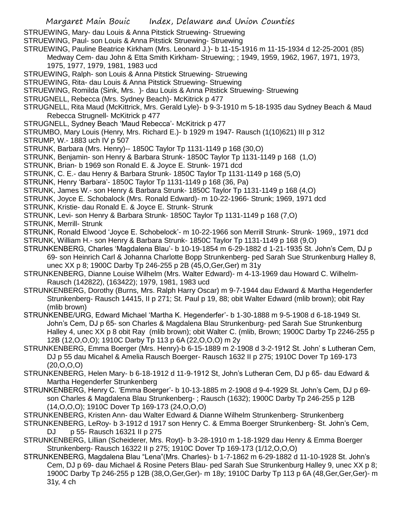STRUEWING, Mary- dau Louis & Anna Pitstick Struewing- Struewing

STRUEWING, Paul- son Louis & Anna Pitstick Struewing- Struewing

- STRUEWING, Pauline Beatrice Kirkham (Mrs. Leonard J.)- b 11-15-1916 m 11-15-1934 d 12-25-2001 (85) Medway Cem- dau John & Etta Smith Kirkham- Struewing; ; 1949, 1959, 1962, 1967, 1971, 1973, 1975, 1977, 1979, 1981, 1983 ucd
- STRUEWING, Ralph- son Louis & Anna Pitstick Struewing- Struewing
- STRUEWING, Rita- dau Louis & Anna Pitstick Struewing- Struewing
- STRUEWING, Romilda (Sink, Mrs. )- dau Louis & Anna Pitstick Struewing- Struewing
- STRUGNELL, Rebecca (Mrs. Sydney Beach)- McKitrick p 477
- STRUGNELL, Rita Maud (McKittrick, Mrs. Gerald Lyle)- b 9-3-1910 m 5-18-1935 dau Sydney Beach & Maud Rebecca Strugnell- McKitrick p 477
- STRUGNELL, Sydney Beach 'Maud Rebecca'- McKitrick p 477
- STRUMBO, Mary Louis (Henry, Mrs. Richard E.)- b 1929 m 1947- Rausch (1(10)621) III p 312
- STRUMP, W.- 1883 uch IV p 507
- STRUNK, Barbara (Mrs. Henry)-- 1850C Taylor Tp 1131-1149 p 168 (30,O)
- STRUNK, Benjamin- son Henry & Barbara Strunk- 1850C Taylor Tp 1131-1149 p 168 (1,O)
- STRUNK, Brian- b 1969 son Ronald E. & Joyce E. Strunk- 1971 dcd
- STRUNK, C. E.- dau Henry & Barbara Strunk- 1850C Taylor Tp 1131-1149 p 168 (5,O)
- STRUNK, Henry 'Barbara'- 1850C Taylor Tp 1131-1149 p 168 (36, Pa)
- STRUNK, James W.- son Henry & Barbara Strunk- 1850C Taylor Tp 1131-1149 p 168 (4,O)
- STRUNK, Joyce E. Schobalock (Mrs. Ronald Edward)- m 10-22-1966- Strunk; 1969, 1971 dcd
- STRUNK, Kristie- dau Ronald E. & Joyce E. Strunk- Strunk
- STRUNK, Levi- son Henry & Barbara Strunk- 1850C Taylor Tp 1131-1149 p 168 (7,O)
- STRUNK, Merrill- Strunk

STRUNK, Ronald Elwood 'Joyce E. Schobelock'- m 10-22-1966 son Merrill Strunk- Strunk- 1969,, 1971 dcd STRUNK, William H.- son Henry & Barbara Strunk- 1850C Taylor Tp 1131-1149 p 168 (9,O)

- STRUNKENBERG, Charles 'Magdalena Blau'- b 10-19-1854 m 6-29-1882 d 1-21-1935 St. John's Cem, DJ p 69- son Heinrich Carl & Johanna Charlotte Bopp Strunkenberg- ped Sarah Sue Strunkenburg Halley 8, unec XX p 8; 1900C Darby Tp 246-255 p 2B (45,O,Ger,Ger) m 31y
- STRUNKENBERG, Dianne Louise Wilhelm (Mrs. Walter Edward)- m 4-13-1969 dau Howard C. Wilhelm-Rausch (142822), (163422); 1979, 1981, 1983 ucd
- STRUNKENBERG, Dorothy (Burns, Mrs. Ralph Harry Oscar) m 9-7-1944 dau Edward & Martha Hegenderfer Strunkenberg- Rausch 14415, II p 271; St. Paul p 19, 88; obit Walter Edward (mlib brown); obit Ray (mlib brown)
- STRUNKENBE/URG, Edward Michael 'Martha K. Hegenderfer'- b 1-30-1888 m 9-5-1908 d 6-18-1949 St. John's Cem, DJ p 65- son Charles & Magdalena Blau Strunkenburg- ped Sarah Sue Strunkenburg Halley 4, unec XX p 8 obit Ray (mlib brown); obit Walter C. (mlib, Brown; 1900C Darby Tp 2246-255 p 12B (12,O,O,O); 1910C Darby Tp 113 p 6A (22,O,O,O) m 2y
- STRUNKENBERG, Emma Boerger (Mrs. Henry)-b 6-15-1889 m 2-1908 d 3-2-1912 St. John' s Lutheran Cem, DJ p 55 dau Micahel & Amelia Rausch Boerger- Rausch 1632 II p 275; 1910C Dover Tp 169-173 (20,O,O,O)
- STRUNKENBERG, Helen Mary- b 6-18-1912 d 11-9-1912 St, John's Lutheran Cem, DJ p 65- dau Edward & Martha Hegenderfer Strunkenberg
- STRUNKENBERG, Henry C. 'Emma Boerger'- b 10-13-1885 m 2-1908 d 9-4-1929 St. John's Cem, DJ p 69 son Charles & Magdalena Blau Strunkenberg- ; Rausch (1632); 1900C Darby Tp 246-255 p 12B (14,O,O,O); 1910C Dover Tp 169-173 (24,O,O,O)
- STRUNKENBERG, Kristen Ann- dau Walter Edward & Dianne Wilhelm Strunkenberg- Strunkenberg
- STRUNKENBERG, LeRoy- b 3-1912 d 1917 son Henry C. & Emma Boerger Strunkenberg- St. John's Cem, DJ p 55- Rausch 16321 II p 275
- STRUNKENBERG, Lillian (Scheiderer, Mrs. Royt)- b 3-28-1910 m 1-18-1929 dau Henry & Emma Boerger Strunkenberg- Rausch 16322 II p 275; 1910C Dover Tp 169-173 (1/12,O,O,O)
- STRUNKENBERG, Magdalena Blau "Lena"(Mrs. Charles)- b 1-7-1862 m 6-29-1882 d 11-10-1928 St. John's Cem, DJ p 69- dau Michael & Rosine Peters Blau- ped Sarah Sue Strunkenburg Halley 9, unec XX p 8; 1900C Darby Tp 246-255 p 12B (38,O,Ger,Ger)- m 18y; 1910C Darby Tp 113 p 6A (48,Ger,Ger,Ger)- m 31y, 4 ch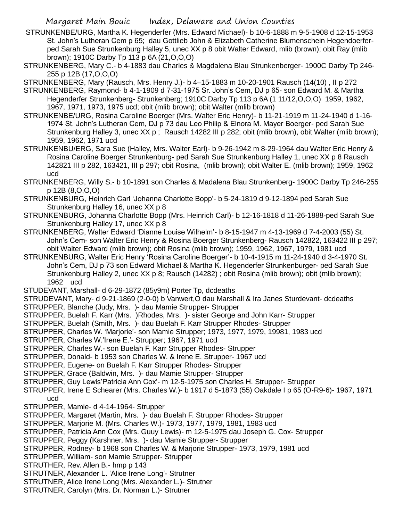- STRUNKENBE/URG, Martha K. Hegenderfer (Mrs. Edward Michael)- b 10-6-1888 m 9-5-1908 d 12-15-1953 St. John's Lutheran Cem p 65; dau Gottlieb John & Elizabeth Catherine Blumenschein Hegendoerferped Sarah Sue Strunkenburg Halley 5, unec XX p 8 obit Walter Edward, mlib (brown); obit Ray (mlib brown); 1910C Darby Tp 113 p 6A (21,O,O,O)
- STRUNKENBERG, Mary C.- b 4-1883 dau Charles & Magdalena Blau Strunkenberger- 1900C Darby Tp 246- 255 p 12B (17,O,O,O)

STRUNKENBERG, Mary (Rausch, Mrs. Henry J.)- b 4–15-1883 m 10-20-1901 Rausch (14(10) , II p 272

- STRUNKENBERG, Raymond- b 4-1-1909 d 7-31-1975 Sr. John's Cem, DJ p 65- son Edward M. & Martha Hegenderfer Strunkenberg- Strunkenberg; 1910C Darby Tp 113 p 6A (1 11/12,O,O,O) 1959, 1962, 1967, 1971, 1973, 1975 ucd; obit (mlib brown); obit Walter (mlib brown)
- STRUNKENBE/URG, Rosina Caroline Boerger (Mrs. Walter Eric Henry)- b 11-21-1919 m 11-24-1940 d 1-16- 1974 St. John's Lutheran Cem, DJ p 73 dau Leo Philip & Elnora M. Mayer Boerger- ped Sarah Sue Strunkenburg Halley 3, unec XX p ; Rausch 14282 III p 282; obit (mlib brown), obit Walter (mlib brown); 1959, 1962, 1971 ucd
- STRUNKENBU/ERG, Sara Sue (Halley, Mrs. Walter Earl)- b 9-26-1942 m 8-29-1964 dau Walter Eric Henry & Rosina Caroline Boerger Strunkenburg- ped Sarah Sue Strunkenburg Halley 1, unec XX p 8 Rausch 142821 III p 282, 163421, III p 297; obit Rosina, (mlib brown); obit Walter E. (mlib brown); 1959, 1962 ucd
- STRUNKENBERG, Willy S.- b 10-1891 son Charles & Madalena Blau Strunkenberg- 1900C Darby Tp 246-255 p 12B (8,O,O,O)
- STRUNKENBURG, Heinrich Carl 'Johanna Charlotte Bopp'- b 5-24-1819 d 9-12-1894 ped Sarah Sue Strunkenburg Halley 16, unec XX p 8
- STRUNKENBURG, Johanna Charlotte Bopp (Mrs. Heinrich Carl)- b 12-16-1818 d 11-26-1888-ped Sarah Sue Strunkenburg Halley 17, unec XX p 8
- STRUNKENBERG, Walter Edward 'Dianne Louise Wilhelm'- b 8-15-1947 m 4-13-1969 d 7-4-2003 (55) St. John's Cem- son Walter Eric Henry & Rosina Boerger Strunkenberg- Rausch 142822, 163422 III p 297; obit Walter Edward (mlib brown); obit Rosina (mlib brown); 1959, 1962, 1967, 1979, 1981 ucd
- STRUNKENBURG, Walter Eric Henry 'Rosina Caroline Boerger'- b 10-4-1915 m 11-24-1940 d 3-4-1970 St. John's Cem, DJ p 73 son Edward Michael & Martha K. Hegenderfer Strunkenburger- ped Sarah Sue Strunkenburg Halley 2, unec XX p 8; Rausch (14282) ; obit Rosina (mlib brown); obit (mlib brown); 1962 ucd
- STUDEVANT, Marshall- d 6-29-1872 (85y9m) Porter Tp, dcdeaths

STRUDEVANT, Mary- d 9-21-1869 (2-0-0) b Vanwert,O dau Marshall & Ira Janes Sturdevant- dcdeaths

- STRUPPER, Blanche (Judy, Mrs. )- dau Mamie Strupper- Strupper
- STRUPPER, Buelah F. Karr (Mrs. )Rhodes, Mrs. )- sister George and John Karr- Strupper
- STRUPPER, Buelah (Smith, Mrs. )- dau Buelah F. Karr Strupper Rhodes- Strupper
- STRUPPER, Charles W. 'Marjorie'- son Mamie Strupper; 1973, 1977, 1979, 19981, 1983 ucd
- STRUPPER, Charles W.'Irene E.'- Strupper; 1967, 1971 ucd
- STRUPPER, Charles W.- son Buelah F. Karr Strupper Rhodes- Strupper
- STRUPPER, Donald- b 1953 son Charles W. & Irene E. Strupper- 1967 ucd
- STRUPPER, Eugene- on Buelah F. Karr Strupper Rhodes- Strupper
- STRUPPER, Grace (Baldwin, Mrs. )- dau Mamie Strupper- Strupper
- STRUPPER, Guy Lewis'Patricia Ann Cox'- m 12-5-1975 son Charles H. Strupper- Strupper
- STRUPPER, Irene E Schearer (Mrs. Charles W.)- b 1917 d 5-1873 (55) Oakdale I p 65 (O-R9-6)- 1967, 1971 ucd
- STRUPPER, Mamie- d 4-14-1964- Strupper
- STRUPPER, Margaret (Martin, Mrs. )- dau Buelah F. Strupper Rhodes- Strupper
- STRUPPER, Marjorie M. (Mrs. Charles W.)- 1973, 1977, 1979, 1981, 1983 ucd
- STRUPPER, Patricia Ann Cox (Mrs. Guuy Lewis)- m 12-5-1975 dau Joseph G. Cox- Strupper
- STRUPPER, Peggy (Karshner, Mrs. )- dau Mamie Strupper- Strupper
- STRUPPER, Rodney- b 1968 son Charles W. & Marjorie Strupper- 1973, 1979, 1981 ucd
- STRUPPER, William- son Mamie Strupper- Strupper
- STRUTHER, Rev. Allen B.- hmp p 143
- STRUTNER, Alexander L. 'Alice Irene Long'- Strutner
- STRUTNER, Alice Irene Long (Mrs. Alexander L.)- Strutner
- STRUTNER, Carolyn (Mrs. Dr. Norman L.)- Strutner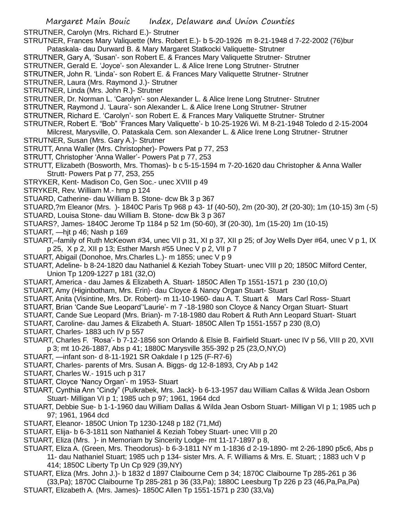STRUTNER, Carolyn (Mrs. Richard E.)- Strutner

- STRUTNER, Frances Mary Valiquette (Mrs. Robert E.)- b 5-20-1926 m 8-21-1948 d 7-22-2002 (76)bur Pataskala- dau Durward B. & Mary Margaret Statkocki Valiquette- Strutner
- STRUTNER, Gary A, 'Susan'- son Robert E. & Frances Mary Valiquette Strutner- Strutner
- STRUTNER, Gerald E. 'Joyce'- son Alexander L. & Alice Irene Long Strutner- Strutner
- STRUTNER, John R. 'Linda'- son Robert E. & Frances Mary Valiquette Strutner- Strutner
- STRUTNER, Laura (Mrs. Raymond J.)- Strutner
- STRUTNER, Linda (Mrs. John R.)- Strutner
- STRUTNER, Dr. Norman L. 'Carolyn'- son Alexander L. & Alice Irene Long Strutner- Strutner
- STRUTNER, Raymond J. 'Laura'- son Alexander L. & Alice Irene Long Strutner- Strutner
- STRUTNER, Richard E. 'Carolyn'- son Robert E. & Frances Mary Valiquette Strutner- Strutner
- STRUTNER, Robert E. "Bob" 'Frances Mary Valiquette'- b 10-25-1926 Wi. M 8-21-1948 Toledo d 2-15-2004
- Milcrest, Marysville, O. Pataskala Cem. son Alexander L. & Alice Irene Long Strutner- Strutner STRUTNER, Susan (Mrs. Gary A.)- Strutner
- 
- STRUTT, Anna Waller (Mrs. Christopher)- Powers Pat p 77, 253
- STRUTT, Christopher 'Anna Waller'- Powers Pat p 77, 253
- STRUTT, Elizabeth (Bosworth, Mrs. Thomas)- b c 5-15-1594 m 7-20-1620 dau Christopher & Anna Waller Strutt- Powers Pat p 77, 253, 255
- STRYKER, Kent- Madison Co, Gen Soc.- unec XVIII p 49
- STRYKER, Rev. William M.- hmp p 124
- STUARD, Catherine- dau William B. Stone- dcw Bk 3 p 367
- STUARD,?m Eleanor (Mrs. )- 1840C Paris Tp 968 p 43- 1f (40-50), 2m (20-30), 2f (20-30); 1m (10-15) 3m (-5)
- STUARD, Louisa Stone- dau William B. Stone- dcw Bk 3 p 367
- STUARS?, James- 1840C Jerome Tp 1184 p 52 1m (50-60), 3f (20-30), 1m (15-20) 1m (10-15)
- STUART, —hjt p 46; Nash p 169
- STUART,–family of Ruth McKeown #34, unec VII p 31, XI p 37, XII p 25; of Joy Wells Dyer #64, unec V p 1, IX p 25, X p 2, XII p 13; Esther Marsh #55 Unec V p 2, VII p 7
- STUART, Abigail (Donohoe, Mrs.Charles L.)- m 1855; unec V p 9
- STUART, Adeline- b 8-24-1820 dau Nathaniel & Keziah Tobey Stuart- unec VIII p 20; 1850C Milford Center, Union Tp 1209-1227 p 181 (32,O)
- STUART, America dau James & Elizabeth A. Stuart- 1850C Allen Tp 1551-1571 p 230 (10,O)
- STUART, Amy (Higinbotham, Mrs. Erin)- dau Cloyce & Nancy Organ Stuart- Stuart
- STUART, Anita (Visintine, Mrs. Dr. Robert)- m 11-10-1960- dau A. T. Stuart & Mars Carl Ross- Stuart
- STUART, Brian 'Cande Sue Leopard''Laurie'- m 7 -18-1980 son Cloyce & Nancy Organ Stuart- Stuart
- STUART, Cande Sue Leopard (Mrs. Brian)- m 7-18-1980 dau Robert & Ruth Ann Leopard Stuart- Stuart
- STUART, Caroline- dau James & Elizabeth A. Stuart- 1850C Allen Tp 1551-1557 p 230 (8,O)
- STUART, Charles- 1883 uch IV p 557
- STUART, Charles F. 'Rosa'- b 7-12-1856 son Orlando & Elsie B. Fairfield Stuart- unec IV p 56, VIII p 20, XVII p 3; mt 10-26-1887, Abs p 41; 1880C Marysville 355-392 p 25 (23,O,NY,O)
- STUART, —infant son- d 8-11-1921 SR Oakdale I p 125 (F-R7-6)
- STUART, Charles- parents of Mrs. Susan A. Biggs- dg 12-8-1893, Cry Ab p 142
- STUART, Charles W.- 1915 uch p 317
- STUART, Cloyce 'Nancy Organ'- m 1953- Stuart
- STUART, Cynthia Ann "Cindy" (Pulkrabek, Mrs. Jack)- b 6-13-1957 dau William Callas & Wilda Jean Osborn Stuart- Milligan VI p 1; 1985 uch p 97; 1961, 1964 dcd
- STUART, Debbie Sue- b 1-1-1960 dau William Dallas & Wilda Jean Osborn Stuart- Milligan VI p 1; 1985 uch p 97; 1961, 1964 dcd
- STUART, Eleanor- 1850C Union Tp 1230-1248 p 182 (71,Md)
- STUART, Elija- b 6-3-1811 son Nathaniel & Keziah Tobey Stuart- unec VIII p 20
- STUART, Eliza (Mrs. )- in Memoriam by Sincerity Lodge- mt 11-17-1897 p 8,
- STUART, Eliza A. (Green, Mrs. Theodorus)- b 6-3-1811 NY m 1-1836 d 2-19-1890- mt 2-26-1890 p5c6, Abs p 11- dau Nathaniel Stuart; 1985 uch p 134- sister Mrs. A. F. Williams & Mrs. E. Stuart; ; 1883 uch V p 414; 1850C Liberty Tp Un Cp 929 (39,NY)
- STUART, Eliza (Mrs. John J.)- b 1832 d 1897 Claibourne Cem p 34; 1870C Claibourne Tp 285-261 p 36 (33,Pa); 1870C Claibourne Tp 285-281 p 36 (33,Pa); 1880C Leesburg Tp 226 p 23 (46,Pa,Pa,Pa)
- STUART, Elizabeth A. (Mrs. James)- 1850C Allen Tp 1551-1571 p 230 (33,Va)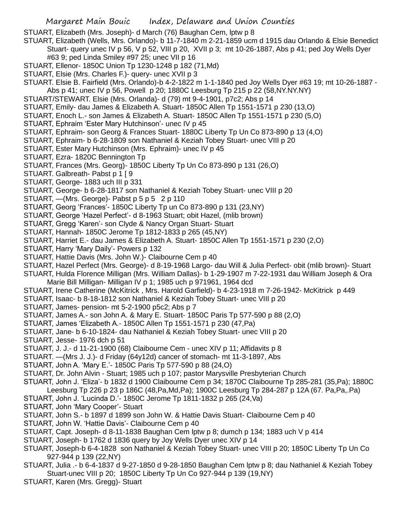STUART, Elizabeth (Mrs. Joseph)- d March (76) Baughan Cem, lptw p 8

STUART, Elizabeth (Wells, Mrs. Orlando)- b 11-7-1840 m 2-21-1859 ucm d 1915 dau Orlando & Elsie Benedict Stuart- query unec IV p 56, V p 52, VIII p 20, XVII p 3; mt 10-26-1887, Abs p 41; ped Joy Wells Dyer #63 9; ped Linda Smiley #97 25; unec VII p 16

- STUART, Ellenor- 1850C Union Tp 1230-1248 p 182 (71,Md)
- STUART, Elsie (Mrs. Charles F.)- query- unec XVII p 3
- STUART. Elsie B. Fairfield (Mrs. Orlando)-b 4-2-1822 m 1-1-1840 ped Joy Wells Dyer #63 19; mt 10-26-1887 -
- Abs p 41; unec IV p 56, Powell p 20; 1880C Leesburg Tp 215 p 22 (58,NY.NY.NY)
- STUART/STEWART. Elsie (Mrs. Orlanda)- d (79) mt 9-4-1901, p7c2; Abs p 14
- STUART, Emily- dau James & Elizabeth A. Stuart- 1850C Allen Tp 1551-1571 p 230 (13,O)
- STUART, Enoch L.- son James & Elizabeth A. Stuart- 1850C Allen Tp 1551-1571 p 230 (5,O)
- STUART, Ephraim 'Ester Mary Hutchinson'- unec IV p 45
- STUART, Ephraim- son Georg & Frances Stuart- 1880C Liberty Tp Un Co 873-890 p 13 (4,O)
- STUART, Ephraim- b 6-28-1809 son Nathaniel & Keziah Tobey Stuart- unec VIII p 20
- STUART, Ester Mary Hutchinson (Mrs. Ephraim)- unec IV p 45
- STUART, Ezra- 1820C Bennington Tp
- STUART, Frances (Mrs. Georg)- 1850C Liberty Tp Un Co 873-890 p 131 (26,O)
- STUART. Galbreath- Pabst p 1 [ 9
- STUART, George- 1883 uch III p 331
- STUART, George- b 6-28-1817 son Nathaniel & Keziah Tobey Stuart- unec VIII p 20
- STUART, -(Mrs. George) Pabst p 5 p 5 2 p 110
- STUART, Georg 'Frances'- 1850C Liberty Tp un Co 873-890 p 131 (23,NY)
- STUART, George 'Hazel Perfect'- d 8-1963 Stuart; obit Hazel, (mlib brown)
- STUART, Gregg 'Karen'- son Clyde & Nancy Organ Stuart- Stuart
- STUART, Hannah- 1850C Jerome Tp 1812-1833 p 265 (45,NY)
- STUART, Harriet E.- dau James & Elizabeth A. Stuart- 1850C Allen Tp 1551-1571 p 230 (2,O)
- STUART, Harry 'Mary Daily'- Powers p 132
- STUART, Hattie Davis (Mrs. John W.)- Claibourne Cem p 40
- STUART, Hazel Perfect (Mrs. George)- d 8-19-1968 Largo- dau Will & Julia Perfect- obit (mlib brown)- Stuart
- STUART, Hulda Florence Milligan (Mrs. William Dallas)- b 1-29-1907 m 7-22-1931 dau William Joseph & Ora Marie Bill Milligan- Milligan IV p 1; 1985 uch p 971961, 1964 dcd
- STUART, Irene Catherine (McKitrick , Mrs. Harold Garfield)- b 4-23-1918 m 7-26-1942- McKitrick p 449
- STUART, Isaac- b 8-18-1812 son Nathaniel & Keziah Tobey Stuart- unec VIII p 20
- STUART, James- pension- mt 5-2-1900 p5c2; Abs p 7
- STUART, James A.- son John A. & Mary E. Stuart- 1850C Paris Tp 577-590 p 88 (2,O)
- STUART, James 'Elizabeth A.- 1850C Allen Tp 1551-1571 p 230 (47,Pa)
- STUART, Jane- b 6-10-1824- dau Nathaniel & Keziah Tobey Stuart- unec VIII p 20
- STUART, Jesse- 1976 dch p 51
- STUART, J. J.- d 11-21-1900 (68) Claibourne Cem unec XIV p 11; Affidavits p 8
- STUART. —(Mrs J. J.)- d Friday (64y12d) cancer of stomach- mt 11-3-1897, Abs
- STUART, John A. 'Mary E.'- 1850C Paris Tp 577-590 p 88 (24,O)
- STUART, Dr. John Alvin Stuart; 1985 uch p 107; pastor Marysville Presbyterian Church
- STUART, John J. 'Eliza'- b 1832 d 1900 Claibourne Cem p 34; 1870C Claibourne Tp 285-281 (35,Pa); 1880C Leesburg Tp 226 p 23 p 186C (48,Pa,Md,Pa); 1900C Leesburg Tp 284-287 p 12A (67. Pa,Pa,.Pa)
- STUART, John J. 'Lucinda D.'- 1850C Jerome Tp 1811-1832 p 265 (24,Va)
- 
- STUART, John 'Mary Cooper'- Stuart
- STUART, John S.- b 1897 d 1899 son John W. & Hattie Davis Stuart- Claibourne Cem p 40
- STUART, John W. 'Hattie Davis'- Claibourne Cem p 40
- STUART, Capt. Joseph- d 8-11-1838 Baughan Cem lptw p 8; dumch p 134; 1883 uch V p 414
- STUART, Joseph- b 1762 d 1836 query by Joy Wells Dyer unec XIV p 14
- STUART, Joseph-b 6-4-1828 son Nathaniel & Keziah Tobey Stuart- unec VIII p 20; 1850C Liberty Tp Un Co 927-944 p 139 (22,NY)
- STUART, Julia .- b 6-4-1837 d 9-27-1850 d 9-28-1850 Baughan Cem lptw p 8; dau Nathaniel & Keziah Tobey Stuart-unec VIII p 20; 1850C Liberty Tp Un Co 927-944 p 139 (19,NY)
- STUART, Karen (Mrs. Gregg)- Stuart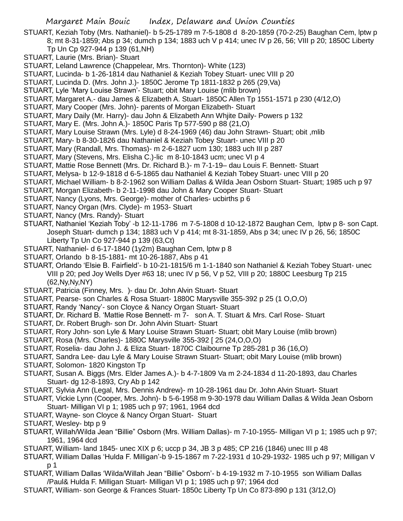- STUART, Keziah Toby (Mrs. Nathaniel)- b 5-25-1789 m 7-5-1808 d 8-20-1859 (70-2-25) Baughan Cem, lptw p 8; mt 8-31-1859; Abs p 34; dumch p 134; 1883 uch V p 414; unec IV p 26, 56; VIII p 20; 1850C Liberty
	- Tp Un Cp 927-944 p 139 (61,NH)
- STUART, Laurie (Mrs. Brian)- Stuart
- STUART, Leland Lawrence (Chappelear, Mrs. Thornton)- White (123)
- STUART, Lucinda- b 1-26-1814 dau Nathaniel & Keziah Tobey Stuart- unec VIII p 20
- STUART, Lucinda D. (Mrs. John J.)- 1850C Jerome Tp 1811-1832 p 265 (29,Va)
- STUART, Lyle 'Mary Louise Strawn'- Stuart; obit Mary Louise (mlib brown)
- STUART, Margaret A.- dau James & Elizabeth A. Stuart- 1850C Allen Tp 1551-1571 p 230 (4/12,O)
- STUART, Mary Cooper (Mrs. John)- parents of Morgan Elizabeth- Stuart
- STUART, Mary Daily (Mr. Harry)- dau John & Elizabeth Ann Whjite Daily- Powers p 132
- STUART, Mary E. (Mrs. John A.)- 1850C Paris Tp 577-590 p 88 (21,O)
- STUART, Mary Louise Strawn (Mrs. Lyle) d 8-24-1969 (46) dau John Strawn- Stuart; obit ,mlib
- STUART, Mary- b 8-30-1826 dau Nathaniel & Keziah Tobey Stuart- unec VIII p 20
- STUART, Mary (Randall, Mrs. Thomas)- m 2-6-1827 ucm 130; 1883 uch III p 287
- STUART, Mary (Stevens, Mrs. Elisha C.)-lic m 8-10-1843 ucm; unec VI p 4
- STUART, Mattie Rose Bennett (Mrs. Dr. Richard B.)- m 7-1-19– dau Louis F. Bennett- Stuart
- STUART, Melysa- b 12-9-1818 d 6-5-1865 dau Nathaniel & Keziah Tobey Stuart- unec VIII p 20
- STUART, Michael William- b 8-2-1962 son William Dallas & Wilda Jean Osborn Stuart- Stuart; 1985 uch p 97
- STUART, Morgan Elizabeth- b 2-11-1998 dau John & Mary Cooper Stuart- Stuart
- STUART, Nancy (Lyons, Mrs. George)- mother of Charles- ucbirths p 6
- STUART, Nancy Organ (Mrs. Clyde)- m 1953- Stuart
- STUART, Nancy (Mrs. Randy)- Stuart
- STUART, Nathaniel 'Keziah Toby' -b 12-11-1786 m 7-5-1808 d 10-12-1872 Baughan Cem, lptw p 8- son Capt. Joseph Stuart- dumch p 134; 1883 uch V p 414; mt 8-31-1859, Abs p 34; unec IV p 26, 56; 1850C Liberty Tp Un Co 927-944 p 139 (63,Ct)
- STUART, Nathaniel- d 6-17-1840 (1y2m) Baughan Cem, lptw p 8
- STUART, Orlando b 8-15-1881- mt 10-26-1887, Abs p 41
- STUART, Orlando 'Elsie B. Fairfield'- b 10-21-1815/6 m 1-1-1840 son Nathaniel & Keziah Tobey Stuart- unec VIII p 20; ped Joy Wells Dyer #63 18; unec IV p 56, V p 52, VIII p 20; 1880C Leesburg Tp 215 (62,Ny,Ny,NY)
- STUART, Patricia (Finney, Mrs. )- dau Dr. John Alvin Stuart- Stuart
- STUART, Pearse- son Charles & Rosa Stuart- 1880C Marysville 355-392 p 25 (1 O,O,O)
- STUART, Randy 'Nancy'- son Cloyce & Nancy Organ Stuart- Stuart
- STUART, Dr. Richard B. 'Mattie Rose Bennett- m 7- son A. T. Stuart & Mrs. Carl Rose- Stuart
- STUART, Dr. Robert Brugh- son Dr. John Alvin Stuart- Stuart
- STUART, Rory John- son Lyle & Mary Louise Strawn Stuart- Stuart; obit Mary Louise (mlib brown)
- STUART, Rosa (Mrs. Charles)- 1880C Marysville 355-392 [ 25 (24,O,O,O)
- STUART, Roselia- dau John J. & Eliza Stuart- 1870C Claibourne Tp 285-281 p 36 (16,O)
- STUART, Sandra Lee- dau Lyle & Mary Louise Strawn Stuart- Stuart; obit Mary Louise (mlib brown)
- STUART, Solomon- 1820 Kingston Tp
- STUART, Susan A. Biggs (Mrs. Elder James A.)- b 4-7-1809 Va m 2-24-1834 d 11-20-1893, dau Charles Stuart- dg 12-8-1893, Cry Ab p 142
- STUART, Sylvia Ann (Legal, Mrs. Dennis Andrew)- m 10-28-1961 dau Dr. John Alvin Stuart- Stuart
- STUART, Vickie Lynn (Cooper, Mrs. John)- b 5-6-1958 m 9-30-1978 dau William Dallas & Wilda Jean Osborn
	- Stuart- Milligan VI p 1; 1985 uch p 97; 1961, 1964 dcd
- STUART, Wayne- son Cloyce & Nancy Organ Stuart- Stuart
- STUART, Wesley- btp p 9
- STUART, Willah/Wilda Jean "Billie" Osborn (Mrs. William Dallas)- m 7-10-1955- Milligan VI p 1; 1985 uch p 97; 1961, 1964 dcd
- STUART, William- land 1845- unec XIX p 6; uccp p 34, JB 3 p 485; CP 216 (1846) unec III p 48
- STUART, William Dallas 'Hulda F. Milligan'-b 9-15-1867 m 7-22-1931 d 10-29-1932- 1985 uch p 97; Milligan V p 1
- STUART, William Dallas 'Wilda/Willah Jean "Billie" Osborn'- b 4-19-1932 m 7-10-1955 son William Dallas /Paul& Hulda F. Milligan Stuart- Milligan VI p 1; 1985 uch p 97; 1964 dcd
- STUART, William- son George & Frances Stuart- 1850c Liberty Tp Un Co 873-890 p 131 (3/12,O)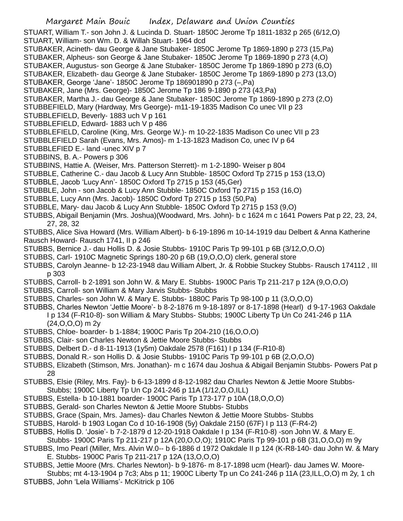STUART, William T.- son John J. & Lucinda D. Stuart- 1850C Jerome Tp 1811-1832 p 265 (6/12,O) STUART, William- son Wm. D. & Willah Stuart- 1964 dcd STUBAKER, Acineth- dau George & Jane Stubaker- 1850C Jerome Tp 1869-1890 p 273 (15,Pa) STUBAKER, Alpheus- son George & Jane Stubaker- 1850C Jerome Tp 1869-1890 p 273 (4,O) STUBAKER, Augustus- son George & Jane Stubaker- 1850C Jerome Tp 1869-1890 p 273 (6,O) STUBAKER, Elizabeth- dau George & Jane Stubaker- 1850C Jerome Tp 1869-1890 p 273 (13,O) STUBAKER, George 'Jane'- 1850C Jerome Tp 186901890 p 273 (–,Pa) STUBAKER, Jane (Mrs. George)- 1850C Jerome Tp 186 9-1890 p 273 (43,Pa) STUBAKER, Martha J.- dau George & Jane Stubaker- 1850C Jerome Tp 1869-1890 p 273 (2,O) STUBBEFIELD, Mary (Hardway, Mrs George)- m11-19-1835 Madison Co unec VII p 23 STUBBLEFIELD, Beverly- 1883 uch V p 161 STUBBLEFIELD, Edward- 1883 uch V p 486 STUBBLEFIELD, Caroline (King, Mrs. George W.)- m 10-22-1835 Madison Co unec VII p 23 STUBBLEFIELD Sarah (Evans, Mrs. Amos)- m 1-13-1823 Madison Co, unec IV p 64 STUBBLEFIED E.- land -unec XIV p 7 STUBBINS, B. A.- Powers p 306 STUBBINS, Hattie A. (Weiser, Mrs. Patterson Sterrett)- m 1-2-1890- Weiser p 804 STUBBLE, Catherine C.- dau Jacob & Lucy Ann Stubble- 1850C Oxford Tp 2715 p 153 (13,O) STUBBLE, Jacob 'Lucy Ann'- 1850C Oxford Tp 2715 p 153 (45,Ger) STUBBLE, John - son Jacob & Lucy Ann Stubble- 1850C Oxford Tp 2715 p 153 (16,O) STUBBLE, Lucy Ann (Mrs. Jacob)- 1850C Oxford Tp 2715 p 153 (50,Pa) STUBBLE, Mary- dau Jacob & Lucy Ann Stubble- 1850C Oxford Tp 2715 p 153 (9,O) STUBBS, Abigail Benjamin (Mrs. Joshua)(Woodward, Mrs. John)- b c 1624 m c 1641 Powers Pat p 22, 23, 24, 27, 28, 32 STUBBS, Alice Siva Howard (Mrs. William Albert)- b 6-19-1896 m 10-14-1919 dau Delbert & Anna Katherine Rausch Howard- Rausch 1741, II p 246 STUBBS, Bernice J.- dau Hollis D. & Josie Stubbs- 1910C Paris Tp 99-101 p 6B (3/12,O,O,O) STUBBS, Carl- 1910C Magnetic Springs 180-20 p 6B (19,O,O,O) clerk, general store STUBBS, Carolyn Jeanne- b 12-23-1948 dau William Albert, Jr. & Robbie Stuckey Stubbs- Rausch 174112 , III p 303 STUBBS, Carroll- b 2-1891 son John W. & Mary E. Stubbs- 1900C Paris Tp 211-217 p 12A (9,O,O,O) STUBBS, Carroll- son William & Mary Jarvis Stubbs- Stubbs STUBBS, Charles- son John W. & Mary E. Stubbs- 1880C Paris Tp 98-100 p 11 (3,O,O,O) STUBBS, Charles Newton 'Jettie Moore'- b 8-2-1876 m 9-18-1897 or 8-17-1898 (Hearl) d 9-17-1963 Oakdale I p 134 (F-R10-8)- son William & Mary Stubbs- Stubbs; 1900C Liberty Tp Un Co 241-246 p 11A (24,O,O,O) m 2y STUBBS, Chloe- boarder- b 1-1884; 1900C Paris Tp 204-210 (16,O,O,O) STUBBS, Clair- son Charles Newton & Jettie Moore Stubbs- Stubbs STUBBS, Delbert D.- d 8-11-1913 (1y5m) Oakdale 2578 (F161) I p 134 (F-R10-8) STUBBS, Donald R.- son Hollis D. & Josie Stubbs- 1910C Paris Tp 99-101 p 6B (2,O,O,O)

STUBBS, Elizabeth (Stimson, Mrs. Jonathan)- m c 1674 dau Joshua & Abigail Benjamin Stubbs- Powers Pat p 28

STUBBS, Elsie (Riley, Mrs. Fay)- b 6-13-1899 d 8-12-1982 dau Charles Newton & Jettie Moore Stubbs-Stubbs; 1900C Liberty Tp Un Cp 241-246 p 11A (1/12,O,O,ILL)

- STUBBS, Estella- b 10-1881 boarder- 1900C Paris Tp 173-177 p 10A (18,O,O,O)
- STUBBS, Gerald- son Charles Newton & Jettie Moore Stubbs- Stubbs
- STUBBS, Grace (Spain, Mrs. James)- dau Charles Newton & Jettie Moore Stubbs- Stubbs
- STUBBS, Harold- b 1903 Logan Co d 10-16-1908 (5y) Oakdale 2150 (67F) I p 113 (F-R4-2)
- STUBBS, Hollis D. 'Josie'- b 7-2-1879 d 12-20-1918 Oakdale I p 134 (F-R10-8) -son John W. & Mary E.

Stubbs- 1900C Paris Tp 211-217 p 12A (20,O,O,O); 1910C Paris Tp 99-101 p 6B (31,O,O,O) m 9y

- STUBBS, Imo Pearl (Miller, Mrs. Alvin W.0-- b 6-1886 d 1972 Oakdale II p 124 (K-R8-140- dau John W. & Mary E. Stubbs- 1900C Paris Tp 211-217 p 12A (13,O,O,O)
- STUBBS, Jettie Moore (Mrs. Charles Newton)- b 9-1876- m 8-17-1898 ucm (Hearl)- dau James W. Moore-
- Stubbs; mt 4-13-1904 p 7c3; Abs p 11; 1900C Liberty Tp un Co 241-246 p 11A (23,ILL,O,O) m 2y, 1 ch STUBBS, John 'Lela Williams'- McKitrick p 106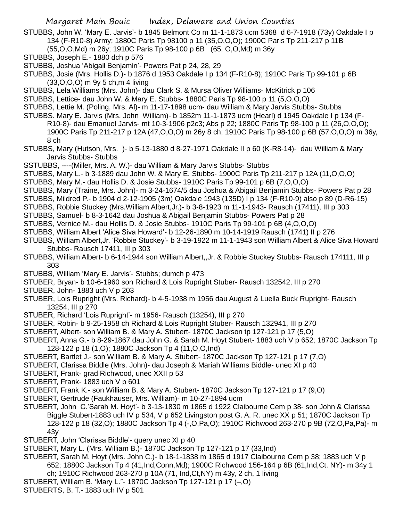STUBBS, John W. 'Mary E. Jarvis'- b 1845 Belmont Co m 11-1-1873 ucm 5368 d 6-7-1918 (73y) Oakdale I p 134 (F-R10-8) Army; 1880C Paris Tp 98100 p 11 (35,O,O,O); 1900C Paris Tp 211-217 p 11B

(55,O,O,Md) m 26y; 1910C Paris Tp 98-100 p 6B (65, O,O,Md) m 36y

- STUBBS, Joseph E.- 1880 dch p 576
- STUBBS, Joshua 'Abigail Benjamin'- Powers Pat p 24, 28, 29
- STUBBS, Josie (Mrs. Hollis D.)- b 1876 d 1953 Oakdale I p 134 (F-R10-8); 1910C Paris Tp 99-101 p 6B (33,O,O,O) m 9y 5 ch,m 4 living
- STUBBS, Lela Williams (Mrs. John)- dau Clark S. & Mursa Oliver Williams- McKitrick p 106
- STUBBS, Lettice- dau John W. & Mary E. Stubbs- 1880C Paris Tp 98-100 p 11 (5,O,O,O)
- STUBBS, Lettie M. (Poling, Mrs. Al)- m 11-17-1898 ucm- dau William & Mary Jarvis Stubbs- Stubbs
- STUBBS. Mary E. Jarvis (Mrs. John William)- b 1852m 11-1-1873 ucm (Hearl) d 1945 Oakdale I p 134 (F-R10-8)- dau Emanuel Jarvis- mt 10-3-1906 p2c3; Abs p 22; 1880C Paris Tp 98-100 p 11 (26,O,O,O); 1900C Paris Tp 211-217 p 12A (47,O,O,O) m 26y 8 ch; 1910C Paris Tp 98-100 p 6B (57,O,O,O) m 36y, 8 ch
- STUBBS, Mary (Hutson, Mrs. )- b 5-13-1880 d 8-27-1971 Oakdale II p 60 (K-R8-14)- dau William & Mary Jarvis Stubbs- Stubbs
- SSTUBBS, ----(Miller, Mrs. A. W.)- dau William & Mary Jarvis Stubbs- Stubbs
- STUBBS, Mary L.- b 3-1889 dau John W. & Mary E. Stubbs- 1900C Paris Tp 211-217 p 12A (11,O,O,O)
- STUBBS, Mary M.- dau Hollis D. & Josie Stubbs- 1910C Paris Tp 99-101 p 6B (7,O,O,O)
- STUBBS, Mary (Traine, Mrs. John)- m 3-24-1674/5 dau Joshua & Abigail Benjamin Stubbs- Powers Pat p 28
- STUBBS, Mildred P.- b 1904 d 2-12-1905 (3m) Oakdale 1943 (135D) I p 134 (F-R10-9) also p 89 (D-R6-15)
- STUBBS, Robbie Stuckey (Mrs.William Albert,Jr.)- b 3-8-1923 m 11-1-1943- Rausch (17411), III p 303
- STUBBS, Samuel- b 8-3-1642 dau Joshua & Abigail Benjamin Stubbs- Powers Pat p 28
- STUBBS, Vernice M.- dau Hollis D. & Josie Stubbs- 1910C Paris Tp 99-101 p 6B (4,O,O,O)
- STUBBS, William Albert 'Alice Siva Howard'- b 12-26-1890 m 10-14-1919 Rausch (1741) II p 276
- STUBBS, William Albert,Jr. 'Robbie Stuckey'- b 3-19-1922 m 11-1-1943 son William Albert & Alice Siva Howard Stubbs- Rausch 17411, III p 303
- STUBBS, William Albert- b 6-14-1944 son William Albert,,Jr. & Robbie Stuckey Stubbs- Rausch 174111, III p 303
- STUBBS, William 'Mary E. Jarvis'- Stubbs; dumch p 473
- STUBER, Bryan- b 10-6-1960 son Richard & Lois Rupright Stuber- Rausch 132542, III p 270
- STUBER, John- 1883 uch V p 203
- STUBER, Lois Rupright (Mrs. Richard)- b 4-5-1938 m 1956 dau August & Luella Buck Rupright- Rausch 13254, III p 270
- STUBER, Richard 'Lois Rupright'- m 1956- Rausch (13254), III p 270
- STUBER, Robin- b 9-25-1958 ch Richard & Lois Rupright Stuber- Rausch 132941, III p 270
- STUBERT, Albert- son William B. & Mary A. Stubert- 1870C Jackson tp 127-121 p 17 (5,O)
- STUBERT, Anna G.- b 8-29-1867 dau John G. & Sarah M. Hoyt Stubert- 1883 uch V p 652; 1870C Jackson Tp 128-122 p 18 (1,O); 1880C Jackson Tp 4 (11,O,O,Ind)
- STUBERT, Bartlet J.- son William B. & Mary A. Stubert- 1870C Jackson Tp 127-121 p 17 (7,O)
- STUBERT, Clarissa Biddle (Mrs. John)- dau Joseph & Mariah Williams Biddle- unec XI p 40
- STUBERT, Frank- grad Richwood, unec XXII p 53
- STUBERT, Frank- 1883 uch V p 601
- STUBERT, Frank K.- son William B. & Mary A. Stubert- 1870C Jackson Tp 127-121 p 17 (9,O)
- STUBERT, Gertrude (Faukhauser, Mrs. William)- m 10-27-1894 ucm
- STUBERT, John C.'Sarah M. Hoyt'- b 3-13-1830 m 1865 d 1922 Claibourne Cem p 38- son John & Clarissa Biggle Stubert-1883 uch IV p 534, V p 652 Livingston post G. A. R. unec XX p 51; 1870C Jackson Tp 128-122 p 18 (32,O); 1880C Jackson Tp 4 (-,O,Pa,O); 1910C Richwood 263-270 p 9B (72,O,Pa,Pa)- m 43y
- STUBERT, John 'Clarissa Biddle'- query unec XI p 40
- STUBERT, Mary L. (Mrs. William B.)- 1870C Jackson Tp 127-121 p 17 (33,Ind)
- STUBERT, Sarah M. Hoyt (Mrs. John C.)- b 18-1-1838 m 1865 d 1917 Claibourne Cem p 38; 1883 uch V p 652; 1880C Jackson Tp 4 (41,Ind,Conn,Md); 1900C Richwood 156-164 p 6B (61,Ind,Ct. NY)- m 34y 1 ch; 1910C Richwood 263-270 p 10A (71, Ind,Ct,NY) m 43y, 2 ch, 1 living
- STUBERT, William B. 'Mary L."- 1870C Jackson Tp 127-121 p 17 (–,O)
- STUBERTS, B. T.- 1883 uch IV p 501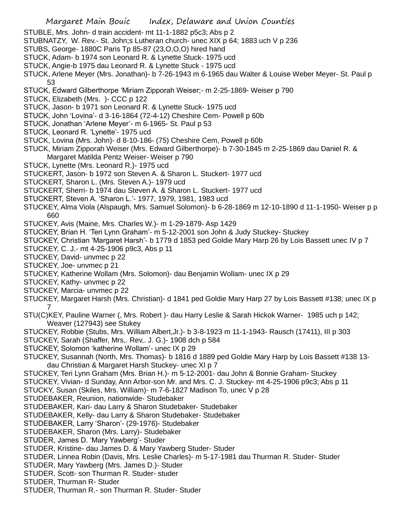- STUBLE, Mrs. John- d train accident- mt 11-1-1882 p5c3; Abs p 2
- STUBNATZY, W. Rev.- St. John;s Lutheran church- unec XIX p 64; 1883 uch V p 236
- STUBS, George- 1880C Paris Tp 85-87 (23,O,O,O) hired hand
- STUCK, Adam- b 1974 son Leonard R. & Lynette Stuck- 1975 ucd
- STUCK, Angie-b 1975 dau Leonard R. & Lynette Stuck 1975 ucd
- STUCK, Arlene Meyer (Mrs. Jonathan)- b 7-26-1943 m 6-1965 dau Walter & Louise Weber Meyer- St. Paul p 53
- STUCK, Edward Gilberthorpe 'Miriam Zipporah Weiser;- m 2-25-1869- Weiser p 790
- STUCK, Elizabeth (Mrs. )- CCC p 122
- STUCK, Jason- b 1971 son Leonard R. & Lynette Stuck- 1975 ucd
- STUCK, John 'Lovina'- d 3-16-1864 (72-4-12) Cheshire Cem- Powell p 60b
- STUCK, Jonathan 'Arlene Meyer'- m 6-1965- St. Paul p 53
- STUCK, Leonard R. 'Lynette'- 1975 ucd
- STUCK, Lovina (Mrs. John)- d 8-10-186- (75) Cheshire Cem, Powell p 60b
- STUCK, Miriam Zipporah Weiser (Mrs. Edward Gilberthorpe)- b 7-30-1845 m 2-25-1869 dau Daniel R. &
- Margaret Matilda Pentz Weiser- Weiser p 790
- STUCK, Lynette (Mrs. Leonard R.)- 1975 ucd
- STUCKERT, Jason- b 1972 son Steven A. & Sharon L. Stuckert- 1977 ucd
- STUCKERT, Sharon L. (Mrs. Steven A.)- 1979 ucd
- STUCKERT, Sherri- b 1974 dau Steven A. & Sharon L. Stuckert- 1977 ucd
- STUCKERT, Steven A. 'Sharon L.'- 1977, 1979, 1981, 1983 ucd
- STUCKEY, Alma Viola (Alspaugh, Mrs. Samuel Solomon)- b 6-28-1869 m 12-10-1890 d 11-1-1950- Weiser p p 660
- STUCKEY, Avis (Maine, Mrs. Charles W.)- m 1-29-1879- Asp 1429
- STUCKEY, Brian H. 'Teri Lynn Graham'- m 5-12-2001 son John & Judy Stuckey- Stuckey
- STUCKEY, Christian 'Margaret Harsh'- b 1779 d 1853 ped Goldie Mary Harp 26 by Lois Bassett unec IV p 7
- STUCKEY, C. J.- mt 4-25-1906 p9c3, Abs p 11
- STUCKEY, David- unvmec p 22
- STUCKEY, Joe- unvmec p 21
- STUCKEY, Katherine Wollam (Mrs. Solomon)- dau Benjamin Wollam- unec IX p 29
- STUCKEY, Kathy- unvmec p 22
- STUCKEY, Marcia- unvmec p 22
- STUCKEY, Margaret Harsh (Mrs. Christian)- d 1841 ped Goldie Mary Harp 27 by Lois Bassett #138; unec IX p 7
- STU(C)KEY, Pauline Warner (, Mrs. Robert )- dau Harry Leslie & Sarah Hickok Warner- 1985 uch p 142; Weaver (127943) see Stukey
- STUCKEY, Robbie (Stubs, Mrs. William Albert,Jr.)- b 3-8-1923 m 11-1-1943- Rausch (17411), III p 303
- STUCKEY, Sarah (Shaffer, Mrs,. Rev,. J. G.)- 1908 dch p 584
- STUCKEY, Solomon 'katherine Wollam'- unec IX p 29
- STUCKEY, Susannah (North, Mrs. Thomas)- b 1816 d 1889 ped Goldie Mary Harp by Lois Bassett #138 13 dau Christian & Margaret Harsh Stuckey- unec XI p 7
- STUCKEY, Teri Lynn Graham (Mrs. Brian H.)- m 5-12-2001- dau John & Bonnie Graham- Stuckey
- STUCKEY, Vivian- d Sunday, Ann Arbor-son Mr. and Mrs. C. J. Stuckey- mt 4-25-1906 p9c3; Abs p 11
- STUCKY, Susan (Skiles, Mrs. William)- m 7-6-1827 Madison To, unec V p 28
- STUDEBAKER, Reunion, nationwide- Studebaker
- STUDEBAKER, Kari- dau Larry & Sharon Studebaker- Studebaker
- STUDEBAKER, Kelly- dau Larry & Sharon Studebaker- Studebaker
- STUDEBAKER, Larry 'Sharon'- (29-1976)- Studebaker
- STUDEBAKER, Sharon (Mrs. Larry)- Studebaker
- STUDER, James D. 'Mary Yawberg'- Studer
- STUDER, Kristine- dau James D. & Mary Yawberg Studer- Studer
- STUDER, Linnea Robin (Davis, Mrs. Leslie Charles)- m 5-17-1981 dau Thurman R. Studer- Studer
- STUDER, Mary Yawberg (Mrs. James D.)- Studer
- STUDER, Scott- son Thurman R. Studer- studer
- STUDER, Thurman R- Studer
- STUDER, Thurman R.- son Thurman R. Studer- Studer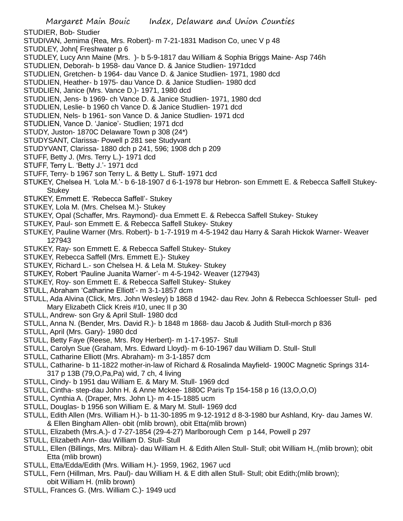STUDIER, Bob- Studier

- STUDIVAN, Jemima (Rea, Mrs. Robert)- m 7-21-1831 Madison Co, unec V p 48
- STUDLEY, John[ Freshwater p 6
- STUDLEY, Lucy Ann Maine (Mrs. )- b 5-9-1817 dau William & Sophia Briggs Maine- Asp 746h
- STUDLIEN, Deborah- b 1958- dau Vance D. & Janice Studlien- 1971dcd
- STUDLIEN, Gretchen- b 1964- dau Vance D. & Janice Studlien- 1971, 1980 dcd
- STUDLIEN, Heather- b 1975- dau Vance D. & Janice Studlien- 1980 dcd
- STUDLIEN, Janice (Mrs. Vance D.)- 1971, 1980 dcd
- STUDLIEN, Jens- b 1969- ch Vance D. & Janice Studlien- 1971, 1980 dcd
- STUDLIEN, Leslie- b 1960 ch Vance D. & Janice Studlien- 1971 dcd
- STUDLIEN, Nels- b 1961- son Vance D. & Janice Studlien- 1971 dcd
- STUDLIEN, Vance D. 'Janice'- Studlien; 1971 dcd
- STUDY, Juston- 1870C Delaware Town p 308 (24\*)
- STUDYSANT, Clarissa- Powell p 281 see Studyvant
- STUDYVANT, Clarissa- 1880 dch p 241, 596; 1908 dch p 209
- STUFF, Betty J. (Mrs. Terry L.)- 1971 dcd
- STUFF, Terry L. 'Betty J.'- 1971 dcd
- STUFF, Terry- b 1967 son Terry L. & Betty L. Stuff- 1971 dcd
- STUKEY, Chelsea H. 'Lola M.'- b 6-18-1907 d 6-1-1978 bur Hebron- son Emmett E. & Rebecca Saffell Stukey-Stukey
- STUKEY, Emmett E. 'Rebecca Saffell'- Stukey
- STUKEY, Lola M. (Mrs. Chelsea M.)- Stukey
- STUKEY, Opal (Schaffer, Mrs. Raymond)- dua Emmett E. & Rebecca Saffell Stukey- Stukey
- STUKEY, Paul- son Emmett E. & Rebecca Saffell Stukey- Stukey
- STUKEY, Pauline Warner (Mrs. Robert)- b 1-7-1919 m 4-5-1942 dau Harry & Sarah Hickok Warner- Weaver 127943
- STUKEY, Ray- son Emmett E. & Rebecca Saffell Stukey- Stukey
- STUKEY, Rebecca Saffell (Mrs. Emmett E.)- Stukey
- STUKEY, Richard L.- son Chelsea H. & Lela M. Stukey- Stukey
- STUKEY, Robert 'Pauline Juanita Warner'- m 4-5-1942- Weaver (127943)
- STUKEY, Roy- son Emmett E. & Rebecca Saffell Stukey- Stukey
- STULL, Abraham 'Catharine Elliott'- m 3-1-1857 dcm
- STULL, Ada Alvina (Click, Mrs. John Wesley) b 1868 d 1942- dau Rev. John & Rebecca Schloesser Stull- ped Mary Elizabeth Click Kreis #10, unec II p 30
- STULL, Andrew- son Gry & April Stull- 1980 dcd
- STULL, Anna N. (Bender, Mrs. David R.)- b 1848 m 1868- dau Jacob & Judith Stull-morch p 836
- STULL, April (Mrs. Gary)- 1980 dcd
- STULL, Betty Faye (Reese, Mrs. Roy Herbert)- m 1-17-1957- Stull
- STULL, Carolyn Sue (Graham, Mrs. Edward Lloyd)- m 6-10-1967 dau William D. Stull- Stull
- STULL, Catharine Elliott (Mrs. Abraham)- m 3-1-1857 dcm
- STULL, Catharine- b 11-1822 mother-in-law of Richard & Rosalinda Mayfield- 1900C Magnetic Springs 314- 317 p 13B (79,O,Pa,Pa) wid, 7 ch, 4 living
- STULL, Cindy- b 1951 dau William E. & Mary M. Stull- 1969 dcd
- STULL, Cintha- step-dau John H. & Anne Mckee- 1880C Paris Tp 154-158 p 16 (13,O,O,O)
- STULL, Cynthia A. (Draper, Mrs. John L)- m 4-15-1885 ucm
- STULL, Douglas- b 1956 son William E. & Mary M. Stull- 1969 dcd
- STULL, Edith Allen (Mrs. William H.)- b 11-30-1895 m 9-12-1912 d 8-3-1980 bur Ashland, Kry- dau James W. & Ellen Bingham Allen- obit (mlib brown), obit Etta(mlib brown)
- STULL, Elizabeth (Mrs.A.)- d 7-27-1854 (29-4-27) Marlborough Cem p 144, Powell p 297
- STULL, Elizabeth Ann- dau William D. Stull- Stull
- STULL, Ellen (Billings, Mrs. Milbra)- dau William H. & Edith Allen Stull- Stull; obit William H,.(mlib brown); obit Etta (mlib brown)
- STULL, Etta/Edda/Edith (Mrs. William H.)- 1959, 1962, 1967 ucd
- STULL, Fern (Hillman, Mrs. Paul)- dau William H. & E dith allen Stull- Stull; obit Edith;(mlib brown); obit William H. (mlib brown)
- STULL, Frances G. (Mrs. William C.)- 1949 ucd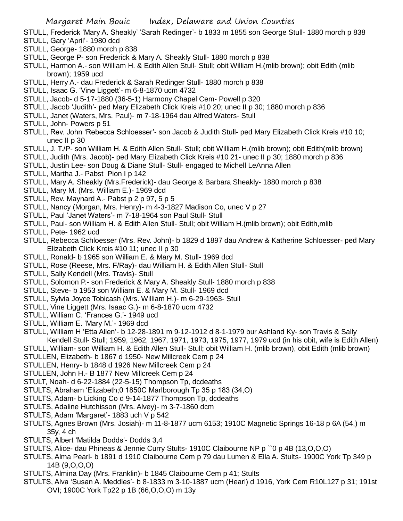- STULL, Frederick 'Mary A. Sheakly' 'Sarah Redinger'- b 1833 m 1855 son George Stull- 1880 morch p 838
- STULL, Gary 'April'- 1980 dcd
- STULL, George- 1880 morch p 838
- STULL, George P- son Frederick & Mary A. Sheakly Stull- 1880 morch p 838
- STULL, Harmon A.- son William H. & Edith Allen Stull- Stull; obit William H.(mlib brown); obit Edith (mlib brown); 1959 ucd
- STULL, Herry A.- dau Frederick & Sarah Redinger Stull- 1880 morch p 838
- STULL, Isaac G. 'Vine Liggett'- m 6-8-1870 ucm 4732
- STULL, Jacob- d 5-17-1880 (36-5-1) Harmony Chapel Cem- Powell p 320
- STULL, Jacob 'Judith'- ped Mary Elizabeth Click Kreis #10 20; unec II p 30; 1880 morch p 836
- STULL, Janet (Waters, Mrs. Paul)- m 7-18-1964 dau Alfred Waters- Stull
- STULL, John- Powers p 51
- STULL, Rev. John 'Rebecca Schloesser'- son Jacob & Judith Stull- ped Mary Elizabeth Click Kreis #10 10; unec II p 30
- STULL, J. T./P- son William H. & Edith Allen Stull- Stull; obit William H.(mlib brown); obit Edith(mlib brown)
- STULL, Judith (Mrs. Jacob)- ped Mary Elizabeth Click Kreis #10 21- unec II p 30; 1880 morch p 836
- STULL, Justin Lee- son Doug & Diane Stull- Stull- engaged to Michell LeAnna Allen
- STULL, Martha J.- Pabst Pion I p 142
- STULL, Mary A. Sheakly (Mrs.Frederick)- dau George & Barbara Sheakly- 1880 morch p 838
- STULL, Mary M. (Mrs. William E.)- 1969 dcd
- STULL, Rev. Maynard A.- Pabst p 2 p 97, 5 p 5
- STULL, Nancy (Morgan, Mrs. Henry)- m 4-3-1827 Madison Co, unec V p 27
- STULL, Paul 'Janet Waters'- m 7-18-1964 son Paul Stull- Stull
- STULL, Paul- son William H. & Edith Allen Stull- Stull; obit William H.(mlib brown); obit Edith,mlib
- STULL, Pete- 1962 ucd
- STULL, Rebecca Schloesser (Mrs. Rev. John)- b 1829 d 1897 dau Andrew & Katherine Schloesser- ped Mary Elizabeth Click Kreis #10 11; unec II p 30
- STULL, Ronald- b 1965 son William E. & Mary M. Stull- 1969 dcd
- STULL, Rose (Reese, Mrs. F/Ray)- dau William H. & Edith Allen Stull- Stull
- STULL, Sally Kendell (Mrs. Travis)- Stull
- STULL, Solomon P.- son Frederick & Mary A. Sheakly Stull- 1880 morch p 838
- STULL, Steve- b 1953 son William E. & Mary M. Stull- 1969 dcd
- STULL, Sylvia Joyce Tobicash (Mrs. William H.)- m 6-29-1963- Stull
- STULL, Vine Liggett (Mrs. Isaac G.)- m 6-8-1870 ucm 4732
- STULL, William C. 'Frances G.'- 1949 ucd
- STULL, William E. 'Mary M.'- 1969 dcd
- STULL, William H 'Etta Allen'- b 12-28-1891 m 9-12-1912 d 8-1-1979 bur Ashland Ky- son Travis & Sally Kendell Stull- Stull; 1959, 1962, 1967, 1971, 1973, 1975, 1977, 1979 ucd (in his obit, wife is Edith Allen)
- STULL, William- son William H. & Edith Allen Stull- Stull; obit William H. (mlib brown), obit Edith (mlib brown)
- STULLEN, Elizabeth- b 1867 d 1950- New Millcreek Cem p 24
- STULLEN, Henry- b 1848 d 1926 New Millcreek Cem p 24
- STULLEN, John H.- B 1877 New Millcreek Cem p 24
- STULT, Noah- d 6-22-1884 (22-5-15) Thompson Tp, dcdeaths
- STULTS, Abraham 'Elizabeth;0 1850C Marlborough Tp 35 p 183 (34,O)
- STULTS, Adam- b Licking Co d 9-14-1877 Thompson Tp, dcdeaths
- STULTS, Adaline Hutchisson (Mrs. Alvey)- m 3-7-1860 dcm
- STULTS, Adam 'Margaret'- 1883 uch V p 542
- STULTS, Agnes Brown (Mrs. Josiah)- m 11-8-1877 ucm 6153; 1910C Magnetic Springs 16-18 p 6A (54,) m 35y, 4 ch
- STULTS, Albert 'Matilda Dodds'- Dodds 3,4
- STULTS, Alice- dau Phineas & Jennie Curry Stults- 1910C Claibourne NP p ``0 p 4B (13,O,O,O)
- STULTS, Alma Pearl- b 1891 d 1910 Claibourne Cem p 79 dau Lumen & Ella A. Stults- 1900C York Tp 349 p 14B (9,O,O,O)
- STULTS, Almina Day (Mrs. Franklin)- b 1845 Claibourne Cem p 41; Stults
- STULTS, Alva 'Susan A. Meddles'- b 8-1833 m 3-10-1887 ucm (Hearl) d 1916, York Cem R10L127 p 31; 191st OVI; 1900C York Tp22 p 1B (66,O,O,O) m 13y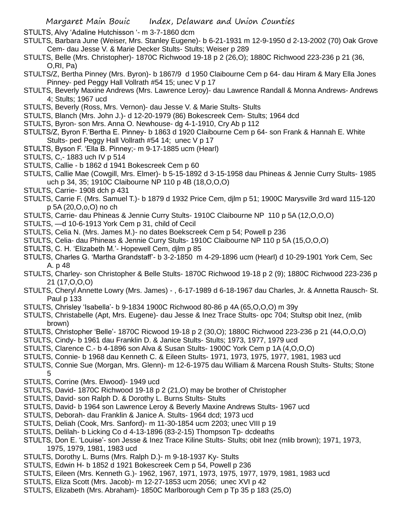STULTS, Alvy 'Adaline Hutchisson '- m 3-7-1860 dcm

- STULTS, Barbara June (Weiser, Mrs. Stanley Eugene)- b 6-21-1931 m 12-9-1950 d 2-13-2002 (70) Oak Grove Cem- dau Jesse V. & Marie Decker Stults- Stults; Weiser p 289
- STULTS, Belle (Mrs. Christopher)- 1870C Richwood 19-18 p 2 (26,O); 1880C Richwood 223-236 p 21 (36, O,RI, Pa)
- STULTS/Z, Bertha Pinney (Mrs. Byron)- b 1867/9 d 1950 Claibourne Cem p 64- dau Hiram & Mary Ella Jones Pinney- ped Peggy Hall Vollrath #54 15; unec V p 17
- STULTS, Beverly Maxine Andrews (Mrs. Lawrence Leroy)- dau Lawrence Randall & Monna Andrews- Andrews 4; Stults; 1967 ucd
- STULTS, Beverly (Ross, Mrs. Vernon)- dau Jesse V. & Marie Stults- Stults
- STULTS, Blanch (Mrs. John J.)- d 12-20-1979 (86) Bokescreek Cem- Stults; 1964 dcd
- STULTS, Byron- son Mrs. Anna O. Newhouse- dg 4-1-1910, Cry Ab p 112
- STULTS/Z, Byron F.'Bertha E. Pinney- b 1863 d 1920 Claibourne Cem p 64- son Frank & Hannah E. White Stults- ped Peggy Hall Vollrath #54 14; unec V p 17
- STULTS, Byson F. 'Ella B. Pinney;- m 9-17-1885 ucm (Hearl)
- STULTS, C,- 1883 uch IV p 514
- STULTS, Callie b 1862 d 1941 Bokescreek Cem p 60
- STULTS, Callie Mae (Cowgill, Mrs. Elmer)- b 5-15-1892 d 3-15-1958 dau Phineas & Jennie Curry Stults- 1985 uch p 34, 35; 1910C Claibourne NP 110 p 4B (18,O,O,O)
- STULTS, Carrie- 1908 dch p 431
- STULTS, Carrie F. (Mrs. Samuel T.)- b 1879 d 1932 Price Cem, djlm p 51; 1900C Marysville 3rd ward 115-120 p 5A (20,O,o,O) no ch
- STULTS, Carrie- dau Phineas & Jennie Curry Stults- 1910C Claibourne NP 110 p 5A (12,O,O,O)
- STULTS, —d 10-6-1913 York Cem p 31, child of Cecil
- STULTS, Celia N. (Mrs. James M.)- no dates Boekscreek Cem p 54; Powell p 236
- STULTS, Celia- dau Phineas & Jennie Curry Stults- 1910C Claibourne NP 110 p 5A (15,O,O,O)
- STULTS, C. H. 'Elizabeth M.'- Hopewell Cem, djlm p 85
- STULTS, Charles G. 'Martha Grandstaff'- b 3-2-1850 m 4-29-1896 ucm (Hearl) d 10-29-1901 York Cem, Sec A. p 48
- STULTS, Charley- son Christopher & Belle Stults- 1870C Richwood 19-18 p 2 (9); 1880C Richwood 223-236 p 21 (17,O,O,O)
- STULTS, Cheryl Annette Lowry (Mrs. James) , 6-17-1989 d 6-18-1967 dau Charles, Jr. & Annetta Rausch- St. Paul p 133
- STULTS, Chrisley 'Isabella'- b 9-1834 1900C Richwood 80-86 p 4A (65,O,O,O) m 39y
- STULTS, Christabelle (Apt, Mrs. Eugene)- dau Jesse & Inez Trace Stults- opc 704; Stultsp obit Inez, (mlib brown)
- STULTS, Christopher 'Belle'- 1870C Ricwood 19-18 p 2 (30,O); 1880C Richwood 223-236 p 21 (44,O,O,O)
- STULTS, Cindy- b 1961 dau Franklin D. & Janice Stults- Stults; 1973, 1977, 1979 ucd
- STULTS, Clarence C.- b 4-1896 son Alva & Susan Stults- 1900C York Cem p 1A (4,O,O,O)
- STULTS, Connie- b 1968 dau Kenneth C. & Eileen Stults- 1971, 1973, 1975, 1977, 1981, 1983 ucd
- STULTS, Connie Sue (Morgan, Mrs. Glenn)- m 12-6-1975 dau William & Marcena Roush Stults- Stults; Stone 5
- STULTS, Corrine (Mrs. Elwood)- 1949 ucd
- STULTS, David- 1870C Richwood 19-18 p 2 (21,O) may be brother of Christopher
- STULTS, David- son Ralph D. & Dorothy L. Burns Stults- Stults
- STULTS, David- b 1964 son Lawrence Leroy & Beverly Maxine Andrews Stults- 1967 ucd
- STULTS, Deborah- dau Franklin & Janice A. Stults- 1964 dcd; 1973 ucd
- STULTS, Deliah (Cook, Mrs. Sanford)- m 11-30-1854 ucm 2203; unec VIII p 19
- STULTS, Delilah- b Licking Co d 4-13-1896 (83-2-15) Thompson Tp- dcdeaths
- STULTS, Don E. 'Louise'- son Jesse & Inez Trace Kiline Stults- Stults; obit Inez (mlib brown); 1971, 1973, 1975, 1979, 1981, 1983 ucd
- STULTS, Dorothy L. Burns (Mrs. Ralph D.)- m 9-18-1937 Ky- Stults
- STULTS, Edwin H- b 1852 d 1921 Bokescreek Cem p 54, Powell p 236
- STULTS, Eileen (Mrs. Kenneth G.)- 1962, 1967, 1971, 1973, 1975, 1977, 1979, 1981, 1983 ucd
- STULTS, Eliza Scott (Mrs. Jacob)- m 12-27-1853 ucm 2056; unec XVI p 42
- STULTS, Elizabeth (Mrs. Abraham)- 1850C Marlborough Cem p Tp 35 p 183 (25,O)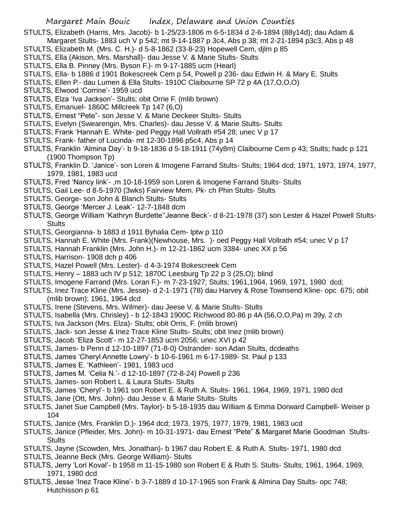STULTS, Elizabeth (Harris, Mrs. Jacob)- b 1-25/23-1806 m 6-5-1834 d 2-6-1894 (88y14d); dau Adam &

- Margaret Stults- 1883 uch V p 542; mt 9-14-1887 p 3c4, Abs p 38; mt 2-21-1894 p3c3, Abs p 48
- STULTS, Elizabeth M. (Mrs. C. H.)- d 5-8-1862 (33-8-23) Hopewell Cem, djlm p 85
- STULTS, Ella (Akison, Mrs. Marshall)- dau Jesse V. & Marie Stults- Stults
- STULTS, Ella B. Pinney (Mrs. Byson F.)- m 9-17-1885 ucm (Hearl)
- STULTS, Ella- b 1886 d 1901 Bokescreek Cem p 54, Powell p 236- dau Edwin H. & Mary E. Stults
- STULTS, Ellen P.- dau Lumen & Ella Stults- 1910C Claibourne SP 72 p 4A (17,O,O,O)
- STULTS, Elwood 'Corrine'- 1959 ucd
- STULTS, Elza 'Iva Jackson'- Stults; obit Orrie F. (mlib brown)
- STULTS, Emanuel- 1860C Millcreek Tp 147 (6,O)
- STULTS, Ernest "Pete"- son Jesse V. & Marie Deckeer Stults- Stults
- STULTS, Evelyn (Swearengin, Mrs. Charles)- dau Jesse V. & Marie Stults- Stults
- STULTS, Frank 'Hannah E. White- ped Peggy Hall Vollrath #54 28; unec V p 17
- STULTS, Frank- father of Lucinda- mt 12-30-1896 p5c4, Abs p 14
- STULTS, Franklin 'Almina Day'- b 9-18-1836 d 5-18-1911 (74y8m) Claibourne Cem p 43; Stults; hadc p 121 (1900 Thompson Tp)
- STULTS, Franklin D. 'Janice'- son Loren & Imogene Farrand Stults- Stults; 1964 dcd; 1971, 1973, 1974, 1977, 1979, 1981, 1983 ucd
- STULTS, Fred 'Nancy link'- ,m 10-18-1959 son Loren & Imogene Farrand Stults- Stults
- STULTS, Gail Lee- d 8-5-1970 (3wks) Fairview Mem. Pk- ch Phin Stults- Stults
- STULTS, George- son John & Blanch Stults- Stults
- STULTS, George 'Mercer J. Leak'- 12-7-1848 dcm
- STULTS, George William 'Kathryn Burdette''Jeanne Beck'- d 8-21-1978 (37) son Lester & Hazel Powell Stults-**Stults**
- STULTS, Georgianna- b 1883 d 1911 Byhalia Cem- lptw p 110
- STULTS, Hannah E. White (Mrs. Frank)(Newhouse, Mrs. )- oed Peggy Hall Vollrath #54; unec V p 17
- STULTS, Hannah Franklin (Mrs. John H.)- m 12-21-1862 ucm 3384- unec XX p 56
- STULTS, Harrison- 1908 dch p 406
- STULTS, Hazel Powell (Mrs. Lester)- d 4-3-1974 Bokescreek Cem
- STULTS, Henry 1883 uch IV p 512; 1870C Leesburg Tp 22 p 3 (25,O); blind
- STULTS, Imogene Farrand (Mrs. Loran F.)- m 7-23-1927; Stults; 1961,1964, 1969, 1971, 1980 dcd;
- STULTS, Inez Trace Kline (Mrs. Jesse)- d 2-1-1971 (78) dau Harvey & Rose Townsend Kline- opc 675; obit (mlib brown); 1961, 1964 dcd
- STULTS, Irene (Stevens, Mrs. Wilmer)- dau Jeese V. & Marie Stults- Stults
- STULTS, Isabella (Mrs. Chrisley) b 12-1843 1900C Richwood 80-86 p 4A (56,O,O,Pa) m 39y, 2 ch
- STULTS, Iva Jackson (Mrs. Elza)- Stults; obit Orris, F. (mlib brown)
- STULTS, Jack- son Jesse & Inez Trace Kline Stults- Stults; obit Inez (mlib brown)
- STULTS, Jacob 'Eliza Scott'- m 12-27-1853 ucm 2056; unec XVI p 42
- STULTS, James- b Penn d 12-10-1897 (71-8-0) Ostrander- son Adan Stults, dcdeaths
- STULTS, James 'Cheryl Annette Lowry'- b 10-6-1961 m 6-17-1989- St. Paul p 133
- STULTS, James E. 'Kathleen'- 1981, 1983 ucd
- STULTS, James M. 'Celia N.'- d 12-10-1897 (72-8-24) Powell p 236
- STULTS, James- son Robert L. & Laura Stults- Stults
- STULTS, James 'Cheryl'- b 1961 son Robert E. & Ruth A. Stults- 1961, 1964, 1969, 1971, 1980 dcd
- STULTS, Jane (Ott, Mrs. John)- dau Jesse v. & Marie Stults- Stults
- STULTS, Janet Sue Campbell (Mrs. Taylor)- b 5-18-1935 dau William & Emma Dorward Campbell- Weiser p 104
- STULTS, Janice (Mrs. Franklin D.)- 1964 dcd; 1973, 1975, 1977, 1979, 1981, 1983 ucd
- STULTS, Janice (Pfleider, Mrs. John)- m 10-31-1971- dau Ernest "Pete" & Margaret Marie Goodman Stults-Stults
- STULTS, Jayne (Scowden, Mrs. Jonathan)- b 1967 dau Robert E. & Ruth A. Stults- 1971, 1980 dcd
- STULTS, Jeanne Beck (Mrs. George William)- Stults
- STULTS, Jerry 'Lori Koval'- b 1958 m 11-15-1980 son Robert E & Ruth S. Stults- Stults; 1961, 1964, 1969, 1971, 1980 dcd
- STULTS, Jesse 'Inez Trace Kline'- b 3-7-1889 d 10-17-1965 son Frank & Almina Day Stults- opc 748; Hutchisson p 61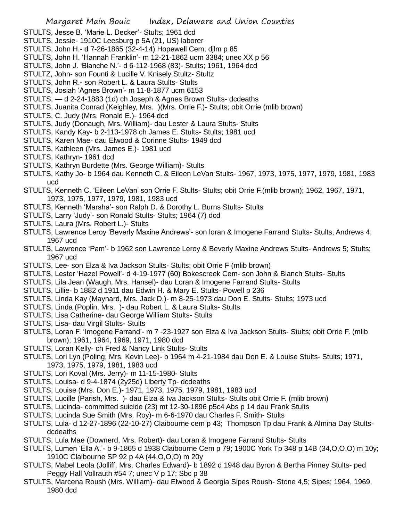- STULTS, Jesse B. 'Marie L. Decker'- Stults; 1961 dcd
- STULTS, Jessie- 1910C Leesburg p 5A (21, US) laborer
- STULTS, John H.- d 7-26-1865 (32-4-14) Hopewell Cem, djlm p 85
- STULTS, John H. 'Hannah Franklin'- m 12-21-1862 ucm 3384; unec XX p 56
- STULTS, John J. 'Blanche N.'- d 6-112-1968 (83)- Stults; 1961, 1964 dcd
- STULTZ, John- son Founti & Lucille V. Knisely Stultz- Stultz
- STULTS, John R.- son Robert L. & Laura Stults- Stults
- STULTS, Josiah 'Agnes Brown'- m 11-8-1877 ucm 6153
- STULTS, d 2-24-1883 (1d) ch Joseph & Agnes Brown Stults- dcdeaths
- STULTS, Juanita Conrad (Keighley, Mrs. )(Mrs. Orrie F.)- Stults; obit Orrie (mlib brown)
- STULTS, C. Judy (Mrs. Ronald E.)- 1964 dcd
- STULTS, Judy (Donaugh, Mrs. William)- dau Lester & Laura Stults- Stults
- STULTS, Kandy Kay- b 2-113-1978 ch James E. Stults- Stults; 1981 ucd
- STULTS, Karen Mae- dau Elwood & Corinne Stults- 1949 dcd
- STULTS, Kathleen (Mrs. James E.)- 1981 ucd
- STULTS, Kathryn- 1961 dcd
- STULTS, Kathryn Burdette (Mrs. George William)- Stults
- STULTS, Kathy Jo- b 1964 dau Kenneth C. & Eileen LeVan Stults- 1967, 1973, 1975, 1977, 1979, 1981, 1983 ucd
- STULTS, Kenneth C. 'Eileen LeVan' son Orrie F. Stults- Stults; obit Orrie F.(mlib brown); 1962, 1967, 1971, 1973, 1975, 1977, 1979, 1981, 1983 ucd
- STULTS, Kenneth 'Marsha'- son Ralph D. & Dorothy L. Burns Stults- Stults
- STULTS, Larry 'Judy'- son Ronald Stults- Stults; 1964 (7) dcd
- STULTS, Laura (Mrs. Robert L.)- Stults
- STULTS, Lawrence Leroy 'Beverly Maxine Andrews'- son loran & Imogene Farrand Stults- Stults; Andrews 4; 1967 ucd
- STULTS, Lawrence 'Pam'- b 1962 son Lawrence Leroy & Beverly Maxine Andrews Stults- Andrews 5; Stults; 1967 ucd
- STULTS, Lee- son Elza & Iva Jackson Stults- Stults; obit Orrie F (mlib brown)
- STULTS, Lester 'Hazel Powell'- d 4-19-1977 (60) Bokescreek Cem- son John & Blanch Stults- Stults
- STULTS, Lila Jean (Waugh, Mrs. Hansel)- dau Loran & Imogene Farrand Stults- Stults
- STULTS, Lillie- b 1882 d 1911 dau Edwin H. & Mary E. Stults- Powell p 236
- STULTS, Linda Kay (Maynard, Mrs. Jack D.)- m 8-25-1973 dau Don E. Stults- Stults; 1973 ucd
- STULTS, Linda (Poplin, Mrs. )- dau Robert L. & Laura Stults- Stults
- STULTS, Lisa Catherine- dau George William Stults- Stults
- STULTS, Lisa- dau Virgil Stults- Stults
- STULTS, Loran F. 'Imogene Farrand'- m 7 -23-1927 son Elza & Iva Jackson Stults- Stults; obit Orrie F. (mlib brown); 1961, 1964, 1969, 1971, 1980 dcd
- STULTS, Loran Kelly- ch Fred & Nancy Link Stults- Stults
- STULTS, Lori Lyn (Poling, Mrs. Kevin Lee)- b 1964 m 4-21-1984 dau Don E. & Louise Stults- Stults; 1971, 1973, 1975, 1979, 1981, 1983 ucd
- STULTS, Lori Koval (Mrs. Jerry)- m 11-15-1980- Stults
- STULTS, Louisa- d 9-4-1874 (2y25d) Liberty Tp- dcdeaths
- STULTS, Louise (Mrs. Don E.)- 1971, 1973, 1975, 1979, 1981, 1983 ucd
- STULTS, Lucille (Parish, Mrs. )- dau Elza & Iva Jackson Stults- Stults obit Orrie F. (mlib brown)
- STULTS, Lucinda- committed suicide (23) mt 12-30-1896 p5c4 Abs p 14 dau Frank Stults
- STULTS, Lucinda Sue Smith (Mrs. Roy)- m 6-6-1970 dau Charles F. Smith- Stults
- STULTS, Lula- d 12-27-1896 (22-10-27) Claibourne cem p 43; Thompson Tp dau Frank & Almina Day Stultsdcdeaths
- STULTS, Lula Mae (Downerd, Mrs. Robert)- dau Loran & Imogene Farrand Stults- Stults
- STULTS, Lumen 'Ella A.'- b 9-1865 d 1938 Claibourne Cem p 79; 1900C York Tp 348 p 14B (34,O,O,O) m 10y; 1910C Claibourne SP 92 p 4A (44,O,O,O) m 20y
- STULTS, Mabel Leola (Jolliff, Mrs. Charles Edward)- b 1892 d 1948 dau Byron & Bertha Pinney Stults- ped Peggy Hall Vollrauth #54 7; unec V p 17; Sbc p 38
- STULTS, Marcena Roush (Mrs. William)- dau Elwood & Georgia Sipes Roush- Stone 4,5; Sipes; 1964, 1969, 1980 dcd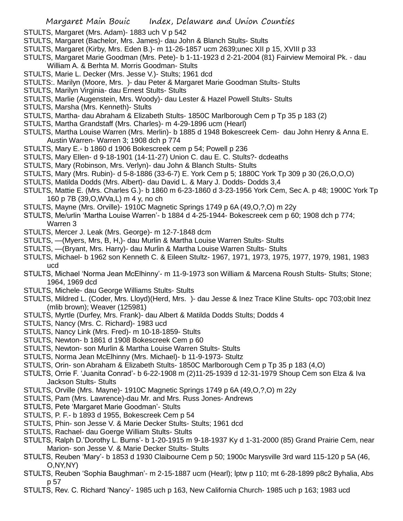- STULTS, Margaret (Mrs. Adam)- 1883 uch V p 542
- STULTS, Margaret (Bachelor, Mrs. James)- dau John & Blanch Stults- Stults
- STULTS, Margaret (Kirby, Mrs. Eden B.)- m 11-26-1857 ucm 2639;unec XII p 15, XVIII p 33
- STULTS, Margaret Marie Goodman (Mrs. Pete)- b 1-11-1923 d 2-21-2004 (81) Fairview Memoiral Pk. dau William A. & Berhta M. Morris Goodman- Stults
- STULTS, Marie L. Decker (Mrs. Jesse V.)- Stults; 1961 dcd
- STULTS:. Marilyn (Moore, Mrs. )- dau Peter & Margaret Marie Goodman Stults- Stults
- STULTS, Marilyn Virginia- dau Ernest Stults- Stults
- STULTS, Marlie (Augenstein, Mrs. Woody)- dau Lester & Hazel Powell Stults- Stults
- STULTS, Marsha (Mrs. Kenneth)- Stults
- STULTS, Martha- dau Abraham & Elizabeth Stults- 1850C Marlborough Cem p Tp 35 p 183 (2)
- STULTS, Martha Grandstaff (Mrs. Charles)- m 4-29-1896 ucm (Hearl)
- STULTS, Martha Louise Warren (Mrs. Merlin)- b 1885 d 1948 Bokescreek Cem- dau John Henry & Anna E. Austin Warren- Warren 3; 1908 dch p 774
- STULTS, Mary E.- b 1860 d 1906 Bokescreek cem p 54; Powell p 236
- STULTS, Mary Ellen- d 9-18-1901 (14-11-27) Union C. dau E. C. Stults?- dcdeaths
- STULTS, Mary (Robinson, Mrs. Verlyn)- dau John & Blanch Stults- Stults
- STULTS, Mary (Mrs. Rubin)- d 5-8-1886 (33-6-7) E. York Cem p 5; 1880C York Tp 309 p 30 (26,O,O,O)
- STULTS, Matilda Dodds (Mrs. Albert)- dau David L. & Mary J. Dodds- Dodds 3,4
- STULTS, Mattie E. (Mrs. Charles G.)- b 1860 m 6-23-1860 d 3-23-1956 York Cem, Sec A. p 48; 1900C York Tp 160 p 7B (39,O,WVa,L) m 4 y, no ch
- STULTS, Mayne (Mrs. Orville)- 1910C Magnetic Springs 1749 p 6A (49,O,?,O) m 22y
- STULTS, Me/urlin 'Martha Louise Warren'- b 1884 d 4-25-1944- Bokescreek cem p 60; 1908 dch p 774; Warren 3
- STULTS, Mercer J. Leak (Mrs. George)- m 12-7-1848 dcm
- STULTS, —(Myers, Mrs, B, H,)- dau Murlin & Martha Louise Warren Stults- Stults
- STULTS, —(Bryant, Mrs. Harry)- dau Murlin & Martha Louise Warren Stults- Stults
- STULTS, Michael- b 1962 son Kenneth C. & Eileen Stultz- 1967, 1971, 1973, 1975, 1977, 1979, 1981, 1983 ucd
- STULTS, Michael 'Norma Jean McElhinny'- m 11-9-1973 son William & Marcena Roush Stults- Stults; Stone; 1964, 1969 dcd
- STULTS, Michele- dau George Williams Stults- Stults
- STULTS, Mildred L. (Coder, Mrs. Lloyd)(Herd, Mrs. )- dau Jesse & Inez Trace Kline Stults- opc 703;obit Inez (mlib brown); Weaver (125981)
- STULTS, Myrtle (Durfey, Mrs. Frank)- dau Albert & Matilda Dodds Stults; Dodds 4
- STULTS, Nancy (Mrs. C. Richard)- 1983 ucd
- STULTS, Nancy Link (Mrs. Fred)- m 10-18-1859- Stults
- STULTS, Newton- b 1861 d 1908 Bokescreek Cem p 60
- STULTS, Newton- son Murlin & Martha Louise Warren Stults- Stults
- STULTS, Norma Jean McElhinny (Mrs. Michael)- b 11-9-1973- Stultz
- STULTS, Orin- son Abraham & Elizabeth Stults- 1850C Marlborough Cem p Tp 35 p 183 (4,O)
- STULTS, Orrie F. 'Juanita Conrad'- b 6-22-1908 m (2)11-25-1939 d 12-31-1979 Shoup Cem son Elza & Iva Jackson Stults- Stults
- STULTS, Orville (Mrs. Mayne)- 1910C Magnetic Springs 1749 p 6A (49,O,?,O) m 22y
- STULTS, Pam (Mrs. Lawrence)-dau Mr. and Mrs. Russ Jones- Andrews
- STULTS, Pete 'Margaret Marie Goodman'- Stults
- STULTS, P. F.- b 1893 d 1955, Bokescreek Cem p 54
- STULTS, Phin- son Jesse V. & Marie Decker Stults- Stults; 1961 dcd
- STULTS, Rachael- dau Goerge William Stults- Stults
- STULTS, Ralph D.'Dorothy L. Burns'- b 1-20-1915 m 9-18-1937 Ky d 1-31-2000 (85) Grand Prairie Cem, near Marion- son Jesse V. & Marie Decker Stults- Stults
- STULTS, Reuben 'Mary'- b 1853 d 1930 Claibourne Cem p 50; 1900c Marysville 3rd ward 115-120 p 5A (46, O,NY,NY)
- STULTS, Reuben 'Sophia Baughman'- m 2-15-1887 ucm (Hearl); lptw p 110; mt 6-28-1899 p8c2 Byhalia, Abs p 57
- STULTS, Rev. C. Richard 'Nancy'- 1985 uch p 163, New California Church- 1985 uch p 163; 1983 ucd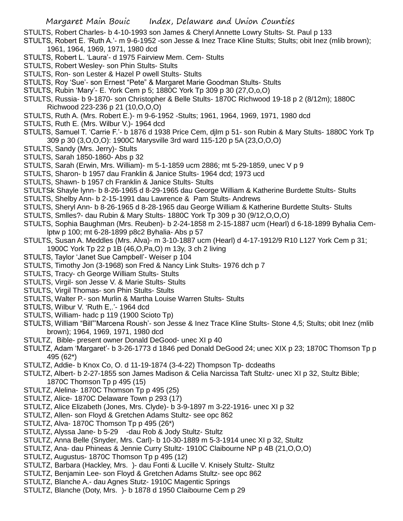STULTS, Robert Charles- b 4-10-1993 son James & Cheryl Annette Lowry Stults- St. Paul p 133

- STULTS, Robert E. 'Ruth A.'- m 9-6-1952 -son Jesse & Inez Trace Kline Stults; Stults; obit Inez (mlib brown); 1961, 1964, 1969, 1971, 1980 dcd
- STULTS, Robert L. 'Laura'- d 1975 Fairview Mem. Cem- Stults
- STULTS, Robert Wesley- son Phin Stults- Stults
- STULTS, Ron- son Lester & Hazel P owell Stults- Stults
- STULTS, Roy 'Sue'- son Ernest "Pete" & Margaret Marie Goodman Stults- Stults
- STULTS, Rubin 'Mary'- E. York Cem p 5; 1880C York Tp 309 p 30 (27,O,o,O)
- STULTS, Russia- b 9-1870- son Christopher & Belle Stults- 1870C Richwood 19-18 p 2 (8/12m); 1880C Richwood 223-236 p 21 (10,O,O,O)
- STULTS, Ruth A. (Mrs. Robert E.)- m 9-6-1952 -Stults; 1961, 1964, 1969, 1971, 1980 dcd
- STULTS, Ruth E. (Mrs. Wilbur V.)- 1964 dcd
- STULTS, Samuel T. 'Carrie F.'- b 1876 d 1938 Price Cem, djlm p 51- son Rubin & Mary Stults- 1880C York Tp 309 p 30 (3,O,O,O): 1900C Marysville 3rd ward 115-120 p 5A (23,O,O,O)
- STULTS, Sandy (Mrs. Jerry)- Stults
- STULTS, Sarah 1850-1860- Abs p 32
- STULTS, Sarah (Erwin, Mrs. William)- m 5-1-1859 ucm 2886; mt 5-29-1859, unec V p 9
- STULTS, Sharon- b 1957 dau Franklin & Janice Stults- 1964 dcd; 1973 ucd
- STULTS, Shawn- b 1957 ch Franklin & Janice Stults- Stults
- STULTSk Shayle lynn- b 8-26-1965 d 8-29-1965 dau George William & Katherine Burdette Stults- Stults
- STULTS, Shelby Ann- b 2-15-1991 dau Lawrence & Pam Stults- Andrews
- STULTS, Sheryl Ann- b 8-26-1965 d 8-28-1965 dau George William & Katherine Burdette Stults- Stults
- STULTS, Smlles?- dau Rubin & Mary Stults- 1880C York Tp 309 p 30 (9/12,O,O,O)
- STULTS, Sophia Baughman (Mrs. Reuben)- b 2-24-1858 m 2-15-1887 ucm (Hearl) d 6-18-1899 Byhalia Cemlptw p 100; mt 6-28-1899 p8c2 Byhalia- Abs p 57
- STULTS, Susan A. Meddles (Mrs. Alva)- m 3-10-1887 ucm (Hearl) d 4-17-1912/9 R10 L127 York Cem p 31; 1900C York Tp 22 p 1B (46,O,Pa,O) m 13y, 3 ch 2 living
- STULTS, Taylor 'Janet Sue Campbell'- Weiser p 104
- STULTS, Timothy Jon (3-1968) son Fred & Nancy Link Stults- 1976 dch p 7
- STULTS, Tracy- ch George William Stults- Stults
- STULTS, Virgil- son Jesse V. & Marie Stults- Stults
- STULTS, Virgil Thomas- son Phin Stults- Stults
- STULTS, Walter P.- son Murlin & Martha Louise Warren Stults- Stults
- STULTS, Wilbur V. 'Ruth E,.'- 1964 dcd
- STULTS, William- hadc p 119 (1900 Scioto Tp)
- STULTS, William "Bill"'Marcena Roush'- son Jesse & Inez Trace Kline Stults- Stone 4,5; Stults; obit Inez (mlib brown); 1964, 1969, 1971, 1980 dcd
- STULTZ, Bible- present owner Donald DeGood- unec XI p 40
- STULTZ, Adam 'Margaret'- b 3-26-1773 d 1846 ped Donald DeGood 24; unec XIX p 23; 1870C Thomson Tp p 495 (62\*)
- STULTZ, Addie- b Knox Co, O. d 11-19-1874 (3-4-22) Thompson Tp- dcdeaths
- STULTZ, Albert- b 2-27-1855 son James Madison & Celia Narcissa Taft Stultz- unec XI p 32, Stultz Bible; 1870C Thomson Tp p 495 (15)
- STULTZ, Alelina- 1870C Thomson Tp p 495 (25)
- STULTZ, Alice- 1870C Delaware Town p 293 (17)
- STULTZ, Alice Elizabeth (Jones, Mrs. Clyde)- b 3-9-1897 m 3-22-1916- unec XI p 32
- STULTZ, Allen- son Floyd & Gretchen Adams Stultz- see opc 862
- STULTZ, Alva- 1870C Thomson Tp p 495 (26\*)
- STULTZ, Alyssa Jane- b 5-29 -dau Rob & Jody Stultz- Stultz
- STULTZ, Anna Belle (Snyder, Mrs. Carl)- b 10-30-1889 m 5-3-1914 unec XI p 32, Stultz
- STULTZ, Ana- dau Phineas & Jennie Curry Stultz- 1910C Claibourne NP p 4B (21,O,O,O)
- STULTZ, Augustus- 1870C Thomson Tp p 495 (12)
- STULTZ, Barbara (Hackley, Mrs. )- dau Fonti & Lucille V. Knisely Stultz- Stultz
- STULTZ, Benjamin Lee- son Floyd & Gretchen Adams Stultz- see opc 862
- STULTZ, Blanche A.- dau Agnes Stutz- 1910C Magentic Springs
- STULTZ, Blanche (Doty, Mrs. )- b 1878 d 1950 Claibourne Cem p 29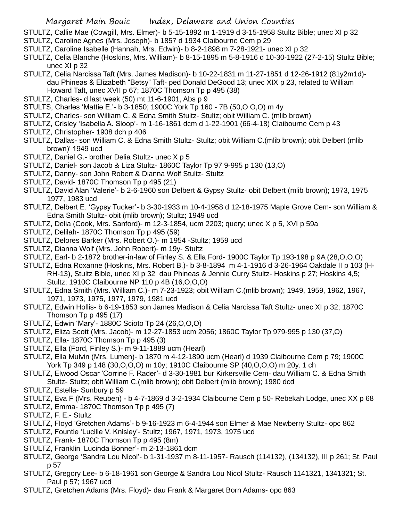STULTZ, Callie Mae (Cowgill, Mrs. Elmer)- b 5-15-1892 m 1-1919 d 3-15-1958 Stultz Bible; unec XI p 32

- STULTZ, Caroline Agnes (Mrs. Joseph)- b 1857 d 1934 Claibourne Cem p 29
- STULTZ, Caroline Isabelle (Hannah, Mrs. Edwin)- b 8-2-1898 m 7-28-1921- unec XI p 32
- STULTZ, Celia Blanche (Hoskins, Mrs. William)- b 8-15-1895 m 5-8-1916 d 10-30-1922 (27-2-15) Stultz Bible; unec XI p 32
- STULTZ, Celia Narcissa Taft (Mrs. James Madison)- b 10-22-1831 m 11-27-1851 d 12-26-1912 (81y2m1d) dau Phineas & Elizabeth "Betsy" Taft- ped Donald DeGood 13; unec XIX p 23, related to William Howard Taft, unec XVII p 67; 1870C Thomson Tp p 495 (38)
- STULTZ, Charles- d last week (50) mt 11-6-1901, Abs p 9
- STULTS, Charles 'Mattie E.'- b 3-1850; 1900C York Tp 160 7B (50,O O,O) m 4y
- STULTZ, Charles- son William C. & Edna Smith Stultz- Stultz; obit William C. (mlib brown)
- STULTZ, Crisley 'Isabella A. Sloop'- m 1-16-1861 dcm d 1-22-1901 (66-4-18) Claibourne Cem p 43
- STULTZ, Christopher- 1908 dch p 406
- STULTZ, Dallas- son William C. & Edna Smith Stultz- Stultz; obit William C.(mlib brown); obit Delbert (mlib brown)' 1949 ucd
- STULTZ, Daniel G.- brother Delia Stultz- unec X p 5
- STULTZ, Daniel- son Jacob & Liza Stultz- 1860C Taylor Tp 97 9-995 p 130 (13,O)
- STULTZ, Danny- son John Robert & Dianna Wolf Stultz- Stultz
- STULTZ, David- 1870C Thomson Tp p 495 (21)
- STULTZ, David Alan 'Valerie'- b 2-6-1960 son Delbert & Gypsy Stultz- obit Delbert (mlib brown); 1973, 1975 1977, 1983 ucd
- STULTZ, Delbert E. 'Gypsy Tucker'- b 3-30-1933 m 10-4-1958 d 12-18-1975 Maple Grove Cem- son William & Edna Smith Stultz- obit (mlib brown); Stultz; 1949 ucd
- STULTZ, Delia (Cook, Mrs. Sanford)- m 12-3-1854, ucm 2203; query; unec X p 5, XVI p 59a
- STULTZ, Delilah- 1870C Thomson Tp p 495 (59)
- STULTZ, Delores Barker (Mrs. Robert O.)- m 1954 -Stultz; 1959 ucd
- STULTZ, Dianna Wolf (Mrs. John Robert)- m 19y- Stultz
- STULTZ, Earl- b 2-1872 brother-in-law of Finley S. & Ella Ford- 1900C Taylor Tp 193-198 p 9A (28,O,O,O)
- STULTZ, Edna Roxanne (Hoskins, Mrs. Robert B.)- b 3-8-1894 m 4-1-1916 d 3-26-1964 Oakdale II p 103 (H-RH-13), Stultz Bible, unec XI p 32 dau Phineas & Jennie Curry Stultz- Hoskins p 27; Hoskins 4,5; Stultz; 1910C Claibourne NP 110 p 4B (16,O,O,O)
- STULTZ, Edna Smith (Mrs. William C.)- m 7-23-1923; obit William C.(mlib brown); 1949, 1959, 1962, 1967, 1971, 1973, 1975, 1977, 1979, 1981 ucd
- STULTZ, Edwin Hollis- b 6-19-1853 son James Madison & Celia Narcissa Taft Stultz- unec XI p 32; 1870C Thomson Tp p 495 (17)
- STULTZ, Edwin 'Mary'- 1880C Scioto Tp 24 (26,O,O,O)
- STULTZ, Eliza Scott (Mrs. Jacob)- m 12-27-1853 ucm 2056; 1860C Taylor Tp 979-995 p 130 (37,O)
- STULTZ, Ella- 1870C Thomson Tp p 495 (3)
- STULTZ, Ella (Ford, Finley S.)- m 9-11-1889 ucm (Hearl)
- STULTZ, Ella Mulvin (Mrs. Lumen)- b 1870 m 4-12-1890 ucm (Hearl) d 1939 Claibourne Cem p 79; 1900C York Tp 349 p 148 (30,O,O,O) m 10y; 1910C Claibourne SP (40,O,O,O) m 20y, 1 ch
- STULTZ, Elwood Oscar 'Corrine F. Rader'- d 3-30-1981 bur Kirkersville Cem- dau William C. & Edna Smith Stultz- Stultz; obit William C.(mlib brown); obit Delbert (mlib brown); 1980 dcd
- STULTZ, Estella- Sunbury p 59
- STULTZ, Eva F (Mrs. Reuben) b 4-7-1869 d 3-2-1934 Claibourne Cem p 50- Rebekah Lodge, unec XX p 68
- STULTZ, Emma- 1870C Thomson Tp p 495 (7)
- STULTZ, F. E.- Stultz
- STULTZ, Floyd 'Gretchen Adams'- b 9-16-1923 m 6-4-1944 son Elmer & Mae Newberry Stultz- opc 862
- STULTZ, Fountie 'Lucille V. Knisley'- Stultz; 1967, 1971, 1973, 1975 ucd
- STULTZ, Frank- 1870C Thomson Tp p 495 (8m)
- STULTZ, Franklin 'Lucinda Bonner'- m 2-13-1861 dcm
- STULTZ, George 'Sandra Lou Nicol'- b 1-31-1937 m 8-11-1957- Rausch (114132), (134132), III p 261; St. Paul p 57
- STULTZ, Gregory Lee- b 6-18-1961 son George & Sandra Lou Nicol Stultz- Rausch 1141321, 1341321; St. Paul p 57; 1967 ucd
- STULTZ, Gretchen Adams (Mrs. Floyd)- dau Frank & Margaret Born Adams- opc 863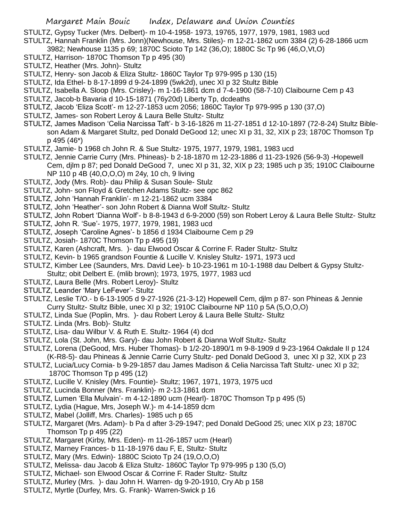STULTZ, Gypsy Tucker (Mrs. Delbert)- m 10-4-1958- 1973, 19765, 1977, 1979, 1981, 1983 ucd STULTZ, Hannah Franklin (Mrs. Jonn)(Newhouse, Mrs. Stiles)- m 12-21-1862 ucm 3384 (2) 6-28-1866 ucm

- 3982; Newhouse 1135 p 69; 1870C Scioto Tp 142 (36,O); 1880C Sc Tp 96 (46,O,Vt,O)
- STULTZ, Harrison- 1870C Thomson Tp p 495 (30)
- STULTZ, Heather (Mrs. John)- Stultz
- STULTZ, Henry- son Jacob & Eliza Stultz- 1860C Taylor Tp 979-995 p 130 (15)
- STULTZ, Ida Ethel- b 8-17-1899 d 9-24-1899 (5wk2d), unec XI p 32 Stultz Bible
- STULTZ, Isabella A. Sloop (Mrs. Crisley)- m 1-16-1861 dcm d 7-4-1900 (58-7-10) Claibourne Cem p 43
- STULTZ, Jacob-b Bavaria d 10-15-1871 (76y20d) Liberty Tp, dcdeaths
- STULTZ, Jacob 'Eliza Scott'- m 12-27-1853 ucm 2056; 1860C Taylor Tp 979-995 p 130 (37,O)
- STULTZ, James- son Robert Leroy & Laura Belle Stultz- Stultz
- STULTZ, James Madison 'Celia Narcissa Taft'- b 3-16-1826 m 11-27-1851 d 12-10-1897 (72-8-24) Stultz Bibleson Adam & Margaret Stultz, ped Donald DeGood 12; unec XI p 31, 32, XIX p 23; 1870C Thomson Tp p 495 (46\*)
- STULTZ, Jamie- b 1968 ch John R. & Sue Stultz- 1975, 1977, 1979, 1981, 1983 ucd
- STULTZ, Jennie Carrie Curry (Mrs. Phineas)- b 2-18-1870 m 12-23-1886 d 11-23-1926 (56-9-3) -Hopewell Cem, djlm p 87; ped Donald DeGood 7, unec XI p 31, 32, XIX p 23; 1985 uch p 35; 1910C Claibourne NP 110 p 4B (40,O,O,O) m 24y, 10 ch, 9 living
- STULTZ, Jody (Mrs. Rob)- dau Philip & Susan Soule- Stulz
- STULTZ, John- son Floyd & Gretchen Adams Stultz- see opc 862
- STULTZ, John 'Hannah Franklin'- m 12-21-1862 ucm 3384
- STULTZ, John 'Heather'- son John Robert & Dianna Wolf Stultz- Stultz
- STULTZ, John Robert 'Dianna Wolf'- b 8-8-1943 d 6-9-2000 (59) son Robert Leroy & Laura Belle Stultz- Stultz
- STULTZ, John R. 'Sue'- 1975, 1977, 1979, 1981, 1983 ucd
- STULTZ, Joseph 'Caroline Agnes'- b 1856 d 1934 Claibourne Cem p 29
- STULTZ, Josiah- 1870C Thomson Tp p 495 (19)
- STULTZ, Karen (Ashcraft, Mrs. )- dau Elwood Oscar & Corrine F. Rader Stultz- Stultz
- STULTZ, Kevin- b 1965 grandson Fountie & Lucille V. Knisley Stultz- 1971, 1973 ucd
- STULTZ, Kimber Lee (Saunders, Mrs. David Lee)- b 10-23-1961 m 10-1-1988 dau Delbert & Gypsy Stultz-Stultz; obit Delbert E. (mlib brown); 1973, 1975, 1977, 1983 ucd
- STULTZ, Laura Belle (Mrs. Robert Leroy)- Stultz
- STULTZ, Leander 'Mary LeFever'- Stultz
- STULTZ, Leslie T/O.- b 6-13-1905 d 9-27-1926 (21-3-12) Hopewell Cem, djlm p 87- son Phineas & Jennie Curry Stultz- Stultz Bible, unec XI p 32; 1910C Claibourne NP 110 p 5A (5,O,O,O)
- STULTZ, Linda Sue (Poplin, Mrs. )- dau Robert Leroy & Laura Belle Stultz- Stultz
- STULTZ. Linda (Mrs. Bob)- Stultz
- STULTZ, Lisa- dau Wilbur V. & Ruth E. Stultz- 1964 (4) dcd
- STULTZ, Lola (St. John, Mrs. Gary)- dau John Robert & Dianna Wolf Stultz- Stultz
- STULTZ, Lorena (DeGood, Mrs. Huber Thomas)- b 1/2-20-1890/1 m 9-8-1909 d 9-23-1964 Oakdale II p 124 (K-R8-5)- dau Phineas & Jennie Carrie Curry Stultz- ped Donald DeGood 3, unec XI p 32, XIX p 23
- STULTZ, Lucia/Lucy Cornia- b 9-29-1857 dau James Madison & Celia Narcissa Taft Stultz- unec XI p 32;
- 1870C Thomson Tp p 495 (12)
- STULTZ, Lucille V. Knisley (Mrs. Fountie)- Stultz; 1967, 1971, 1973, 1975 ucd
- STULTZ, Lucinda Bonner (Mrs. Franklin)- m 2-13-1861 dcm
- STULTZ, Lumen 'Ella Mulvain'- m 4-12-1890 ucm (Hearl)- 1870C Thomson Tp p 495 (5)
- STULTZ, Lydia (Hague, Mrs, Joseph W.)- m 4-14-1859 dcm
- STULTZ, Mabel (Jolliff, Mrs. Charles)- 1985 uch p 65
- STULTZ, Margaret (Mrs. Adam)- b Pa d after 3-29-1947; ped Donald DeGood 25; unec XIX p 23; 1870C Thomson Tp p 495 (22)
- STULTZ, Margaret (Kirby, Mrs. Eden)- m 11-26-1857 ucm (Hearl)
- STULTZ, Marney Frances- b 11-18-1976 dau F, E, Stultz- Stultz
- STULTZ, Mary (Mrs. Edwin)- 1880C Scioto Tp 24 (19,O,O,O)
- STULTZ, Melissa- dau Jacob & Eliza Stultz- 1860C Taylor Tp 979-995 p 130 (5,O)
- STULTZ, Michael- son Elwood Oscar & Corrine F. Rader Stultz- Stultz
- STULTZ, Murley (Mrs. )- dau John H. Warren- dg 9-20-1910, Cry Ab p 158
- STULTZ, Myrtle (Durfey, Mrs. G. Frank)- Warren-Swick p 16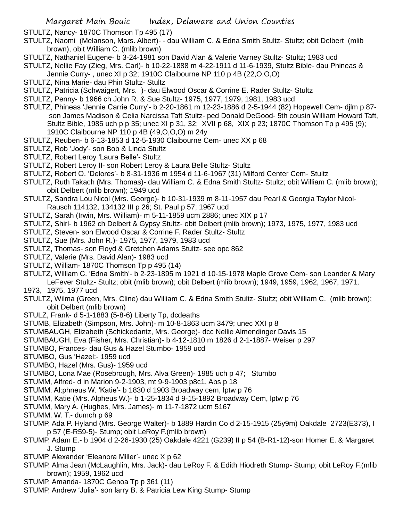STULTZ, Nancy- 1870C Thomson Tp 495 (17)

- STULTZ, Naomi (Melanson, Mars. Albert)- dau William C. & Edna Smith Stultz- Stultz; obit Delbert (mlib brown), obit William C. (mlib brown)
- STULTZ, Nathaniel Eugene- b 3-24-1981 son David Alan & Valerie Varney Stultz- Stultz; 1983 ucd
- STULTZ, Nellie Fay (Zieg, Mrs. Carl)- b 10-22-1888 m 4-22-1911 d 11-6-1939, Stultz Bible- dau Phineas & Jennie Curry- , unec XI p 32; 1910C Claibourne NP 110 p 4B (22,O,O,O)
- STULTZ, Nina Marie- dau Phin Stultz- Stultz
- STULTZ, Patricia (Schwaigert, Mrs. )- dau Elwood Oscar & Corrine E. Rader Stultz- Stultz
- STULTZ, Penny- b 1966 ch John R. & Sue Stultz- 1975, 1977, 1979, 1981, 1983 ucd
- STULTZ, Phineas 'Jennie Carrie Curry'- b 2-20-1861 m 12-23-1886 d 2-5-1944 (82) Hopewell Cem- djlm p 87 son James Madison & Celia Narcissa Taft Stultz- ped Donald DeGood- 5th cousin William Howard Taft, Stultz Bible, 1985 uch p p 35; unec XI p 31, 32; XVII p 68, XIX p 23; 1870C Thomson Tp p 495 (9); 1910C Claibourne NP 110 p 4B (49,O,O,O) m 24y
- STULTZ, Reuben- b 6-13-1853 d 12-5-1930 Claibourne Cem- unec XX p 68
- STULTZ, Rob 'Jody'- son Bob & Linda Stultz
- STULTZ, Robert Leroy 'Laura Belle'- Stultz
- STULTZ, Robert Leroy II- son Robert Leroy & Laura Belle Stultz- Stultz
- STULTZ, Robert O. 'Delores'- b 8-31-1936 m 1954 d 11-6-1967 (31) Milford Center Cem- Stultz
- STULTZ, Ruth Takach (Mrs. Thomas)- dau William C. & Edna Smith Stultz- Stultz; obit William C. (mlib brown); obit Delbert (mlib brown); 1949 ucd
- STULTZ, Sandra Lou Nicol (Mrs. George)- b 10-31-1939 m 8-11-1957 dau Pearl & Georgia Taylor Nicol-Rausch 114132, 134132 III p 26; St. Paul p 57; 1967 ucd
- STULTZ, Sarah (Irwin, Mrs. William)- m 5-11-1859 ucm 2886; unec XIX p 17
- STULTZ, Shirl- b 1962 ch Delbert & Gypsy Stultz- obit Delbert (mlib brown); 1973, 1975, 1977, 1983 ucd
- STULTZ, Steven- son Elwood Oscar & Corrine F. Rader Stultz- Stultz
- STULTZ, Sue (Mrs. John R.)- 1975, 1977, 1979, 1983 ucd
- STULTZ, Thomas- son Floyd & Gretchen Adams Stultz- see opc 862
- STULTZ, Valerie (Mrs. David Alan)- 1983 ucd
- STULTZ, William- 1870C Thomson Tp p 495 (14)
- STULTZ, William C. 'Edna Smith'- b 2-23-1895 m 1921 d 10-15-1978 Maple Grove Cem- son Leander & Mary LeFever Stultz- Stultz; obit (mlib brown); obit Delbert (mlib brown); 1949, 1959, 1962, 1967, 1971,
- 1973, 1975, 1977 ucd
- STULTZ, Wilma (Green, Mrs. Cline) dau William C. & Edna Smith Stultz- Stultz; obit William C. (mlib brown); obit Delbert (mlib brown)
- STULZ, Frank- d 5-1-1883 (5-8-6) Liberty Tp, dcdeaths
- STUMB, Elizabeth (Simpson, Mrs. John)- m 10-8-1863 ucm 3479; unec XXI p 8
- STUMBAUGH, Elizabeth (Schickedantz, Mrs. George)- dcc Nellie Almendinger Davis 15
- STUMBAUGH, Eva (Fisher, Mrs. Christian)- b 4-12-1810 m 1826 d 2-1-1887- Weiser p 297
- STUMBO, Frances- dau Gus & Hazel Stumbo- 1959 ucd
- STUMBO, Gus 'Hazel:- 1959 ucd
- STUMBO, Hazel (Mrs. Gus)- 1959 ucd
- STUMBO, Lona Mae (Rosebrough, Mrs. Alva Green)- 1985 uch p 47; Stumbo
- STUMM, Alfred- d in Marion 9-2-1903, mt 9-9-1903 p8c1, Abs p 18
- STUMM. Al;phneus W. 'Katie'- b 1830 d 1903 Broadway cem, lptw p 76
- STUMM, Katie (Mrs. Alpheus W.)- b 1-25-1834 d 9-15-1892 Broadway Cem, lptw p 76
- STUMM, Mary A. (Hughes, Mrs. James)- m 11-7-1872 ucm 5167
- STUMM. W. T.- dumch p 69
- STUMP, Ada P. Hyland (Mrs. George Walter)- b 1889 Hardin Co d 2-15-1915 (25y9m) Oakdale 2723(E373), I p 57 (E-R59-5)- Stump; obit LeRoy F.(mlib brown)
- STUMP, Adam E.- b 1904 d 2-26-1930 (25) Oakdale 4221 (G239) II p 54 (B-R1-12)-son Homer E. & Margaret J. Stump
- STUMP, Alexander 'Eleanora Miller'- unec X p 62
- STUMP, Alma Jean (McLaughlin, Mrs. Jack)- dau LeRoy F. & Edith Hiodreth Stump- Stump; obit LeRoy F.(mlib brown); 1959, 1962 ucd
- STUMP, Amanda- 1870C Genoa Tp p 361 (11)
- STUMP, Andrew 'Julia'- son larry B. & Patricia Lew King Stump- Stump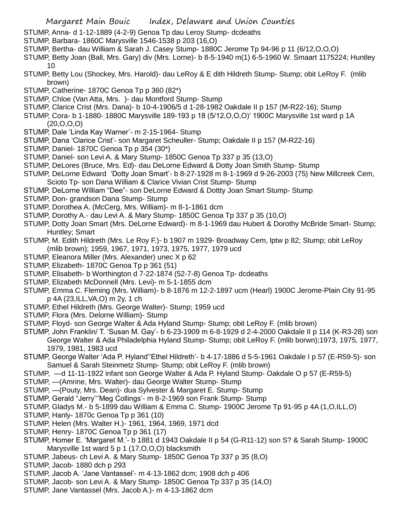- STUMP, Anna- d 1-12-1889 (4-2-9) Genoa Tp dau Leroy Stump- dcdeaths
- STUMP, Barbara- 1860C Marysville 1546-1538 p 203 (16,O)
- STUMP, Bertha- dau William & Sarah J. Casey Stump- 1880C Jerome Tp 94-96 p 11 (6/12,O,O,O)
- STUMP, Betty Joan (Ball, Mrs. Gary) div (Mrs. Lorne)- b 8-5-1940 m(1) 6-5-1960 W. Smaart 1175224; Huntley 10
- STUMP, Betty Lou (Shockey, Mrs. Harold)- dau LeRoy & E dith Hildreth Stump- Stump; obit LeRoy F. (mlib brown)
- STUMP, Catherine- 1870C Genoa Tp p 360 (82\*)
- STUMP, Chloe (Van Atta, Mrs. )- dau Montford Stump- Stump
- STUMP, Clarice Crist (Mrs. Dana)- b 10-4-1906/5 d 1-28-1982 Oakdale II p 157 (M-R22-16); Stump
- STUMP, Cora- b 1-1880- 1880C Marysville 189-193 p 18 (5/12,O,O,O)' 1900C Marysville 1st ward p 1A (20,O,O,O)
- STUMP, Dale 'Linda Kay Warner'- m 2-15-1964- Stump
- STUMP, Dana 'Clarice Crist'- son Margaret Scheuller- Stump; Oakdale II p 157 (M-R22-16)
- STUMP, Daniel- 1870C Genoa Tp p 354 (30\*)
- STUMP, Daniel- son Levi A. & Mary Stump- 1850C Genoa Tp 337 p 35 (13,O)
- STUMP, DeLores (Bruce, Mrs. Ed)- dau DeLorne Edward & Dotty Joan Smith Stump- Stump
- STUMP, DeLorne Edward 'Dotty Joan Smart'- b 8-27-1928 m 8-1-1969 d 9-26-2003 (75) New Millcreek Cem,
- Scioto Tp- son Dana William & Clarice Vivian Crist Stump- Stump
- STUMP, DeLorne William "Dee"- son DeLorne Edward & Dottty Joan Smart Stump- Stump
- STUMP, Don- grandson Dana Stump- Stump
- STUMP, Dorothea A. (McCerg, Mrs. William)- m 8-1-1861 dcm
- STUMP, Dorothy A.- dau Levi A. & Mary Stump- 1850C Genoa Tp 337 p 35 (10,O)
- STUMP, Dotty Joan Smart (Mrs. DeLorne Edward)- m 8-1-1969 dau Hubert & Dorothy McBride Smart- Stump; Huntley; Smart
- STUMP, M. Edith Hildreth (Mrs. Le Roy F.)- b 1907 m 1929- Broadway Cem, lptw p 82; Stump; obit LeRoy (mlib brown); 1959, 1967, 1971, 1973, 1975, 1977, 1979 ucd
- STUMP, Eleanora Miller (Mrs. Alexander) unec X p 62
- STUMP, Elizabeth- 1870C Genoa Tp p 361 (51)
- STUMP, Elisabeth- b Worthington d 7-22-1874 (52-7-8) Genoa Tp- dcdeaths
- STUMP, Elizabeth McDonnell (Mrs. Levi)- m 5-1-1855 dcm
- STUMP, Emma C. Fleming (Mrs. William)- b 8-1876 m 12-2-1897 ucm (Hearl) 1900C Jerome-Plain City 91-95 p 4A (23,ILL,VA,O) m 2y, 1 ch
- STUMP, Ethel Hildreth (Mrs. George Walter)- Stump; 1959 ucd
- STUMP, Flora (Mrs. Delorne William)- Stump
- STUMP, Floyd- son George Walter & Ada Hyland Stump- Stump; obit LeRoy F. (mlib brown)
- STUMP, John Franklin/ T. 'Susan M. Gay'- b 6-23-1909 m 6-8-1929 d 2-4-2000 Oakdale II p 114 (K-R3-28) son George Walter & Ada Philadelphia Hyland Stump- Stump; obit LeRoy F. (mlib borwn);1973, 1975, 1977, 1979, 1981, 1983 ucd
- STUMP, George Walter 'Ada P. Hyland''Ethel Hildreth'- b 4-17-1886 d 5-5-1961 Oakdale I p 57 (E-R59-5)- son Samuel & Sarah Steinmetz Stump- Stump; obit LeRoy F. (mlib brown)
- STUMP, —d 11-11-1922 infant son George Walter & Ada P. Hyland Stump- Oakdale O p 57 (E-R59-5)
- STUMP, —(Amrine, Mrs. Walter)- dau George Walter Stump- Stump
- STUMP, —(Pouty, Mrs. Dean)- dua Sylvester & Margaret E. Stump- Stump
- STUMP, Gerald "Jerry'''Meg Collings'- m 8-2-1969 son Frank Stump- Stump
- STUMP, Gladys M.- b 5-1899 dau William & Emma C. Stump- 1900C Jerome Tp 91-95 p 4A (1,O,ILL,O)
- STUMP, Hanly- 1870c Genoa Tp p 361 (10)
- STUMP, Helen (Mrs. Walter H.)- 1961, 1964, 1969, 1971 dcd
- STUMP, Henry- 1870C Genoa Tp p 361 (17)
- STUMP, Homer E. 'Margaret M.'- b 1881 d 1943 Oakdale II p 54 (G-R11-12) son S? & Sarah Stump- 1900C Marysville 1st ward 5 p 1 (17,O,O,O) blacksmith
- STUMP, Jabeus- ch Levi A. & Mary Stump- 1850C Genoa Tp 337 p 35 (8,O)
- STUMP, Jacob- 1880 dch p 293
- STUMP, Jacob A. 'Jane Vantassel'- m 4-13-1862 dcm; 1908 dch p 406
- STUMP, Jacob- son Levi A. & Mary Stump- 1850C Genoa Tp 337 p 35 (14,O)
- STUMP, Jane Vantassel (Mrs. Jacob A.)- m 4-13-1862 dcm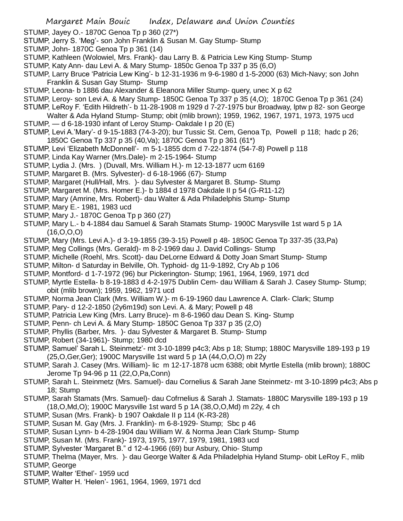STUMP, Jayey O.- 1870C Genoa Tp p 360 (27\*)

- STUMP, Jerry S. 'Meg'- son John Franklin & Susan M. Gay Stump- Stump
- STUMP, John- 1870C Genoa Tp p 361 (14)
- STUMP, Kathleen (Wolowiel, Mrs. Frank)- dau Larry B. & Patricia Lew King Stump- Stump
- STUMP, Katy Ann- dau Levi A. & Mary Stump- 1850c Genoa Tp 337 p 35 (6,O)
- STUMP, Larry Bruce 'Patricia Lew King'- b 12-31-1936 m 9-6-1980 d 1-5-2000 (63) Mich-Navy; son John Franklin & Susan Gay Stump- Stump
- STUMP, Leona- b 1886 dau Alexander & Eleanora Miller Stump- query, unec X p 62
- STUMP, Leroy- son Levi A. & Mary Stump- 1850C Genoa Tp 337 p 35 (4,O); 1870C Genoa Tp p 361 (24)
- STUMP, LeRoy F. 'Edith Hildreth'- b 11-28-1908 m 1929 d 7-27-1975 bur Broadway, lptw p 82- son George
- Walter & Ada Hyland Stump- Stump; obit (mlib brown); 1959, 1962, 1967, 1971, 1973, 1975 ucd STUMP, — d 6-18-1930 infant of Leroy Stump- Oakdale I p 20 (E)
- STUMP, Levi A.'Mary'- d 9-15-1883 (74-3-20); bur Tussic St. Cem, Genoa Tp, Powell p 118; hadc p 26; 1850C Genoa Tp 337 p 35 (40,Va); 1870C Genoa Tp p 361 (61\*)
- STUMP, Levi 'Elizabeth McDonnell'- m 5-1-1855 dcm d 7-22-1874 (54-7-8) Powell p 118
- STUMP, Linda Kay Warner (Mrs.Dale)- m 2-15-1964- Stump
- STUMP, Lydia J. (Mrs. ) (Duvall, Mrs. William H.)- m 12-13-1877 ucm 6169
- STUMP, Margaret B. (Mrs. Sylvester)- d 6-18-1966 (67)- Stump
- STUMP, Margaret (Hull/Hall, Mrs. )- dau Sylvester & Margaret B. Stump- Stump
- STUMP, Margaret M. (Mrs. Homer E.)- b 1884 d 1978 Oakdale II p 54 (G-R11-12)
- STUMP, Mary (Amrine, Mrs. Robert)- dau Walter & Ada Philadelphis Stump- Stump
- STUMP, Mary E.- 1981, 1983 ucd
- STUMP, Mary J.- 1870C Genoa Tp p 360 (27)
- STUMP, Mary L.- b 4-1884 dau Samuel & Sarah Stamats Stump- 1900C Marysville 1st ward 5 p 1A (16,O,O,O)
- STUMP, Mary (Mrs. Levi A.)- d 3-19-1855 (39-3-15) Powell p 48- 1850C Genoa Tp 337-35 (33,Pa)
- STUMP, Meg Collings (Mrs. Gerald)- m 8-2-1969 dau J. David Collings- Stump
- STUMP, Michelle (Roehl, Mrs. Scott)- dau DeLorne Edward & Dotty Joan Smart Stump- Stump
- STUMP, Milton- d Saturday in Belville, Oh. Typhoid- dg 11-9-1892, Cry Ab p 106
- STUMP, Montford- d 1-7-1972 (96) bur Pickerington- Stump; 1961, 1964, 1969, 1971 dcd
- STUMP, Myrtle Estella- b 8-19-1883 d 4-2-1975 Dublin Cem- dau William & Sarah J. Casey Stump- Stump; obit (mlib brown); 1959, 1962, 1971 ucd
- STUMP, Norma Jean Clark (Mrs. William W.)- m 6-19-1960 dau Lawrence A. Clark- Clark; Stump
- STUMP, Pary- d 12-2-1850 (2y6m19d) son Levi. A. & Mary; Powell p 48
- STUMP, Patricia Lew King (Mrs. Larry Bruce)- m 8-6-1960 dau Dean S. King- Stump
- STUMP, Penn- ch Levi A. & Mary Stump- 1850C Genoa Tp 337 p 35 (2,O)
- STUMP, Phyllis (Barber, Mrs. )- dau Sylvester & Margaret B. Stump- Stump
- STUMP, Robert (34-1961)- Stump; 1980 dcd
- STUMP, Samuel' Sarah L. Steinmetz'- mt 3-10-1899 p4c3; Abs p 18; Stump; 1880C Marysville 189-193 p 19 (25,O,Ger,Ger); 1900C Marysville 1st ward 5 p 1A (44,O,O,O) m 22y
- STUMP, Sarah J. Casey (Mrs. William)- lic m 12-17-1878 ucm 6388; obit Myrtle Estella (mlib brown); 1880C Jerome Tp 94-96 p 11 (22,O,Pa,Conn)
- STUMP, Sarah L. Steinmetz (Mrs. Samuel)- dau Cornelius & Sarah Jane Steinmetz- mt 3-10-1899 p4c3; Abs p 18; Stump
- STUMP, Sarah Stamats (Mrs. Samuel)- dau Cofrnelius & Sarah J. Stamats- 1880C Marysville 189-193 p 19 (18,O,Md,O); 1900C Marysville 1st ward 5 p 1A (38,O,O,Md) m 22y, 4 ch
- STUMP, Susan (Mrs. Frank)- b 1907 Oakdale II p 114 (K-R3-28)
- STUMP, Susan M. Gay (Mrs. J. Franklin)- m 6-8-1929- Stump; Sbc p 46
- STUMP, Susan Lynn- b 4-28-1904 dau William W. & Norma Jean Clark Stump- Stump
- STUMP, Susan M. (Mrs. Frank)- 1973, 1975, 1977, 1979, 1981, 1983 ucd
- STUMP, Sylvester 'Margaret B." d 12-4-1966 (69) bur Asbury, Ohio- Stump
- STUMP, Thelma (Mayer, Mrs. )- dau George Walter & Ada Philadelphia Hyland Stump- obit LeRoy F., mlib STUMP, George
- STUMP, Walter 'Ethel'- 1959 ucd
- STUMP, Walter H. 'Helen'- 1961, 1964, 1969, 1971 dcd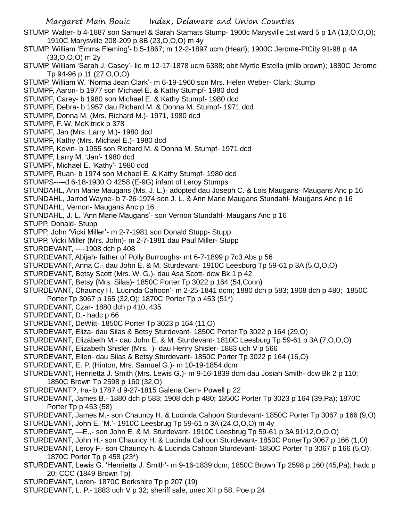Margaret Main Bouic Index, Delaware and Union Counties STUMP, Walter- b 4-1887 son Samuel & Sarah Stamats Stump- 1900c Marysville 1st ward 5 p 1A (13,O,O,O); 1910C Marysville 208-209 p 8B (23,O,O,O) m 4y STUMP, William 'Emma Fleming'- b 5-1867; m 12-2-1897 ucm (Hearl); 1900C Jerome-PlCity 91-98 p 4A (33,O,O,O) m 2y STUMP, William 'Sarah J. Casey'- lic m 12-17-1878 ucm 6388; obit Myrtle Estella (mlib brown); 1880C Jerome Tp 94-96 p 11 (27,O,O,O) STUMP, William W. 'Norma Jean Clark'- m 6-19-1960 son Mrs. Helen Weber- Clark; Stump STUMPF, Aaron- b 1977 son Michael E. & Kathy Stumpf- 1980 dcd STUMPF, Carey- b 1980 son Michael E. & Kathy Stumpf- 1980 dcd STUMPF, Debra- b 1957 dau Richard M. & Donna M. Stumpf- 1971 dcd STUMPF, Donna M. (Mrs. Richard M.)- 1971, 1980 dcd STUMPF, F. W. McKitrick p 378 STUMPF, Jan (Mrs. Larry M.)- 1980 dcd STUMPF, Kathy (Mrs. Michael E.)- 1980 dcd STUMPF, Kevin- b 1955 son Richard M. & Donna M. Stumpf- 1971 dcd STUMPF, Larry M. 'Jan'- 1980 dcd STUMPF, Michael E. 'Kathy'- 1980 dcd STUMPF, Ruan- b 1974 son Michael E. & Kathy Stumpf- 1980 dcd STUMPS---–d 6-18-1930 O 4258 (E-9G) infant of Leroy Stumps STUNDAHL, Ann Marie Maugans (Ms. J. L.)- adopted dau Joseph C. & Lois Maugans- Maugans Anc p 16 STUNDAHL, Jarrod Wayne- b 7-26-1974 son J. L. & Ann Marie Maugans Stundahl- Maugans Anc p 16 STUNDAHL, Vernon- Maugans Anc p 16 STUNDAHL, J. L. 'Ann Marie Maugans'- son Vernon Stundahl- Maugans Anc p 16 STUPP, Donald- Stupp STUPP, John 'Vicki Miller'- m 2-7-1981 son Donald Stupp- Stupp STUPP, Vicki Miller (Mrs. John)- m 2-7-1981 dau Paul Miller- Stupp STURDEVANT, ----1908 dch p 408 STURDEVANT, Abijah- father of Polly Burroughs- mt 6-7-1899 p 7c3 Abs p 56 STURDEVANT, Anna C.- dau John E. & M. Sturdevant- 1910C Leesburg Tp 59-61 p 3A (5,O,O,O) STURDEVANT, Betsy Scott (Mrs. W. G.)- dau Asa Scott- dcw Bk 1 p 42 STURDEVANT, Betsy (Mrs. Silas)- 1850C Porter Tp 3022 p 164 (54,Conn) STURDEVANT, Chauncy H. 'Lucinda Cahoon'- m 2-25-1841 dcm; 1880 dch p 583; 1908 dch p 480; 1850C Porter Tp 3067 p 165 (32,O); 1870C Porter Tp p 453 (51\*) STURDEVANT, Czar- 1880 dch p 410, 435 STURDEVANT, D.- hadc p 66 STURDEVANT, DeWitt- 1850C Porter Tp 3023 p 164 (11,O) STURDEVANT, Eliza- dau Silas & Betsy Sturdevant- 1850C Porter Tp 3022 p 164 (29,O) STURDEVANT, Elizabeth M.- dau John E. & M. Sturdevant- 1810C Leesburg Tp 59-61 p 3A (7,O,O,O) STURDEVANT, Elizabeth Shisler (Mrs. )- dau Henry Shisler- 1883 uch V p 566 STURDEVANT, Ellen- dau Silas & Betsy Sturdevant- 1850C Porter Tp 3022 p 164 (16,O) STURDEVANT, E. P. (Hinton, Mrs. Samuel G.)- m 10-19-1854 dcm STURDEVANT, Henrietta J. Smith (Mrs. Lewis G.)- m 9-16-1839 dcm dau Josiah Smith- dcw Bk 2 p 110; 1850C Brown Tp 2598 p 160 (32,O) STURDEVANT?, Ira- b 1787 d 9-27-1815 Galena Cem- Powell p 22 STURDEVANT, James B.- 1880 dch p 583; 1908 dch p 480; 1850C Porter Tp 3023 p 164 (39,Pa); 1870C Porter Tp p 453 (58) STURDEVANT, James M.- son Chauncy H. & Lucinda Cahoon Sturdevant- 1850C Porter Tp 3067 p 166 (9,O) STURDEVANT, John E. 'M.'- 1910C Leesbrug Tp 59-61 p 3A (24,O,O,O) m 4y STURDEVANT, —E.,- son John E. & M. Sturdevant- 1910C Leesbrug Tp 59-61 p 3A 91/12,O,O,O) STURDEVANT, John H.- son Chauncy H. & Lucinda Cahoon Sturdevant- 1850C PorterTp 3067 p 166 (1,O) STURDEVANT, Leroy F.- son Chauncy h. & Lucinda Cahoon Sturdevant- 1850C Porter Tp 3067 p 166 (5,O); 1870C Porter Tp p 458 (23\*) STURDEVANT, Lewis G. 'Henrietta J. Smith'- m 9-16-1839 dcm; 1850C Brown Tp 2598 p 160 (45,Pa); hadc p

- 20; CCC (1849 Brown Tp)
- STURDEVANT, Loren- 1870C Berkshire Tp p 207 (19)
- STURDEVANT, L. P.- 1883 uch V p 32; sheriff sale, unec XII p 58; Poe p 24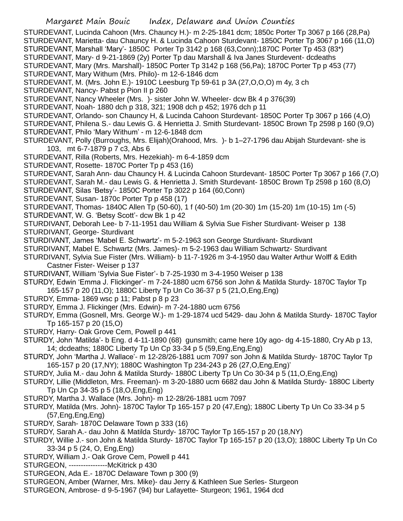STURDEVANT, Lucinda Cahoon (Mrs. Chauncy H.)- m 2-25-1841 dcm; 1850c Porter Tp 3067 p 166 (28,Pa) STURDEVANT, Marietta- dau Chauncy H. & Lucinda Cahoon Sturdevant- 1850C Porter Tp 3067 p 166 (11,O) STURDEVANT, Marshall 'Mary'- 1850C Porter Tp 3142 p 168 (63,Conn);1870C Porter Tp 453 (83\*) STURDEVANT, Mary- d 9-21-1869 (2y) Porter Tp dau Marshall & Iva Janes Sturdevent- dcdeaths STURDEVANT, Mary (Mrs. Marshall)- 1850C Porter Tp 3142 p 168 (56,Pa); 1870C Porter Tp p 453 (77) STURDEVANT, Mary Withum (Mrs. Philo)- m 12-6-1846 dcm STURDEVANT, M. (Mrs. John E.)- 1910C Leesburg Tp 59-61 p 3A (27,O,O,O) m 4y, 3 ch STURDEVANT, Nancy- Pabst p Pion II p 260 STURDEVANT, Nancy Wheeler (Mrs. )- sister John W. Wheeler- dcw Bk 4 p 376(39) STURDEVANT, Noah- 1880 dch p 318, 321; 1908 dch p 452; 1976 dch p 11 STURDEVANT, Orlando- son Chauncy H, & Lucinda Cahoon Sturdevant- 1850C Porter Tp 3067 p 166 (4,O) STURDEVANT, Philena S.- dau Lewis G. & Henrietta J. Smith Sturdevant- 1850C Brown Tp 2598 p 160 (9,O) STURDEVANT, Philo 'Mary Withum' - m 12-6-1848 dcm STURDEVANT, Polly (Burroughs, Mrs. Elijah)(Orahood, Mrs. )- b 1–27-1796 dau Abijah Sturdevant- she is 103, mt 6-7-1879 p 7 c3, Abs 6 STURDEVANT, Rilla (Roberts, Mrs. Hezekiah)- m 6-4-1859 dcm STURDEVANT, Rosette- 1870C Porter Tp p 453 (16) STURDEVANT, Sarah Ann- dau Chauncy H. & Lucinda Cahoon Sturdevant- 1850C Porter Tp 3067 p 166 (7,O) STURDEVANT, Sarah M.- dau Lewis G. & Henrietta J. Smith Sturdevant- 1850C Brown Tp 2598 p 160 (8,O) STURDEVANT, Silas 'Betsy'- 1850C Porter Tp 3022 p 164 (60,Conn) STURDEVANT, Susan- 1870c Porter Tp p 458 (17) STURDEVANT, Thomas- 1840C Allen Tp (50-60), 1 f (40-50) 1m (20-30) 1m (15-20) 1m (10-15) 1m (-5) STURDEVANT, W. G. 'Betsy Scott'- dcw Bk 1 p 42 STURDIVANT, Deborah Lee- b 7-11-1951 dau William & Sylvia Sue Fisher Sturdivant- Weiser p 138 STURDIVANT, George- Sturdivant STURDIVANT, James 'Mabel E. Schwartz'- m 5-2-1963 son George Sturdivant- Sturdivant STURDIVANT, Mabel E. Schwartz (Mrs. James)- m 5-2-1963 dau William Schwartz- Sturdivant STURDIVANT, Sylvia Sue Fister (Mrs. William)- b 11-7-1926 m 3-4-1950 dau Walter Arthur Wolff & Edith Castner Fister- Weiser p 137 STURDIVANT, William 'Sylvia Sue Fister'- b 7-25-1930 m 3-4-1950 Weiser p 138 STURDY, Edwin 'Emma J. Flickinger'- m 7-24-1880 ucm 6756 son John & Matilda Sturdy- 1870C Taylor Tp 165-157 p 20 (11,O); 1880C Liberty Tp Un Co 36-37 p 5 (21,O,Eng,Eng) STURDY, Emma- 1869 wsc p 11; Pabst p 8 p 23 STURDY, Emma J. Flickinger (Mrs. Edwin)- m 7-24-1880 ucm 6756

- STURDY, Emma (Gosnell, Mrs. George W.)- m 1-29-1874 ucd 5429- dau John & Matilda Sturdy- 1870C Taylor Tp 165-157 p 20 (15,O)
- STURDY, Harry- Oak Grove Cem, Powell p 441
- STURDY, John 'Matilda'- b Eng. d 4-11-1890 (68) gunsmith; came here 10y ago- dg 4-15-1880, Cry Ab p 13, 14; dcdeaths; 1880C Liberty Tp Un Cp 33-34 p 5 (59,Eng,Eng,Eng)
- STURDY, John 'Martha J. Wallace'- m 12-28/26-1881 ucm 7097 son John & Matilda Sturdy- 1870C Taylor Tp 165-157 p 20 (17,NY); 1880C Washington Tp 234-243 p 26 (27,O,Eng,Eng)'
- STURDY, Julia M.- dau John & Matilda Sturdy- 1880C Liberty Tp Un Co 30-34 p 5 (11,O,Eng,Eng)
- STURDY, Lillie (Middleton, Mrs. Freeman)- m 3-20-1880 ucm 6682 dau John & Matilda Sturdy- 1880C Liberty Tp Un Cp 34-35 p 5 (18,O,Eng,Eng)
- STURDY, Martha J. Wallace (Mrs. John)- m 12-28/26-1881 ucm 7097
- STURDY, Matilda (Mrs. John)- 1870C Taylor Tp 165-157 p 20 (47,Eng); 1880C Liberty Tp Un Co 33-34 p 5 (57,Eng,Eng,Eng)
- STURDY, Sarah- 1870C Delaware Town p 333 (16)
- STURDY, Sarah A.- dau John & Matilda Sturdy- 1870C Taylor Tp 165-157 p 20 (18,NY)
- STURDY, Willie J.- son John & Matilda Sturdy- 1870C Taylor Tp 165-157 p 20 (13,O); 1880C Liberty Tp Un Co 33-34 p 5 (24, O, Eng,Eng)
- STURDY, William J.- Oak Grove Cem, Powell p 441
- STURGEON, ----------------McKitrick p 430
- STURGEON, Ada E.- 1870C Delaware Town p 300 (9)
- STURGEON, Amber (Warner, Mrs. Mike)- dau Jerry & Kathleen Sue Serles- Sturgeon
- STURGEON, Ambrose- d 9-5-1967 (94) bur Lafayette- Sturgeon; 1961, 1964 dcd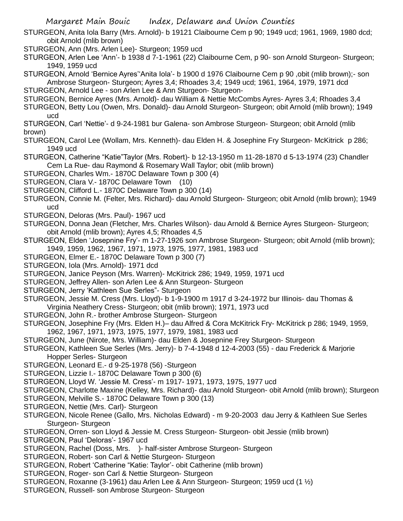Margaret Main Bouic Index, Delaware and Union Counties STURGEON, Anita Iola Barry (Mrs. Arnold)- b 19121 Claibourne Cem p 90; 1949 ucd; 1961, 1969, 1980 dcd; obit Arnold (mlib brown) STURGEON, Ann (Mrs. Arlen Lee)- Sturgeon; 1959 ucd STURGEON, Arlen Lee 'Ann'- b 1938 d 7-1-1961 (22) Claibourne Cem, p 90- son Arnold Sturgeon- Sturgeon; 1949, 1959 ucd STURGEON, Arnold 'Bernice Ayres''Anita Iola'- b 1900 d 1976 Claibourne Cem p 90 ,obit (mlib brown);- son Ambrose Sturgeon- Sturgeon; Ayres 3,4; Rhoades 3,4; 1949 ucd; 1961, 1964, 1979, 1971 dcd STURGEON, Arnold Lee - son Arlen Lee & Ann Sturgeon- Sturgeon-STURGEON, Bernice Ayres (Mrs. Arnold)- dau William & Nettie McCombs Ayres- Ayres 3,4; Rhoades 3,4 STURGEON, Betty Lou (Owen, Mrs. Donald)- dau Arnold Sturgeon- Sturgeon; obit Arnold (mlib brown); 1949 ucd STURGEON, Carl 'Nettie'- d 9-24-1981 bur Galena- son Ambrose Sturgeon- Sturgeon; obit Arnold (mlib brown) STURGEON, Carol Lee (Wollam, Mrs. Kenneth)- dau Elden H. & Josephine Fry Sturgeon- McKitrick p 286; 1949 ucd STURGEON, Catherine "Katie"Taylor (Mrs. Robert)- b 12-13-1950 m 11-28-1870 d 5-13-1974 (23) Chandler Cem La Rue- dau Raymond & Rosemary Wall Taylor; obit (mlib brown) STURGEON, Charles Wm.- 1870C Delaware Town p 300 (4) STURGEON, Clara V.- 1870C Delaware Town (10) STURGEON, Clifford L.- 1870C Delaware Town p 300 (14) STURGEON, Connie M. (Felter, Mrs. Richard)- dau Arnold Sturgeon- Sturgeon; obit Arnold (mlib brown); 1949 ucd STURGEON, Deloras (Mrs. Paul)- 1967 ucd STURGEON, Donna Jean (Fletcher, Mrs. Charles Wilson)- dau Arnold & Bernice Ayres Sturgeon- Sturgeon; obit Arnold (mlib brown); Ayres 4,5; Rhoades 4,5 STURGEON, Elden 'Josepnine Fry'- m 1-27-1926 son Ambrose Sturgeon- Sturgeon; obit Arnold (mlib brown); 1949, 1959, 1962, 1967, 1971, 1973, 1975, 1977, 1981, 1983 ucd STURGEON, Elmer E.- 1870C Delaware Town p 300 (7) STURGEON, Iola (Mrs. Arnold)- 1971 dcd STURGEON, Janice Peyson (Mrs. Warren)- McKitrick 286; 1949, 1959, 1971 ucd STURGEON, Jeffrey Allen- son Arlen Lee & Ann Sturgeon- Sturgeon STURGEON, Jerry 'Kathleen Sue Serles"- Sturgeon STURGEON, Jessie M. Cress (Mrs. Lloyd)- b 1-9-1900 m 1917 d 3-24-1972 bur Illinois- dau Thomas & Virginia Neathery Cress- Sturgeon; obit (mlib brown); 1971, 1973 ucd STURGEON, John R.- brother Ambrose Sturgeon- Sturgeon STURGEON, Josephine Fry (Mrs. Elden H.)– dau Alfred & Cora McKitrick Fry- McKitrick p 286; 1949, 1959, 1962, 1967, 1971, 1973, 1975, 1977, 1979, 1981, 1983 ucd STURGEON, June (Nirote, Mrs. William)- dau Elden & Josepnine Frey Sturgeon- Sturgeon STURGEON, Kathleen Sue Serles (Mrs. Jerry)- b 7-4-1948 d 12-4-2003 (55) - dau Frederick & Marjorie Hopper Serles- Sturgeon STURGEON, Leonard E.- d 9-25-1978 (56) -Sturgeon STURGEON, Lizzie I.- 1870C Delaware Town p 300 (6) STURGEON, Lloyd W. 'Jessie M. Cress'- m 1917- 1971, 1973, 1975, 1977 ucd STURGEON, Charlotte Maxine (Kelley, Mrs. Richard)- dau Arnold Sturgeon- obit Arnold (mlib brown); Sturgeon STURGEON, Melville S.- 1870C Delaware Town p 300 (13) STURGEON, Nettie (Mrs. Carl)- Sturgeon STURGEON, Nicole Renee (Gallo, Mrs. Nicholas Edward) - m 9-20-2003 dau Jerry & Kathleen Sue Serles Sturgeon- Sturgeon STURGEON, Orren- son Lloyd & Jessie M. Cress Sturgeon- Sturgeon- obit Jessie (mlib brown) STURGEON, Paul 'Deloras'- 1967 ucd STURGEON, Rachel (Doss, Mrs. )- half-sister Ambrose Sturgeon- Sturgeon STURGEON, Robert- son Carl & Nettie Sturgeon- Sturgeon STURGEON, Robert 'Catherine "Katie: Taylor'- obit Catherine (mlib brown) STURGEON, Roger- son Carl & Nettie Sturgeon- Sturgeon STURGEON, Roxanne (3-1961) dau Arlen Lee & Ann Sturgeon- Sturgeon; 1959 ucd (1 ½) STURGEON, Russell- son Ambrose Sturgeon- Sturgeon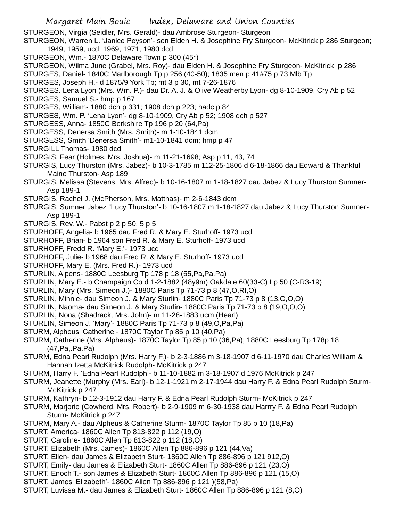STURGEON, Virgia (Seidler, Mrs. Gerald)- dau Ambrose Sturgeon- Sturgeon

STURGEON, Warren L. 'Janice Peyson'- son Elden H. & Josephine Fry Sturgeon- McKitrick p 286 Sturgeon; 1949, 1959, ucd; 1969, 1971, 1980 dcd

- STURGEON, Wm.- 1870C Delaware Town p 300 (45\*)
- STURGEON, Wilma June (Grabel, Mrs. Roy)- dau Elden H. & Josephine Fry Sturgeon- McKitrick p 286
- STURGES, Daniel- 1840C Marlborough Tp p 256 (40-50); 1835 men p 41#75 p 73 Mlb Tp
- STURGES, Joseph H.- d 1875/9 York Tp; mt 3 p 30, mt 7-26-1876
- STURGES. Lena Lyon (Mrs. Wm. P.)- dau Dr. A. J. & Olive Weatherby Lyon- dg 8-10-1909, Cry Ab p 52
- STURGES, Samuel S.- hmp p 167
- STURGES, William- 1880 dch p 331; 1908 dch p 223; hadc p 84
- STURGES, Wm. P. 'Lena Lyon'- dg 8-10-1909, Cry Ab p 52; 1908 dch p 527
- STURGESS, Anna- 1850C Berkshire Tp 196 p 20 (64,Pa)
- STURGESS, Denersa Smith (Mrs. Smith)- m 1-10-1841 dcm
- STURGESS, Smith 'Denersa Smith'- m1-10-1841 dcm; hmp p 47
- STURGILL Thomas- 1980 dcd
- STURGIS, Fear (Holmes, Mrs. Joshua)- m 11-21-1698; Asp p 11, 43, 74
- STURGIS, Lucy Thurston (Mrs. Jabez)- b 10-3-1785 m 112-25-1806 d 6-18-1866 dau Edward & Thankful Maine Thurston- Asp 189
- STURGIS, Melissa (Stevens, Mrs. Alfred)- b 10-16-1807 m 1-18-1827 dau Jabez & Lucy Thurston Sumner-Asp 189-1
- STURGIS, Rachel J. (McPherson, Mrs. Matthas)- m 2-6-1843 dcm
- STURGIS, Sumner Jabez "Lucy Thurston'- b 10-16-1807 m 1-18-1827 dau Jabez & Lucy Thurston Sumner-Asp 189-1
- STURGIS, Rev. W.- Pabst p 2 p 50, 5 p 5
- STURHOFF, Angelia- b 1965 dau Fred R. & Mary E. Sturhoff- 1973 ucd
- STURHOFF, Brian- b 1964 son Fred R. & Mary E. Sturhoff- 1973 ucd
- STURHOFF, Fredd R. 'Mary E.'- 1973 ucd
- STURHOFF, Julie- b 1968 dau Fred R. & Mary E. Sturhoff- 1973 ucd
- STURHOFF, Mary E. (Mrs. Fred R.)- 1973 ucd
- STURLIN, Alpens- 1880C Leesburg Tp 178 p 18 (55,Pa,Pa,Pa)
- STURLIN, Mary E.- b Champaign Co d 1-2-1882 (48y9m) Oakdale 60(33-C) I p 50 (C-R3-19)
- STURLIN, Mary (Mrs. Simeon J.)- 1880C Paris Tp 71-73 p 8 (47,O,RI,O)
- STURLIN, Minnie- dau Simeon J. & Mary Sturlin- 1880C Paris Tp 71-73 p 8 (13,O,O,O)
- STURLIN, Naoma- dau Simeon J. & Mary Sturlin- 1880C Paris Tp 71-73 p 8 (19,O,O,O)
- STURLIN, Nona (Shadrack, Mrs. John)- m 11-28-1883 ucm (Hearl)
- STURLIN, Simeon J. 'Mary'- 1880C Paris Tp 71-73 p 8 (49,O,Pa,Pa)
- STURM, Alpheus 'Catherine'- 1870C Taylor Tp 85 p 10 (40,Pa)
- STURM, Catherine (Mrs. Alpheus)- 1870C Taylor Tp 85 p 10 (36,Pa); 1880C Leesburg Tp 178p 18 (47,Pa,.Pa.Pa)
- STURM, Edna Pearl Rudolph (Mrs. Harry F.)- b 2-3-1886 m 3-18-1907 d 6-11-1970 dau Charles William & Hannah Izetta McKitrick Rudolph- McKitrick p 247
- STURM, Harry F. 'Edna Pearl Rudolph'- b 11-10-1882 m 3-18-1907 d 1976 McKitrick p 247
- STURM, Jeanette (Murphy (Mrs. Earl)- b 12-1-1921 m 2-17-1944 dau Harry F. & Edna Pearl Rudolph Sturm-McKitrick p 247
- STURM, Kathryn- b 12-3-1912 dau Harry F. & Edna Pearl Rudolph Sturm- McKitrick p 247
- STURM, Marjorie (Cowherd, Mrs. Robert)- b 2-9-1909 m 6-30-1938 dau Harrry F. & Edna Pearl Rudolph Sturm- McKitrick p 247
- STURM, Mary A.- dau Alpheus & Catherine Sturm- 1870C Taylor Tp 85 p 10 (18,Pa)
- STURT, America- 1860C Allen Tp 813-822 p 112 (19,O)
- STURT, Caroline- 1860C Allen Tp 813-822 p 112 (18,O)
- STURT, Elizabeth (Mrs. James)- 1860C Allen Tp 886-896 p 121 (44,Va)
- STURT, Ellen- dau James & Elizabeth Sturt- 1860C Allen Tp 886-896 p 121 912,O)
- STURT, Emily- dau James & Elizabeth Sturt- 1860C Allen Tp 886-896 p 121 (23,O)
- STURT, Enoch T.- son James & Elizabeth Sturt- 1860C Allen Tp 886-896 p 121 (15,O)
- STURT, James 'Elizabeth'- 1860C Allen Tp 886-896 p 121 )(58,Pa)
- STURT, Luvissa M.- dau James & Elizabeth Sturt- 1860C Allen Tp 886-896 p 121 (8,O)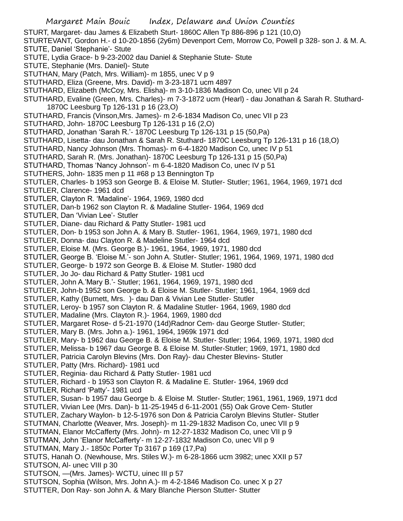STURT, Margaret- dau James & Elizabeth Sturt- 1860C Allen Tp 886-896 p 121 (10,O)

STURTEVANT, Gordon H.- d 10-20-1856 (2y6m) Devenport Cem, Morrow Co, Powell p 328- son J. & M. A. STUTE, Daniel 'Stephanie'- Stute

- STUTE, Lydia Grace- b 9-23-2002 dau Daniel & Stephanie Stute- Stute
- STUTE, Stephanie (Mrs. Daniel)- Stute
- STUTHAN, Mary (Patch, Mrs. William)- m 1855, unec V p 9
- STUTHARD, Eliza (Greene, Mrs. David)- m 3-23-1871 ucm 4897
- STUTHARD, Elizabeth (McCoy, Mrs. Elisha)- m 3-10-1836 Madison Co, unec VII p 24
- STUTHARD, Evaline (Green, Mrs. Charles)- m 7-3-1872 ucm (Hearl) dau Jonathan & Sarah R. Stuthard-1870C Leesburg Tp 126-131 p 16 (23,O)
- STUTHARD, Francis (Vinson,Mrs. James)- m 2-6-1834 Madison Co, unec VII p 23
- STUTHARD, John- 1870C Leesburg Tp 126-131 p 16 (2,O)
- STUTHARD, Jonathan 'Sarah R.'- 1870C Leesburg Tp 126-131 p 15 (50,Pa)
- STUTHARD, Lisetta- dau Jonathan & Sarah R. Stuthard- 1870C Leesburg Tp 126-131 p 16 (18,O)
- STUTHARD, Nancy Johnson (Mrs. Thomas)- m 6-4-1820 Madison Co, unec IV p 51
- STUTHARD, Sarah R. (Mrs. Jonathan)- 1870C Leesburg Tp 126-131 p 15 (50,Pa)
- STUTHARD, Thomas 'Nancy Johnson'- m 6-4-1820 Madison Co, unec IV p 51
- STUTHERS, John- 1835 men p 11 #68 p 13 Bennington Tp
- STUTLER, Charles- b 1953 son George B. & Eloise M. Stutler- Stutler; 1961, 1964, 1969, 1971 dcd
- STUTLER, Clarence- 1961 dcd
- STUTLER, Clayton R. 'Madaline'- 1964, 1969, 1980 dcd
- STUTLER, Dan-b 1962 son Clayton R. & Madaline Stutler- 1964, 1969 dcd
- STUTLER, Dan 'Vivian Lee'- Stutler
- STUTLER, Diane- dau Richard & Patty Stutler- 1981 ucd
- STUTLER, Don- b 1953 son John A. & Mary B. Stutler- 1961, 1964, 1969, 1971, 1980 dcd
- STUTLER, Donna- dau Clayton R. & Madeline Stutler- 1964 dcd
- STUTLER, Eloise M. (Mrs. George B.)- 1961, 1964, 1969, 1971, 1980 dcd
- STUTLER, George B. 'Eloise M.'- son John A. Stutler- Stutler; 1961, 1964, 1969, 1971, 1980 dcd
- STUTLER, George- b 1972 son George B. & Eloise M. Stutler- 1980 dcd
- STUTLER, Jo Jo- dau Richard & Patty Stutler- 1981 ucd
- STUTLER, John A.'Mary B.'- Stutler; 1961, 1964, 1969, 1971, 1980 dcd
- STUTLER, John-b 1952 son George b. & Eloise M. Stutler- Stutler; 1961, 1964, 1969 dcd
- STUTLER, Kathy (Burnett, Mrs. )- dau Dan & Vivian Lee Stutler- Stutler
- STUTLER, Leroy- b 1957 son Clayton R. & Madaline Stutler- 1964, 1969, 1980 dcd
- STUTLER, Madaline (Mrs. Clayton R.)- 1964, 1969, 1980 dcd
- STUTLER, Margaret Rose- d 5-21-1970 (14d)Radnor Cem- dau George Stutler- Stutler;
- STUTLER, Mary B. (Mrs. John a.)- 1961, 1964, 1969k 1971 dcd
- STUTLER, Mary- b 1962 dau George B. & Eloise M. Stutler- Stutler; 1964, 1969, 1971, 1980 dcd
- STUTLER, Melissa- b 1967 dau George B. & Eloise M. Stutler-Stutler; 1969, 1971, 1980 dcd
- STUTLER, Patricia Carolyn Blevins (Mrs. Don Ray)- dau Chester Blevins- Stutler
- STUTLER, Patty (Mrs. Richard)- 1981 ucd
- STUTLER, Reginia- dau Richard & Patty Stutler- 1981 ucd
- STUTLER, Richard b 1953 son Clayton R. & Madaline E. Stutler- 1964, 1969 dcd
- STUTLER, Richard 'Patty'- 1981 ucd
- STUTLER, Susan- b 1957 dau George b. & Eloise M. Stutler- Stutler; 1961, 1961, 1969, 1971 dcd
- STUTLER, Vivian Lee (Mrs. Dan)- b 11-25-1945 d 6-11-2001 (55) Oak Grove Cem- Stutler
- STUTLER, Zachary Waylon- b 12-5-1976 son Don & Patricia Carolyn Blevins Stutler- Stutler
- STUTMAN, Charlotte (Weaver, Mrs. Joseph)- m 11-29-1832 Madison Co, unec VII p 9
- STUTMAN, Elanor McCafferty (Mrs. John)- m 12-27-1832 Madison Co, unec VII p 9
- STUTMAN, John 'Elanor McCafferty'- m 12-27-1832 Madison Co, unec VII p 9
- STUTMAN, Mary J.- 1850c Porter Tp 3167 p 169 (17,Pa)
- STUTS, Hanah O. (Newhouse, Mrs. Stiles W.)- m 6-28-1866 ucm 3982; unec XXII p 57 STUTSON, AI- unec VIII p 30
- STUTSON, —(Mrs. James)- WCTU, uinec III p 57
- STUTSON, Sophia (Wilson, Mrs. John A.)- m 4-2-1846 Madison Co. unec X p 27
- STUTTER, Don Ray- son John A. & Mary Blanche Pierson Stutter- Stutter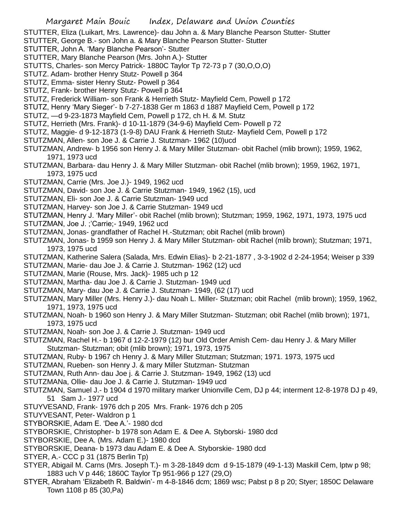STUTTER, Eliza (Luikart, Mrs. Lawrence)- dau John a. & Mary Blanche Pearson Stutter- Stutter

- STUTTER, George B.- son John a. & Mary Blanche Pearson Stutter- Stutter
- STUTTER, John A. 'Mary Blanche Pearson'- Stutter
- STUTTER, Mary Blanche Pearson (Mrs. John A.)- Stutter
- STUTTS, Charles- son Mercy Patrick- 1880C Taylor Tp 72-73 p 7 (30,O,O,O)
- STUTZ. Adam- brother Henry Stutz- Powell p 364
- STUTZ, Emma- sister Henry Stutz- Powell p 364
- STUTZ, Frank- brother Henry Stutz- Powell p 364
- STUTZ, Frederick William- son Frank & Herrieth Stutz- Mayfield Cem, Powell p 172
- STUTZ, Henry 'Mary Sieger'- b 7-27-1838 Ger m 1863 d 1887 Mayfield Cem, Powell p 172
- STUTZ, —d 9-23-1873 Mayfield Cem, Powell p 172, ch H. & M. Stutz
- STUTZ, Herrieth (Mrs. Frank)- d 10-11-1879 (34-9-6) Mayfield Cem- Powell p 72
- STUTZ, Maggie- d 9-12-1873 (1-9-8) DAU Frank & Herrieth Stutz- Mayfield Cem, Powell p 172
- STUTZMAN, Allen- son Joe J. & Carrie J. Stutzman- 1962 (10)ucd
- STUTZMAN, Andrew- b 1956 son Henry J. & Mary Miller Stutzman- obit Rachel (mlib brown); 1959, 1962, 1971, 1973 ucd
- STUTZMAN, Barbara- dau Henry J. & Mary Miller Stutzman- obit Rachel (mlib brown); 1959, 1962, 1971, 1973, 1975 ucd
- STUTZMAN, Carrie (Mrs. Joe J.)- 1949, 1962 ucd
- STUTZMAN, David- son Joe J. & Carrie Stutzman- 1949, 1962 (15), ucd
- STUTZMAN, Eli- son Joe J. & Carrie Stutzman- 1949 ucd
- STUTZMAN, Harvey- son Joe J. & Carrie Stutzman- 1949 ucd
- STUTZMAN, Henry J. 'Mary Miller'- obit Rachel (mlib brown); Stutzman; 1959, 1962, 1971, 1973, 1975 ucd
- STUTZMAN, Joe J. ;'Carrie;- 1949, 1962 ucd
- STUTZMAN, Jonas- grandfather of Rachel H.-Stutzman; obit Rachel (mlib brown)
- STUTZMAN, Jonas- b 1959 son Henry J. & Mary Miller Stutzman- obit Rachel (mlib brown); Stutzman; 1971, 1973, 1975 ucd
- STUTZMAN, Katherine Salera (Salada, Mrs. Edwin Elias)- b 2-21-1877 , 3-3-1902 d 2-24-1954; Weiser p 339
- STUTZMAN, Marie- dau Joe J. & Carrie J. Stutzman- 1962 (12) ucd
- STUTZMAN, Marie (Rouse, Mrs. Jack)- 1985 uch p 12
- STUTZMAN, Martha- dau Joe J. & Carrie J. Stutzman- 1949 ucd
- STUTZMAN, Mary- dau Joe J. & Carrie J. Stutzman- 1949, (62 (17) ucd
- STUTZMAN, Mary Miller (Mrs. Henry J.)- dau Noah L. Miller- Stutzman; obit Rachel (mlib brown); 1959, 1962, 1971, 1973, 1975 ucd
- STUTZMAN, Noah- b 1960 son Henry J. & Mary Miller Stutzman- Stutzman; obit Rachel (mlib brown); 1971, 1973, 1975 ucd
- STUTZMAN, Noah- son Joe J. & Carrie J. Stutzman- 1949 ucd
- STUTZMAN, Rachel H.- b 1967 d 12-2-1979 (12) bur Old Order Amish Cem- dau Henry J. & Mary Miller Stutzman- Stutzman; obit (mlib brown); 1971, 1973, 1975
- STUTZMAN, Ruby- b 1967 ch Henry J. & Mary Miller Stutzman; Stutzman; 1971. 1973, 1975 ucd
- STUTZMAN, Rueben- son Henry J. & mary Miller Stutzman- Stutzman
- STUTZMAN, Ruth Ann- dau Joe j. & Carrie J. Stutzman- 1949, 1962 (13) ucd
- STUTZMANa, Ollie- dau Joe J. & Carrie J. Stutzman- 1949 ucd
- STUTZMAN, Samuel J.- b 1904 d 1970 military marker Unionville Cem, DJ p 44; interment 12-8-1978 DJ p 49, 51 Sam J.- 1977 ucd
- STUYVESAND, Frank- 1976 dch p 205 Mrs. Frank- 1976 dch p 205
- STUYVESANT, Peter- Waldron p 1
- STYBORSKIE, Adam E. 'Dee A.'- 1980 dcd
- STYBORSKIE, Christopher- b 1978 son Adam E. & Dee A. Styborski- 1980 dcd
- STYBORSKIE, Dee A. (Mrs. Adam E.)- 1980 dcd
- STYBORSKIE, Deana- b 1973 dau Adam E. & Dee A. Styborskie- 1980 dcd
- STYER, A.- CCC p 31 (1875 Berlin Tp)
- STYER, Abigail M. Carns (Mrs. Joseph T.)- m 3-28-1849 dcm d 9-15-1879 (49-1-13) Maskill Cem, lptw p 98; 1883 uch V p 446; 1860C Taylor Tp 951-966 p 127 (29,O)
- STYER, Abraham 'Elizabeth R. Baldwin'- m 4-8-1846 dcm; 1869 wsc; Pabst p 8 p 20; Styer; 1850C Delaware Town 1108 p 85 (30,Pa)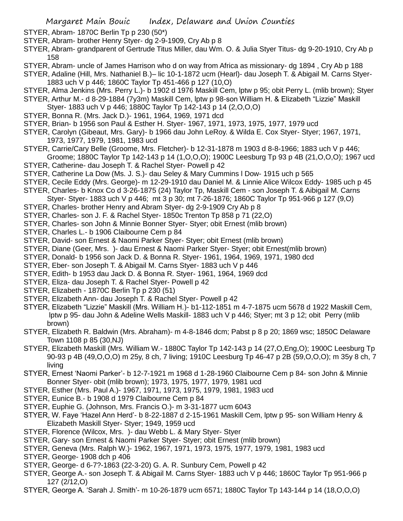STYER, Abram- 1870C Berlin Tp p 230 (50\*)

- STYER, Abram- brother Henry Styer- dg 2-9-1909, Cry Ab p 8
- STYER, Abram- grandparent of Gertrude Titus Miller, dau Wm. O. & Julia Styer Titus- dg 9-20-1910, Cry Ab p 158
- STYER, Abram- uncle of James Harrison who d on way from Africa as missionary- dg 1894 , Cry Ab p 188
- STYER, Adaline (Hill, Mrs. Nathaniel B.)– lic 10-1-1872 ucm (Hearl)- dau Joseph T. & Abigail M. Carns Styer-1883 uch V p 446; 1860C Taylor Tp 451-466 p 127 (10,O)
- STYER, Alma Jenkins (Mrs. Perry L.)- b 1902 d 1976 Maskill Cem, lptw p 95; obit Perry L. (mlib brown); Styer
- STYER, Arthur M.- d 8-29-1884 (7y3m) Maskill Cem, lptw p 98-son William H. & Elizabeth "Lizzie" Maskill Styer- 1883 uch V p 446; 1880C Taylor Tp 142-143 p 14 (2,O,O,O)
- STYER, Bonna R. (Mrs. Jack D.)- 1961, 1964, 1969, 1971 dcd
- STYER, Brian- b 1956 son Paul & Esther H. Styer- 1967, 1971, 1973, 1975, 1977, 1979 ucd
- STYER, Carolyn (Gibeaut, Mrs. Gary)- b 1966 dau John LeRoy. & Wilda E. Cox Styer- Styer; 1967, 1971, 1973, 1977, 1979, 1981, 1983 ucd
- STYER, Carrie/Cary Belle (Groome, Mrs. Fletcher)- b 12-31-1878 m 1903 d 8-8-1966; 1883 uch V p 446;
- Groome; 1880C Taylor Tp 142-143 p 14 (1,O,O,O); 1900C Leesburg Tp 93 p 4B (21,O,O,O); 1967 ucd STYER, Catherine- dau Joseph T. & Rachel Styer- Powell p 42
- STYER, Catherine La Dow (Ms. J. S.)- dau Seley & Mary Cummins l Dow- 1915 uch p 565
- STYER, Cecile Eddy (Mrs. George)- m 12-29-1910 dau Daniel M. & Linnie Alice Wilcox Eddy- 1985 uch p 45
- STYER, Charles- b Knox Co d 3-26-1875 (24) Taylor Tp, Maskill Cem son Joseph T. & Aibigail M. Carns
- Styer- Styer- 1883 uch V p 446; mt 3 p 30; mt 7-26-1876; 1860C Taylor Tp 951-966 p 127 (9,O)
- STYER, Charles- brother Henry and Abram Styer- dg 2-9-1909 Cry Ab p 8
- STYER, Charles- son J. F. & Rachel Styer- 1850c Trenton Tp 858 p 71 (22,O)
- STYER, Charles- son John & Minnie Bonner Styer- Styer; obit Ernest (mlib brown)
- STYER, Charles L.- b 1906 Claibourne Cem p 84
- STYER, David- son Ernest & Naomi Parker Styer- Styer; obit Ernest (mlib brown)
- STYER, Diane (Geer, Mrs. )- dau Ernest & Naomi Parker Styer- Styer; obit Ernest(mlib brown)
- STYER, Donald- b 1956 son Jack D. & Bonna R. Styer- 1961, 1964, 1969, 1971, 1980 dcd
- STYER, Eber- son Joseph T. & Abigail M. Carns Styer- 1883 uch V p 446
- STYER, Edith- b 1953 dau Jack D. & Bonna R. Styer- 1961, 1964, 1969 dcd
- STYER, Eliza- dau Joseph T. & Rachel Styer- Powell p 42
- STYER, Elizabeth 1870C Berlin Tp p 230 (51)
- STYER, Elizabeth Ann- dau Joseph T. & Rachel Styer- Powell p 42
- STYER, Elizabeth "Lizzie" Maskill (Mrs. William H.)- b1-112-1851 m 4-7-1875 ucm 5678 d 1922 Maskill Cem, lptw p 95- dau John & Adeline Wells Maskill- 1883 uch V p 446; Styer; mt 3 p 12; obit Perry (mlib brown)
- STYER, Elizabeth R. Baldwin (Mrs. Abraham)- m 4-8-1846 dcm; Pabst p 8 p 20; 1869 wsc; 1850C Delaware Town 1108 p 85 (30,NJ)
- STYER, Elizabeth Maskill (Mrs. William W.- 1880C Taylor Tp 142-143 p 14 (27,O,Eng,O); 1900C Leesburg Tp 90-93 p 4B (49,O,O,O) m 25y, 8 ch, 7 living; 1910C Leesburg Tp 46-47 p 2B (59,O,O,O); m 35y 8 ch, 7 living
- STYER, Ernest 'Naomi Parker'- b 12-7-1921 m 1968 d 1-28-1960 Claibourne Cem p 84- son John & Minnie Bonner Styer- obit (mlib brown); 1973, 1975, 1977, 1979, 1981 ucd
- STYER, Esther (Mrs. Paul A.)- 1967, 1971, 1973, 1975, 1979, 1981, 1983 ucd
- STYER, Eunice B.- b 1908 d 1979 Claibourne Cem p 84
- STYER, Euphie G. (Johnson, Mrs. Francis O.)- m 3-31-1877 ucm 6043
- STYER, W. Faye 'Hazel Ann Herd'- b 8-22-1887 d 2-15-1961 Maskill Cem, lptw p 95- son William Henry & Elizabeth Maskill Styer- Styer; 1949, 1959 ucd
- STYER, Florence (Wilcox, Mrs. )- dau Webb L. & Mary Styer- Styer
- STYER, Gary- son Ernest & Naomi Parker Styer- Styer; obit Ernest (mlib brown)
- STYER, Geneva (Mrs. Ralph W.)- 1962, 1967, 1971, 1973, 1975, 1977, 1979, 1981, 1983 ucd
- STYER, George- 1908 dch p 406
- STYER, George- d 6-7?-1863 (22-3-20) G. A. R. Sunbury Cem, Powell p 42
- STYER, George A.- son Joseph T. & Abigail M. Carns Styer- 1883 uch V p 446; 1860C Taylor Tp 951-966 p 127 (2/12,O)
- STYER, George A. 'Sarah J. Smith'- m 10-26-1879 ucm 6571; 1880C Taylor Tp 143-144 p 14 (18,O,O,O)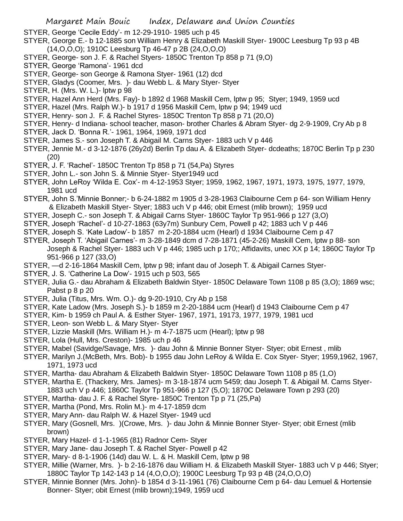- STYER, George 'Cecile Eddy'- m 12-29-1910- 1985 uch p 45
- STYER, George E.- b 12-1885 son William Henry & Elizabeth Maskill Styer- 1900C Leesburg Tp 93 p 4B (14,O,O,O); 1910C Leesburg Tp 46-47 p 2B (24,O,O,O)
- STYER, George- son J. F. & Rachel Styers- 1850C Trenton Tp 858 p 71 (9,O)
- STYER, George 'Ramona'- 1961 dcd
- STYER, George- son George & Ramona Styer- 1961 (12) dcd
- STYER, Gladys (Coomer, Mrs. )- dau Webb L. & Mary Styer- Styer
- STYER, H. (Mrs. W. L.)- lptw p 98
- STYER, Hazel Ann Herd (Mrs. Fay)- b 1892 d 1968 Maskill Cem, lptw p 95; Styer; 1949, 1959 ucd
- STYER, Hazel (Mrs. Ralph W.)- b 1917 d 1956 Maskill Cem, lptw p 94; 1949 ucd
- STYER, Henry- son J. F. & Rachel Styres- 1850C Trenton Tp 858 p 71 (20,O)
- STYER, Henry- d Indiana- school teacher, mason- brother Charles & Abram Styer- dg 2-9-1909, Cry Ab p 8
- STYER, Jack D. 'Bonna R.'- 1961, 1964, 1969, 1971 dcd
- STYER, James S.- son Joseph T. & Abigail M. Carns Styer- 1883 uch V p 446
- STYER, Jennie M.- d 3-12-1876 (26y2d) Berlin Tp dau A. & Elizabeth Styer- dcdeaths; 1870C Berlin Tp p 230 (20)
- STYER, J. F. 'Rachel'- 1850C Trenton Tp 858 p 71 (54,Pa) Styres
- STYER, John L.- son John S. & Minnie Styer- Styer1949 ucd
- STYER, John LeRoy 'Wilda E. Cox'- m 4-12-1953 Styer; 1959, 1962, 1967, 1971, 1973, 1975, 1977, 1979, 1981 ucd
- STYER, John S.'Minnie Bonner;- b 6-24-1882 m 1905 d 3-28-1963 Claibourne Cem p 64- son William Henry & Elizabeth Maskill Styer- Styer; 1883 uch V p 446; obit Ernest (mlib brown); 1959 ucd
- STYER, Joseph C.- son Joseph T. & Abigail Carns Styer- 1860C Taylor Tp 951-966 p 127 (3,O)
- STYER, Joseph 'Rachel'- d 10-27-1863 (63y7m) Sunbury Cem, Powell p 42; 1883 uch V p 446
- STYER, Joseph S. 'Kate Ladow'- b 1857 m 2-20-1884 ucm (Hearl) d 1934 Claibourne Cem p 47
- STYER, Joseph T. 'Abigail Carnes'- m 3-28-1849 dcm d 7-28-1871 (45-2-26) Maskill Cem, lptw p 88- son Joseph & Rachel Styer- 1883 uch V p 446; 1985 uch p 170;; Affidavits, unec XX p 14; 1860C Taylor Tp 951-966 p 127 (33,O)
- STYER, —d 2-16-1864 Maskill Cem, lptw p 98; infant dau of Joseph T. & Abigail Carnes Styer-
- STYER, J. S. 'Catherine La Dow'- 1915 uch p 503, 565
- STYER, Julia G.- dau Abraham & Elizabeth Baldwin Styer- 1850C Delaware Town 1108 p 85 (3,O); 1869 wsc; Pabst p 8 p 20
- STYER, Julia (Titus, Mrs. Wm. O.)- dg 9-20-1910, Cry Ab p 158
- STYER, Kate Ladow (Mrs. Joseph S.)- b 1859 m 2-20-1884 ucm (Hearl) d 1943 Claibourne Cem p 47
- STYER, Kim- b 1959 ch Paul A. & Esther Styer- 1967, 1971, 19173, 1977, 1979, 1981 ucd
- STYER, Leon- son Webb L. & Mary Styer- Styer
- STYER, Lizzie Maskill (Mrs. William H.)- m 4-7-1875 ucm (Hearl); lptw p 98
- STYER, Lola (Hull, Mrs. Creston)- 1985 uch p 46
- STYER, Mabel (Savidge/Savage, Mrs. )- dau John & Minnie Bonner Styer- Styer; obit Ernest , mlib
- STYER, Marilyn J.(McBeth, Mrs. Bob)- b 1955 dau John LeRoy & Wilda E. Cox Styer- Styer; 1959,1962, 1967, 1971, 1973 ucd
- STYER, Martha- dau Abraham & Elizabeth Baldwin Styer- 1850C Delaware Town 1108 p 85 (1,O)
- STYER, Martha E. (Thackery, Mrs. James)- m 3-18-1874 ucm 5459; dau Joseph T. & Abigail M. Carns Styer-1883 uch V p 446; 1860C Taylor Tp 951-966 p 127 (5,O); 1870C Delaware Town p 293 (20)
- STYER, Martha- dau J. F. & Rachel Styre- 1850C Trenton Tp p 71 (25,Pa)
- STYER, Martha (Pond, Mrs. Rolin M.)- m 4-17-1859 dcm
- STYER, Mary Ann- dau Ralph W. & Hazel Styer- 1949 ucd
- STYER, Mary (Gosnell, Mrs. )(Crowe, Mrs. )- dau John & Minnie Bonner Styer- Styer; obit Ernest (mlib brown)
- STYER, Mary Hazel- d 1-1-1965 (81) Radnor Cem- Styer
- STYER, Mary Jane- dau Joseph T. & Rachel Styer- Powell p 42
- STYER, Mary- d 8-1-1906 (14d) dau W. L. & H. Maskill Cem, lptw p 98
- STYER, Millie (Warner, Mrs. )- b 2-16-1876 dau William H. & Elizabeth Maskill Styer- 1883 uch V p 446; Styer; 1880C Taylor Tp 142-143 p 14 (4,O,O,O); 1900C Leesburg Tp 93 p 4B (24,O,O,O)
- STYER, Minnie Bonner (Mrs. John)- b 1854 d 3-11-1961 (76) Claibourne Cem p 64- dau Lemuel & Hortensie Bonner- Styer; obit Ernest (mlib brown);1949, 1959 ucd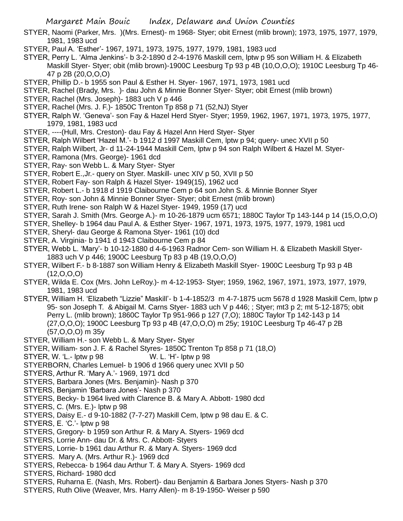Margaret Main Bouic Index, Delaware and Union Counties

- STYER, Naomi (Parker, Mrs. )(Mrs. Ernest)- m 1968- Styer; obit Ernest (mlib brown); 1973, 1975, 1977, 1979, 1981, 1983 ucd
- STYER, Paul A. 'Esther'- 1967, 1971, 1973, 1975, 1977, 1979, 1981, 1983 ucd
- STYER, Perry L. 'Alma Jenkins'- b 3-2-1890 d 2-4-1976 Maskill cem, lptw p 95 son William H. & Elizabeth Maskill Styer- Styer; obit (mlib brown)-1900C Leesburg Tp 93 p 4B (10,O,O,O); 1910C Leesburg Tp 46- 47 p 2B (20,O,O,O)
- STYER, Phillip D.- b 1955 son Paul & Esther H. Styer- 1967, 1971, 1973, 1981 ucd
- STYER, Rachel (Brady, Mrs. )- dau John & Minnie Bonner Styer- Styer; obit Ernest (mlib brown)
- STYER, Rachel (Mrs. Joseph)- 1883 uch V p 446
- STYER, Rachel (Mrs. J. F.)- 1850C Trenton Tp 858 p 71 (52,NJ) Styer
- STYER, Ralph W. 'Geneva'- son Fay & Hazel Herd Styer- Styer; 1959, 1962, 1967, 1971, 1973, 1975, 1977, 1979, 1981, 1983 ucd
- STYER, ----(Hull, Mrs. Creston)- dau Fay & Hazel Ann Herd Styer- Styer
- STYER, Ralph Wilbert 'Hazel M.'- b 1912 d 1997 Maskill Cem, lptw p 94; query- unec XVII p 50
- STYER, Ralph Wilbert, Jr- d 11-24-1944 Maskill Cem, lptw p 94 son Ralph Wilbert & Hazel M. Styer-
- STYER, Ramona (Mrs. George)- 1961 dcd
- STYER, Ray- son Webb L. & Mary Styer- Styer
- STYER, Robert E.,Jr.- query on Styer. Maskill- unec XIV p 50, XVII p 50
- STYER, Robert Fay- son Ralph & Hazel Styer- 1949(15), 1962 ucd
- STYER, Robert L.- b 1918 d 1919 Claibourne Cem p 64 son John S. & Minnie Bonner Styer
- STYER, Roy- son John & Minnie Bonner Styer- Styer; obit Ernest (mlib brown)
- STYER, Ruth Irene- son Ralph W & Hazel Styer- 1949, 1959 (17) ucd
- STYER, Sarah J. Smith (Mrs. George A.)- m 10-26-1879 ucm 6571; 1880C Taylor Tp 143-144 p 14 (15,O,O,O)
- STYER, Shelley- b 1964 dau Paul A. & Esther Styer- 1967, 1971, 1973, 1975, 1977, 1979, 1981 ucd
- STYER, Sheryl- dau George & Ramona Styer- 1961 (10) dcd
- STYER, A. Virginia- b 1941 d 1943 Claibourne Cem p 84
- STYER, Webb L. 'Mary'- b 10-12-1880 d 4-6-1963 Radnor Cem- son William H. & Elizabeth Maskill Styer-1883 uch V p 446; 1900C Leesburg Tp 83 p 4B (19,O,O,O)
- STYER, Wilbert F.- b 8-1887 son William Henry & Elizabeth Maskill Styer- 1900C Leesburg Tp 93 p 4B (12,O,O,O)
- STYER, Wilda E. Cox (Mrs. John LeRoy.)- m 4-12-1953- Styer; 1959, 1962, 1967, 1971, 1973, 1977, 1979, 1981, 1983 ucd
- STYER, William H. 'Elizabeth "Lizzie" Maskill'- b 1-4-1852/3 m 4-7-1875 ucm 5678 d 1928 Maskill Cem, lptw p 95- son Joseph T. & Abigail M. Carns Styer- 1883 uch V p 446; ; Styer; mt3 p 2; mt 5-12-1875; obit Perry L. (mlib brown); 1860C Taylor Tp 951-966 p 127 (7,O); 1880C Taylor Tp 142-143 p 14 (27,O,O,O); 1900C Leesburg Tp 93 p 4B (47,O,O,O) m 25y; 1910C Leesburg Tp 46-47 p 2B (57,O,O,O) m 35y
- STYER, William H.- son Webb L. & Mary Styer- Styer
- STYER, William- son J. F. & Rachel Styres- 1850C Trenton Tp 858 p 71 (18,O)
- STYER, W. 'L.- lptw p 98 W. L. 'H'- lptw p 98
- STYERBORN, Charles Lemuel- b 1906 d 1966 query unec XVII p 50
- STYERS, Arthur R. 'Mary A.'- 1969, 1971 dcd
- STYERS, Barbara Jones (Mrs. Benjamin)- Nash p 370
- STYERS, Benjamin 'Barbara Jones'- Nash p 370
- STYERS, Becky- b 1964 lived with Clarence B. & Mary A. Abbott- 1980 dcd
- STYERS, C. (Mrs. E.)- lptw p 98
- STYERS, Daisy E.- d 9-10-1882 (7-7-27) Maskill Cem, lptw p 98 dau E. & C.
- STYERS, E. 'C.'- lptw p 98
- STYERS, Gregory- b 1959 son Arthur R. & Mary A. Styers- 1969 dcd
- STYERS, Lorrie Ann- dau Dr. & Mrs. C. Abbott- Styers
- STYERS, Lorrie- b 1961 dau Arthur R. & Mary A. Styers- 1969 dcd
- STYERS. Mary A. (Mrs. Arthur R.)- 1969 dcd
- STYERS, Rebecca- b 1964 dau Arthur T. & Mary A. Styers- 1969 dcd
- STYERS, Richard- 1980 dcd
- STYERS, Ruharna E. (Nash, Mrs. Robert)- dau Benjamin & Barbara Jones Styers- Nash p 370
- STYERS, Ruth Olive (Weaver, Mrs. Harry Allen)- m 8-19-1950- Weiser p 590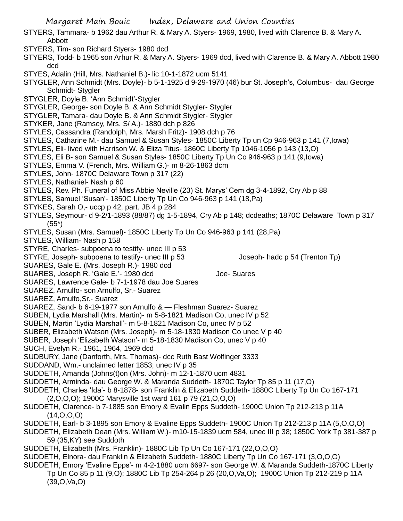- Margaret Main Bouic Index, Delaware and Union Counties
- STYERS, Tammara- b 1962 dau Arthur R. & Mary A. Styers- 1969, 1980, lived with Clarence B. & Mary A. Abbott
- STYERS, Tim- son Richard Styers- 1980 dcd
- STYERS, Todd- b 1965 son Arhur R. & Mary A. Styers- 1969 dcd, lived with Clarence B. & Mary A. Abbott 1980 dcd
- STYES, Adalin (Hill, Mrs. Nathaniel B.)- lic 10-1-1872 ucm 5141
- STYGLER, Ann Schmidt (Mrs. Doyle)- b 5-1-1925 d 9-29-1970 (46) bur St. Joseph's, Columbus- dau George Schmidt- Stygler
- STYGLER, Doyle B. 'Ann Schmidt'-Stygler
- STYGLER, George- son Doyle B. & Ann Schmidt Stygler- Stygler
- STYGLER, Tamara- dau Doyle B. & Ann Schmidt Stygler- Stygler
- STYKER, Jane (Ramsey, Mrs. S/ A.)- 1880 dch p 826
- STYLES, Cassandra (Randolph, Mrs. Marsh Fritz)- 1908 dch p 76
- STYLES, Catharine M.- dau Samuel & Susan Styles- 1850C Liberty Tp un Cp 946-963 p 141 (7,Iowa)
- STYLES, Eli- lived with Harrison W. & Eliza Titus- 1860C Liberty Tp 1046-1056 p 143 (13,O)
- STYLES, Eli B- son Samuel & Susan Styles- 1850C Liberty Tp Un Co 946-963 p 141 (9,Iowa)
- STYLES, Emma V. (French, Mrs. William G.)- m 8-26-1863 dcm
- STYLES, John- 1870C Delaware Town p 317 (22)
- STYLES, Nathaniel- Nash p 60
- STYLES, Rev. Ph. Funeral of Miss Abbie Neville (23) St. Marys' Cem dg 3-4-1892, Cry Ab p 88
- STYLES, Samuel 'Susan'- 1850C Liberty Tp Un Co 946-963 p 141 (18,Pa)
- STYKES, Sarah O,- uccp p 42, part. JB 4 p 284
- STYLES, Seymour- d 9-2/1-1893 (88/87) dg 1-5-1894, Cry Ab p 148; dcdeaths; 1870C Delaware Town p 317 (55\*)
- STYLES, Susan (Mrs. Samuel)- 1850C Liberty Tp Un Co 946-963 p 141 (28,Pa)
- STYLES, William- Nash p 158
- STYRE, Charles- subpoena to testify- unec III p 53
- STYRE, Joseph- subpoena to testify- unec III p 53 Joseph- hadc p 54 (Trenton Tp)
- SUARES, Gale E. (Mrs. Joseph R.)- 1980 dcd
- SUARES, Joseph R. 'Gale E.'- 1980 dcd Joe- Suares
- SUARES, Lawrence Gale- b 7-1-1978 dau Joe Suares
- SUAREZ, Arnulfo- son Arnulfo, Sr.- Suarez
- SUAREZ, Arnulfo,Sr.- Suarez
- SUAREZ, Sand- b 6-19-1977 son Arnulfo & Fleshman Suarez- Suarez
- SUBEN, Lydia Marshall (Mrs. Martin)- m 5-8-1821 Madison Co, unec IV p 52
- SUBEN, Martin 'Lydia Marshall'- m 5-8-1821 Madison Co, unec IV p 52
- SUBER, Elizabeth Watson (Mrs. Joseph)- m 5-18-1830 Madison Co unec V p 40
- SUBER, Joseph 'Elizabeth Watson'- m 5-18-1830 Madison Co, unec V p 40
- SUCH, Evelyn R.- 1961, 1964, 1969 dcd
- SUDBURY, Jane (Danforth, Mrs. Thomas)- dcc Ruth Bast Wolfinger 3333
- SUDDAND, Wm.- unclaimed letter 1853; unec IV p 35
- SUDDETH, Amanda (Johns(t)on (Mrs. John)- m 12-1-1870 ucm 4831
- SUDDETH, Arminda- dau George W. & Maranda Suddeth- 1870C Taylor Tp 85 p 11 (17,O)
- SUDDETH, Charles 'Ida'- b 8-1878- son Franklin & Elizabeth Suddeth- 1880C Liberty Tp Un Co 167-171
	- (2,O,O,O); 1900C Marysville 1st ward 161 p 79 (21,O,O,O)
- SUDDETH, Clarence- b 7-1885 son Emory & Evalin Epps Suddeth- 1900C Union Tp 212-213 p 11A  $(14, 0, 0, 0)$
- SUDDETH, Earl- b 3-1895 son Emory & Evaline Epps Suddeth- 1900C Union Tp 212-213 p 11A (5,O,O,O)
- SUDDETH, Elizabeth Dean (Mrs. William W.)- m10-15-1839 ucm 584, unec III p 38; 1850C York Tp 381-387 p 59 (35,KY) see Suddoth
- SUDDETH, Elizabeth (Mrs. Franklin)- 1880C Lib Tp Un Co 167-171 (22,O,O,O)
- SUDDETH, Elnora- dau Franklin & Elizabeth Suddeth- 1880C Liberty Tp Un Co 167-171 (3,O,O,O) SUDDETH, Emory 'Evaline Epps'- m 4-2-1880 ucm 6697- son George W. & Maranda Suddeth-1870C Liberty
	- Tp Un Co 85 p 11 (9,O); 1880C Lib Tp 254-264 p 26 (20,O,Va,O); 1900C Union Tp 212-219 p 11A (39,O,Va,O)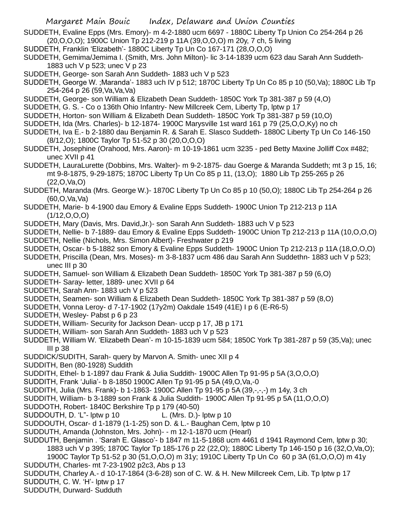- SUDDETH, Evaline Epps (Mrs. Emory)- m 4-2-1880 ucm 6697 1880C Liberty Tp Union Co 254-264 p 26 (20,O,O,O); 1900C Union Tp 212-219 p 11A (39,O,O,O) m 20y, 7 ch, 5 living
- SUDDETH, Franklin 'Elizabeth'- 1880C Liberty Tp Un Co 167-171 (28,O,O,O)
- SUDDETH, Gemima/Jemima I. (Smith, Mrs. John Milton)- lic 3-14-1839 ucm 623 dau Sarah Ann Suddeth-1883 uch V p 523; unec V p 23
- SUDDETH, George- son Sarah Ann Suddeth- 1883 uch V p 523
- SUDDETH, George W. ;Maranda'- 1883 uch IV p 512; 1870C Liberty Tp Un Co 85 p 10 (50,Va); 1880C Lib Tp 254-264 p 26 (59,Va,Va,Va)
- SUDDETH, George- son William & Elizabeth Dean Suddeth- 1850C York Tp 381-387 p 59 (4,O)
- SUDDETH, G. S. Co o 136th Ohio Infantry- New Millcreek Cem, Liberty Tp, lptw p 17
- SUDDETH, Horton- son William & Elizabeth Dean Suddeth- 1850C York Tp 381-387 p 59 (10,O)
- SUDDETH, Ida (Mrs. Charles)- b 12-1874- 1900C Marysville 1st ward 161 p 79 (25,O,O,Ky) no ch
- SUDDETH, Iva E.- b 2-1880 dau Benjamin R. & Sarah E. Slasco Suddeth- 1880C Liberty Tp Un Co 146-150 (8/12,O); 1800C Taylor Tp 51-52 p 30 (20,O,O,O)
- SUDDETH, Josephine (Orahood, Mrs. Aaron)- m 10-19-1861 ucm 3235 ped Betty Maxine Jolliff Cox #482; unec XVII p 41
- SUDDETH, LauraLurette (Dobbins, Mrs. Walter)- m 9-2-1875- dau Goerge & Maranda Suddeth; mt 3 p 15, 16; mt 9-8-1875, 9-29-1875; 1870C Liberty Tp Un Co 85 p 11, (13,O); 1880 Lib Tp 255-265 p 26 (22,O,Va,O)
- SUDDETH, Maranda (Mrs. George W.)- 1870C Liberty Tp Un Co 85 p 10 (50,O); 1880C Lib Tp 254-264 p 26 (60,O,Va,Va)
- SUDDETH, Marie- b 4-1900 dau Emory & Evaline Epps Suddeth- 1900C Union Tp 212-213 p 11A (1/12,O,O,O)
- SUDDETH, Mary (Davis, Mrs. David,Jr.)- son Sarah Ann Suddeth- 1883 uch V p 523
- SUDDETH, Nellie- b 7-1889- dau Emory & Evaline Epps Suddeth- 1900C Union Tp 212-213 p 11A (10,O,O,O)
- SUDDETH, Nellie (Nichols, Mrs. Simon Albert)- Freshwater p 219
- SUDDETH, Oscar- b 5-1882 son Emory & Evaline Epps Suddeth- 1900C Union Tp 212-213 p 11A (18,O,O,O)
- SUDDETH, Priscilla (Dean, Mrs. Moses)- m 3-8-1837 ucm 486 dau Sarah Ann Suddethn- 1883 uch V p 523; unec III p 30
- SUDDETH, Samuel- son William & Elizabeth Dean Suddeth- 1850C York Tp 381-387 p 59 (6,O)
- SUDDETH- Saray- letter, 1889- unec XVII p 64
- SUDDETH, Sarah Ann- 1883 uch V p 523
- SUDDETH, Seamen- son William & Elizabeth Dean Suddeth- 1850C York Tp 381-387 p 59 (8,O)
- SUDDETH, Vonna Leroy- d 7-17-1902 (17y2m) Oakdale 1549 (41E) I p 6 (E-R6-5)
- SUDDETH, Wesley- Pabst p 6 p 23
- SUDDETH, William- Security for Jackson Dean- uccp p 17, JB p 171
- SUDDETH, William- son Sarah Ann Suddeth- 1883 uch V p 523
- SUDDETH, William W. 'Elizabeth Dean'- m 10-15-1839 ucm 584; 1850C York Tp 381-287 p 59 (35,Va); unec III p 38
- SUDDICK/SUDITH, Sarah- query by Marvon A. Smith- unec XII p 4
- SUDDITH, Ben (80-1928) Suddith
- SUDDITH, Ethel- b 1-1897 dau Frank & Julia Suddith- 1900C Allen Tp 91-95 p 5A (3,O,O,O)
- SUDDITH, Frank 'Julia'- b 8-1850 1900C Allen Tp 91-95 p 5A (49,O,Va,-0
- SUDDITH, Julia (Mrs. Frank)- b 1-1863- 1900C Allen Tp 91-95 p 5A (39,-,-,-) m 14y, 3 ch
- SUDDITH, William- b 3-1889 son Frank & Julia Suddith- 1900C Allen Tp 91-95 p 5A (11,O,O,O)
- SUDDOTH, Robert- 1840C Berkshire Tp p 179 (40-50)
- SUDDOUTH, D. 'L"- lptw p 10 L. (Mrs. D.)- lptw p 10
- SUDDOUTH, Oscar- d 1-1879 (1-1-25) son D. & L.- Baughan Cem, lptw p 10
- SUDDUTH, Amanda (Johnston, Mrs. John)- m 12-1-1870 ucm (Hearl)
- SUDDUTH, Benjamin . 'Sarah E. Glasco'- b 1847 m 11-5-1868 ucm 4461 d 1941 Raymond Cem, lptw p 30; 1883 uch V p 395; 1870C Taylor Tp 185-176 p 22 (22,O); 1880C Liberty Tp 146-150 p 16 (32,O,Va,O);
- 1900C Taylor Tp 51-52 p 30 (51,O,O,O) m 31y; 1910C Liberty Tp Un Co 60 p 3A (61,O,O,O) m 41y SUDDUTH, Charles- mt 7-23-1902 p2c3, Abs p 13
- SUDDUTH, Charley A.- d 10-17-1864 (3-6-28) son of C. W. & H. New Millcreek Cem, Lib. Tp lptw p 17
- SUDDUTH, C. W. 'H'- lptw p 17
- SUDDUTH, Durward- Sudduth